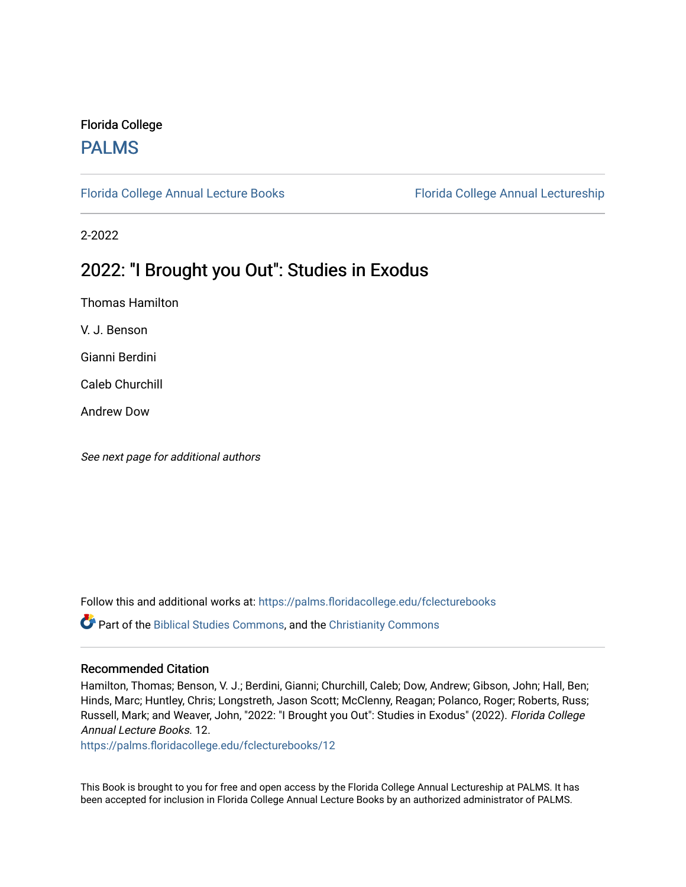#### Florida College [PALMS](https://palms.floridacollege.edu/)

[Florida College Annual Lecture Books](https://palms.floridacollege.edu/fclecturebooks) [Florida College Annual Lectureship](https://palms.floridacollege.edu/fclectures) 

2-2022

## 2022: "I Brought you Out": Studies in Exodus

Thomas Hamilton

V. J. Benson

Gianni Berdini

Caleb Churchill

Andrew Dow

See next page for additional authors

Follow this and additional works at: [https://palms.floridacollege.edu/fclecturebooks](https://palms.floridacollege.edu/fclecturebooks?utm_source=palms.floridacollege.edu%2Ffclecturebooks%2F12&utm_medium=PDF&utm_campaign=PDFCoverPages) 

Part of the [Biblical Studies Commons,](http://network.bepress.com/hgg/discipline/539?utm_source=palms.floridacollege.edu%2Ffclecturebooks%2F12&utm_medium=PDF&utm_campaign=PDFCoverPages) and the [Christianity Commons](http://network.bepress.com/hgg/discipline/1181?utm_source=palms.floridacollege.edu%2Ffclecturebooks%2F12&utm_medium=PDF&utm_campaign=PDFCoverPages)

#### Recommended Citation

Hamilton, Thomas; Benson, V. J.; Berdini, Gianni; Churchill, Caleb; Dow, Andrew; Gibson, John; Hall, Ben; Hinds, Marc; Huntley, Chris; Longstreth, Jason Scott; McClenny, Reagan; Polanco, Roger; Roberts, Russ; Russell, Mark; and Weaver, John, "2022: "I Brought you Out": Studies in Exodus" (2022). Florida College Annual Lecture Books. 12.

[https://palms.floridacollege.edu/fclecturebooks/12](https://palms.floridacollege.edu/fclecturebooks/12?utm_source=palms.floridacollege.edu%2Ffclecturebooks%2F12&utm_medium=PDF&utm_campaign=PDFCoverPages)

This Book is brought to you for free and open access by the Florida College Annual Lectureship at PALMS. It has been accepted for inclusion in Florida College Annual Lecture Books by an authorized administrator of PALMS.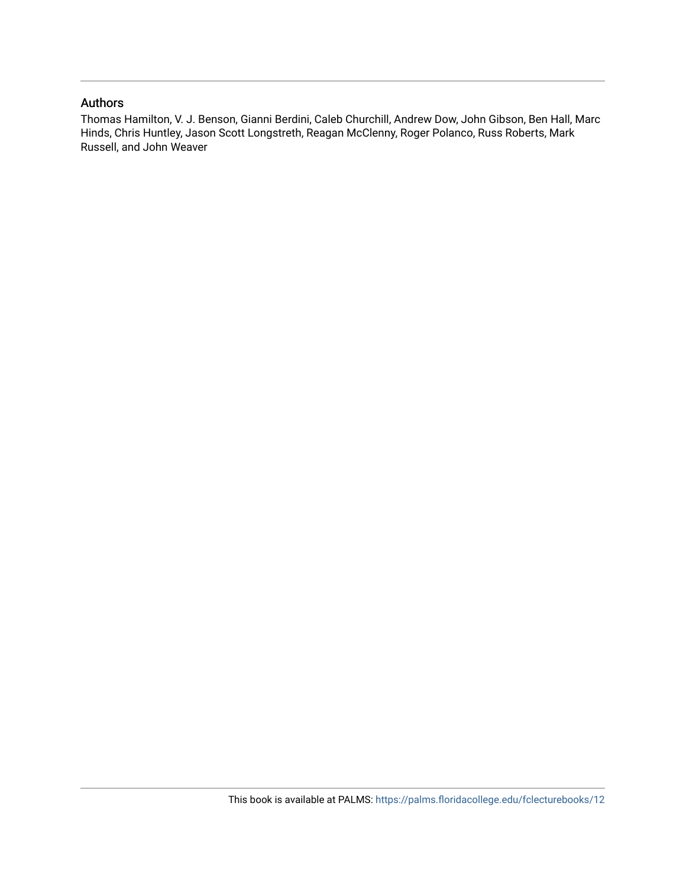#### Authors

Thomas Hamilton, V. J. Benson, Gianni Berdini, Caleb Churchill, Andrew Dow, John Gibson, Ben Hall, Marc Hinds, Chris Huntley, Jason Scott Longstreth, Reagan McClenny, Roger Polanco, Russ Roberts, Mark Russell, and John Weaver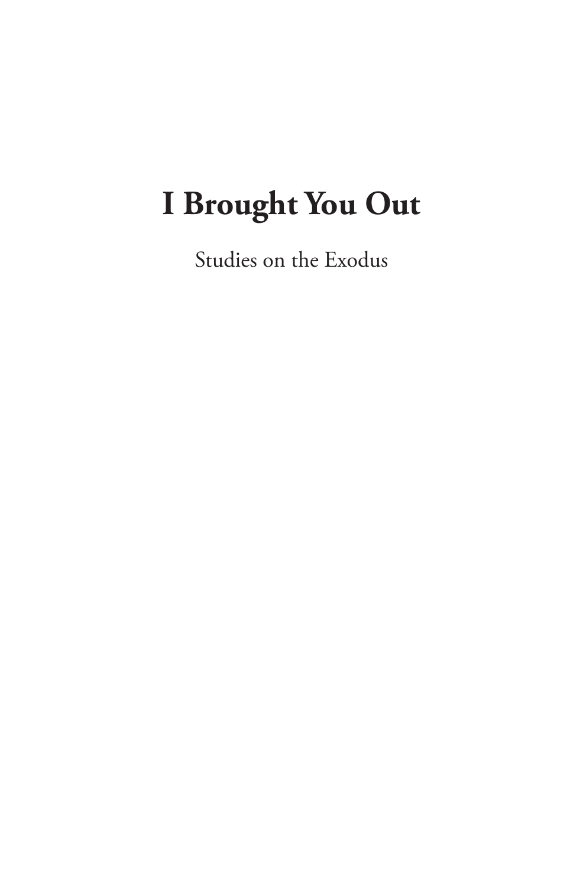# **I Brought You Out**

Studies on the Exodus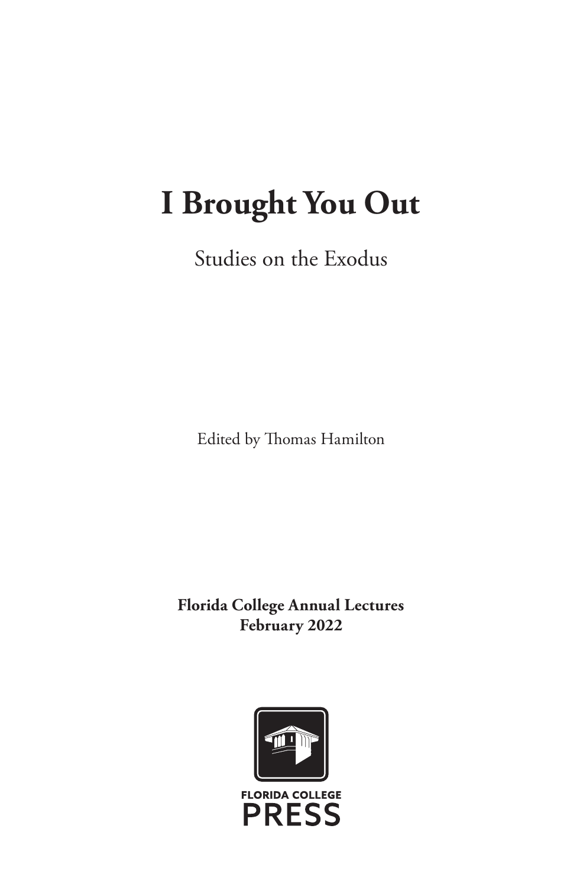## **I Brought You Out**

Studies on the Exodus

Edited by Thomas Hamilton

**Florida College Annual Lectures February 2022**

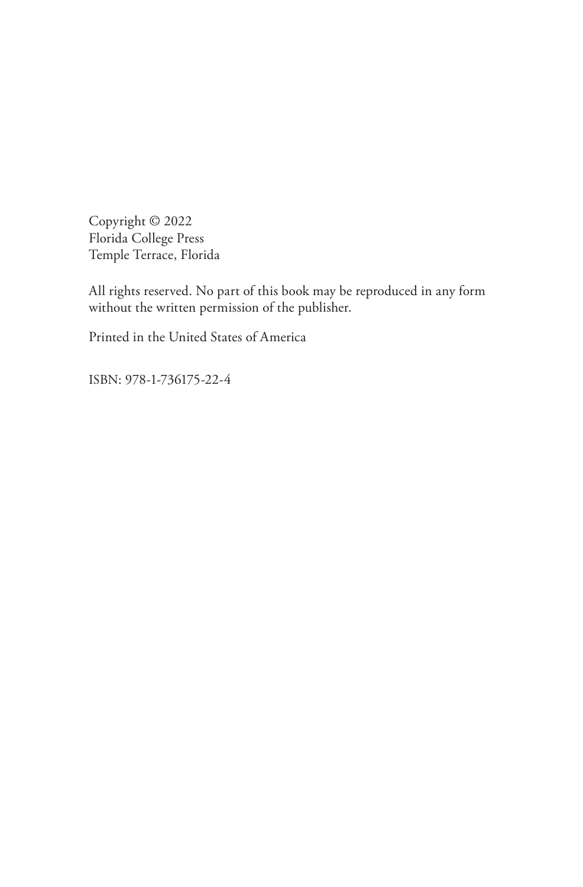Copyright © 2022 Florida College Press Temple Terrace, Florida

All rights reserved. No part of this book may be reproduced in any form without the written permission of the publisher.

Printed in the United States of America

ISBN: 978-1-736175-22-4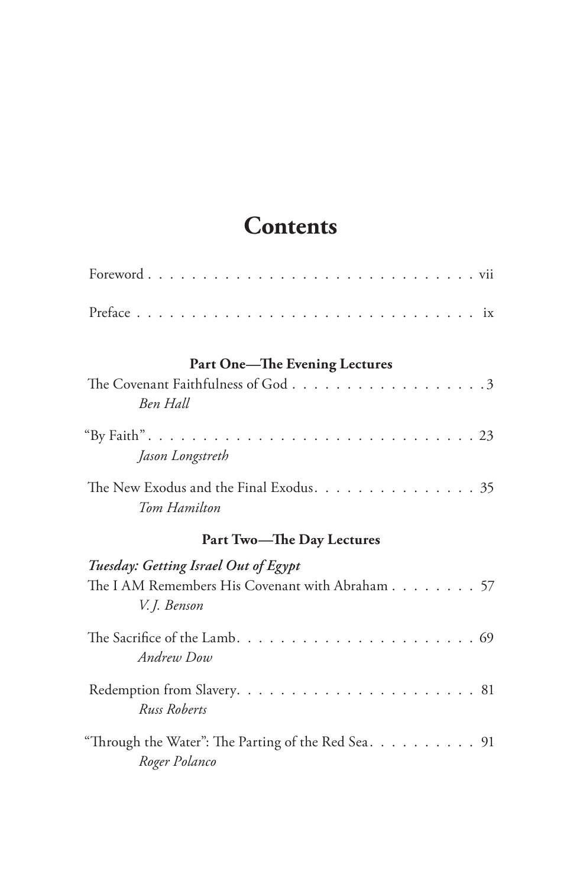## **Contents**

| Part One-The Evening Lectures<br>Ben Hall                                                               |  |  |  |  |
|---------------------------------------------------------------------------------------------------------|--|--|--|--|
| Jason Longstreth                                                                                        |  |  |  |  |
| The New Exodus and the Final Exodus. 35<br>Tom Hamilton                                                 |  |  |  |  |
| <b>Part Two-The Day Lectures</b>                                                                        |  |  |  |  |
|                                                                                                         |  |  |  |  |
| Tuesday: Getting Israel Out of Egypt<br>The I AM Remembers His Covenant with Abraham 57<br>V. I. Benson |  |  |  |  |
| Andrew Dow                                                                                              |  |  |  |  |
| Russ Roberts                                                                                            |  |  |  |  |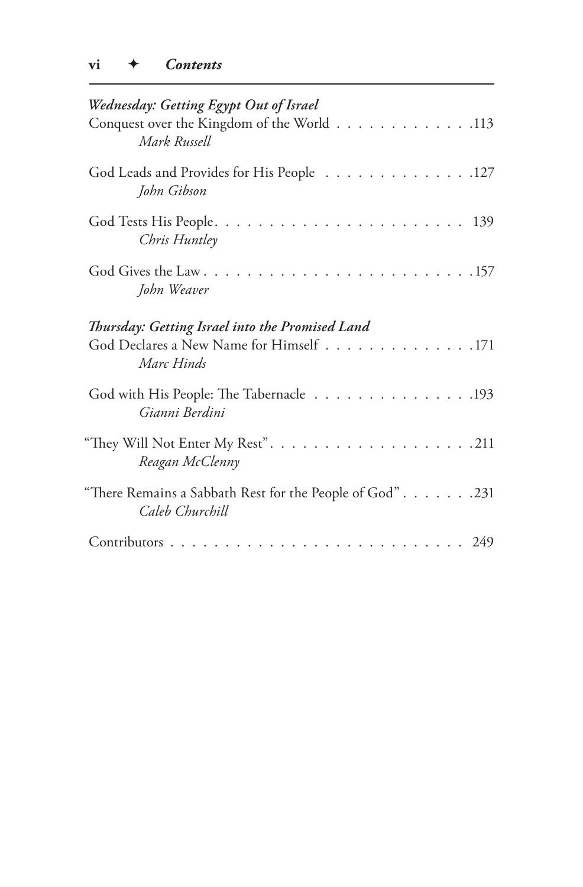| Wednesday: Getting Egypt Out of Israel<br>Conquest over the Kingdom of the World 113<br>Mark Russell     |
|----------------------------------------------------------------------------------------------------------|
| God Leads and Provides for His People 127<br>John Gibson                                                 |
| Chris Huntley                                                                                            |
| John Weaver                                                                                              |
| Thursday: Getting Israel into the Promised Land<br>God Declares a New Name for Himself 171<br>Marc Hinds |
| God with His People: The Tabernacle 193<br>Gianni Berdini                                                |
| Reagan McClenny                                                                                          |
| "There Remains a Sabbath Rest for the People of God". 231<br>Caleb Churchill                             |
|                                                                                                          |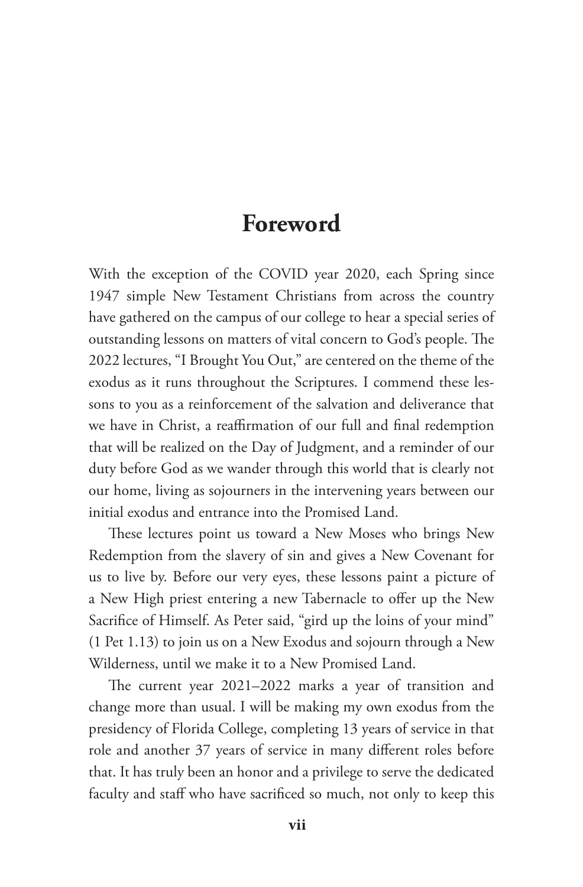### **Foreword**

With the exception of the COVID year 2020, each Spring since 1947 simple New Testament Christians from across the country have gathered on the campus of our college to hear a special series of outstanding lessons on matters of vital concern to God's people. The 2022 lectures, "I Brought You Out," are centered on the theme of the exodus as it runs throughout the Scriptures. I commend these lessons to you as a reinforcement of the salvation and deliverance that we have in Christ, a reaffirmation of our full and final redemption that will be realized on the Day of Judgment, and a reminder of our duty before God as we wander through this world that is clearly not our home, living as sojourners in the intervening years between our initial exodus and entrance into the Promised Land.

These lectures point us toward a New Moses who brings New Redemption from the slavery of sin and gives a New Covenant for us to live by. Before our very eyes, these lessons paint a picture of a New High priest entering a new Tabernacle to offer up the New Sacrifice of Himself. As Peter said, "gird up the loins of your mind" (1 Pet 1.13) to join us on a New Exodus and sojourn through a New Wilderness, until we make it to a New Promised Land.

The current year 2021–2022 marks a year of transition and change more than usual. I will be making my own exodus from the presidency of Florida College, completing 13 years of service in that role and another 37 years of service in many different roles before that. It has truly been an honor and a privilege to serve the dedicated faculty and staff who have sacrificed so much, not only to keep this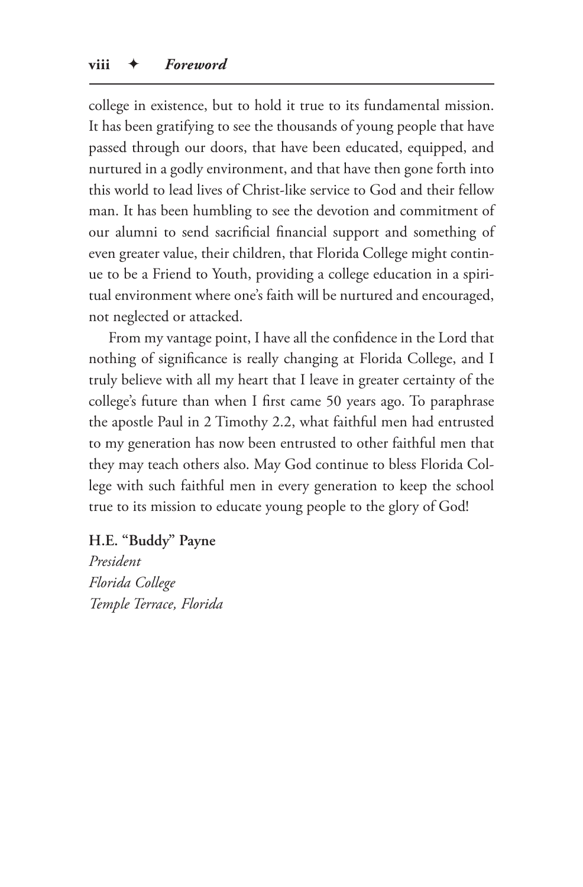college in existence, but to hold it true to its fundamental mission. It has been gratifying to see the thousands of young people that have passed through our doors, that have been educated, equipped, and nurtured in a godly environment, and that have then gone forth into this world to lead lives of Christ-like service to God and their fellow man. It has been humbling to see the devotion and commitment of our alumni to send sacrificial financial support and something of even greater value, their children, that Florida College might continue to be a Friend to Youth, providing a college education in a spiritual environment where one's faith will be nurtured and encouraged, not neglected or attacked.

From my vantage point, I have all the confidence in the Lord that nothing of significance is really changing at Florida College, and I truly believe with all my heart that I leave in greater certainty of the college's future than when I first came 50 years ago. To paraphrase the apostle Paul in 2 Timothy 2.2, what faithful men had entrusted to my generation has now been entrusted to other faithful men that they may teach others also. May God continue to bless Florida College with such faithful men in every generation to keep the school true to its mission to educate young people to the glory of God!

**H.E. "Buddy" Payne** *President Florida College Temple Terrace, Florida*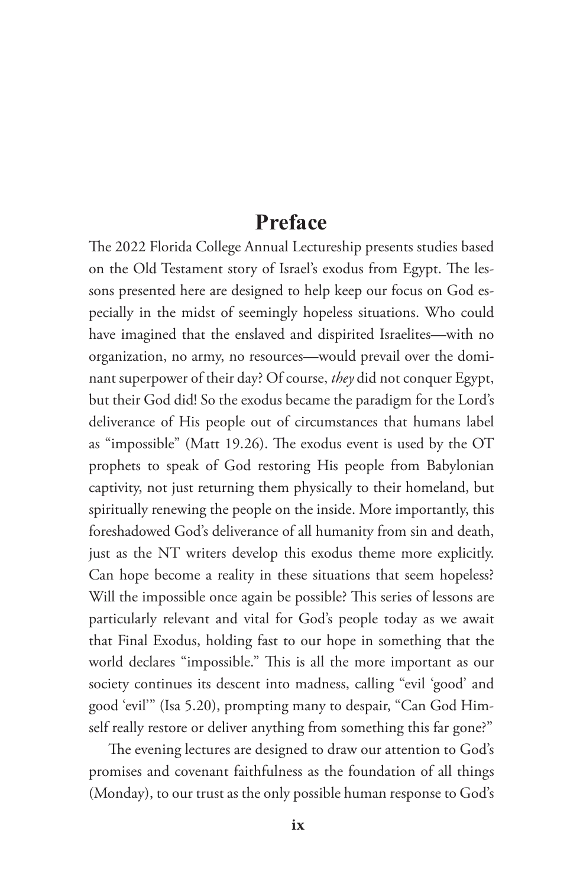#### **Preface**

The 2022 Florida College Annual Lectureship presents studies based on the Old Testament story of Israel's exodus from Egypt. The lessons presented here are designed to help keep our focus on God especially in the midst of seemingly hopeless situations. Who could have imagined that the enslaved and dispirited Israelites—with no organization, no army, no resources—would prevail over the dominant superpower of their day? Of course, *they* did not conquer Egypt, but their God did! So the exodus became the paradigm for the Lord's deliverance of His people out of circumstances that humans label as "impossible" (Matt 19.26). The exodus event is used by the OT prophets to speak of God restoring His people from Babylonian captivity, not just returning them physically to their homeland, but spiritually renewing the people on the inside. More importantly, this foreshadowed God's deliverance of all humanity from sin and death, just as the NT writers develop this exodus theme more explicitly. Can hope become a reality in these situations that seem hopeless? Will the impossible once again be possible? This series of lessons are particularly relevant and vital for God's people today as we await that Final Exodus, holding fast to our hope in something that the world declares "impossible." This is all the more important as our society continues its descent into madness, calling "evil 'good' and good 'evil'" (Isa 5.20), prompting many to despair, "Can God Himself really restore or deliver anything from something this far gone?"

The evening lectures are designed to draw our attention to God's promises and covenant faithfulness as the foundation of all things (Monday), to our trust as the only possible human response to God's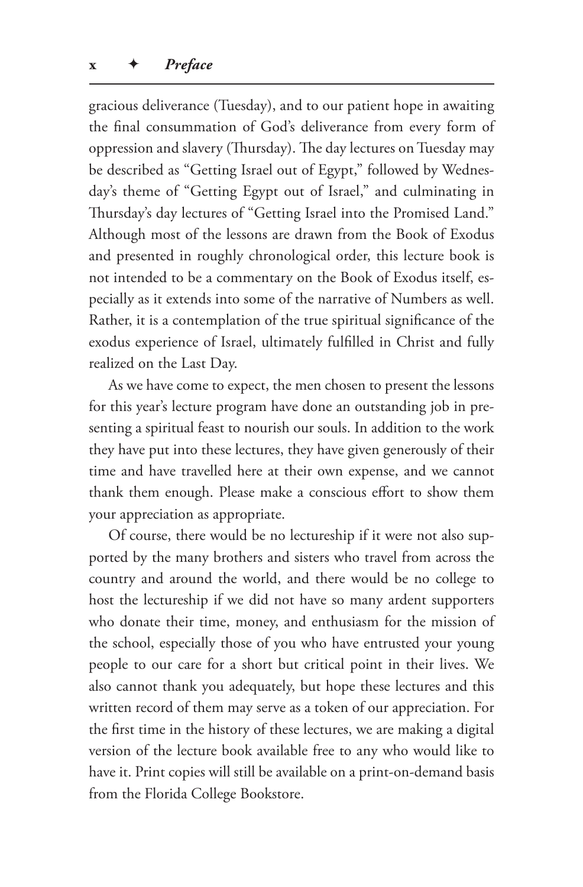gracious deliverance (Tuesday), and to our patient hope in awaiting the final consummation of God's deliverance from every form of oppression and slavery (Thursday). The day lectures on Tuesday may be described as "Getting Israel out of Egypt," followed by Wednesday's theme of "Getting Egypt out of Israel," and culminating in Thursday's day lectures of "Getting Israel into the Promised Land." Although most of the lessons are drawn from the Book of Exodus and presented in roughly chronological order, this lecture book is not intended to be a commentary on the Book of Exodus itself, especially as it extends into some of the narrative of Numbers as well. Rather, it is a contemplation of the true spiritual significance of the exodus experience of Israel, ultimately fulfilled in Christ and fully realized on the Last Day.

As we have come to expect, the men chosen to present the lessons for this year's lecture program have done an outstanding job in presenting a spiritual feast to nourish our souls. In addition to the work they have put into these lectures, they have given generously of their time and have travelled here at their own expense, and we cannot thank them enough. Please make a conscious effort to show them your appreciation as appropriate.

Of course, there would be no lectureship if it were not also supported by the many brothers and sisters who travel from across the country and around the world, and there would be no college to host the lectureship if we did not have so many ardent supporters who donate their time, money, and enthusiasm for the mission of the school, especially those of you who have entrusted your young people to our care for a short but critical point in their lives. We also cannot thank you adequately, but hope these lectures and this written record of them may serve as a token of our appreciation. For the first time in the history of these lectures, we are making a digital version of the lecture book available free to any who would like to have it. Print copies will still be available on a print-on-demand basis from the Florida College Bookstore.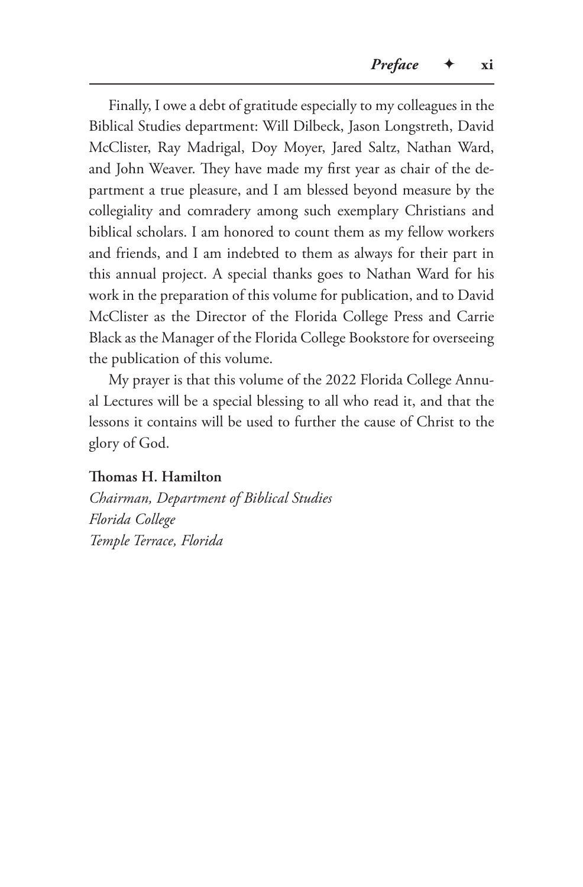Finally, I owe a debt of gratitude especially to my colleagues in the Biblical Studies department: Will Dilbeck, Jason Longstreth, David McClister, Ray Madrigal, Doy Moyer, Jared Saltz, Nathan Ward, and John Weaver. They have made my first year as chair of the department a true pleasure, and I am blessed beyond measure by the collegiality and comradery among such exemplary Christians and biblical scholars. I am honored to count them as my fellow workers and friends, and I am indebted to them as always for their part in this annual project. A special thanks goes to Nathan Ward for his work in the preparation of this volume for publication, and to David McClister as the Director of the Florida College Press and Carrie Black as the Manager of the Florida College Bookstore for overseeing the publication of this volume.

My prayer is that this volume of the 2022 Florida College Annual Lectures will be a special blessing to all who read it, and that the lessons it contains will be used to further the cause of Christ to the glory of God.

#### **Thomas H. Hamilton**

*Chairman, Department of Biblical Studies Florida College Temple Terrace, Florida*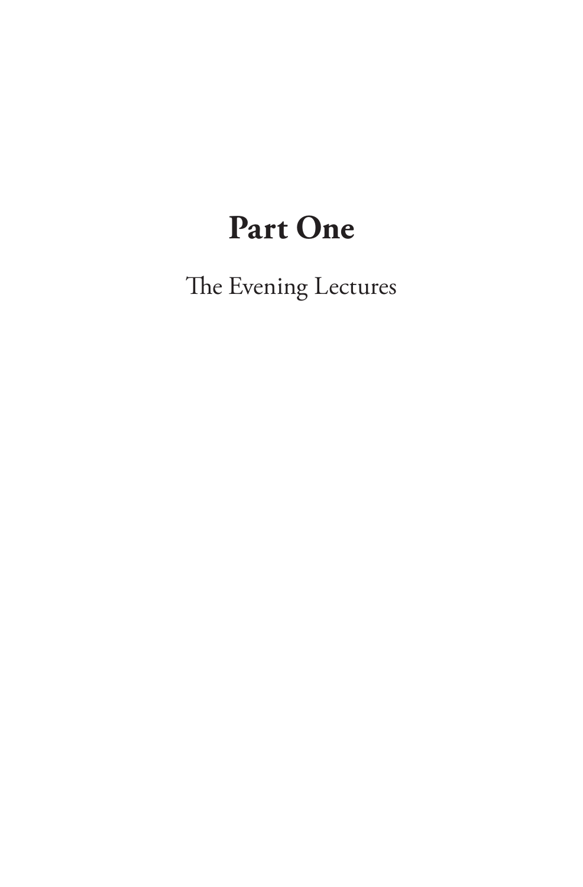## **Part One**

The Evening Lectures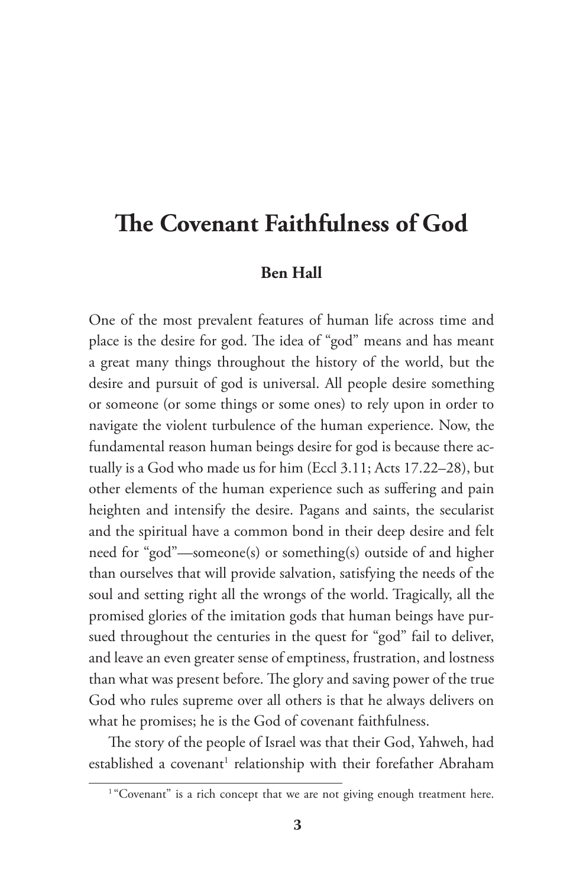### **The Covenant Faithfulness of God**

#### **Ben Hall**

One of the most prevalent features of human life across time and place is the desire for god. The idea of "god" means and has meant a great many things throughout the history of the world, but the desire and pursuit of god is universal. All people desire something or someone (or some things or some ones) to rely upon in order to navigate the violent turbulence of the human experience. Now, the fundamental reason human beings desire for god is because there actually is a God who made us for him (Eccl 3.11; Acts 17.22–28), but other elements of the human experience such as suffering and pain heighten and intensify the desire. Pagans and saints, the secularist and the spiritual have a common bond in their deep desire and felt need for "god"—someone(s) or something(s) outside of and higher than ourselves that will provide salvation, satisfying the needs of the soul and setting right all the wrongs of the world. Tragically, all the promised glories of the imitation gods that human beings have pursued throughout the centuries in the quest for "god" fail to deliver, and leave an even greater sense of emptiness, frustration, and lostness than what was present before. The glory and saving power of the true God who rules supreme over all others is that he always delivers on what he promises; he is the God of covenant faithfulness.

The story of the people of Israel was that their God, Yahweh, had established a covenant<sup>1</sup> relationship with their forefather Abraham

<sup>&</sup>lt;sup>1</sup> "Covenant" is a rich concept that we are not giving enough treatment here.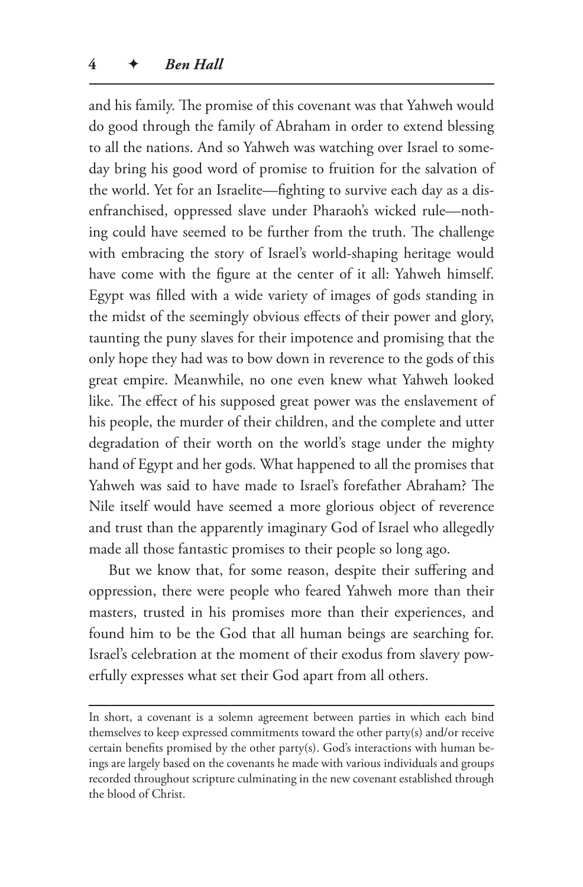and his family. The promise of this covenant was that Yahweh would do good through the family of Abraham in order to extend blessing to all the nations. And so Yahweh was watching over Israel to someday bring his good word of promise to fruition for the salvation of the world. Yet for an Israelite—fighting to survive each day as a disenfranchised, oppressed slave under Pharaoh's wicked rule—nothing could have seemed to be further from the truth. The challenge with embracing the story of Israel's world-shaping heritage would have come with the figure at the center of it all: Yahweh himself. Egypt was filled with a wide variety of images of gods standing in the midst of the seemingly obvious effects of their power and glory, taunting the puny slaves for their impotence and promising that the only hope they had was to bow down in reverence to the gods of this great empire. Meanwhile, no one even knew what Yahweh looked like. The effect of his supposed great power was the enslavement of his people, the murder of their children, and the complete and utter degradation of their worth on the world's stage under the mighty hand of Egypt and her gods. What happened to all the promises that Yahweh was said to have made to Israel's forefather Abraham? The Nile itself would have seemed a more glorious object of reverence and trust than the apparently imaginary God of Israel who allegedly made all those fantastic promises to their people so long ago.

But we know that, for some reason, despite their suffering and oppression, there were people who feared Yahweh more than their masters, trusted in his promises more than their experiences, and found him to be the God that all human beings are searching for. Israel's celebration at the moment of their exodus from slavery powerfully expresses what set their God apart from all others.

In short, a covenant is a solemn agreement between parties in which each bind themselves to keep expressed commitments toward the other party(s) and/or receive certain benefits promised by the other party(s). God's interactions with human beings are largely based on the covenants he made with various individuals and groups recorded throughout scripture culminating in the new covenant established through the blood of Christ.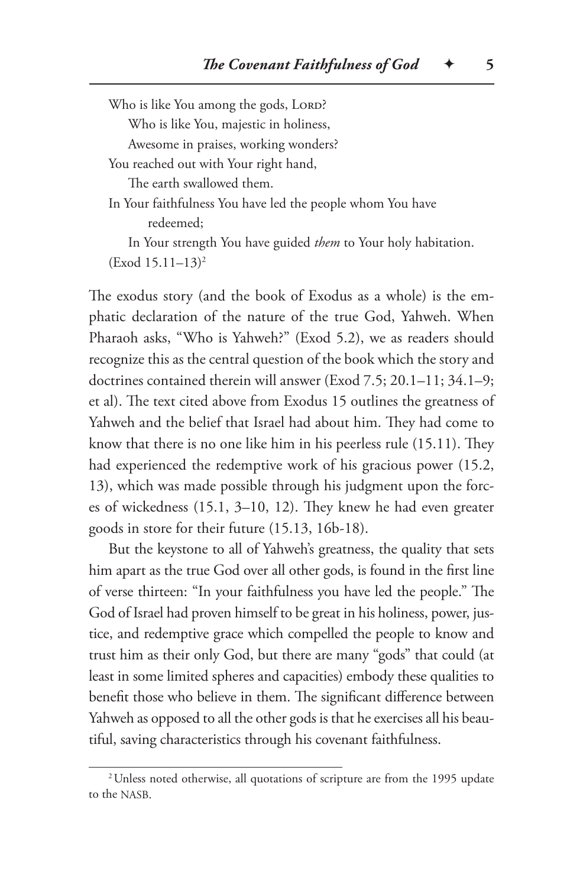Who is like You among the gods, LORD? Who is like You, majestic in holiness, Awesome in praises, working wonders? You reached out with Your right hand, The earth swallowed them. In Your faithfulness You have led the people whom You have redeemed; In Your strength You have guided *them* to Your holy habitation. (Exod 15.11–13)2 The exodus story (and the book of Exodus as a whole) is the em-

phatic declaration of the nature of the true God, Yahweh. When Pharaoh asks, "Who is Yahweh?" (Exod 5.2), we as readers should recognize this as the central question of the book which the story and doctrines contained therein will answer (Exod 7.5; 20.1–11; 34.1–9; et al). The text cited above from Exodus 15 outlines the greatness of Yahweh and the belief that Israel had about him. They had come to know that there is no one like him in his peerless rule (15.11). They had experienced the redemptive work of his gracious power (15.2, 13), which was made possible through his judgment upon the forces of wickedness (15.1, 3–10, 12). They knew he had even greater goods in store for their future (15.13, 16b-18).

But the keystone to all of Yahweh's greatness, the quality that sets him apart as the true God over all other gods, is found in the first line of verse thirteen: "In your faithfulness you have led the people." The God of Israel had proven himself to be great in his holiness, power, justice, and redemptive grace which compelled the people to know and trust him as their only God, but there are many "gods" that could (at least in some limited spheres and capacities) embody these qualities to benefit those who believe in them. The significant difference between Yahweh as opposed to all the other gods is that he exercises all his beautiful, saving characteristics through his covenant faithfulness.

<sup>&</sup>lt;sup>2</sup>Unless noted otherwise, all quotations of scripture are from the 1995 update to the NASB.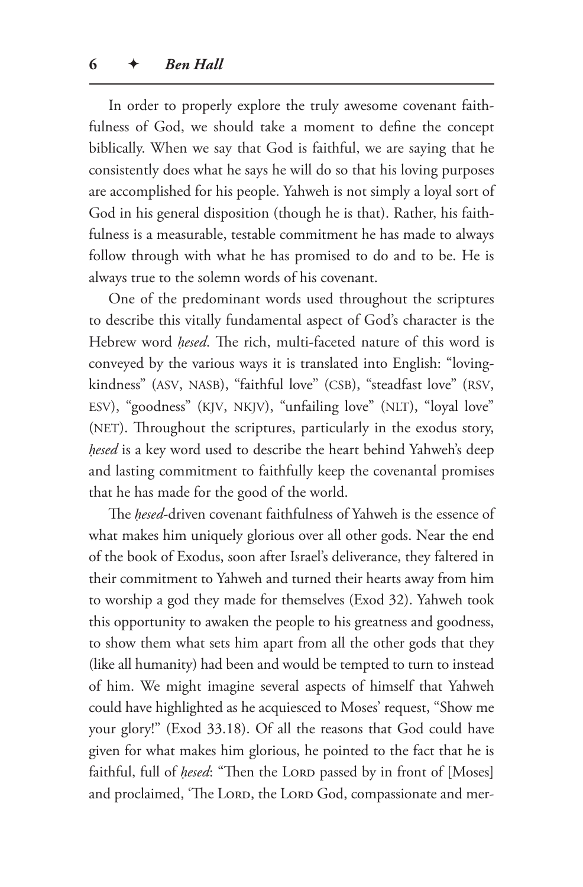In order to properly explore the truly awesome covenant faithfulness of God, we should take a moment to define the concept biblically. When we say that God is faithful, we are saying that he consistently does what he says he will do so that his loving purposes are accomplished for his people. Yahweh is not simply a loyal sort of God in his general disposition (though he is that). Rather, his faithfulness is a measurable, testable commitment he has made to always follow through with what he has promised to do and to be. He is always true to the solemn words of his covenant.

One of the predominant words used throughout the scriptures to describe this vitally fundamental aspect of God's character is the Hebrew word *ḥesed*. The rich, multi-faceted nature of this word is conveyed by the various ways it is translated into English: "lovingkindness" (ASV, NASB), "faithful love" (CSB), "steadfast love" (RSV, ESV), "goodness" (KJV, NKJV), "unfailing love" (NLT), "loyal love" (NET). Throughout the scriptures, particularly in the exodus story, *ḥesed* is a key word used to describe the heart behind Yahweh's deep and lasting commitment to faithfully keep the covenantal promises that he has made for the good of the world.

The *ḥesed*-driven covenant faithfulness of Yahweh is the essence of what makes him uniquely glorious over all other gods. Near the end of the book of Exodus, soon after Israel's deliverance, they faltered in their commitment to Yahweh and turned their hearts away from him to worship a god they made for themselves (Exod 32). Yahweh took this opportunity to awaken the people to his greatness and goodness, to show them what sets him apart from all the other gods that they (like all humanity) had been and would be tempted to turn to instead of him. We might imagine several aspects of himself that Yahweh could have highlighted as he acquiesced to Moses' request, "Show me your glory!" (Exod 33.18). Of all the reasons that God could have given for what makes him glorious, he pointed to the fact that he is faithful, full of *hesed*: "Then the LORD passed by in front of [Moses] and proclaimed, 'The LORD, the LORD God, compassionate and mer-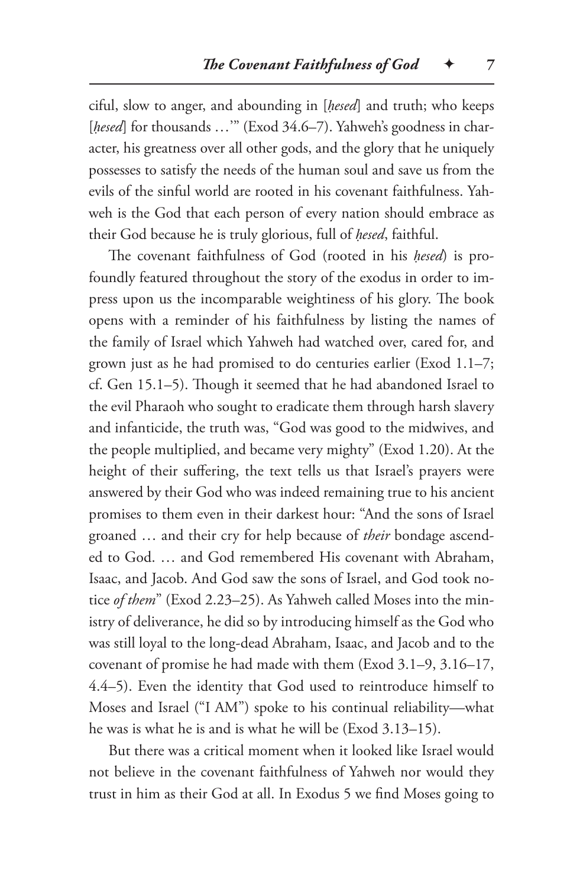ciful, slow to anger, and abounding in [*ḥesed*] and truth; who keeps [hesed] for thousands ..."" (Exod 34.6–7). Yahweh's goodness in character, his greatness over all other gods, and the glory that he uniquely possesses to satisfy the needs of the human soul and save us from the evils of the sinful world are rooted in his covenant faithfulness. Yahweh is the God that each person of every nation should embrace as their God because he is truly glorious, full of *ḥesed*, faithful.

The covenant faithfulness of God (rooted in his *ḥesed*) is profoundly featured throughout the story of the exodus in order to impress upon us the incomparable weightiness of his glory. The book opens with a reminder of his faithfulness by listing the names of the family of Israel which Yahweh had watched over, cared for, and grown just as he had promised to do centuries earlier (Exod 1.1–7; cf. Gen 15.1–5). Though it seemed that he had abandoned Israel to the evil Pharaoh who sought to eradicate them through harsh slavery and infanticide, the truth was, "God was good to the midwives, and the people multiplied, and became very mighty" (Exod 1.20). At the height of their suffering, the text tells us that Israel's prayers were answered by their God who was indeed remaining true to his ancient promises to them even in their darkest hour: "And the sons of Israel groaned … and their cry for help because of *their* bondage ascended to God. … and God remembered His covenant with Abraham, Isaac, and Jacob. And God saw the sons of Israel, and God took notice *of them*" (Exod 2.23–25). As Yahweh called Moses into the ministry of deliverance, he did so by introducing himself as the God who was still loyal to the long-dead Abraham, Isaac, and Jacob and to the covenant of promise he had made with them (Exod 3.1–9, 3.16–17, 4.4–5). Even the identity that God used to reintroduce himself to Moses and Israel ("I AM") spoke to his continual reliability—what he was is what he is and is what he will be (Exod 3.13–15).

But there was a critical moment when it looked like Israel would not believe in the covenant faithfulness of Yahweh nor would they trust in him as their God at all. In Exodus 5 we find Moses going to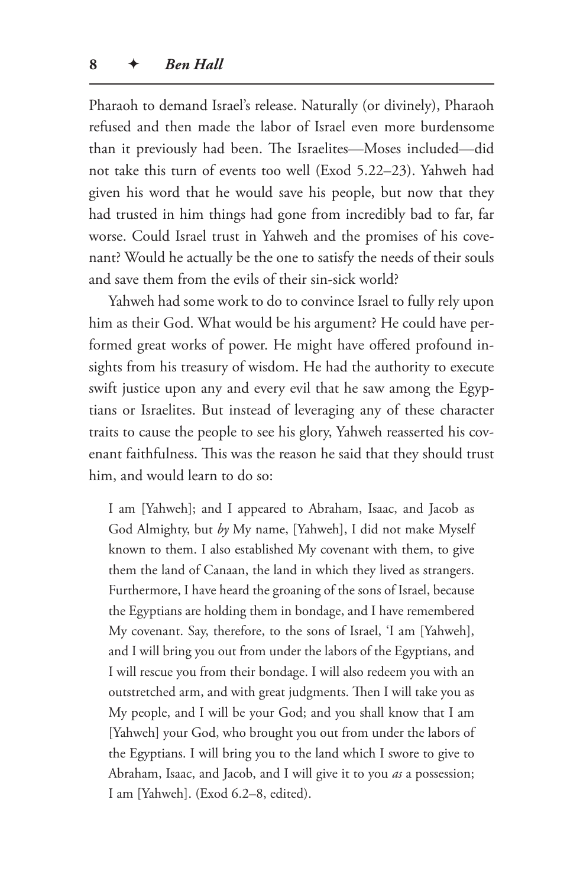Pharaoh to demand Israel's release. Naturally (or divinely), Pharaoh refused and then made the labor of Israel even more burdensome than it previously had been. The Israelites—Moses included—did not take this turn of events too well (Exod 5.22–23). Yahweh had given his word that he would save his people, but now that they had trusted in him things had gone from incredibly bad to far, far worse. Could Israel trust in Yahweh and the promises of his covenant? Would he actually be the one to satisfy the needs of their souls and save them from the evils of their sin-sick world?

Yahweh had some work to do to convince Israel to fully rely upon him as their God. What would be his argument? He could have performed great works of power. He might have offered profound insights from his treasury of wisdom. He had the authority to execute swift justice upon any and every evil that he saw among the Egyptians or Israelites. But instead of leveraging any of these character traits to cause the people to see his glory, Yahweh reasserted his covenant faithfulness. This was the reason he said that they should trust him, and would learn to do so:

I am [Yahweh]; and I appeared to Abraham, Isaac, and Jacob as God Almighty, but *by* My name, [Yahweh], I did not make Myself known to them. I also established My covenant with them, to give them the land of Canaan, the land in which they lived as strangers. Furthermore, I have heard the groaning of the sons of Israel, because the Egyptians are holding them in bondage, and I have remembered My covenant. Say, therefore, to the sons of Israel, 'I am [Yahweh], and I will bring you out from under the labors of the Egyptians, and I will rescue you from their bondage. I will also redeem you with an outstretched arm, and with great judgments. Then I will take you as My people, and I will be your God; and you shall know that I am [Yahweh] your God, who brought you out from under the labors of the Egyptians. I will bring you to the land which I swore to give to Abraham, Isaac, and Jacob, and I will give it to you *as* a possession; I am [Yahweh]. (Exod 6.2–8, edited).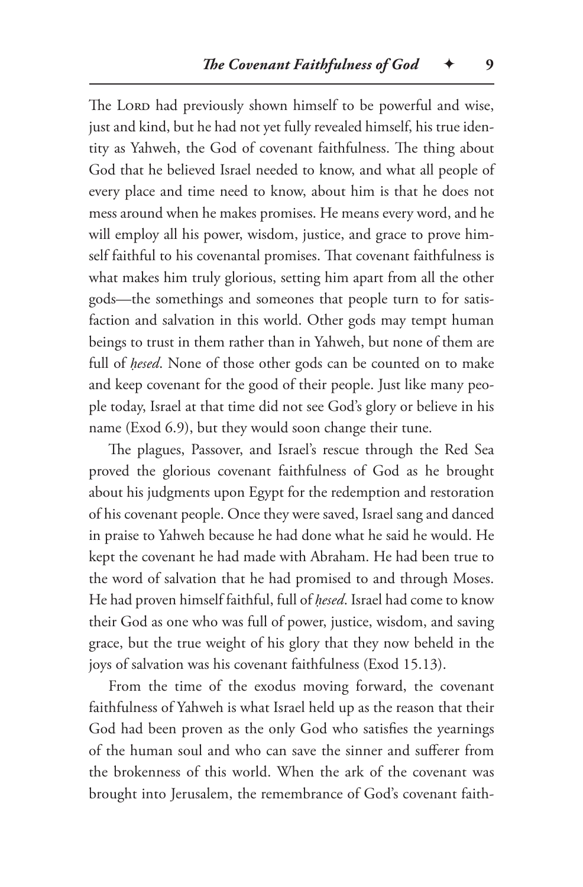The Lord had previously shown himself to be powerful and wise, just and kind, but he had not yet fully revealed himself, his true identity as Yahweh, the God of covenant faithfulness. The thing about God that he believed Israel needed to know, and what all people of every place and time need to know, about him is that he does not mess around when he makes promises. He means every word, and he will employ all his power, wisdom, justice, and grace to prove himself faithful to his covenantal promises. That covenant faithfulness is what makes him truly glorious, setting him apart from all the other gods—the somethings and someones that people turn to for satisfaction and salvation in this world. Other gods may tempt human beings to trust in them rather than in Yahweh, but none of them are full of *ḥesed*. None of those other gods can be counted on to make and keep covenant for the good of their people. Just like many people today, Israel at that time did not see God's glory or believe in his name (Exod 6.9), but they would soon change their tune.

The plagues, Passover, and Israel's rescue through the Red Sea proved the glorious covenant faithfulness of God as he brought about his judgments upon Egypt for the redemption and restoration of his covenant people. Once they were saved, Israel sang and danced in praise to Yahweh because he had done what he said he would. He kept the covenant he had made with Abraham. He had been true to the word of salvation that he had promised to and through Moses. He had proven himself faithful, full of *ḥesed*. Israel had come to know their God as one who was full of power, justice, wisdom, and saving grace, but the true weight of his glory that they now beheld in the joys of salvation was his covenant faithfulness (Exod 15.13).

From the time of the exodus moving forward, the covenant faithfulness of Yahweh is what Israel held up as the reason that their God had been proven as the only God who satisfies the yearnings of the human soul and who can save the sinner and sufferer from the brokenness of this world. When the ark of the covenant was brought into Jerusalem, the remembrance of God's covenant faith-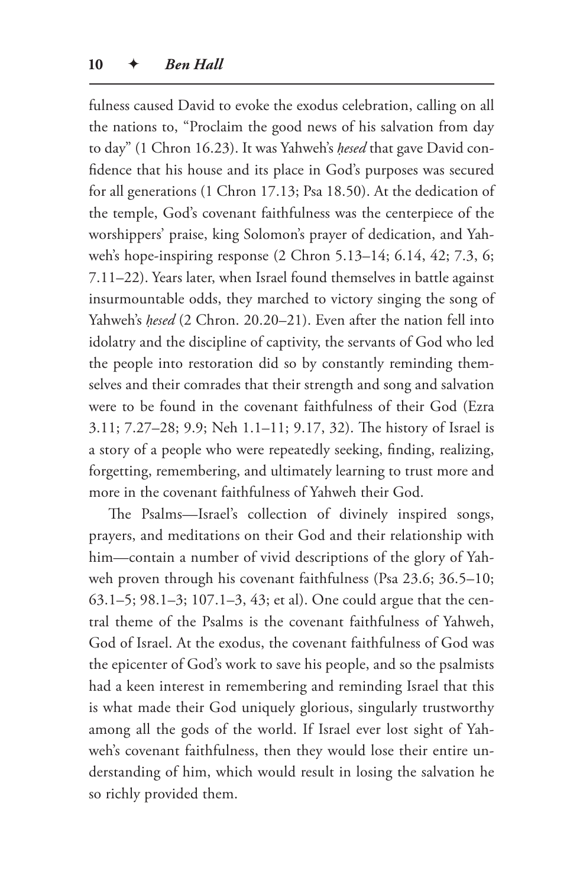fulness caused David to evoke the exodus celebration, calling on all the nations to, "Proclaim the good news of his salvation from day to day" (1 Chron 16.23). It was Yahweh's *ḥesed* that gave David confidence that his house and its place in God's purposes was secured for all generations (1 Chron 17.13; Psa 18.50). At the dedication of the temple, God's covenant faithfulness was the centerpiece of the worshippers' praise, king Solomon's prayer of dedication, and Yahweh's hope-inspiring response (2 Chron 5.13–14; 6.14, 42; 7.3, 6; 7.11–22). Years later, when Israel found themselves in battle against insurmountable odds, they marched to victory singing the song of Yahweh's *ḥesed* (2 Chron. 20.20–21). Even after the nation fell into idolatry and the discipline of captivity, the servants of God who led the people into restoration did so by constantly reminding themselves and their comrades that their strength and song and salvation were to be found in the covenant faithfulness of their God (Ezra 3.11; 7.27–28; 9.9; Neh 1.1–11; 9.17, 32). The history of Israel is a story of a people who were repeatedly seeking, finding, realizing, forgetting, remembering, and ultimately learning to trust more and more in the covenant faithfulness of Yahweh their God.

The Psalms—Israel's collection of divinely inspired songs, prayers, and meditations on their God and their relationship with him—contain a number of vivid descriptions of the glory of Yahweh proven through his covenant faithfulness (Psa 23.6; 36.5–10; 63.1–5; 98.1–3; 107.1–3, 43; et al). One could argue that the central theme of the Psalms is the covenant faithfulness of Yahweh, God of Israel. At the exodus, the covenant faithfulness of God was the epicenter of God's work to save his people, and so the psalmists had a keen interest in remembering and reminding Israel that this is what made their God uniquely glorious, singularly trustworthy among all the gods of the world. If Israel ever lost sight of Yahweh's covenant faithfulness, then they would lose their entire understanding of him, which would result in losing the salvation he so richly provided them.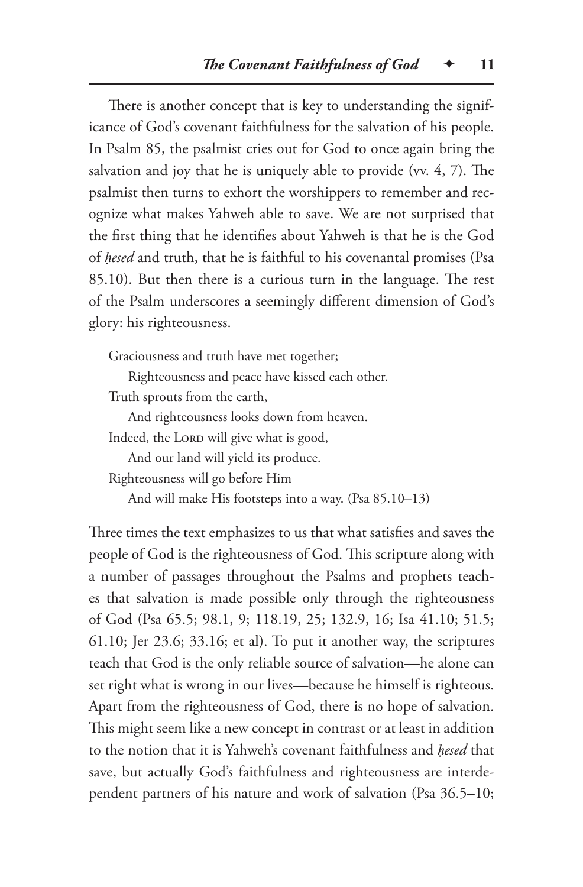There is another concept that is key to understanding the significance of God's covenant faithfulness for the salvation of his people. In Psalm 85, the psalmist cries out for God to once again bring the salvation and joy that he is uniquely able to provide (vv. 4, 7). The psalmist then turns to exhort the worshippers to remember and recognize what makes Yahweh able to save. We are not surprised that the first thing that he identifies about Yahweh is that he is the God of *ḥesed* and truth, that he is faithful to his covenantal promises (Psa 85.10). But then there is a curious turn in the language. The rest of the Psalm underscores a seemingly different dimension of God's glory: his righteousness.

Graciousness and truth have met together;

Righteousness and peace have kissed each other.

Truth sprouts from the earth,

And righteousness looks down from heaven.

Indeed, the Lord will give what is good,

And our land will yield its produce.

Righteousness will go before Him

And will make His footsteps into a way. (Psa 85.10–13)

Three times the text emphasizes to us that what satisfies and saves the people of God is the righteousness of God. This scripture along with a number of passages throughout the Psalms and prophets teaches that salvation is made possible only through the righteousness of God (Psa 65.5; 98.1, 9; 118.19, 25; 132.9, 16; Isa 41.10; 51.5; 61.10; Jer 23.6; 33.16; et al). To put it another way, the scriptures teach that God is the only reliable source of salvation—he alone can set right what is wrong in our lives—because he himself is righteous. Apart from the righteousness of God, there is no hope of salvation. This might seem like a new concept in contrast or at least in addition to the notion that it is Yahweh's covenant faithfulness and *ḥesed* that save, but actually God's faithfulness and righteousness are interdependent partners of his nature and work of salvation (Psa 36.5–10;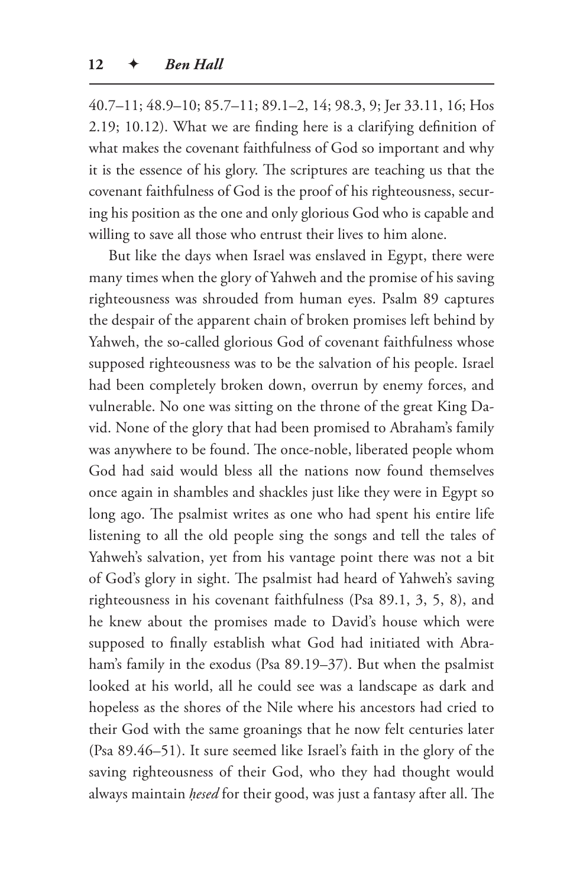40.7–11; 48.9–10; 85.7–11; 89.1–2, 14; 98.3, 9; Jer 33.11, 16; Hos 2.19; 10.12). What we are finding here is a clarifying definition of what makes the covenant faithfulness of God so important and why it is the essence of his glory. The scriptures are teaching us that the covenant faithfulness of God is the proof of his righteousness, securing his position as the one and only glorious God who is capable and willing to save all those who entrust their lives to him alone.

But like the days when Israel was enslaved in Egypt, there were many times when the glory of Yahweh and the promise of his saving righteousness was shrouded from human eyes. Psalm 89 captures the despair of the apparent chain of broken promises left behind by Yahweh, the so-called glorious God of covenant faithfulness whose supposed righteousness was to be the salvation of his people. Israel had been completely broken down, overrun by enemy forces, and vulnerable. No one was sitting on the throne of the great King David. None of the glory that had been promised to Abraham's family was anywhere to be found. The once-noble, liberated people whom God had said would bless all the nations now found themselves once again in shambles and shackles just like they were in Egypt so long ago. The psalmist writes as one who had spent his entire life listening to all the old people sing the songs and tell the tales of Yahweh's salvation, yet from his vantage point there was not a bit of God's glory in sight. The psalmist had heard of Yahweh's saving righteousness in his covenant faithfulness (Psa 89.1, 3, 5, 8), and he knew about the promises made to David's house which were supposed to finally establish what God had initiated with Abraham's family in the exodus (Psa 89.19–37). But when the psalmist looked at his world, all he could see was a landscape as dark and hopeless as the shores of the Nile where his ancestors had cried to their God with the same groanings that he now felt centuries later (Psa 89.46–51). It sure seemed like Israel's faith in the glory of the saving righteousness of their God, who they had thought would always maintain *ḥesed* for their good, was just a fantasy after all. The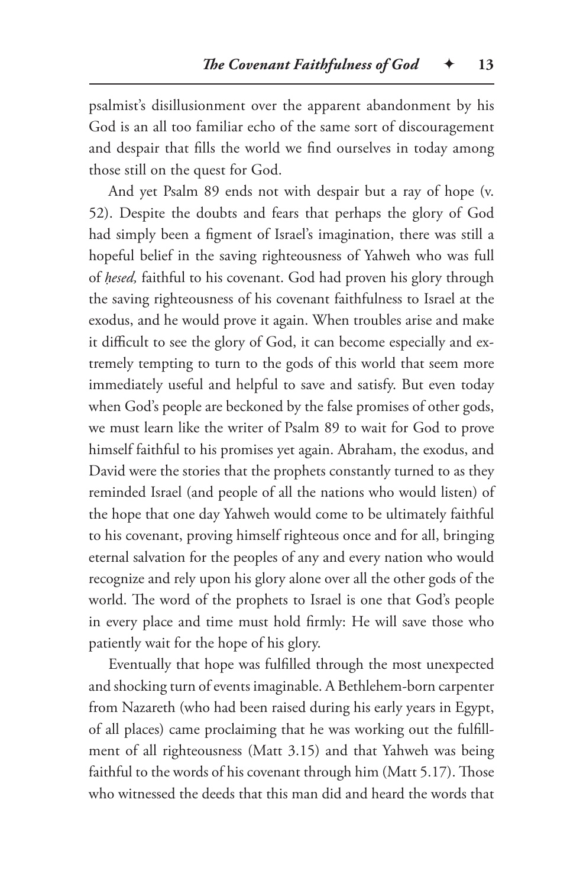psalmist's disillusionment over the apparent abandonment by his God is an all too familiar echo of the same sort of discouragement and despair that fills the world we find ourselves in today among those still on the quest for God.

And yet Psalm 89 ends not with despair but a ray of hope (v. 52). Despite the doubts and fears that perhaps the glory of God had simply been a figment of Israel's imagination, there was still a hopeful belief in the saving righteousness of Yahweh who was full of *ḥesed,* faithful to his covenant. God had proven his glory through the saving righteousness of his covenant faithfulness to Israel at the exodus, and he would prove it again. When troubles arise and make it difficult to see the glory of God, it can become especially and extremely tempting to turn to the gods of this world that seem more immediately useful and helpful to save and satisfy. But even today when God's people are beckoned by the false promises of other gods, we must learn like the writer of Psalm 89 to wait for God to prove himself faithful to his promises yet again. Abraham, the exodus, and David were the stories that the prophets constantly turned to as they reminded Israel (and people of all the nations who would listen) of the hope that one day Yahweh would come to be ultimately faithful to his covenant, proving himself righteous once and for all, bringing eternal salvation for the peoples of any and every nation who would recognize and rely upon his glory alone over all the other gods of the world. The word of the prophets to Israel is one that God's people in every place and time must hold firmly: He will save those who patiently wait for the hope of his glory.

Eventually that hope was fulfilled through the most unexpected and shocking turn of events imaginable. A Bethlehem-born carpenter from Nazareth (who had been raised during his early years in Egypt, of all places) came proclaiming that he was working out the fulfillment of all righteousness (Matt 3.15) and that Yahweh was being faithful to the words of his covenant through him (Matt 5.17). Those who witnessed the deeds that this man did and heard the words that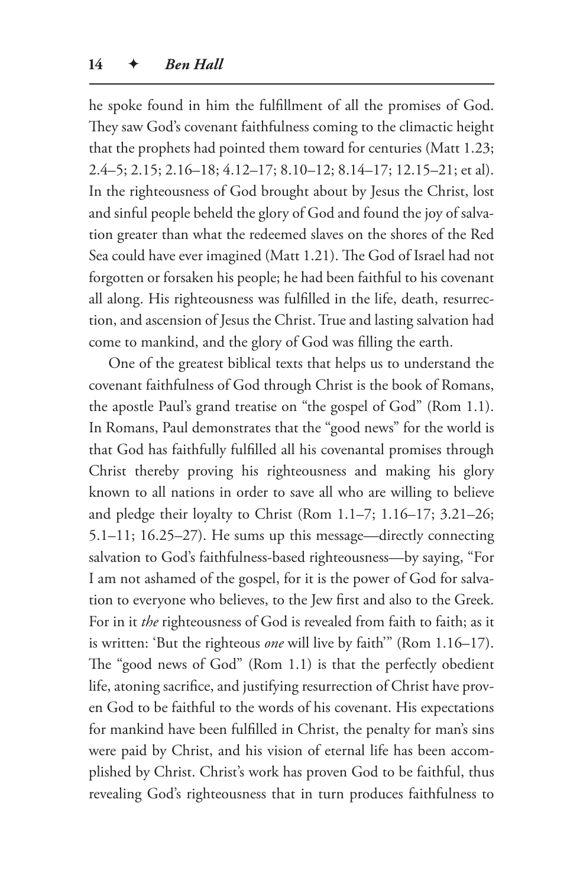he spoke found in him the fulfillment of all the promises of God. They saw God's covenant faithfulness coming to the climactic height that the prophets had pointed them toward for centuries (Matt 1.23; 2.4–5; 2.15; 2.16–18; 4.12–17; 8.10–12; 8.14–17; 12.15–21; et al). In the righteousness of God brought about by Jesus the Christ, lost and sinful people beheld the glory of God and found the joy of salvation greater than what the redeemed slaves on the shores of the Red Sea could have ever imagined (Matt 1.21). The God of Israel had not forgotten or forsaken his people; he had been faithful to his covenant all along. His righteousness was fulfilled in the life, death, resurrection, and ascension of Jesus the Christ. True and lasting salvation had come to mankind, and the glory of God was filling the earth.

One of the greatest biblical texts that helps us to understand the covenant faithfulness of God through Christ is the book of Romans, the apostle Paul's grand treatise on "the gospel of God" (Rom 1.1). In Romans, Paul demonstrates that the "good news" for the world is that God has faithfully fulfilled all his covenantal promises through Christ thereby proving his righteousness and making his glory known to all nations in order to save all who are willing to believe and pledge their loyalty to Christ (Rom 1.1–7; 1.16–17; 3.21–26; 5.1–11; 16.25–27). He sums up this message—directly connecting salvation to God's faithfulness-based righteousness—by saying, "For I am not ashamed of the gospel, for it is the power of God for salvation to everyone who believes, to the Jew first and also to the Greek. For in it *the* righteousness of God is revealed from faith to faith; as it is written: 'But the righteous *one* will live by faith'" (Rom 1.16–17). The "good news of God" (Rom 1.1) is that the perfectly obedient life, atoning sacrifice, and justifying resurrection of Christ have proven God to be faithful to the words of his covenant. His expectations for mankind have been fulfilled in Christ, the penalty for man's sins were paid by Christ, and his vision of eternal life has been accomplished by Christ. Christ's work has proven God to be faithful, thus revealing God's righteousness that in turn produces faithfulness to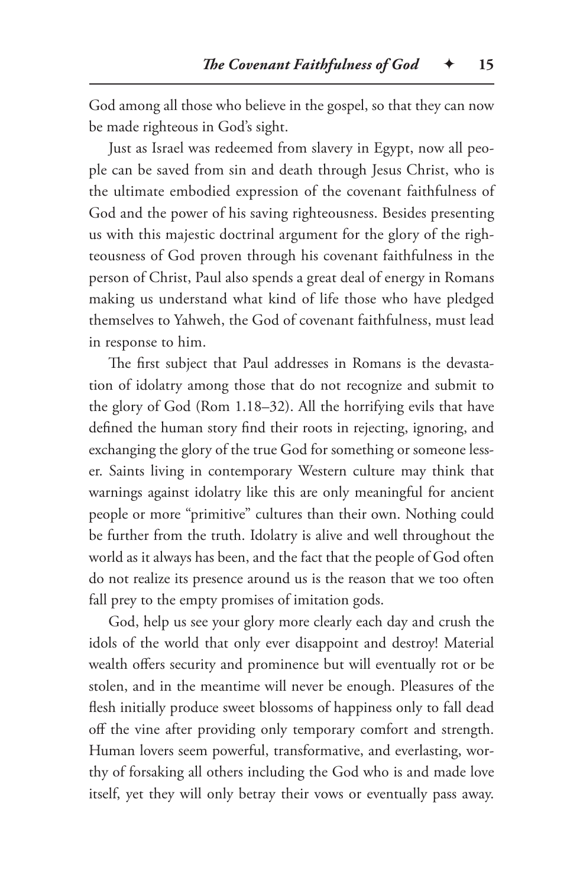God among all those who believe in the gospel, so that they can now be made righteous in God's sight.

Just as Israel was redeemed from slavery in Egypt, now all people can be saved from sin and death through Jesus Christ, who is the ultimate embodied expression of the covenant faithfulness of God and the power of his saving righteousness. Besides presenting us with this majestic doctrinal argument for the glory of the righteousness of God proven through his covenant faithfulness in the person of Christ, Paul also spends a great deal of energy in Romans making us understand what kind of life those who have pledged themselves to Yahweh, the God of covenant faithfulness, must lead in response to him.

The first subject that Paul addresses in Romans is the devastation of idolatry among those that do not recognize and submit to the glory of God (Rom 1.18–32). All the horrifying evils that have defined the human story find their roots in rejecting, ignoring, and exchanging the glory of the true God for something or someone lesser. Saints living in contemporary Western culture may think that warnings against idolatry like this are only meaningful for ancient people or more "primitive" cultures than their own. Nothing could be further from the truth. Idolatry is alive and well throughout the world as it always has been, and the fact that the people of God often do not realize its presence around us is the reason that we too often fall prey to the empty promises of imitation gods.

God, help us see your glory more clearly each day and crush the idols of the world that only ever disappoint and destroy! Material wealth offers security and prominence but will eventually rot or be stolen, and in the meantime will never be enough. Pleasures of the flesh initially produce sweet blossoms of happiness only to fall dead off the vine after providing only temporary comfort and strength. Human lovers seem powerful, transformative, and everlasting, worthy of forsaking all others including the God who is and made love itself, yet they will only betray their vows or eventually pass away.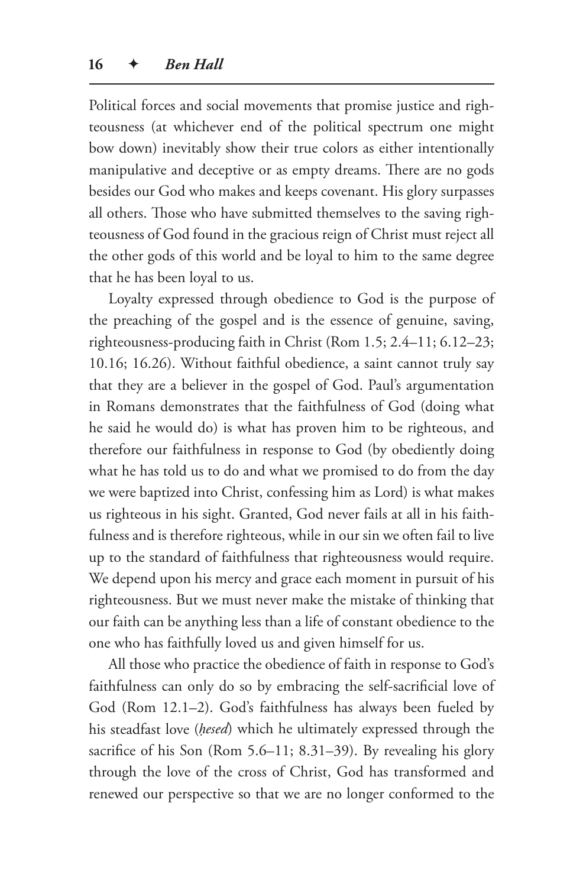Political forces and social movements that promise justice and righteousness (at whichever end of the political spectrum one might bow down) inevitably show their true colors as either intentionally manipulative and deceptive or as empty dreams. There are no gods besides our God who makes and keeps covenant. His glory surpasses all others. Those who have submitted themselves to the saving righteousness of God found in the gracious reign of Christ must reject all the other gods of this world and be loyal to him to the same degree that he has been loyal to us.

Loyalty expressed through obedience to God is the purpose of the preaching of the gospel and is the essence of genuine, saving, righteousness-producing faith in Christ (Rom 1.5; 2.4–11; 6.12–23; 10.16; 16.26). Without faithful obedience, a saint cannot truly say that they are a believer in the gospel of God. Paul's argumentation in Romans demonstrates that the faithfulness of God (doing what he said he would do) is what has proven him to be righteous, and therefore our faithfulness in response to God (by obediently doing what he has told us to do and what we promised to do from the day we were baptized into Christ, confessing him as Lord) is what makes us righteous in his sight. Granted, God never fails at all in his faithfulness and is therefore righteous, while in our sin we often fail to live up to the standard of faithfulness that righteousness would require. We depend upon his mercy and grace each moment in pursuit of his righteousness. But we must never make the mistake of thinking that our faith can be anything less than a life of constant obedience to the one who has faithfully loved us and given himself for us.

All those who practice the obedience of faith in response to God's faithfulness can only do so by embracing the self-sacrificial love of God (Rom 12.1–2). God's faithfulness has always been fueled by his steadfast love (*ḥesed*) which he ultimately expressed through the sacrifice of his Son (Rom 5.6–11; 8.31–39). By revealing his glory through the love of the cross of Christ, God has transformed and renewed our perspective so that we are no longer conformed to the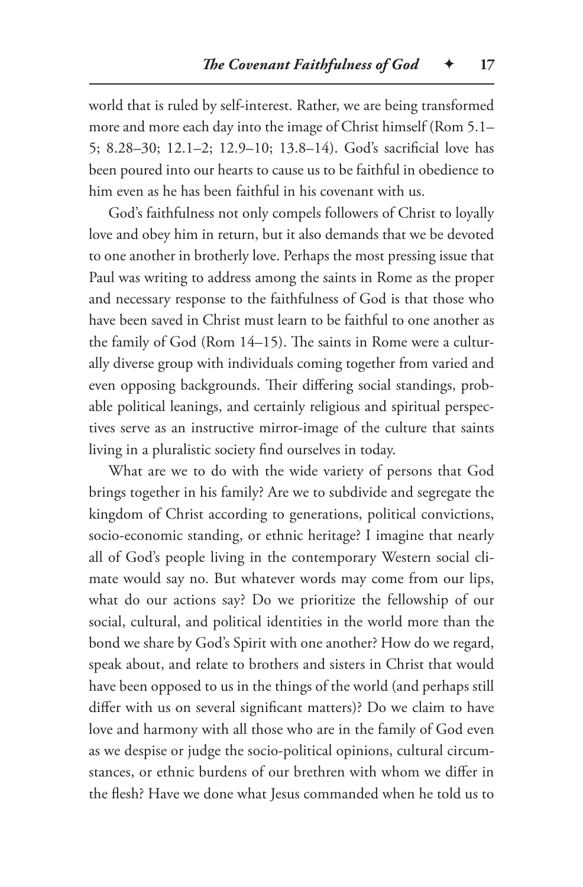world that is ruled by self-interest. Rather, we are being transformed more and more each day into the image of Christ himself (Rom 5.1– 5; 8.28–30; 12.1–2; 12.9–10; 13.8–14). God's sacrificial love has been poured into our hearts to cause us to be faithful in obedience to him even as he has been faithful in his covenant with us.

God's faithfulness not only compels followers of Christ to loyally love and obey him in return, but it also demands that we be devoted to one another in brotherly love. Perhaps the most pressing issue that Paul was writing to address among the saints in Rome as the proper and necessary response to the faithfulness of God is that those who have been saved in Christ must learn to be faithful to one another as the family of God (Rom 14–15). The saints in Rome were a culturally diverse group with individuals coming together from varied and even opposing backgrounds. Their differing social standings, probable political leanings, and certainly religious and spiritual perspectives serve as an instructive mirror-image of the culture that saints living in a pluralistic society find ourselves in today.

What are we to do with the wide variety of persons that God brings together in his family? Are we to subdivide and segregate the kingdom of Christ according to generations, political convictions, socio-economic standing, or ethnic heritage? I imagine that nearly all of God's people living in the contemporary Western social climate would say no. But whatever words may come from our lips, what do our actions say? Do we prioritize the fellowship of our social, cultural, and political identities in the world more than the bond we share by God's Spirit with one another? How do we regard, speak about, and relate to brothers and sisters in Christ that would have been opposed to us in the things of the world (and perhaps still differ with us on several significant matters)? Do we claim to have love and harmony with all those who are in the family of God even as we despise or judge the socio-political opinions, cultural circumstances, or ethnic burdens of our brethren with whom we differ in the flesh? Have we done what Jesus commanded when he told us to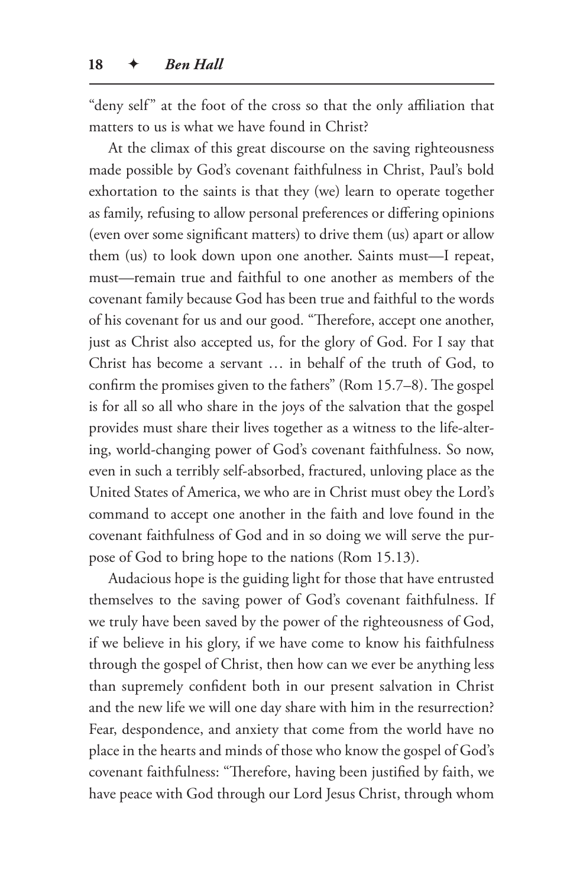"deny self" at the foot of the cross so that the only affiliation that matters to us is what we have found in Christ?

At the climax of this great discourse on the saving righteousness made possible by God's covenant faithfulness in Christ, Paul's bold exhortation to the saints is that they (we) learn to operate together as family, refusing to allow personal preferences or differing opinions (even over some significant matters) to drive them (us) apart or allow them (us) to look down upon one another. Saints must—I repeat, must—remain true and faithful to one another as members of the covenant family because God has been true and faithful to the words of his covenant for us and our good. "Therefore, accept one another, just as Christ also accepted us, for the glory of God. For I say that Christ has become a servant … in behalf of the truth of God, to confirm the promises given to the fathers" (Rom 15.7–8). The gospel is for all so all who share in the joys of the salvation that the gospel provides must share their lives together as a witness to the life-altering, world-changing power of God's covenant faithfulness. So now, even in such a terribly self-absorbed, fractured, unloving place as the United States of America, we who are in Christ must obey the Lord's command to accept one another in the faith and love found in the covenant faithfulness of God and in so doing we will serve the purpose of God to bring hope to the nations (Rom 15.13).

Audacious hope is the guiding light for those that have entrusted themselves to the saving power of God's covenant faithfulness. If we truly have been saved by the power of the righteousness of God, if we believe in his glory, if we have come to know his faithfulness through the gospel of Christ, then how can we ever be anything less than supremely confident both in our present salvation in Christ and the new life we will one day share with him in the resurrection? Fear, despondence, and anxiety that come from the world have no place in the hearts and minds of those who know the gospel of God's covenant faithfulness: "Therefore, having been justified by faith, we have peace with God through our Lord Jesus Christ, through whom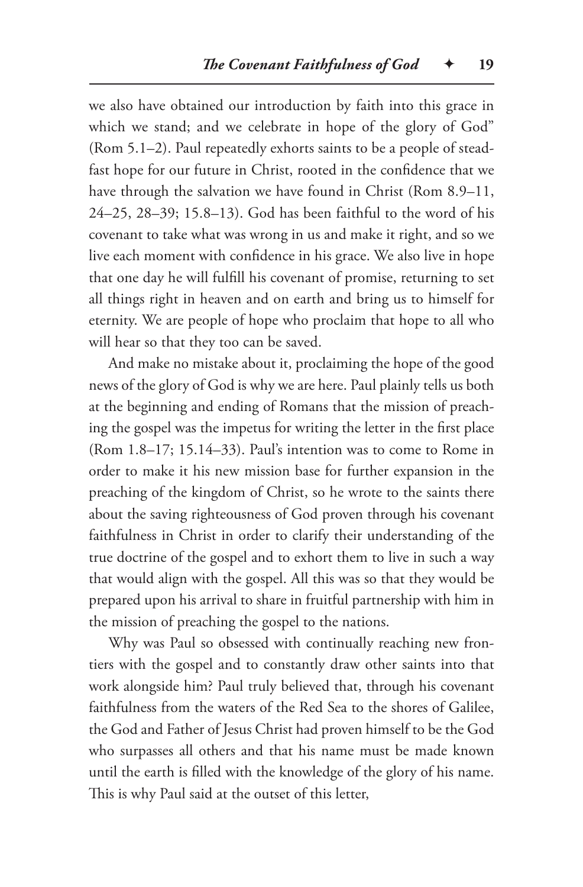we also have obtained our introduction by faith into this grace in which we stand; and we celebrate in hope of the glory of God" (Rom 5.1–2). Paul repeatedly exhorts saints to be a people of steadfast hope for our future in Christ, rooted in the confidence that we have through the salvation we have found in Christ (Rom 8.9–11, 24–25, 28–39; 15.8–13). God has been faithful to the word of his covenant to take what was wrong in us and make it right, and so we live each moment with confidence in his grace. We also live in hope that one day he will fulfill his covenant of promise, returning to set all things right in heaven and on earth and bring us to himself for eternity. We are people of hope who proclaim that hope to all who will hear so that they too can be saved.

And make no mistake about it, proclaiming the hope of the good news of the glory of God is why we are here. Paul plainly tells us both at the beginning and ending of Romans that the mission of preaching the gospel was the impetus for writing the letter in the first place (Rom 1.8–17; 15.14–33). Paul's intention was to come to Rome in order to make it his new mission base for further expansion in the preaching of the kingdom of Christ, so he wrote to the saints there about the saving righteousness of God proven through his covenant faithfulness in Christ in order to clarify their understanding of the true doctrine of the gospel and to exhort them to live in such a way that would align with the gospel. All this was so that they would be prepared upon his arrival to share in fruitful partnership with him in the mission of preaching the gospel to the nations.

Why was Paul so obsessed with continually reaching new frontiers with the gospel and to constantly draw other saints into that work alongside him? Paul truly believed that, through his covenant faithfulness from the waters of the Red Sea to the shores of Galilee, the God and Father of Jesus Christ had proven himself to be the God who surpasses all others and that his name must be made known until the earth is filled with the knowledge of the glory of his name. This is why Paul said at the outset of this letter,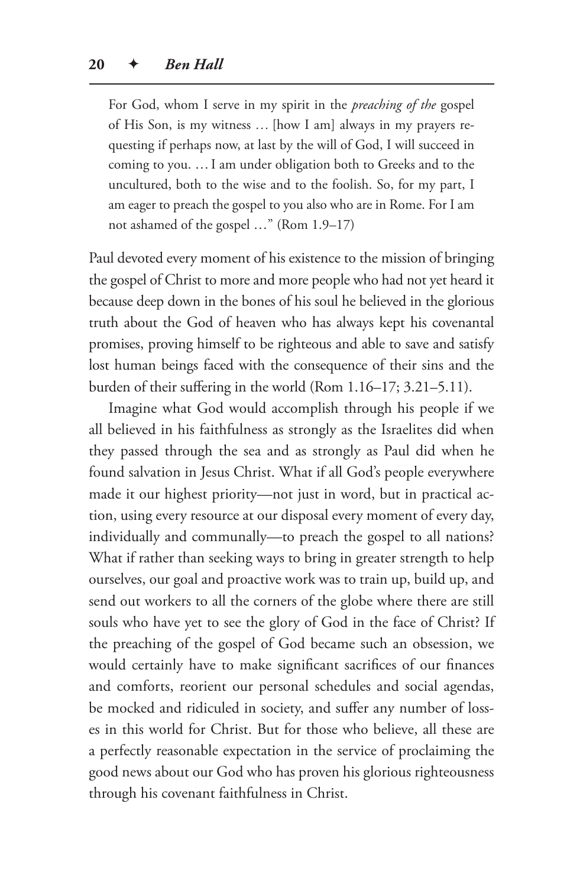For God, whom I serve in my spirit in the *preaching of the* gospel of His Son, is my witness *…* [how I am] always in my prayers requesting if perhaps now, at last by the will of God, I will succeed in coming to you. …I am under obligation both to Greeks and to the uncultured, both to the wise and to the foolish. So, for my part, I am eager to preach the gospel to you also who are in Rome. For I am not ashamed of the gospel …" (Rom 1.9–17)

Paul devoted every moment of his existence to the mission of bringing the gospel of Christ to more and more people who had not yet heard it because deep down in the bones of his soul he believed in the glorious truth about the God of heaven who has always kept his covenantal promises, proving himself to be righteous and able to save and satisfy lost human beings faced with the consequence of their sins and the burden of their suffering in the world (Rom 1.16–17; 3.21–5.11).

Imagine what God would accomplish through his people if we all believed in his faithfulness as strongly as the Israelites did when they passed through the sea and as strongly as Paul did when he found salvation in Jesus Christ. What if all God's people everywhere made it our highest priority—not just in word, but in practical action, using every resource at our disposal every moment of every day, individually and communally—to preach the gospel to all nations? What if rather than seeking ways to bring in greater strength to help ourselves, our goal and proactive work was to train up, build up, and send out workers to all the corners of the globe where there are still souls who have yet to see the glory of God in the face of Christ? If the preaching of the gospel of God became such an obsession, we would certainly have to make significant sacrifices of our finances and comforts, reorient our personal schedules and social agendas, be mocked and ridiculed in society, and suffer any number of losses in this world for Christ. But for those who believe, all these are a perfectly reasonable expectation in the service of proclaiming the good news about our God who has proven his glorious righteousness through his covenant faithfulness in Christ.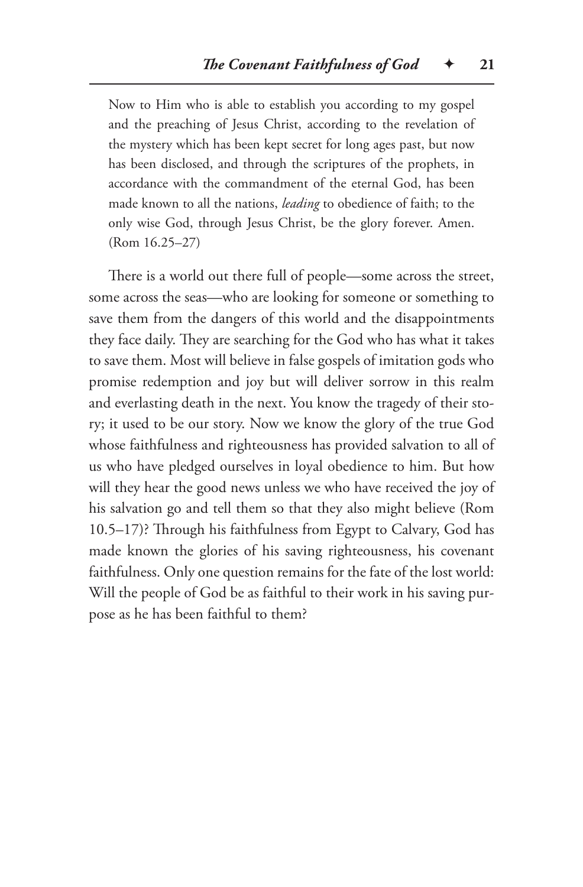Now to Him who is able to establish you according to my gospel and the preaching of Jesus Christ, according to the revelation of the mystery which has been kept secret for long ages past, but now has been disclosed, and through the scriptures of the prophets, in accordance with the commandment of the eternal God, has been made known to all the nations, *leading* to obedience of faith; to the only wise God, through Jesus Christ, be the glory forever. Amen. (Rom 16.25–27)

There is a world out there full of people—some across the street, some across the seas—who are looking for someone or something to save them from the dangers of this world and the disappointments they face daily. They are searching for the God who has what it takes to save them. Most will believe in false gospels of imitation gods who promise redemption and joy but will deliver sorrow in this realm and everlasting death in the next. You know the tragedy of their story; it used to be our story. Now we know the glory of the true God whose faithfulness and righteousness has provided salvation to all of us who have pledged ourselves in loyal obedience to him. But how will they hear the good news unless we who have received the joy of his salvation go and tell them so that they also might believe (Rom 10.5–17)? Through his faithfulness from Egypt to Calvary, God has made known the glories of his saving righteousness, his covenant faithfulness. Only one question remains for the fate of the lost world: Will the people of God be as faithful to their work in his saving purpose as he has been faithful to them?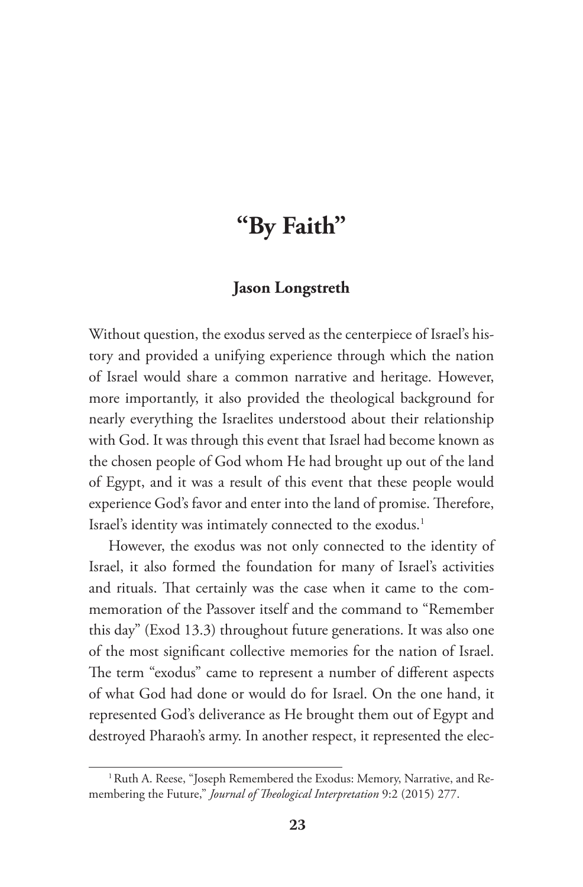# **"By Faith"**

#### **Jason Longstreth**

Without question, the exodus served as the centerpiece of Israel's history and provided a unifying experience through which the nation of Israel would share a common narrative and heritage. However, more importantly, it also provided the theological background for nearly everything the Israelites understood about their relationship with God. It was through this event that Israel had become known as the chosen people of God whom He had brought up out of the land of Egypt, and it was a result of this event that these people would experience God's favor and enter into the land of promise. Therefore, Israel's identity was intimately connected to the exodus.<sup>1</sup>

However, the exodus was not only connected to the identity of Israel, it also formed the foundation for many of Israel's activities and rituals. That certainly was the case when it came to the commemoration of the Passover itself and the command to "Remember this day" (Exod 13.3) throughout future generations. It was also one of the most significant collective memories for the nation of Israel. The term "exodus" came to represent a number of different aspects of what God had done or would do for Israel. On the one hand, it represented God's deliverance as He brought them out of Egypt and destroyed Pharaoh's army. In another respect, it represented the elec-

<sup>&</sup>lt;sup>1</sup> Ruth A. Reese, "Joseph Remembered the Exodus: Memory, Narrative, and Remembering the Future," *Journal of Theological Interpretation* 9:2 (2015) 277.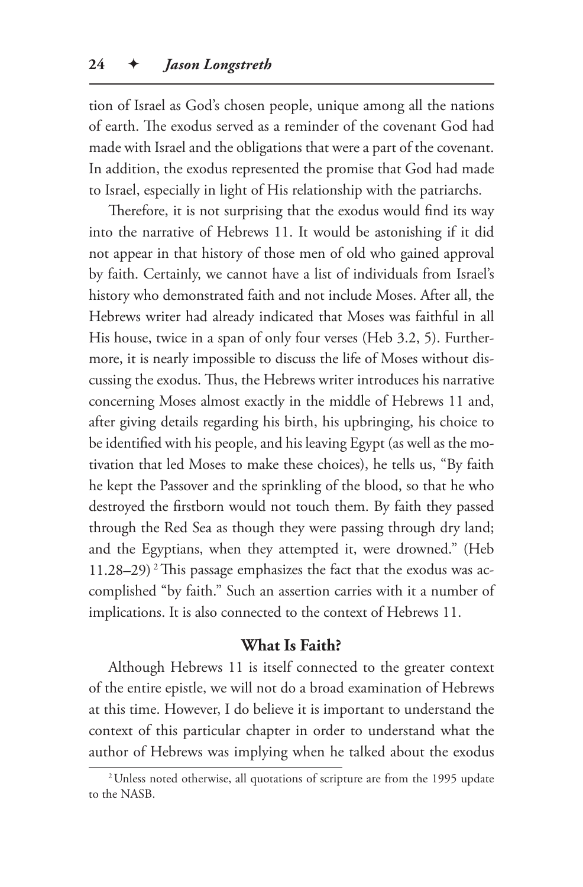tion of Israel as God's chosen people, unique among all the nations of earth. The exodus served as a reminder of the covenant God had made with Israel and the obligations that were a part of the covenant. In addition, the exodus represented the promise that God had made to Israel, especially in light of His relationship with the patriarchs.

Therefore, it is not surprising that the exodus would find its way into the narrative of Hebrews 11. It would be astonishing if it did not appear in that history of those men of old who gained approval by faith. Certainly, we cannot have a list of individuals from Israel's history who demonstrated faith and not include Moses. After all, the Hebrews writer had already indicated that Moses was faithful in all His house, twice in a span of only four verses (Heb 3.2, 5). Furthermore, it is nearly impossible to discuss the life of Moses without discussing the exodus. Thus, the Hebrews writer introduces his narrative concerning Moses almost exactly in the middle of Hebrews 11 and, after giving details regarding his birth, his upbringing, his choice to be identified with his people, and his leaving Egypt (as well as the motivation that led Moses to make these choices), he tells us, "By faith he kept the Passover and the sprinkling of the blood, so that he who destroyed the firstborn would not touch them. By faith they passed through the Red Sea as though they were passing through dry land; and the Egyptians, when they attempted it, were drowned." (Heb 11.28–29)<sup>2</sup> This passage emphasizes the fact that the exodus was accomplished "by faith." Such an assertion carries with it a number of implications. It is also connected to the context of Hebrews 11.

#### **What Is Faith?**

Although Hebrews 11 is itself connected to the greater context of the entire epistle, we will not do a broad examination of Hebrews at this time. However, I do believe it is important to understand the context of this particular chapter in order to understand what the author of Hebrews was implying when he talked about the exodus

<sup>2</sup>Unless noted otherwise, all quotations of scripture are from the 1995 update to the NASB.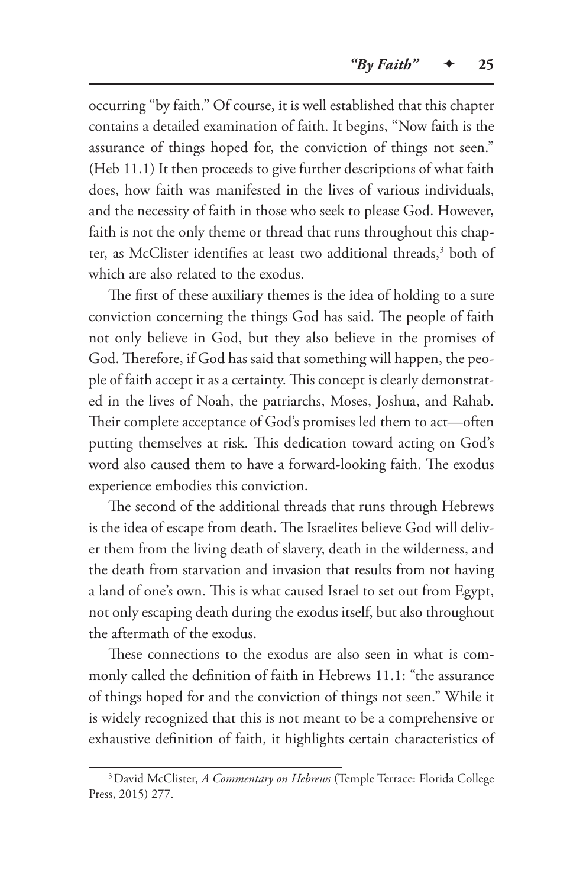occurring "by faith." Of course, it is well established that this chapter contains a detailed examination of faith. It begins, "Now faith is the assurance of things hoped for, the conviction of things not seen." (Heb 11.1) It then proceeds to give further descriptions of what faith does, how faith was manifested in the lives of various individuals, and the necessity of faith in those who seek to please God. However, faith is not the only theme or thread that runs throughout this chapter, as McClister identifies at least two additional threads,3 both of which are also related to the exodus.

The first of these auxiliary themes is the idea of holding to a sure conviction concerning the things God has said. The people of faith not only believe in God, but they also believe in the promises of God. Therefore, if God has said that something will happen, the people of faith accept it as a certainty. This concept is clearly demonstrated in the lives of Noah, the patriarchs, Moses, Joshua, and Rahab. Their complete acceptance of God's promises led them to act—often putting themselves at risk. This dedication toward acting on God's word also caused them to have a forward-looking faith. The exodus experience embodies this conviction.

The second of the additional threads that runs through Hebrews is the idea of escape from death. The Israelites believe God will deliver them from the living death of slavery, death in the wilderness, and the death from starvation and invasion that results from not having a land of one's own. This is what caused Israel to set out from Egypt, not only escaping death during the exodus itself, but also throughout the aftermath of the exodus.

These connections to the exodus are also seen in what is commonly called the definition of faith in Hebrews 11.1: "the assurance of things hoped for and the conviction of things not seen." While it is widely recognized that this is not meant to be a comprehensive or exhaustive definition of faith, it highlights certain characteristics of

<sup>3</sup>David McClister, *A Commentary on Hebrews* (Temple Terrace: Florida College Press, 2015) 277.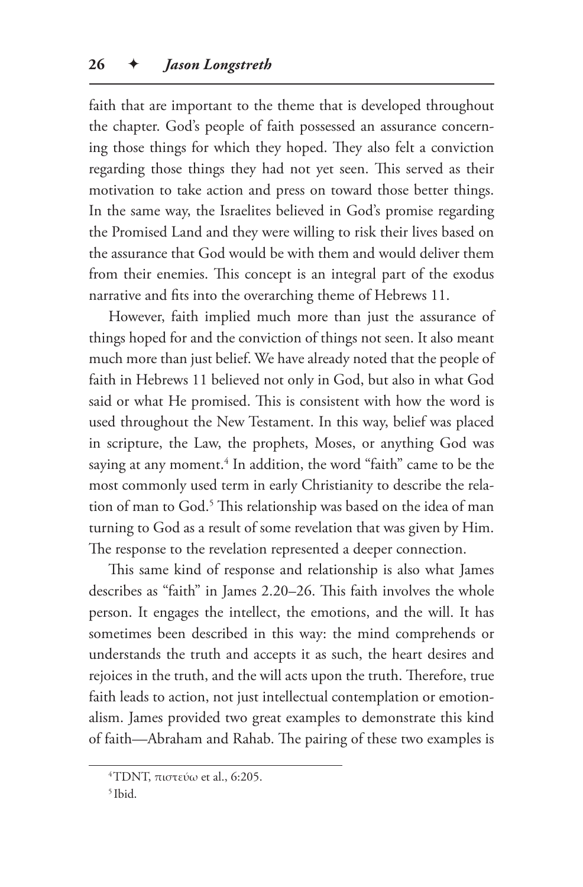faith that are important to the theme that is developed throughout the chapter. God's people of faith possessed an assurance concerning those things for which they hoped. They also felt a conviction regarding those things they had not yet seen. This served as their motivation to take action and press on toward those better things. In the same way, the Israelites believed in God's promise regarding the Promised Land and they were willing to risk their lives based on the assurance that God would be with them and would deliver them from their enemies. This concept is an integral part of the exodus narrative and fits into the overarching theme of Hebrews 11.

However, faith implied much more than just the assurance of things hoped for and the conviction of things not seen. It also meant much more than just belief. We have already noted that the people of faith in Hebrews 11 believed not only in God, but also in what God said or what He promised. This is consistent with how the word is used throughout the New Testament. In this way, belief was placed in scripture, the Law, the prophets, Moses, or anything God was saying at any moment.4 In addition, the word "faith" came to be the most commonly used term in early Christianity to describe the relation of man to God.<sup>5</sup> This relationship was based on the idea of man turning to God as a result of some revelation that was given by Him. The response to the revelation represented a deeper connection.

This same kind of response and relationship is also what James describes as "faith" in James 2.20–26. This faith involves the whole person. It engages the intellect, the emotions, and the will. It has sometimes been described in this way: the mind comprehends or understands the truth and accepts it as such, the heart desires and rejoices in the truth, and the will acts upon the truth. Therefore, true faith leads to action, not just intellectual contemplation or emotionalism. James provided two great examples to demonstrate this kind of faith—Abraham and Rahab. The pairing of these two examples is

<sup>&</sup>lt;sup>4</sup>TDNT, πιστεύω et al., 6:205.

<sup>5</sup> Ibid.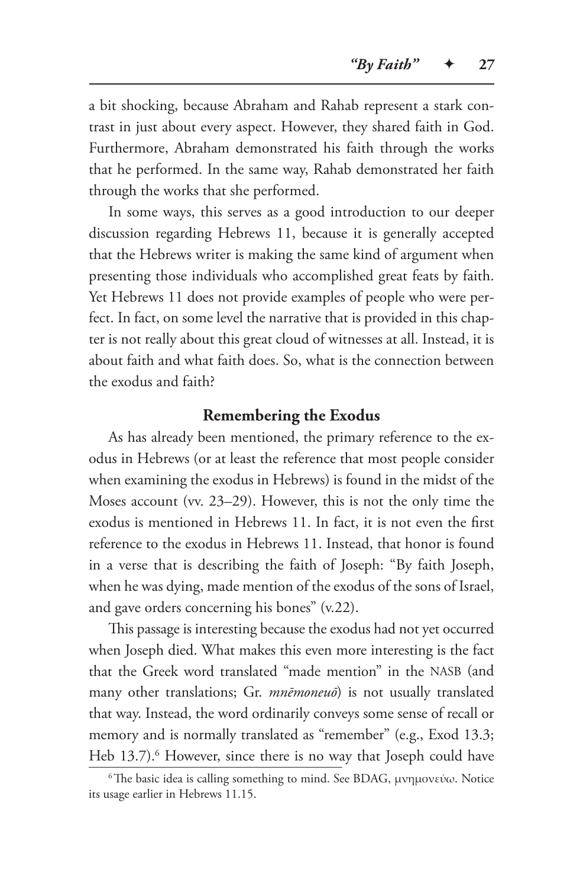a bit shocking, because Abraham and Rahab represent a stark contrast in just about every aspect. However, they shared faith in God. Furthermore, Abraham demonstrated his faith through the works that he performed. In the same way, Rahab demonstrated her faith through the works that she performed.

In some ways, this serves as a good introduction to our deeper discussion regarding Hebrews 11, because it is generally accepted that the Hebrews writer is making the same kind of argument when presenting those individuals who accomplished great feats by faith. Yet Hebrews 11 does not provide examples of people who were perfect. In fact, on some level the narrative that is provided in this chapter is not really about this great cloud of witnesses at all. Instead, it is about faith and what faith does. So, what is the connection between the exodus and faith?

#### **Remembering the Exodus**

As has already been mentioned, the primary reference to the exodus in Hebrews (or at least the reference that most people consider when examining the exodus in Hebrews) is found in the midst of the Moses account (vv. 23–29). However, this is not the only time the exodus is mentioned in Hebrews 11. In fact, it is not even the first reference to the exodus in Hebrews 11. Instead, that honor is found in a verse that is describing the faith of Joseph: "By faith Joseph, when he was dying, made mention of the exodus of the sons of Israel, and gave orders concerning his bones" (v.22).

This passage is interesting because the exodus had not yet occurred when Joseph died. What makes this even more interesting is the fact that the Greek word translated "made mention" in the NASB (and many other translations; Gr. *mnēmoneuō*) is not usually translated that way. Instead, the word ordinarily conveys some sense of recall or memory and is normally translated as "remember" (e.g., Exod 13.3; Heb 13.7).<sup>6</sup> However, since there is no way that Joseph could have

 $6$ The basic idea is calling something to mind. See BDAG, μνημονεύω. Notice its usage earlier in Hebrews 11.15.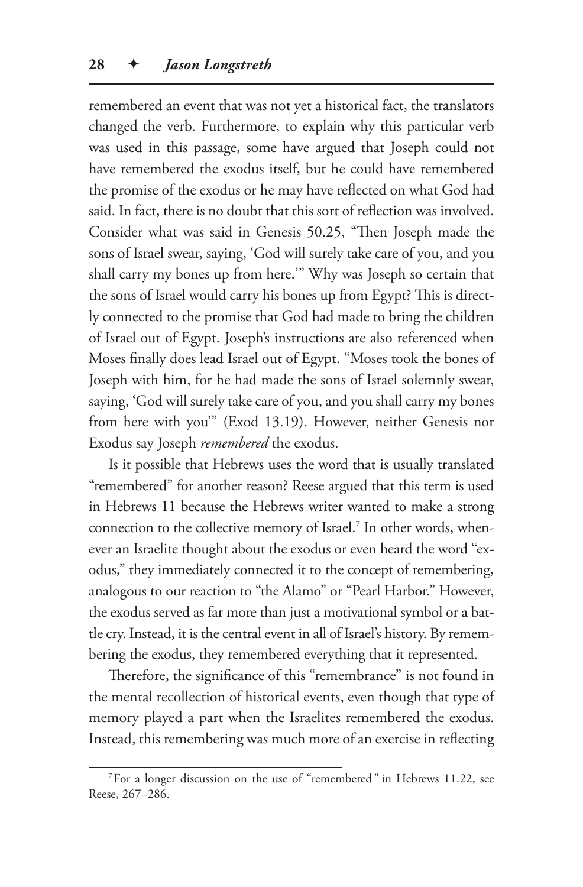remembered an event that was not yet a historical fact, the translators changed the verb. Furthermore, to explain why this particular verb was used in this passage, some have argued that Joseph could not have remembered the exodus itself, but he could have remembered the promise of the exodus or he may have reflected on what God had said. In fact, there is no doubt that this sort of reflection was involved. Consider what was said in Genesis 50.25, "Then Joseph made the sons of Israel swear, saying, 'God will surely take care of you, and you shall carry my bones up from here.'" Why was Joseph so certain that the sons of Israel would carry his bones up from Egypt? This is directly connected to the promise that God had made to bring the children of Israel out of Egypt. Joseph's instructions are also referenced when Moses finally does lead Israel out of Egypt. "Moses took the bones of Joseph with him, for he had made the sons of Israel solemnly swear, saying, 'God will surely take care of you, and you shall carry my bones from here with you'" (Exod 13.19). However, neither Genesis nor Exodus say Joseph *remembered* the exodus.

Is it possible that Hebrews uses the word that is usually translated "remembered" for another reason? Reese argued that this term is used in Hebrews 11 because the Hebrews writer wanted to make a strong connection to the collective memory of Israel.<sup>7</sup> In other words, whenever an Israelite thought about the exodus or even heard the word "exodus," they immediately connected it to the concept of remembering, analogous to our reaction to "the Alamo" or "Pearl Harbor." However, the exodus served as far more than just a motivational symbol or a battle cry. Instead, it is the central event in all of Israel's history. By remembering the exodus, they remembered everything that it represented.

Therefore, the significance of this "remembrance" is not found in the mental recollection of historical events, even though that type of memory played a part when the Israelites remembered the exodus. Instead, this remembering was much more of an exercise in reflecting

<sup>7</sup>For a longer discussion on the use of "remembered*"* in Hebrews 11.22, see Reese, 267–286.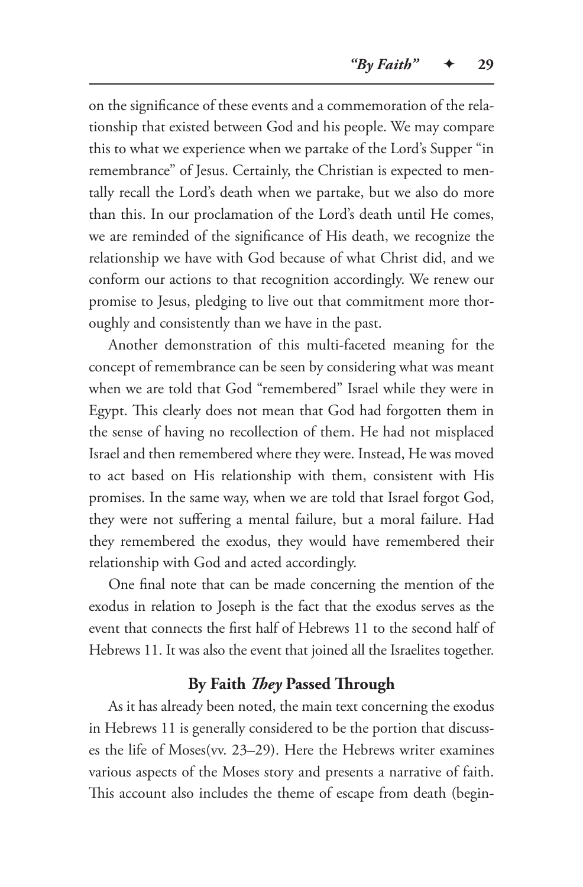on the significance of these events and a commemoration of the relationship that existed between God and his people. We may compare this to what we experience when we partake of the Lord's Supper "in remembrance" of Jesus. Certainly, the Christian is expected to mentally recall the Lord's death when we partake, but we also do more than this. In our proclamation of the Lord's death until He comes, we are reminded of the significance of His death, we recognize the relationship we have with God because of what Christ did, and we conform our actions to that recognition accordingly. We renew our promise to Jesus, pledging to live out that commitment more thoroughly and consistently than we have in the past.

Another demonstration of this multi-faceted meaning for the concept of remembrance can be seen by considering what was meant when we are told that God "remembered" Israel while they were in Egypt. This clearly does not mean that God had forgotten them in the sense of having no recollection of them. He had not misplaced Israel and then remembered where they were. Instead, He was moved to act based on His relationship with them, consistent with His promises. In the same way, when we are told that Israel forgot God, they were not suffering a mental failure, but a moral failure. Had they remembered the exodus, they would have remembered their relationship with God and acted accordingly.

One final note that can be made concerning the mention of the exodus in relation to Joseph is the fact that the exodus serves as the event that connects the first half of Hebrews 11 to the second half of Hebrews 11. It was also the event that joined all the Israelites together.

## **By Faith** *They* **Passed Through**

As it has already been noted, the main text concerning the exodus in Hebrews 11 is generally considered to be the portion that discusses the life of Moses(vv. 23–29). Here the Hebrews writer examines various aspects of the Moses story and presents a narrative of faith. This account also includes the theme of escape from death (begin-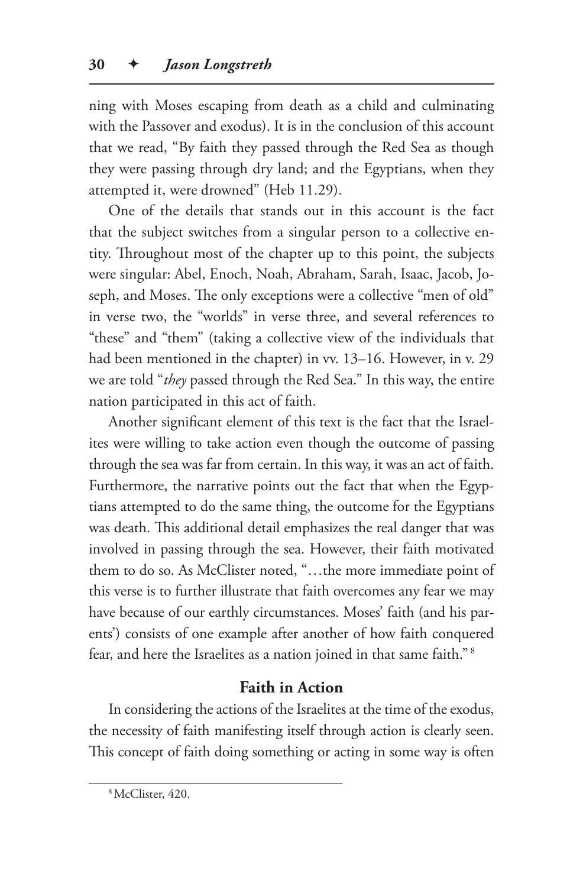ning with Moses escaping from death as a child and culminating with the Passover and exodus). It is in the conclusion of this account that we read, "By faith they passed through the Red Sea as though they were passing through dry land; and the Egyptians, when they attempted it, were drowned" (Heb 11.29).

One of the details that stands out in this account is the fact that the subject switches from a singular person to a collective entity. Throughout most of the chapter up to this point, the subjects were singular: Abel, Enoch, Noah, Abraham, Sarah, Isaac, Jacob, Joseph, and Moses. The only exceptions were a collective "men of old" in verse two, the "worlds" in verse three, and several references to "these" and "them" (taking a collective view of the individuals that had been mentioned in the chapter) in vv. 13–16. However, in v. 29 we are told "*they* passed through the Red Sea." In this way, the entire nation participated in this act of faith.

Another significant element of this text is the fact that the Israelites were willing to take action even though the outcome of passing through the sea was far from certain. In this way, it was an act of faith. Furthermore, the narrative points out the fact that when the Egyptians attempted to do the same thing, the outcome for the Egyptians was death. This additional detail emphasizes the real danger that was involved in passing through the sea. However, their faith motivated them to do so. As McClister noted, "…the more immediate point of this verse is to further illustrate that faith overcomes any fear we may have because of our earthly circumstances. Moses' faith (and his parents') consists of one example after another of how faith conquered fear, and here the Israelites as a nation joined in that same faith." 8

## **Faith in Action**

In considering the actions of the Israelites at the time of the exodus, the necessity of faith manifesting itself through action is clearly seen. This concept of faith doing something or acting in some way is often

<sup>8</sup>McClister, 420.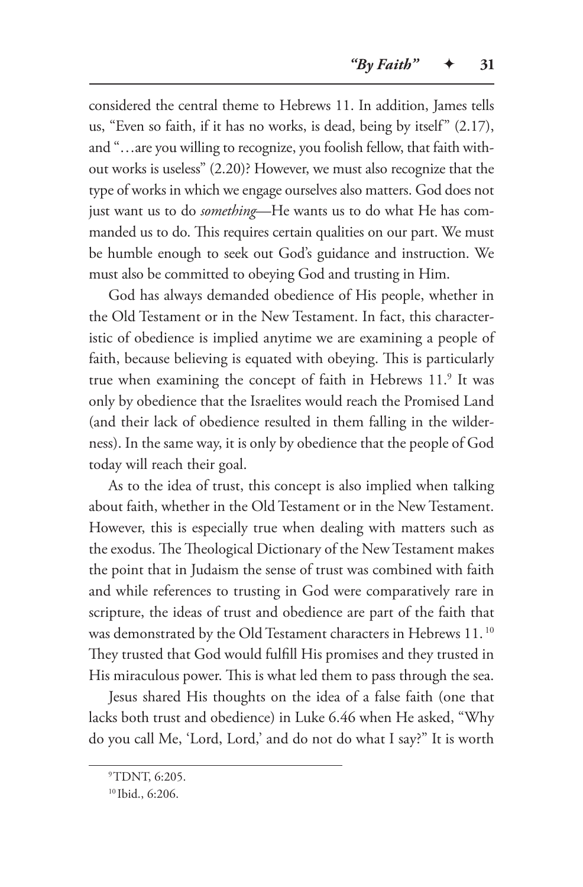considered the central theme to Hebrews 11. In addition, James tells us, "Even so faith, if it has no works, is dead, being by itself" (2.17), and "…are you willing to recognize, you foolish fellow, that faith without works is useless" (2.20)? However, we must also recognize that the type of works in which we engage ourselves also matters. God does not just want us to do *something*—He wants us to do what He has commanded us to do. This requires certain qualities on our part. We must be humble enough to seek out God's guidance and instruction. We must also be committed to obeying God and trusting in Him.

God has always demanded obedience of His people, whether in the Old Testament or in the New Testament. In fact, this characteristic of obedience is implied anytime we are examining a people of faith, because believing is equated with obeying. This is particularly true when examining the concept of faith in Hebrews 11.<sup>9</sup> It was only by obedience that the Israelites would reach the Promised Land (and their lack of obedience resulted in them falling in the wilderness). In the same way, it is only by obedience that the people of God today will reach their goal.

As to the idea of trust, this concept is also implied when talking about faith, whether in the Old Testament or in the New Testament. However, this is especially true when dealing with matters such as the exodus. The Theological Dictionary of the New Testament makes the point that in Judaism the sense of trust was combined with faith and while references to trusting in God were comparatively rare in scripture, the ideas of trust and obedience are part of the faith that was demonstrated by the Old Testament characters in Hebrews 11. 10 They trusted that God would fulfill His promises and they trusted in His miraculous power. This is what led them to pass through the sea.

Jesus shared His thoughts on the idea of a false faith (one that lacks both trust and obedience) in Luke 6.46 when He asked, "Why do you call Me, 'Lord, Lord,' and do not do what I say?" It is worth

<sup>9</sup>TDNT, 6:205.

<sup>10</sup> Ibid., 6:206.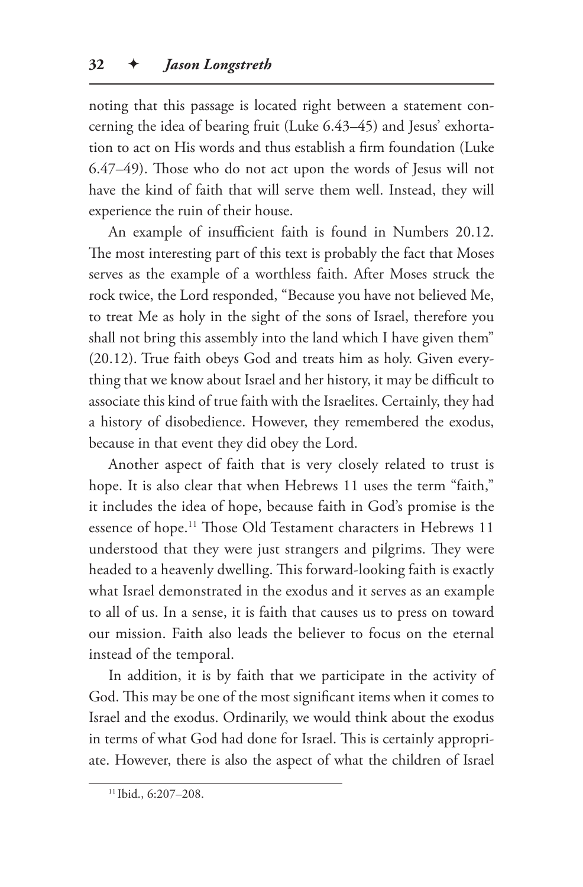noting that this passage is located right between a statement concerning the idea of bearing fruit (Luke 6.43–45) and Jesus' exhortation to act on His words and thus establish a firm foundation (Luke 6.47–49). Those who do not act upon the words of Jesus will not have the kind of faith that will serve them well. Instead, they will experience the ruin of their house.

An example of insufficient faith is found in Numbers 20.12. The most interesting part of this text is probably the fact that Moses serves as the example of a worthless faith. After Moses struck the rock twice, the Lord responded, "Because you have not believed Me, to treat Me as holy in the sight of the sons of Israel, therefore you shall not bring this assembly into the land which I have given them" (20.12). True faith obeys God and treats him as holy. Given everything that we know about Israel and her history, it may be difficult to associate this kind of true faith with the Israelites. Certainly, they had a history of disobedience. However, they remembered the exodus, because in that event they did obey the Lord.

Another aspect of faith that is very closely related to trust is hope. It is also clear that when Hebrews 11 uses the term "faith," it includes the idea of hope, because faith in God's promise is the essence of hope.<sup>11</sup> Those Old Testament characters in Hebrews 11 understood that they were just strangers and pilgrims. They were headed to a heavenly dwelling. This forward-looking faith is exactly what Israel demonstrated in the exodus and it serves as an example to all of us. In a sense, it is faith that causes us to press on toward our mission. Faith also leads the believer to focus on the eternal instead of the temporal.

In addition, it is by faith that we participate in the activity of God. This may be one of the most significant items when it comes to Israel and the exodus. Ordinarily, we would think about the exodus in terms of what God had done for Israel. This is certainly appropriate. However, there is also the aspect of what the children of Israel

<sup>11</sup> Ibid., 6:207–208.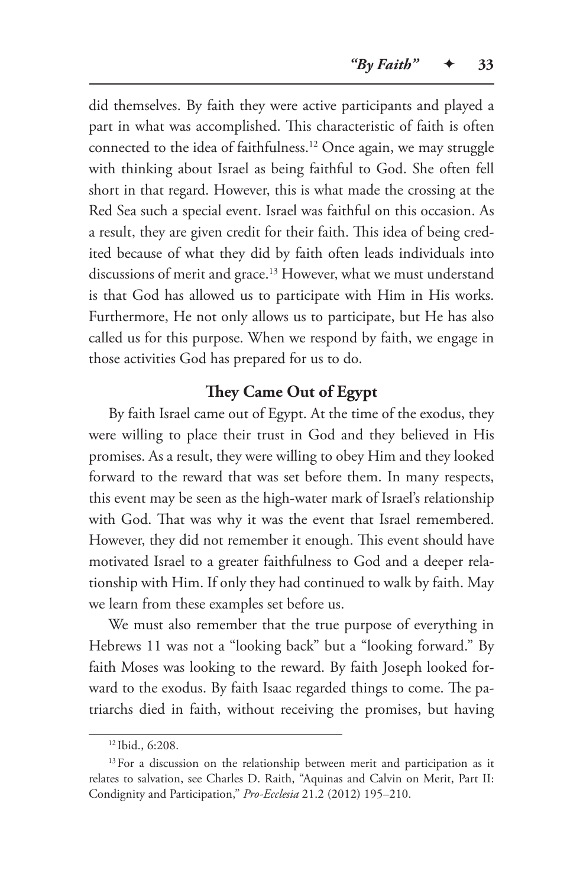did themselves. By faith they were active participants and played a part in what was accomplished. This characteristic of faith is often connected to the idea of faithfulness.<sup>12</sup> Once again, we may struggle with thinking about Israel as being faithful to God. She often fell short in that regard. However, this is what made the crossing at the Red Sea such a special event. Israel was faithful on this occasion. As a result, they are given credit for their faith. This idea of being credited because of what they did by faith often leads individuals into discussions of merit and grace.<sup>13</sup> However, what we must understand is that God has allowed us to participate with Him in His works. Furthermore, He not only allows us to participate, but He has also called us for this purpose. When we respond by faith, we engage in those activities God has prepared for us to do.

# **They Came Out of Egypt**

By faith Israel came out of Egypt. At the time of the exodus, they were willing to place their trust in God and they believed in His promises. As a result, they were willing to obey Him and they looked forward to the reward that was set before them. In many respects, this event may be seen as the high-water mark of Israel's relationship with God. That was why it was the event that Israel remembered. However, they did not remember it enough. This event should have motivated Israel to a greater faithfulness to God and a deeper relationship with Him. If only they had continued to walk by faith. May we learn from these examples set before us.

We must also remember that the true purpose of everything in Hebrews 11 was not a "looking back" but a "looking forward." By faith Moses was looking to the reward. By faith Joseph looked forward to the exodus. By faith Isaac regarded things to come. The patriarchs died in faith, without receiving the promises, but having

<sup>12</sup> Ibid., 6:208.

<sup>&</sup>lt;sup>13</sup> For a discussion on the relationship between merit and participation as it relates to salvation, see Charles D. Raith, "Aquinas and Calvin on Merit, Part II: Condignity and Participation," *Pro-Ecclesia* 21.2 (2012) 195–210.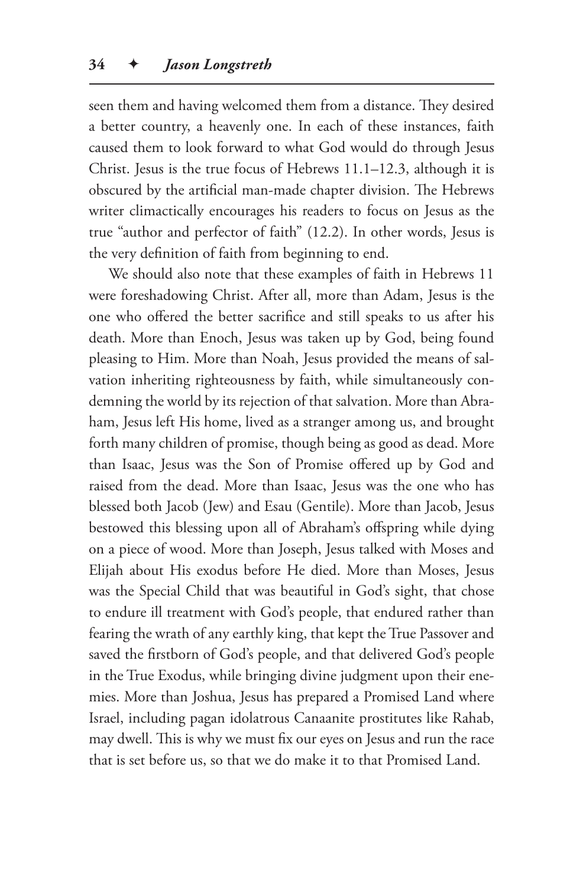seen them and having welcomed them from a distance. They desired a better country, a heavenly one. In each of these instances, faith caused them to look forward to what God would do through Jesus Christ. Jesus is the true focus of Hebrews 11.1–12.3, although it is obscured by the artificial man-made chapter division. The Hebrews writer climactically encourages his readers to focus on Jesus as the true "author and perfector of faith" (12.2). In other words, Jesus is the very definition of faith from beginning to end.

We should also note that these examples of faith in Hebrews 11 were foreshadowing Christ. After all, more than Adam, Jesus is the one who offered the better sacrifice and still speaks to us after his death. More than Enoch, Jesus was taken up by God, being found pleasing to Him. More than Noah, Jesus provided the means of salvation inheriting righteousness by faith, while simultaneously condemning the world by its rejection of that salvation. More than Abraham, Jesus left His home, lived as a stranger among us, and brought forth many children of promise, though being as good as dead. More than Isaac, Jesus was the Son of Promise offered up by God and raised from the dead. More than Isaac, Jesus was the one who has blessed both Jacob (Jew) and Esau (Gentile). More than Jacob, Jesus bestowed this blessing upon all of Abraham's offspring while dying on a piece of wood. More than Joseph, Jesus talked with Moses and Elijah about His exodus before He died. More than Moses, Jesus was the Special Child that was beautiful in God's sight, that chose to endure ill treatment with God's people, that endured rather than fearing the wrath of any earthly king, that kept the True Passover and saved the firstborn of God's people, and that delivered God's people in the True Exodus, while bringing divine judgment upon their enemies. More than Joshua, Jesus has prepared a Promised Land where Israel, including pagan idolatrous Canaanite prostitutes like Rahab, may dwell. This is why we must fix our eyes on Jesus and run the race that is set before us, so that we do make it to that Promised Land.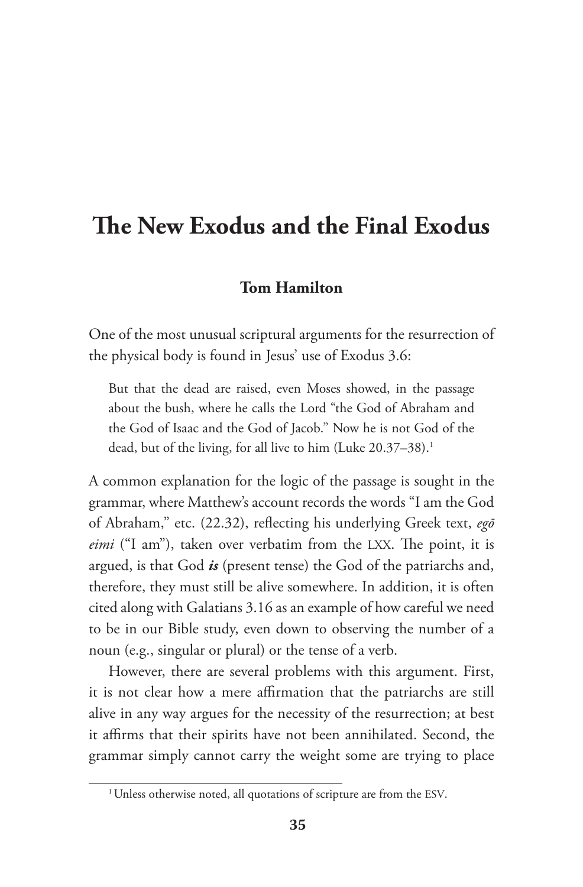# **The New Exodus and the Final Exodus**

## **Tom Hamilton**

One of the most unusual scriptural arguments for the resurrection of the physical body is found in Jesus' use of Exodus 3.6:

But that the dead are raised, even Moses showed, in the passage about the bush, where he calls the Lord "the God of Abraham and the God of Isaac and the God of Jacob." Now he is not God of the dead, but of the living, for all live to him (Luke 20.37–38).<sup>1</sup>

A common explanation for the logic of the passage is sought in the grammar, where Matthew's account records the words "I am the God of Abraham," etc. (22.32), reflecting his underlying Greek text, *egō eimi* ("I am"), taken over verbatim from the LXX. The point, it is argued, is that God *is* (present tense) the God of the patriarchs and, therefore, they must still be alive somewhere. In addition, it is often cited along with Galatians 3.16 as an example of how careful we need to be in our Bible study, even down to observing the number of a noun (e.g., singular or plural) or the tense of a verb.

However, there are several problems with this argument. First, it is not clear how a mere affirmation that the patriarchs are still alive in any way argues for the necessity of the resurrection; at best it affirms that their spirits have not been annihilated. Second, the grammar simply cannot carry the weight some are trying to place

<sup>&</sup>lt;sup>1</sup> Unless otherwise noted, all quotations of scripture are from the ESV.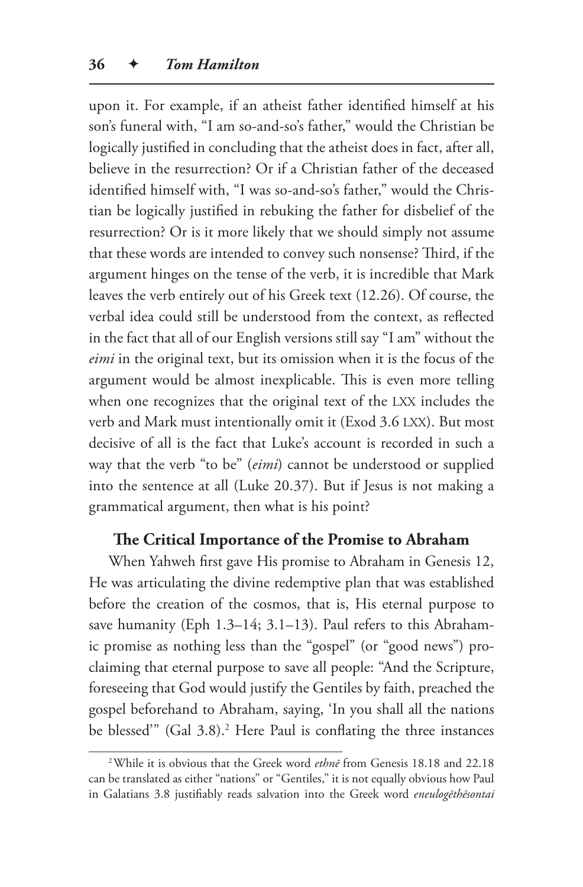upon it. For example, if an atheist father identified himself at his son's funeral with, "I am so-and-so's father," would the Christian be logically justified in concluding that the atheist does in fact, after all, believe in the resurrection? Or if a Christian father of the deceased identified himself with, "I was so-and-so's father," would the Christian be logically justified in rebuking the father for disbelief of the resurrection? Or is it more likely that we should simply not assume that these words are intended to convey such nonsense? Third, if the argument hinges on the tense of the verb, it is incredible that Mark leaves the verb entirely out of his Greek text (12.26). Of course, the verbal idea could still be understood from the context, as reflected in the fact that all of our English versions still say "I am" without the *eimi* in the original text, but its omission when it is the focus of the argument would be almost inexplicable. This is even more telling when one recognizes that the original text of the LXX includes the verb and Mark must intentionally omit it (Exod 3.6 LXX). But most decisive of all is the fact that Luke's account is recorded in such a way that the verb "to be" (*eimi*) cannot be understood or supplied into the sentence at all (Luke 20.37). But if Jesus is not making a grammatical argument, then what is his point?

#### **The Critical Importance of the Promise to Abraham**

When Yahweh first gave His promise to Abraham in Genesis 12, He was articulating the divine redemptive plan that was established before the creation of the cosmos, that is, His eternal purpose to save humanity (Eph 1.3–14; 3.1–13). Paul refers to this Abrahamic promise as nothing less than the "gospel" (or "good news") proclaiming that eternal purpose to save all people: "And the Scripture, foreseeing that God would justify the Gentiles by faith, preached the gospel beforehand to Abraham, saying, 'In you shall all the nations be blessed" (Gal 3.8).<sup>2</sup> Here Paul is conflating the three instances

<sup>2</sup>While it is obvious that the Greek word *ethnē* from Genesis 18.18 and 22.18 can be translated as either "nations" or "Gentiles," it is not equally obvious how Paul in Galatians 3.8 justifiably reads salvation into the Greek word *eneulogēthēsontai*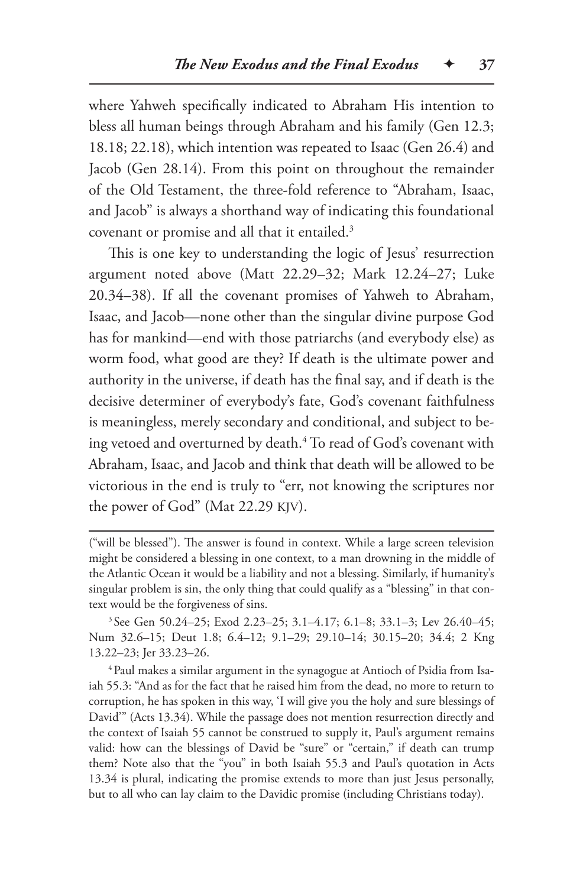where Yahweh specifically indicated to Abraham His intention to bless all human beings through Abraham and his family (Gen 12.3; 18.18; 22.18), which intention was repeated to Isaac (Gen 26.4) and Jacob (Gen 28.14). From this point on throughout the remainder of the Old Testament, the three-fold reference to "Abraham, Isaac, and Jacob" is always a shorthand way of indicating this foundational covenant or promise and all that it entailed.3

This is one key to understanding the logic of Jesus' resurrection argument noted above (Matt 22.29–32; Mark 12.24–27; Luke 20.34–38). If all the covenant promises of Yahweh to Abraham, Isaac, and Jacob—none other than the singular divine purpose God has for mankind—end with those patriarchs (and everybody else) as worm food, what good are they? If death is the ultimate power and authority in the universe, if death has the final say, and if death is the decisive determiner of everybody's fate, God's covenant faithfulness is meaningless, merely secondary and conditional, and subject to being vetoed and overturned by death.4 To read of God's covenant with Abraham, Isaac, and Jacob and think that death will be allowed to be victorious in the end is truly to "err, not knowing the scriptures nor the power of God" (Mat 22.29 KJV).

<sup>4</sup>Paul makes a similar argument in the synagogue at Antioch of Psidia from Isaiah 55.3: "And as for the fact that he raised him from the dead, no more to return to corruption, he has spoken in this way, 'I will give you the holy and sure blessings of David'" (Acts 13.34). While the passage does not mention resurrection directly and the context of Isaiah 55 cannot be construed to supply it, Paul's argument remains valid: how can the blessings of David be "sure" or "certain," if death can trump them? Note also that the "you" in both Isaiah 55.3 and Paul's quotation in Acts 13.34 is plural, indicating the promise extends to more than just Jesus personally, but to all who can lay claim to the Davidic promise (including Christians today).

<sup>(&</sup>quot;will be blessed"). The answer is found in context. While a large screen television might be considered a blessing in one context, to a man drowning in the middle of the Atlantic Ocean it would be a liability and not a blessing. Similarly, if humanity's singular problem is sin, the only thing that could qualify as a "blessing" in that context would be the forgiveness of sins.

<sup>3</sup> See Gen 50.24–25; Exod 2.23–25; 3.1–4.17; 6.1–8; 33.1–3; Lev 26.40–45; Num 32.6–15; Deut 1.8; 6.4–12; 9.1–29; 29.10–14; 30.15–20; 34.4; 2 Kng 13.22–23; Jer 33.23–26.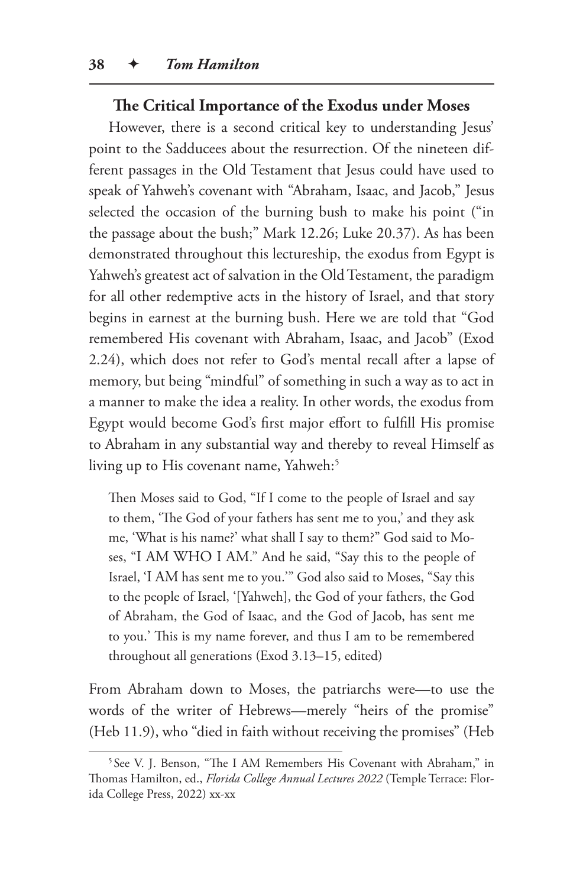#### **The Critical Importance of the Exodus under Moses**

However, there is a second critical key to understanding Jesus' point to the Sadducees about the resurrection. Of the nineteen different passages in the Old Testament that Jesus could have used to speak of Yahweh's covenant with "Abraham, Isaac, and Jacob," Jesus selected the occasion of the burning bush to make his point ("in the passage about the bush;" Mark 12.26; Luke 20.37). As has been demonstrated throughout this lectureship, the exodus from Egypt is Yahweh's greatest act of salvation in the Old Testament, the paradigm for all other redemptive acts in the history of Israel, and that story begins in earnest at the burning bush. Here we are told that "God remembered His covenant with Abraham, Isaac, and Jacob" (Exod 2.24), which does not refer to God's mental recall after a lapse of memory, but being "mindful" of something in such a way as to act in a manner to make the idea a reality. In other words, the exodus from Egypt would become God's first major effort to fulfill His promise to Abraham in any substantial way and thereby to reveal Himself as living up to His covenant name, Yahweh:<sup>5</sup>

Then Moses said to God, "If I come to the people of Israel and say to them, 'The God of your fathers has sent me to you,' and they ask me, 'What is his name?' what shall I say to them?" God said to Moses, "I AM WHO I AM." And he said, "Say this to the people of Israel, 'I AM has sent me to you.'" God also said to Moses, "Say this to the people of Israel, '[Yahweh], the God of your fathers, the God of Abraham, the God of Isaac, and the God of Jacob, has sent me to you.' This is my name forever, and thus I am to be remembered throughout all generations (Exod 3.13–15, edited)

From Abraham down to Moses, the patriarchs were—to use the words of the writer of Hebrews—merely "heirs of the promise" (Heb 11.9), who "died in faith without receiving the promises" (Heb

<sup>&</sup>lt;sup>5</sup> See V. J. Benson, "The I AM Remembers His Covenant with Abraham," in Thomas Hamilton, ed., *Florida College Annual Lectures 2022* (Temple Terrace: Florida College Press, 2022) xx-xx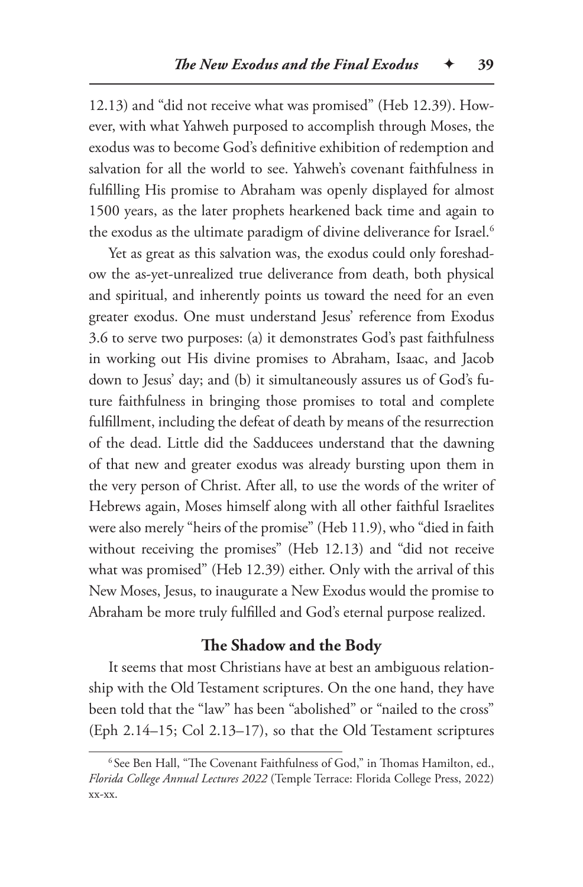12.13) and "did not receive what was promised" (Heb 12.39). However, with what Yahweh purposed to accomplish through Moses, the exodus was to become God's definitive exhibition of redemption and salvation for all the world to see. Yahweh's covenant faithfulness in fulfilling His promise to Abraham was openly displayed for almost 1500 years, as the later prophets hearkened back time and again to the exodus as the ultimate paradigm of divine deliverance for Israel.<sup>6</sup>

Yet as great as this salvation was, the exodus could only foreshadow the as-yet-unrealized true deliverance from death, both physical and spiritual, and inherently points us toward the need for an even greater exodus. One must understand Jesus' reference from Exodus 3.6 to serve two purposes: (a) it demonstrates God's past faithfulness in working out His divine promises to Abraham, Isaac, and Jacob down to Jesus' day; and (b) it simultaneously assures us of God's future faithfulness in bringing those promises to total and complete fulfillment, including the defeat of death by means of the resurrection of the dead. Little did the Sadducees understand that the dawning of that new and greater exodus was already bursting upon them in the very person of Christ. After all, to use the words of the writer of Hebrews again, Moses himself along with all other faithful Israelites were also merely "heirs of the promise" (Heb 11.9), who "died in faith without receiving the promises" (Heb 12.13) and "did not receive what was promised" (Heb 12.39) either. Only with the arrival of this New Moses, Jesus, to inaugurate a New Exodus would the promise to Abraham be more truly fulfilled and God's eternal purpose realized.

#### **The Shadow and the Body**

It seems that most Christians have at best an ambiguous relationship with the Old Testament scriptures. On the one hand, they have been told that the "law" has been "abolished" or "nailed to the cross" (Eph 2.14–15; Col 2.13–17), so that the Old Testament scriptures

<sup>6</sup> See Ben Hall, "The Covenant Faithfulness of God," in Thomas Hamilton, ed., *Florida College Annual Lectures 2022* (Temple Terrace: Florida College Press, 2022) xx-xx.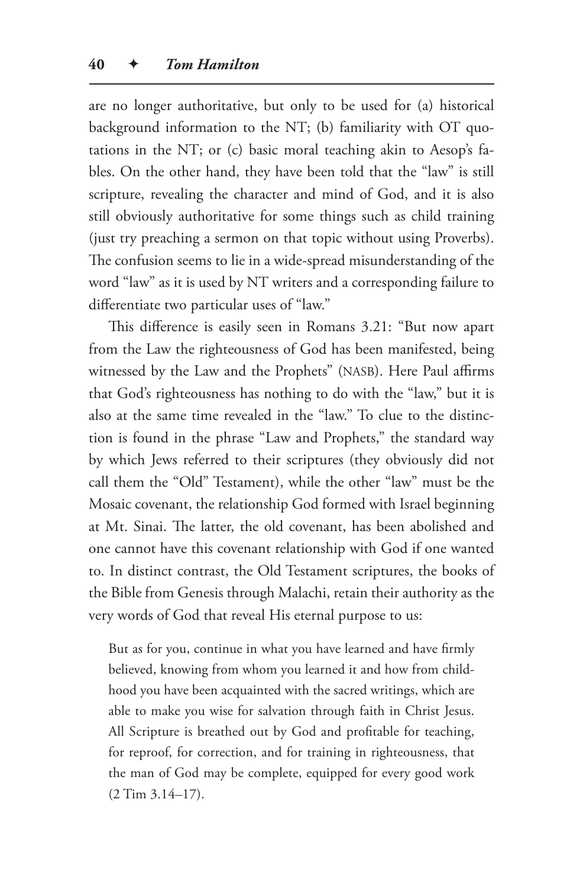are no longer authoritative, but only to be used for (a) historical background information to the NT; (b) familiarity with OT quotations in the NT; or (c) basic moral teaching akin to Aesop's fables. On the other hand, they have been told that the "law" is still scripture, revealing the character and mind of God, and it is also still obviously authoritative for some things such as child training (just try preaching a sermon on that topic without using Proverbs). The confusion seems to lie in a wide-spread misunderstanding of the word "law" as it is used by NT writers and a corresponding failure to differentiate two particular uses of "law."

This difference is easily seen in Romans 3.21: "But now apart from the Law the righteousness of God has been manifested, being witnessed by the Law and the Prophets" (NASB). Here Paul affirms that God's righteousness has nothing to do with the "law," but it is also at the same time revealed in the "law." To clue to the distinction is found in the phrase "Law and Prophets," the standard way by which Jews referred to their scriptures (they obviously did not call them the "Old" Testament), while the other "law" must be the Mosaic covenant, the relationship God formed with Israel beginning at Mt. Sinai. The latter, the old covenant, has been abolished and one cannot have this covenant relationship with God if one wanted to. In distinct contrast, the Old Testament scriptures, the books of the Bible from Genesis through Malachi, retain their authority as the very words of God that reveal His eternal purpose to us:

But as for you, continue in what you have learned and have firmly believed, knowing from whom you learned it and how from childhood you have been acquainted with the sacred writings, which are able to make you wise for salvation through faith in Christ Jesus. All Scripture is breathed out by God and profitable for teaching, for reproof, for correction, and for training in righteousness, that the man of God may be complete, equipped for every good work (2 Tim 3.14–17).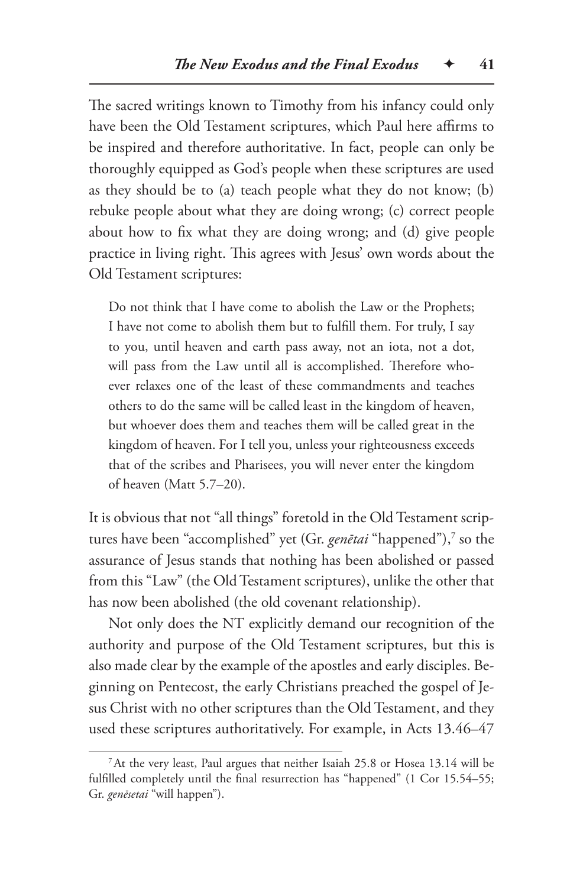The sacred writings known to Timothy from his infancy could only have been the Old Testament scriptures, which Paul here affirms to be inspired and therefore authoritative. In fact, people can only be thoroughly equipped as God's people when these scriptures are used as they should be to (a) teach people what they do not know; (b) rebuke people about what they are doing wrong; (c) correct people about how to fix what they are doing wrong; and (d) give people practice in living right. This agrees with Jesus' own words about the Old Testament scriptures:

Do not think that I have come to abolish the Law or the Prophets; I have not come to abolish them but to fulfill them. For truly, I say to you, until heaven and earth pass away, not an iota, not a dot, will pass from the Law until all is accomplished. Therefore whoever relaxes one of the least of these commandments and teaches others to do the same will be called least in the kingdom of heaven, but whoever does them and teaches them will be called great in the kingdom of heaven. For I tell you, unless your righteousness exceeds that of the scribes and Pharisees, you will never enter the kingdom of heaven (Matt 5.7–20).

It is obvious that not "all things" foretold in the Old Testament scriptures have been "accomplished" yet (Gr. *genētai* "happened"),<sup>7</sup> so the assurance of Jesus stands that nothing has been abolished or passed from this "Law" (the Old Testament scriptures), unlike the other that has now been abolished (the old covenant relationship).

Not only does the NT explicitly demand our recognition of the authority and purpose of the Old Testament scriptures, but this is also made clear by the example of the apostles and early disciples. Beginning on Pentecost, the early Christians preached the gospel of Jesus Christ with no other scriptures than the Old Testament, and they used these scriptures authoritatively. For example, in Acts 13.46–47

<sup>7</sup>At the very least, Paul argues that neither Isaiah 25.8 or Hosea 13.14 will be fulfilled completely until the final resurrection has "happened" (1 Cor 15.54–55; Gr. *genēsetai* "will happen").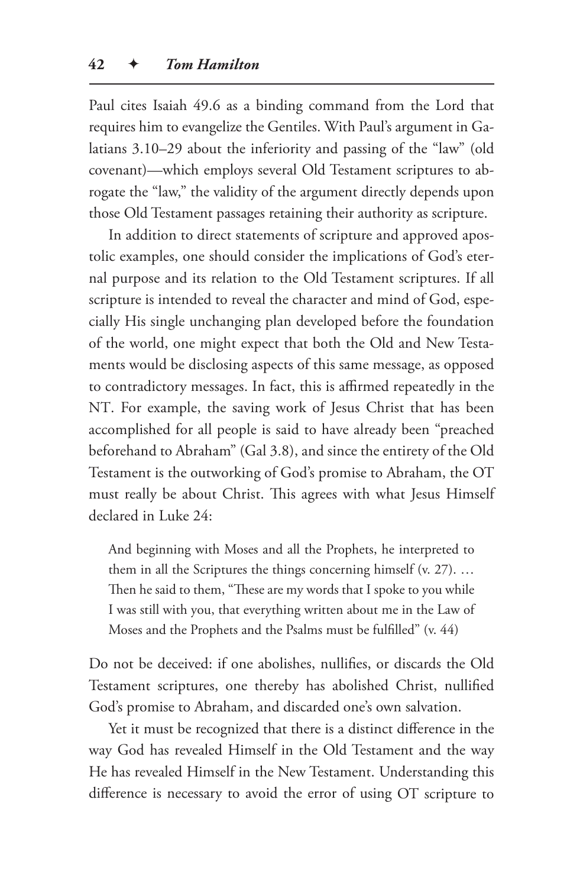Paul cites Isaiah 49.6 as a binding command from the Lord that requires him to evangelize the Gentiles. With Paul's argument in Galatians 3.10–29 about the inferiority and passing of the "law" (old covenant)—which employs several Old Testament scriptures to abrogate the "law," the validity of the argument directly depends upon those Old Testament passages retaining their authority as scripture.

In addition to direct statements of scripture and approved apostolic examples, one should consider the implications of God's eternal purpose and its relation to the Old Testament scriptures. If all scripture is intended to reveal the character and mind of God, especially His single unchanging plan developed before the foundation of the world, one might expect that both the Old and New Testaments would be disclosing aspects of this same message, as opposed to contradictory messages. In fact, this is affirmed repeatedly in the NT. For example, the saving work of Jesus Christ that has been accomplished for all people is said to have already been "preached beforehand to Abraham" (Gal 3.8), and since the entirety of the Old Testament is the outworking of God's promise to Abraham, the OT must really be about Christ. This agrees with what Jesus Himself declared in Luke 24:

And beginning with Moses and all the Prophets, he interpreted to them in all the Scriptures the things concerning himself (v. 27). … Then he said to them, "These are my words that I spoke to you while I was still with you, that everything written about me in the Law of Moses and the Prophets and the Psalms must be fulfilled" (v. 44)

Do not be deceived: if one abolishes, nullifies, or discards the Old Testament scriptures, one thereby has abolished Christ, nullified God's promise to Abraham, and discarded one's own salvation.

Yet it must be recognized that there is a distinct difference in the way God has revealed Himself in the Old Testament and the way He has revealed Himself in the New Testament. Understanding this difference is necessary to avoid the error of using OT scripture to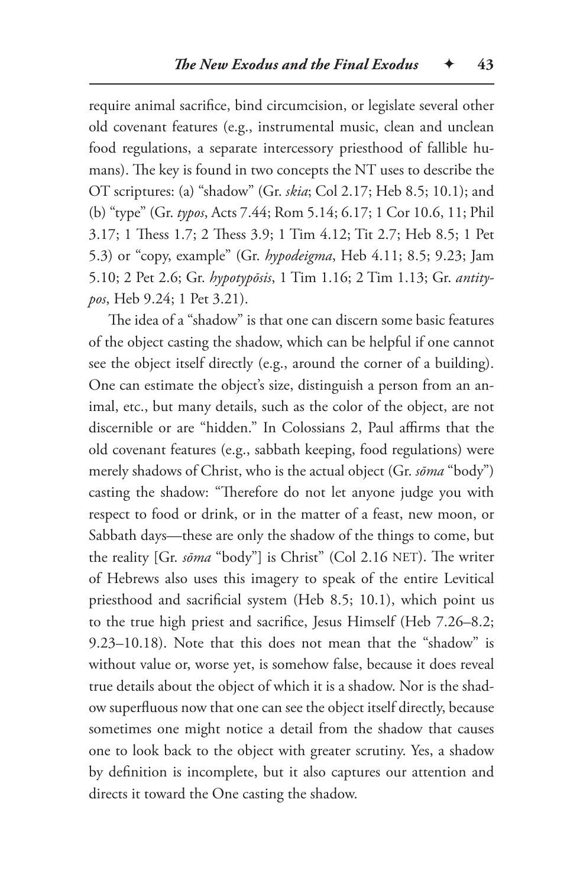require animal sacrifice, bind circumcision, or legislate several other old covenant features (e.g., instrumental music, clean and unclean food regulations, a separate intercessory priesthood of fallible humans). The key is found in two concepts the NT uses to describe the OT scriptures: (a) "shadow" (Gr. *skia*; Col 2.17; Heb 8.5; 10.1); and (b) "type" (Gr. *typos*, Acts 7.44; Rom 5.14; 6.17; 1 Cor 10.6, 11; Phil 3.17; 1 Thess 1.7; 2 Thess 3.9; 1 Tim 4.12; Tit 2.7; Heb 8.5; 1 Pet 5.3) or "copy, example" (Gr. *hypodeigma*, Heb 4.11; 8.5; 9.23; Jam 5.10; 2 Pet 2.6; Gr. *hypotypōsis*, 1 Tim 1.16; 2 Tim 1.13; Gr. *antitypos*, Heb 9.24; 1 Pet 3.21).

The idea of a "shadow" is that one can discern some basic features of the object casting the shadow, which can be helpful if one cannot see the object itself directly (e.g., around the corner of a building). One can estimate the object's size, distinguish a person from an animal, etc., but many details, such as the color of the object, are not discernible or are "hidden." In Colossians 2, Paul affirms that the old covenant features (e.g., sabbath keeping, food regulations) were merely shadows of Christ, who is the actual object (Gr. *sōma* "body") casting the shadow: "Therefore do not let anyone judge you with respect to food or drink, or in the matter of a feast, new moon, or Sabbath days—these are only the shadow of the things to come, but the reality [Gr. *sōma* "body"] is Christ" (Col 2.16 NET). The writer of Hebrews also uses this imagery to speak of the entire Levitical priesthood and sacrificial system (Heb 8.5; 10.1), which point us to the true high priest and sacrifice, Jesus Himself (Heb 7.26–8.2; 9.23–10.18). Note that this does not mean that the "shadow" is without value or, worse yet, is somehow false, because it does reveal true details about the object of which it is a shadow. Nor is the shadow superfluous now that one can see the object itself directly, because sometimes one might notice a detail from the shadow that causes one to look back to the object with greater scrutiny. Yes, a shadow by definition is incomplete, but it also captures our attention and directs it toward the One casting the shadow.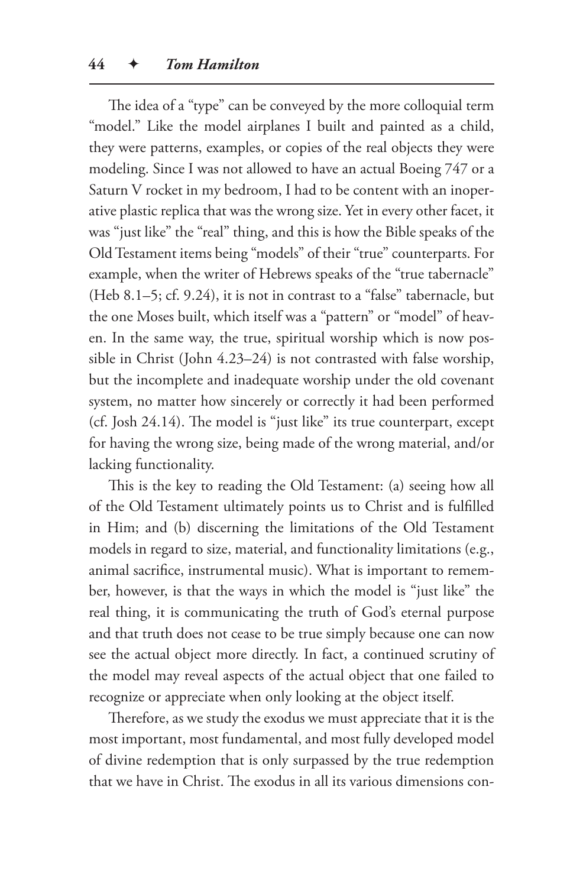The idea of a "type" can be conveyed by the more colloquial term "model." Like the model airplanes I built and painted as a child, they were patterns, examples, or copies of the real objects they were modeling. Since I was not allowed to have an actual Boeing 747 or a Saturn V rocket in my bedroom, I had to be content with an inoperative plastic replica that was the wrong size. Yet in every other facet, it was "just like" the "real" thing, and this is how the Bible speaks of the Old Testament items being "models" of their "true" counterparts. For example, when the writer of Hebrews speaks of the "true tabernacle" (Heb 8.1–5; cf. 9.24), it is not in contrast to a "false" tabernacle, but the one Moses built, which itself was a "pattern" or "model" of heaven. In the same way, the true, spiritual worship which is now possible in Christ (John 4.23–24) is not contrasted with false worship, but the incomplete and inadequate worship under the old covenant system, no matter how sincerely or correctly it had been performed (cf. Josh 24.14). The model is "just like" its true counterpart, except for having the wrong size, being made of the wrong material, and/or lacking functionality.

This is the key to reading the Old Testament: (a) seeing how all of the Old Testament ultimately points us to Christ and is fulfilled in Him; and (b) discerning the limitations of the Old Testament models in regard to size, material, and functionality limitations (e.g., animal sacrifice, instrumental music). What is important to remember, however, is that the ways in which the model is "just like" the real thing, it is communicating the truth of God's eternal purpose and that truth does not cease to be true simply because one can now see the actual object more directly. In fact, a continued scrutiny of the model may reveal aspects of the actual object that one failed to recognize or appreciate when only looking at the object itself.

Therefore, as we study the exodus we must appreciate that it is the most important, most fundamental, and most fully developed model of divine redemption that is only surpassed by the true redemption that we have in Christ. The exodus in all its various dimensions con-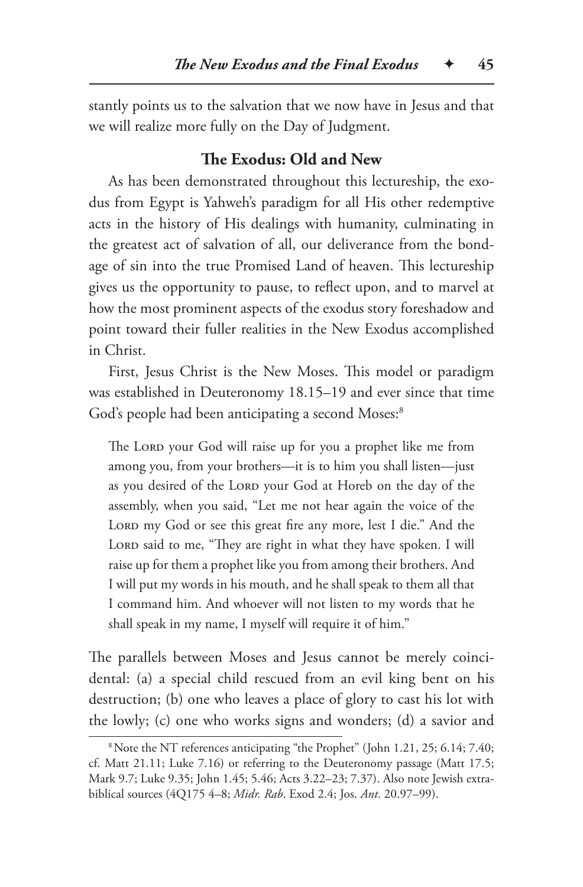stantly points us to the salvation that we now have in Jesus and that we will realize more fully on the Day of Judgment.

## **The Exodus: Old and New**

As has been demonstrated throughout this lectureship, the exodus from Egypt is Yahweh's paradigm for all His other redemptive acts in the history of His dealings with humanity, culminating in the greatest act of salvation of all, our deliverance from the bondage of sin into the true Promised Land of heaven. This lectureship gives us the opportunity to pause, to reflect upon, and to marvel at how the most prominent aspects of the exodus story foreshadow and point toward their fuller realities in the New Exodus accomplished in Christ.

First, Jesus Christ is the New Moses. This model or paradigm was established in Deuteronomy 18.15–19 and ever since that time God's people had been anticipating a second Moses:<sup>8</sup>

The Lord your God will raise up for you a prophet like me from among you, from your brothers—it is to him you shall listen—just as you desired of the LORD your God at Horeb on the day of the assembly, when you said, "Let me not hear again the voice of the LORD my God or see this great fire any more, lest I die." And the LORD said to me, "They are right in what they have spoken. I will raise up for them a prophet like you from among their brothers. And I will put my words in his mouth, and he shall speak to them all that I command him. And whoever will not listen to my words that he shall speak in my name, I myself will require it of him."

The parallels between Moses and Jesus cannot be merely coincidental: (a) a special child rescued from an evil king bent on his destruction; (b) one who leaves a place of glory to cast his lot with the lowly; (c) one who works signs and wonders; (d) a savior and

<sup>&</sup>lt;sup>8</sup> Note the NT references anticipating "the Prophet" (John 1.21, 25; 6.14; 7.40; cf. Matt 21.11; Luke 7.16) or referring to the Deuteronomy passage (Matt 17.5; Mark 9.7; Luke 9.35; John 1.45; 5.46; Acts 3.22–23; 7.37). Also note Jewish extrabiblical sources (4Q175 4–8; *Midr. Rab*. Exod 2.4; Jos. *Ant*. 20.97–99).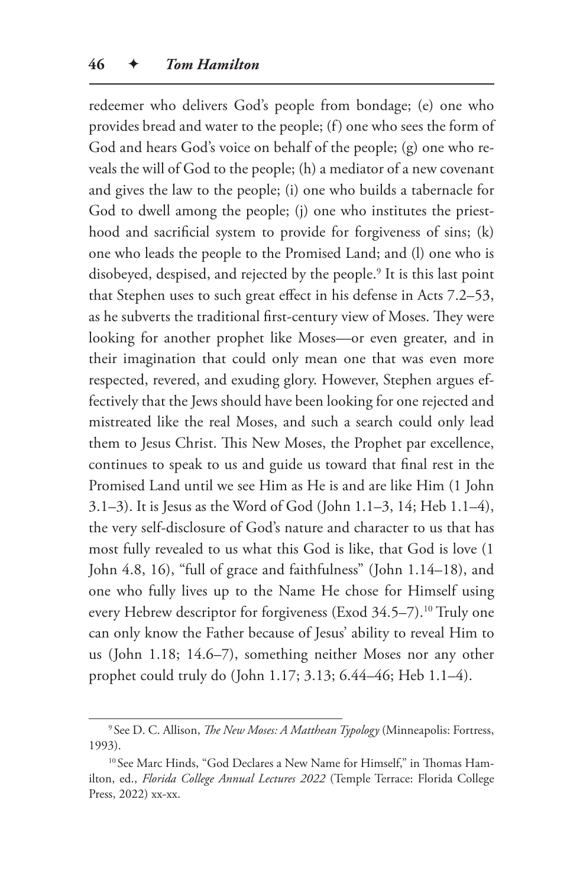redeemer who delivers God's people from bondage; (e) one who provides bread and water to the people; (f) one who sees the form of God and hears God's voice on behalf of the people; (g) one who reveals the will of God to the people; (h) a mediator of a new covenant and gives the law to the people; (i) one who builds a tabernacle for God to dwell among the people; (j) one who institutes the priesthood and sacrificial system to provide for forgiveness of sins; (k) one who leads the people to the Promised Land; and (l) one who is disobeyed, despised, and rejected by the people.9 It is this last point that Stephen uses to such great effect in his defense in Acts 7.2–53, as he subverts the traditional first-century view of Moses. They were looking for another prophet like Moses—or even greater, and in their imagination that could only mean one that was even more respected, revered, and exuding glory. However, Stephen argues effectively that the Jews should have been looking for one rejected and mistreated like the real Moses, and such a search could only lead them to Jesus Christ. This New Moses, the Prophet par excellence, continues to speak to us and guide us toward that final rest in the Promised Land until we see Him as He is and are like Him (1 John 3.1–3). It is Jesus as the Word of God (John 1.1–3, 14; Heb 1.1–4), the very self-disclosure of God's nature and character to us that has most fully revealed to us what this God is like, that God is love (1 John 4.8, 16), "full of grace and faithfulness" (John 1.14–18), and one who fully lives up to the Name He chose for Himself using every Hebrew descriptor for forgiveness (Exod 34.5–7).<sup>10</sup> Truly one can only know the Father because of Jesus' ability to reveal Him to us (John 1.18; 14.6–7), something neither Moses nor any other prophet could truly do (John 1.17; 3.13; 6.44–46; Heb 1.1–4).

<sup>9</sup> See D. C. Allison, *The New Moses: A Matthean Typology* (Minneapolis: Fortress, 1993).

<sup>&</sup>lt;sup>10</sup> See Marc Hinds, "God Declares a New Name for Himself," in Thomas Hamilton, ed., *Florida College Annual Lectures 2022* (Temple Terrace: Florida College Press, 2022) xx-xx.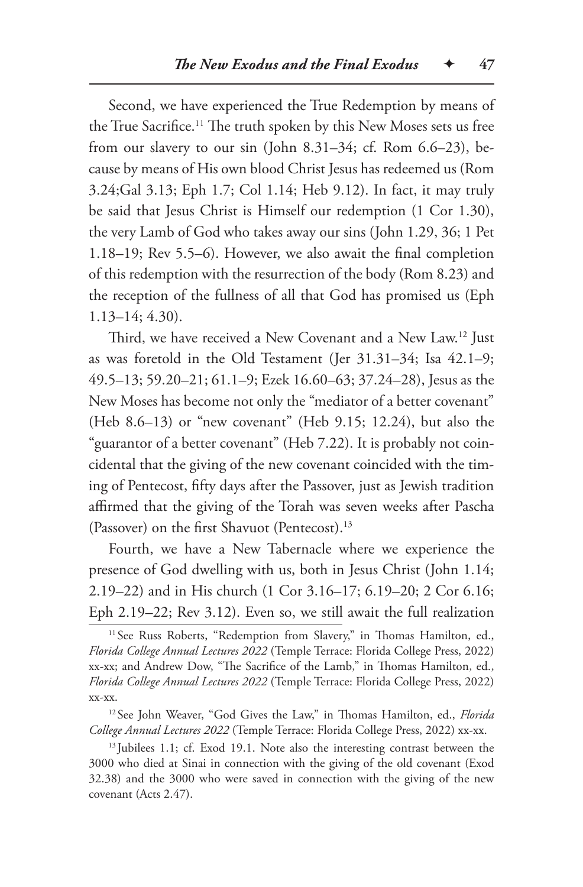Second, we have experienced the True Redemption by means of the True Sacrifice.<sup>11</sup> The truth spoken by this New Moses sets us free from our slavery to our sin (John 8.31–34; cf. Rom 6.6–23), because by means of His own blood Christ Jesus has redeemed us (Rom 3.24;Gal 3.13; Eph 1.7; Col 1.14; Heb 9.12). In fact, it may truly be said that Jesus Christ is Himself our redemption (1 Cor 1.30), the very Lamb of God who takes away our sins (John 1.29, 36; 1 Pet 1.18–19; Rev 5.5–6). However, we also await the final completion of this redemption with the resurrection of the body (Rom 8.23) and the reception of the fullness of all that God has promised us (Eph 1.13–14; 4.30).

Third, we have received a New Covenant and a New Law.12 Just as was foretold in the Old Testament (Jer 31.31–34; Isa 42.1–9; 49.5–13; 59.20–21; 61.1–9; Ezek 16.60–63; 37.24–28), Jesus as the New Moses has become not only the "mediator of a better covenant" (Heb 8.6–13) or "new covenant" (Heb 9.15; 12.24), but also the "guarantor of a better covenant" (Heb 7.22). It is probably not coincidental that the giving of the new covenant coincided with the timing of Pentecost, fifty days after the Passover, just as Jewish tradition affirmed that the giving of the Torah was seven weeks after Pascha (Passover) on the first Shavuot (Pentecost).13

Fourth, we have a New Tabernacle where we experience the presence of God dwelling with us, both in Jesus Christ (John 1.14; 2.19–22) and in His church (1 Cor 3.16–17; 6.19–20; 2 Cor 6.16; Eph 2.19–22; Rev 3.12). Even so, we still await the full realization

<sup>12</sup> See John Weaver, "God Gives the Law," in Thomas Hamilton, ed., *Florida College Annual Lectures 2022* (Temple Terrace: Florida College Press, 2022) xx-xx.

<sup>13</sup> Jubilees 1.1; cf. Exod 19.1. Note also the interesting contrast between the 3000 who died at Sinai in connection with the giving of the old covenant (Exod 32.38) and the 3000 who were saved in connection with the giving of the new covenant (Acts 2.47).

<sup>&</sup>lt;sup>11</sup> See Russ Roberts, "Redemption from Slavery," in Thomas Hamilton, ed., *Florida College Annual Lectures 2022* (Temple Terrace: Florida College Press, 2022) xx-xx; and Andrew Dow, "The Sacrifice of the Lamb," in Thomas Hamilton, ed., *Florida College Annual Lectures 2022* (Temple Terrace: Florida College Press, 2022) xx-xx.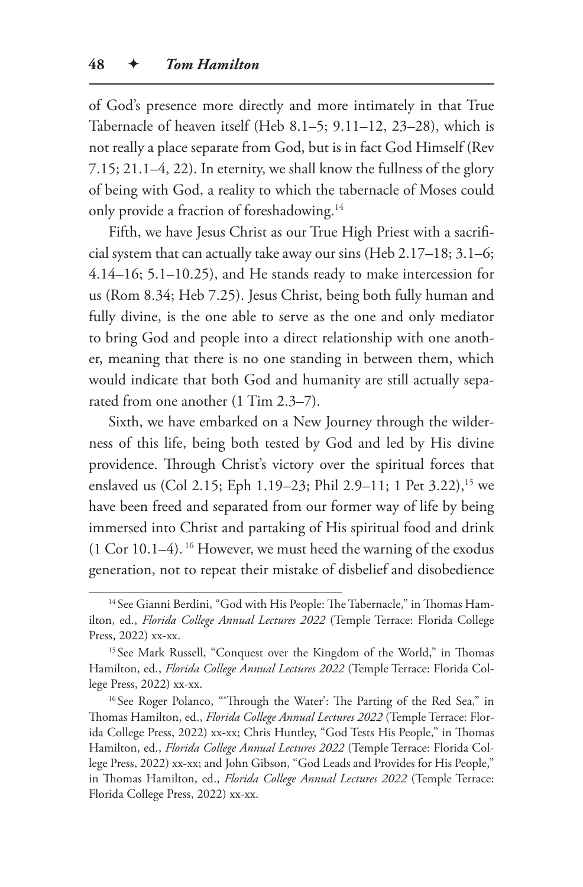of God's presence more directly and more intimately in that True Tabernacle of heaven itself (Heb 8.1–5; 9.11–12, 23–28), which is not really a place separate from God, but is in fact God Himself (Rev 7.15; 21.1–4, 22). In eternity, we shall know the fullness of the glory of being with God, a reality to which the tabernacle of Moses could only provide a fraction of foreshadowing.<sup>14</sup>

Fifth, we have Jesus Christ as our True High Priest with a sacrificial system that can actually take away our sins (Heb 2.17–18; 3.1–6; 4.14–16; 5.1–10.25), and He stands ready to make intercession for us (Rom 8.34; Heb 7.25). Jesus Christ, being both fully human and fully divine, is the one able to serve as the one and only mediator to bring God and people into a direct relationship with one another, meaning that there is no one standing in between them, which would indicate that both God and humanity are still actually separated from one another (1 Tim 2.3–7).

Sixth, we have embarked on a New Journey through the wilderness of this life, being both tested by God and led by His divine providence. Through Christ's victory over the spiritual forces that enslaved us (Col 2.15; Eph 1.19–23; Phil 2.9–11; 1 Pet 3.22),<sup>15</sup> we have been freed and separated from our former way of life by being immersed into Christ and partaking of His spiritual food and drink (1 Cor 10.1–4). 16 However, we must heed the warning of the exodus generation, not to repeat their mistake of disbelief and disobedience

<sup>&</sup>lt;sup>14</sup> See Gianni Berdini, "God with His People: The Tabernacle," in Thomas Hamilton, ed., *Florida College Annual Lectures 2022* (Temple Terrace: Florida College Press, 2022) xx-xx.

<sup>&</sup>lt;sup>15</sup> See Mark Russell, "Conquest over the Kingdom of the World," in Thomas Hamilton, ed., *Florida College Annual Lectures 2022* (Temple Terrace: Florida College Press, 2022) xx-xx.

<sup>&</sup>lt;sup>16</sup> See Roger Polanco, "'Through the Water': The Parting of the Red Sea," in Thomas Hamilton, ed., *Florida College Annual Lectures 2022* (Temple Terrace: Florida College Press, 2022) xx-xx; Chris Huntley, "God Tests His People," in Thomas Hamilton, ed., *Florida College Annual Lectures 2022* (Temple Terrace: Florida College Press, 2022) xx-xx; and John Gibson, "God Leads and Provides for His People," in Thomas Hamilton, ed., *Florida College Annual Lectures 2022* (Temple Terrace: Florida College Press, 2022) xx-xx.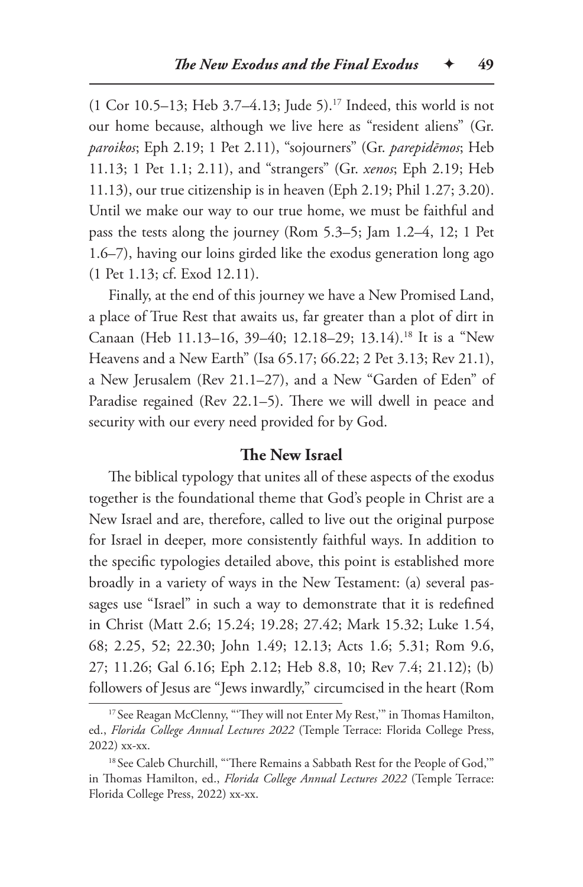(1 Cor 10.5–13; Heb 3.7–4.13; Jude 5).17 Indeed, this world is not our home because, although we live here as "resident aliens" (Gr. *paroikos*; Eph 2.19; 1 Pet 2.11), "sojourners" (Gr. *parepidēmos*; Heb 11.13; 1 Pet 1.1; 2.11), and "strangers" (Gr. *xenos*; Eph 2.19; Heb 11.13), our true citizenship is in heaven (Eph 2.19; Phil 1.27; 3.20). Until we make our way to our true home, we must be faithful and pass the tests along the journey (Rom 5.3–5; Jam 1.2–4, 12; 1 Pet 1.6–7), having our loins girded like the exodus generation long ago (1 Pet 1.13; cf. Exod 12.11).

Finally, at the end of this journey we have a New Promised Land, a place of True Rest that awaits us, far greater than a plot of dirt in Canaan (Heb 11.13–16, 39–40; 12.18–29; 13.14).18 It is a "New Heavens and a New Earth" (Isa 65.17; 66.22; 2 Pet 3.13; Rev 21.1), a New Jerusalem (Rev 21.1–27), and a New "Garden of Eden" of Paradise regained (Rev 22.1–5). There we will dwell in peace and security with our every need provided for by God.

#### **The New Israel**

The biblical typology that unites all of these aspects of the exodus together is the foundational theme that God's people in Christ are a New Israel and are, therefore, called to live out the original purpose for Israel in deeper, more consistently faithful ways. In addition to the specific typologies detailed above, this point is established more broadly in a variety of ways in the New Testament: (a) several passages use "Israel" in such a way to demonstrate that it is redefined in Christ (Matt 2.6; 15.24; 19.28; 27.42; Mark 15.32; Luke 1.54, 68; 2.25, 52; 22.30; John 1.49; 12.13; Acts 1.6; 5.31; Rom 9.6, 27; 11.26; Gal 6.16; Eph 2.12; Heb 8.8, 10; Rev 7.4; 21.12); (b) followers of Jesus are "Jews inwardly," circumcised in the heart (Rom

<sup>&</sup>lt;sup>17</sup> See Reagan McClenny, "'They will not Enter My Rest," in Thomas Hamilton, ed., *Florida College Annual Lectures 2022* (Temple Terrace: Florida College Press, 2022) xx-xx.

<sup>&</sup>lt;sup>18</sup> See Caleb Churchill, "'There Remains a Sabbath Rest for the People of God,"" in Thomas Hamilton, ed., *Florida College Annual Lectures 2022* (Temple Terrace: Florida College Press, 2022) xx-xx.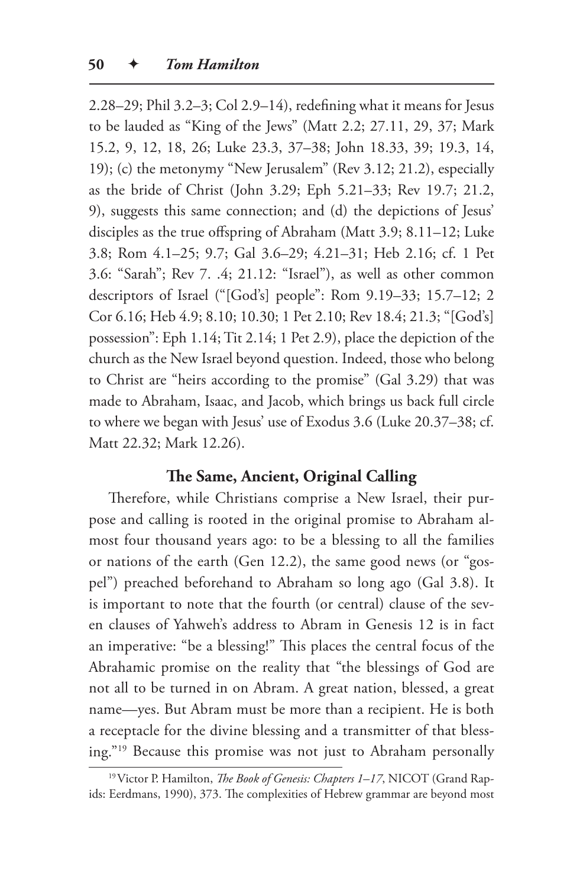2.28–29; Phil 3.2–3; Col 2.9–14), redefining what it means for Jesus to be lauded as "King of the Jews" (Matt 2.2; 27.11, 29, 37; Mark 15.2, 9, 12, 18, 26; Luke 23.3, 37–38; John 18.33, 39; 19.3, 14, 19); (c) the metonymy "New Jerusalem" (Rev 3.12; 21.2), especially as the bride of Christ (John 3.29; Eph 5.21–33; Rev 19.7; 21.2, 9), suggests this same connection; and (d) the depictions of Jesus' disciples as the true offspring of Abraham (Matt 3.9; 8.11–12; Luke 3.8; Rom 4.1–25; 9.7; Gal 3.6–29; 4.21–31; Heb 2.16; cf. 1 Pet 3.6: "Sarah"; Rev 7. .4; 21.12: "Israel"), as well as other common descriptors of Israel ("[God's] people": Rom 9.19–33; 15.7–12; 2 Cor 6.16; Heb 4.9; 8.10; 10.30; 1 Pet 2.10; Rev 18.4; 21.3; "[God's] possession": Eph 1.14; Tit 2.14; 1 Pet 2.9), place the depiction of the church as the New Israel beyond question. Indeed, those who belong to Christ are "heirs according to the promise" (Gal 3.29) that was made to Abraham, Isaac, and Jacob, which brings us back full circle to where we began with Jesus' use of Exodus 3.6 (Luke 20.37–38; cf. Matt 22.32; Mark 12.26).

#### **The Same, Ancient, Original Calling**

Therefore, while Christians comprise a New Israel, their purpose and calling is rooted in the original promise to Abraham almost four thousand years ago: to be a blessing to all the families or nations of the earth (Gen 12.2), the same good news (or "gospel") preached beforehand to Abraham so long ago (Gal 3.8). It is important to note that the fourth (or central) clause of the seven clauses of Yahweh's address to Abram in Genesis 12 is in fact an imperative: "be a blessing!" This places the central focus of the Abrahamic promise on the reality that "the blessings of God are not all to be turned in on Abram. A great nation, blessed, a great name—yes. But Abram must be more than a recipient. He is both a receptacle for the divine blessing and a transmitter of that blessing."19 Because this promise was not just to Abraham personally

<sup>19</sup>Victor P. Hamilton, *The Book of Genesis: Chapters 1–17*, NICOT (Grand Rapids: Eerdmans, 1990), 373. The complexities of Hebrew grammar are beyond most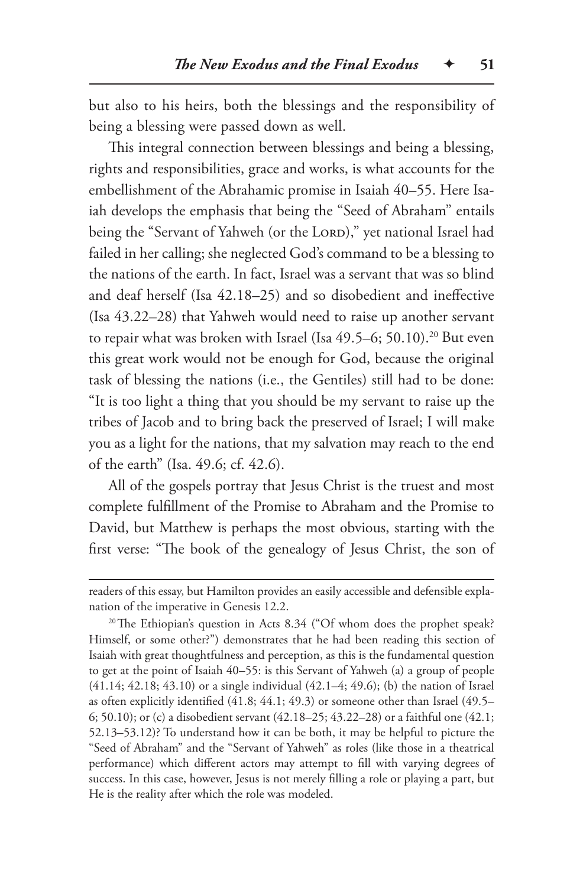but also to his heirs, both the blessings and the responsibility of being a blessing were passed down as well.

This integral connection between blessings and being a blessing, rights and responsibilities, grace and works, is what accounts for the embellishment of the Abrahamic promise in Isaiah 40–55. Here Isaiah develops the emphasis that being the "Seed of Abraham" entails being the "Servant of Yahweh (or the LORD)," yet national Israel had failed in her calling; she neglected God's command to be a blessing to the nations of the earth. In fact, Israel was a servant that was so blind and deaf herself (Isa 42.18–25) and so disobedient and ineffective (Isa 43.22–28) that Yahweh would need to raise up another servant to repair what was broken with Israel (Isa 49.5–6; 50.10).<sup>20</sup> But even this great work would not be enough for God, because the original task of blessing the nations (i.e., the Gentiles) still had to be done: "It is too light a thing that you should be my servant to raise up the tribes of Jacob and to bring back the preserved of Israel; I will make you as a light for the nations, that my salvation may reach to the end of the earth" (Isa. 49.6; cf. 42.6).

All of the gospels portray that Jesus Christ is the truest and most complete fulfillment of the Promise to Abraham and the Promise to David, but Matthew is perhaps the most obvious, starting with the first verse: "The book of the genealogy of Jesus Christ, the son of

readers of this essay, but Hamilton provides an easily accessible and defensible explanation of the imperative in Genesis 12.2.

<sup>&</sup>lt;sup>20</sup>The Ethiopian's question in Acts 8.34 ("Of whom does the prophet speak? Himself, or some other?") demonstrates that he had been reading this section of Isaiah with great thoughtfulness and perception, as this is the fundamental question to get at the point of Isaiah 40–55: is this Servant of Yahweh (a) a group of people (41.14; 42.18; 43.10) or a single individual (42.1–4; 49.6); (b) the nation of Israel as often explicitly identified (41.8; 44.1; 49.3) or someone other than Israel (49.5– 6; 50.10); or (c) a disobedient servant (42.18–25; 43.22–28) or a faithful one (42.1; 52.13–53.12)? To understand how it can be both, it may be helpful to picture the "Seed of Abraham" and the "Servant of Yahweh" as roles (like those in a theatrical performance) which different actors may attempt to fill with varying degrees of success. In this case, however, Jesus is not merely filling a role or playing a part, but He is the reality after which the role was modeled.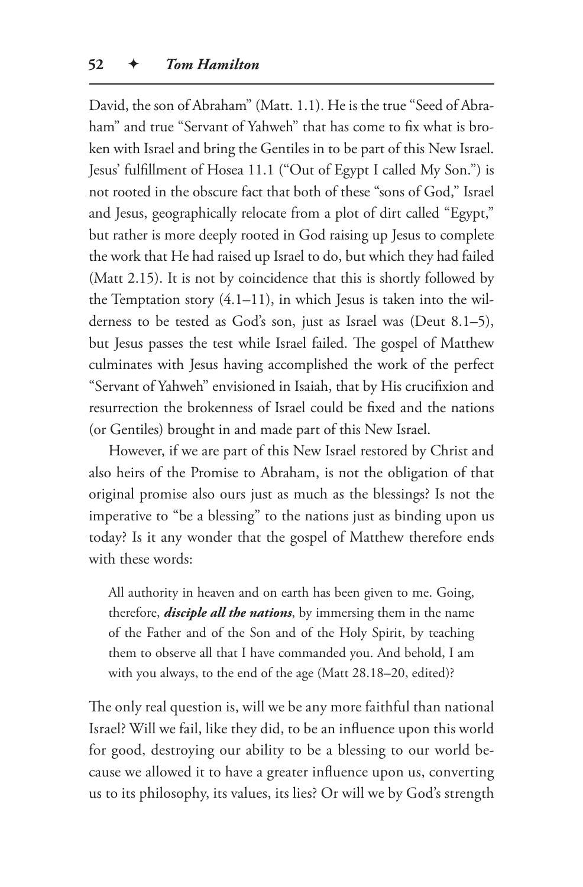David, the son of Abraham" (Matt. 1.1). He is the true "Seed of Abraham" and true "Servant of Yahweh" that has come to fix what is broken with Israel and bring the Gentiles in to be part of this New Israel. Jesus' fulfillment of Hosea 11.1 ("Out of Egypt I called My Son.") is not rooted in the obscure fact that both of these "sons of God," Israel and Jesus, geographically relocate from a plot of dirt called "Egypt," but rather is more deeply rooted in God raising up Jesus to complete the work that He had raised up Israel to do, but which they had failed (Matt 2.15). It is not by coincidence that this is shortly followed by the Temptation story  $(4.1-11)$ , in which Jesus is taken into the wilderness to be tested as God's son, just as Israel was (Deut 8.1–5), but Jesus passes the test while Israel failed. The gospel of Matthew culminates with Jesus having accomplished the work of the perfect "Servant of Yahweh" envisioned in Isaiah, that by His crucifixion and resurrection the brokenness of Israel could be fixed and the nations (or Gentiles) brought in and made part of this New Israel.

However, if we are part of this New Israel restored by Christ and also heirs of the Promise to Abraham, is not the obligation of that original promise also ours just as much as the blessings? Is not the imperative to "be a blessing" to the nations just as binding upon us today? Is it any wonder that the gospel of Matthew therefore ends with these words:

All authority in heaven and on earth has been given to me. Going, therefore, *disciple all the nations*, by immersing them in the name of the Father and of the Son and of the Holy Spirit, by teaching them to observe all that I have commanded you. And behold, I am with you always, to the end of the age (Matt 28.18–20, edited)?

The only real question is, will we be any more faithful than national Israel? Will we fail, like they did, to be an influence upon this world for good, destroying our ability to be a blessing to our world because we allowed it to have a greater influence upon us, converting us to its philosophy, its values, its lies? Or will we by God's strength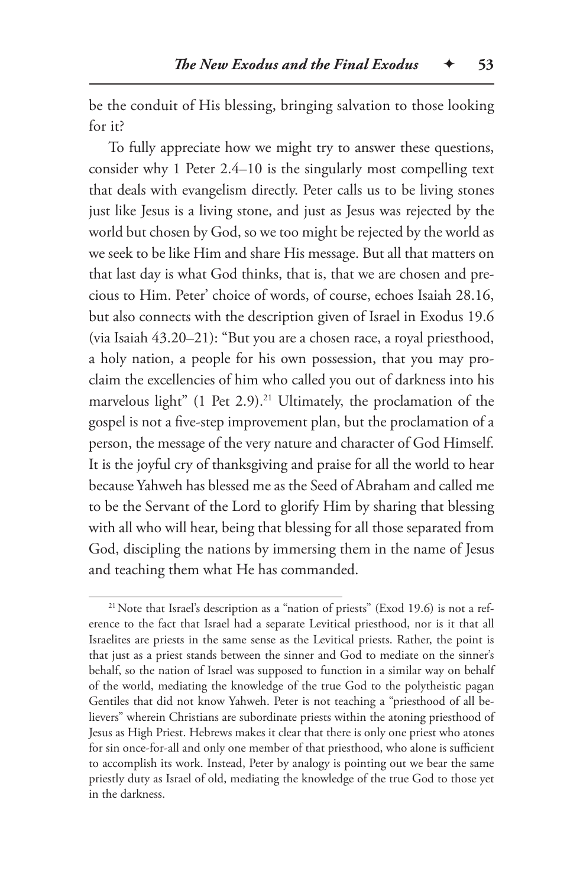be the conduit of His blessing, bringing salvation to those looking for it?

To fully appreciate how we might try to answer these questions, consider why 1 Peter 2.4–10 is the singularly most compelling text that deals with evangelism directly. Peter calls us to be living stones just like Jesus is a living stone, and just as Jesus was rejected by the world but chosen by God, so we too might be rejected by the world as we seek to be like Him and share His message. But all that matters on that last day is what God thinks, that is, that we are chosen and precious to Him. Peter' choice of words, of course, echoes Isaiah 28.16, but also connects with the description given of Israel in Exodus 19.6 (via Isaiah 43.20–21): "But you are a chosen race, a royal priesthood, a holy nation, a people for his own possession, that you may proclaim the excellencies of him who called you out of darkness into his marvelous light" (1 Pet 2.9).<sup>21</sup> Ultimately, the proclamation of the gospel is not a five-step improvement plan, but the proclamation of a person, the message of the very nature and character of God Himself. It is the joyful cry of thanksgiving and praise for all the world to hear because Yahweh has blessed me as the Seed of Abraham and called me to be the Servant of the Lord to glorify Him by sharing that blessing with all who will hear, being that blessing for all those separated from God, discipling the nations by immersing them in the name of Jesus and teaching them what He has commanded.

<sup>&</sup>lt;sup>21</sup> Note that Israel's description as a "nation of priests" (Exod 19.6) is not a reference to the fact that Israel had a separate Levitical priesthood, nor is it that all Israelites are priests in the same sense as the Levitical priests. Rather, the point is that just as a priest stands between the sinner and God to mediate on the sinner's behalf, so the nation of Israel was supposed to function in a similar way on behalf of the world, mediating the knowledge of the true God to the polytheistic pagan Gentiles that did not know Yahweh. Peter is not teaching a "priesthood of all believers" wherein Christians are subordinate priests within the atoning priesthood of Jesus as High Priest. Hebrews makes it clear that there is only one priest who atones for sin once-for-all and only one member of that priesthood, who alone is sufficient to accomplish its work. Instead, Peter by analogy is pointing out we bear the same priestly duty as Israel of old, mediating the knowledge of the true God to those yet in the darkness.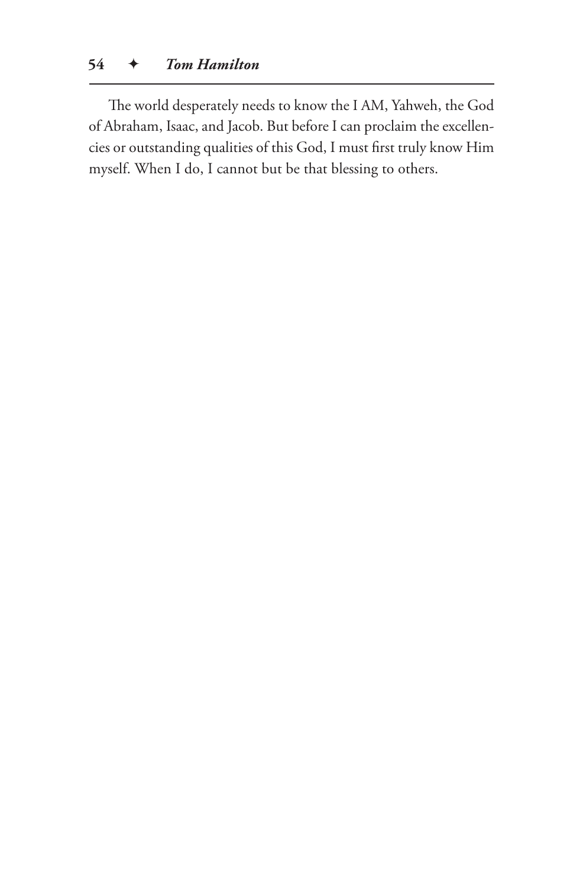The world desperately needs to know the I AM, Yahweh, the God of Abraham, Isaac, and Jacob. But before I can proclaim the excellencies or outstanding qualities of this God, I must first truly know Him myself. When I do, I cannot but be that blessing to others.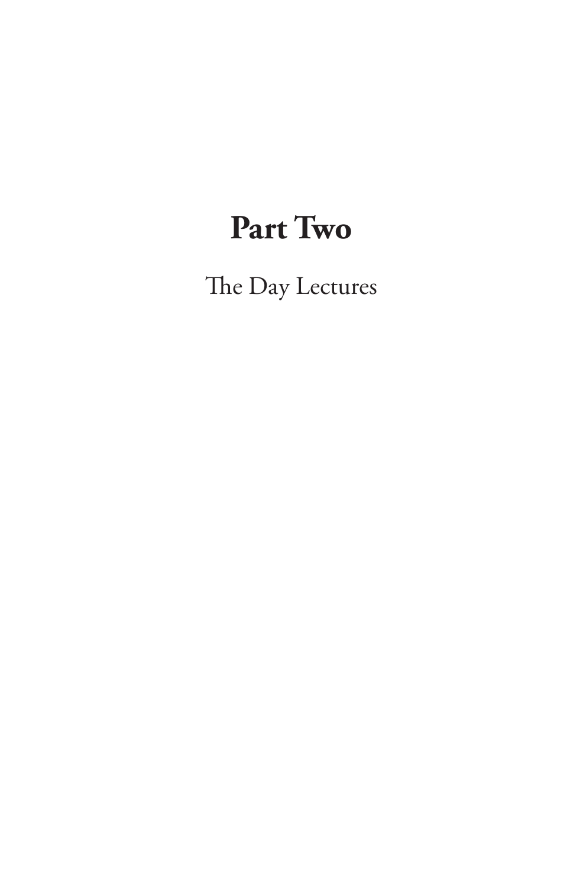# **Part Two**

The Day Lectures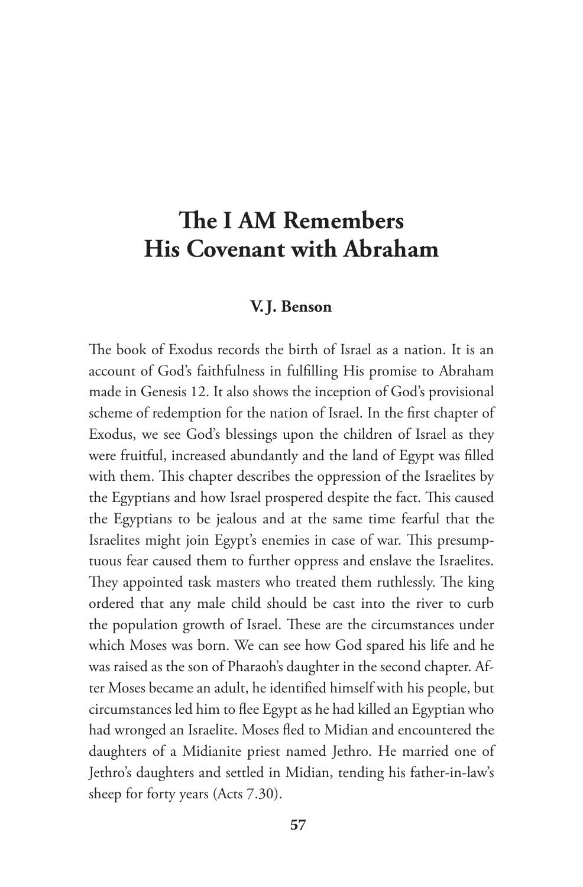# **The I AM Remembers His Covenant with Abraham**

#### **V.J. Benson**

The book of Exodus records the birth of Israel as a nation. It is an account of God's faithfulness in fulfilling His promise to Abraham made in Genesis 12. It also shows the inception of God's provisional scheme of redemption for the nation of Israel. In the first chapter of Exodus, we see God's blessings upon the children of Israel as they were fruitful, increased abundantly and the land of Egypt was filled with them. This chapter describes the oppression of the Israelites by the Egyptians and how Israel prospered despite the fact. This caused the Egyptians to be jealous and at the same time fearful that the Israelites might join Egypt's enemies in case of war. This presumptuous fear caused them to further oppress and enslave the Israelites. They appointed task masters who treated them ruthlessly. The king ordered that any male child should be cast into the river to curb the population growth of Israel. These are the circumstances under which Moses was born. We can see how God spared his life and he was raised as the son of Pharaoh's daughter in the second chapter. After Moses became an adult, he identified himself with his people, but circumstances led him to flee Egypt as he had killed an Egyptian who had wronged an Israelite. Moses fled to Midian and encountered the daughters of a Midianite priest named Jethro. He married one of Jethro's daughters and settled in Midian, tending his father-in-law's sheep for forty years (Acts 7.30).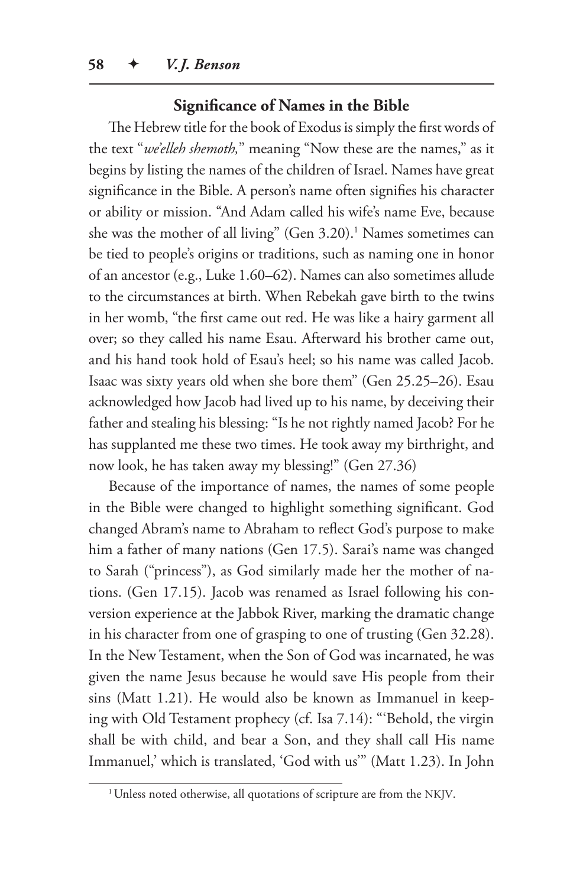#### **Significance of Names in the Bible**

The Hebrew title for the book of Exodus is simply the first words of the text "*we'elleh shemoth,*" meaning "Now these are the names," as it begins by listing the names of the children of Israel. Names have great significance in the Bible. A person's name often signifies his character or ability or mission. "And Adam called his wife's name Eve, because she was the mother of all living" (Gen 3.20).<sup>1</sup> Names sometimes can be tied to people's origins or traditions, such as naming one in honor of an ancestor (e.g., Luke 1.60–62). Names can also sometimes allude to the circumstances at birth. When Rebekah gave birth to the twins in her womb, "the first came out red. He was like a hairy garment all over; so they called his name Esau. Afterward his brother came out, and his hand took hold of Esau's heel; so his name was called Jacob. Isaac was sixty years old when she bore them" (Gen 25.25–26). Esau acknowledged how Jacob had lived up to his name, by deceiving their father and stealing his blessing: "Is he not rightly named Jacob? For he has supplanted me these two times. He took away my birthright, and now look, he has taken away my blessing!" (Gen 27.36)

Because of the importance of names, the names of some people in the Bible were changed to highlight something significant. God changed Abram's name to Abraham to reflect God's purpose to make him a father of many nations (Gen 17.5). Sarai's name was changed to Sarah ("princess"), as God similarly made her the mother of nations. (Gen 17.15). Jacob was renamed as Israel following his conversion experience at the Jabbok River, marking the dramatic change in his character from one of grasping to one of trusting (Gen 32.28). In the New Testament, when the Son of God was incarnated, he was given the name Jesus because he would save His people from their sins (Matt 1.21). He would also be known as Immanuel in keeping with Old Testament prophecy (cf. Isa 7.14): "'Behold, the virgin shall be with child, and bear a Son, and they shall call His name Immanuel,' which is translated, 'God with us'" (Matt 1.23). In John

<sup>&</sup>lt;sup>1</sup> Unless noted otherwise, all quotations of scripture are from the NKJV.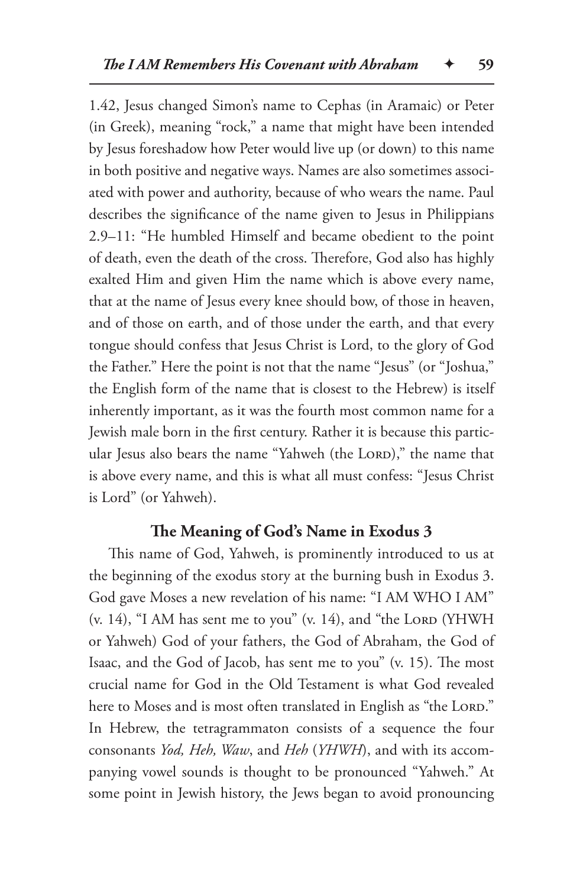1.42, Jesus changed Simon's name to Cephas (in Aramaic) or Peter (in Greek), meaning "rock," a name that might have been intended by Jesus foreshadow how Peter would live up (or down) to this name in both positive and negative ways. Names are also sometimes associated with power and authority, because of who wears the name. Paul describes the significance of the name given to Jesus in Philippians 2.9–11: "He humbled Himself and became obedient to the point of death, even the death of the cross. Therefore, God also has highly exalted Him and given Him the name which is above every name, that at the name of Jesus every knee should bow, of those in heaven, and of those on earth, and of those under the earth, and that every tongue should confess that Jesus Christ is Lord, to the glory of God the Father." Here the point is not that the name "Jesus" (or "Joshua," the English form of the name that is closest to the Hebrew) is itself inherently important, as it was the fourth most common name for a Jewish male born in the first century. Rather it is because this particular Jesus also bears the name "Yahweh (the LORD)," the name that is above every name, and this is what all must confess: "Jesus Christ is Lord" (or Yahweh).

## **The Meaning of God's Name in Exodus 3**

This name of God, Yahweh, is prominently introduced to us at the beginning of the exodus story at the burning bush in Exodus 3. God gave Moses a new revelation of his name: "I AM WHO I AM"  $(v. 14)$ , "I AM has sent me to you"  $(v. 14)$ , and "the LORD (YHWH) or Yahweh) God of your fathers, the God of Abraham, the God of Isaac, and the God of Jacob, has sent me to you" (v. 15). The most crucial name for God in the Old Testament is what God revealed here to Moses and is most often translated in English as "the LORD." In Hebrew, the tetragrammaton consists of a sequence the four consonants *Yod, Heh, Waw*, and *Heh* (*YHWH*), and with its accompanying vowel sounds is thought to be pronounced "Yahweh." At some point in Jewish history, the Jews began to avoid pronouncing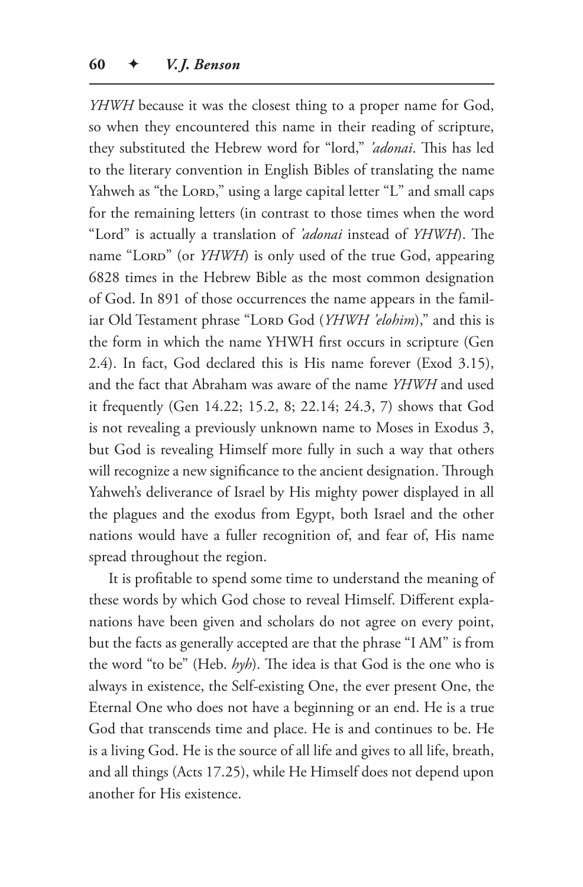*YHWH* because it was the closest thing to a proper name for God, so when they encountered this name in their reading of scripture, they substituted the Hebrew word for "lord," *'adonai*. This has led to the literary convention in English Bibles of translating the name Yahweh as "the LORD," using a large capital letter "L" and small caps for the remaining letters (in contrast to those times when the word "Lord" is actually a translation of *'adonai* instead of *YHWH*). The name "LORD" (or *YHWH*) is only used of the true God, appearing 6828 times in the Hebrew Bible as the most common designation of God. In 891 of those occurrences the name appears in the familiar Old Testament phrase "Lorp God (*YHWH 'elohim*)," and this is the form in which the name YHWH first occurs in scripture (Gen 2.4). In fact, God declared this is His name forever (Exod 3.15), and the fact that Abraham was aware of the name *YHWH* and used it frequently (Gen 14.22; 15.2, 8; 22.14; 24.3, 7) shows that God is not revealing a previously unknown name to Moses in Exodus 3, but God is revealing Himself more fully in such a way that others will recognize a new significance to the ancient designation. Through Yahweh's deliverance of Israel by His mighty power displayed in all the plagues and the exodus from Egypt, both Israel and the other nations would have a fuller recognition of, and fear of, His name spread throughout the region.

It is profitable to spend some time to understand the meaning of these words by which God chose to reveal Himself. Different explanations have been given and scholars do not agree on every point, but the facts as generally accepted are that the phrase "I AM" is from the word "to be" (Heb. *hyh*). The idea is that God is the one who is always in existence, the Self-existing One, the ever present One, the Eternal One who does not have a beginning or an end. He is a true God that transcends time and place. He is and continues to be. He is a living God. He is the source of all life and gives to all life, breath, and all things (Acts 17.25), while He Himself does not depend upon another for His existence.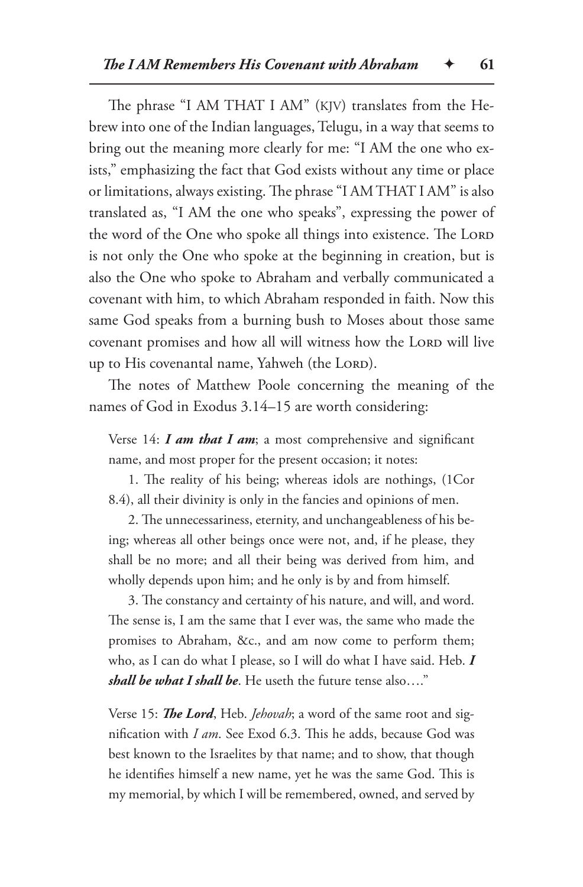The phrase "I AM THAT I AM" (KJV) translates from the Hebrew into one of the Indian languages, Telugu, in a way that seems to bring out the meaning more clearly for me: "I AM the one who exists," emphasizing the fact that God exists without any time or place or limitations, always existing. The phrase "I AM THAT I AM" is also translated as, "I AM the one who speaks", expressing the power of the word of the One who spoke all things into existence. The LORD is not only the One who spoke at the beginning in creation, but is also the One who spoke to Abraham and verbally communicated a covenant with him, to which Abraham responded in faith. Now this same God speaks from a burning bush to Moses about those same covenant promises and how all will witness how the LORD will live up to His covenantal name, Yahweh (the LORD).

The notes of Matthew Poole concerning the meaning of the names of God in Exodus 3.14–15 are worth considering:

Verse 14: *I am that I am*; a most comprehensive and significant name, and most proper for the present occasion; it notes:

1. The reality of his being; whereas idols are nothings, (1Cor 8.4), all their divinity is only in the fancies and opinions of men.

2. The unnecessariness, eternity, and unchangeableness of his being; whereas all other beings once were not, and, if he please, they shall be no more; and all their being was derived from him, and wholly depends upon him; and he only is by and from himself.

3. The constancy and certainty of his nature, and will, and word. The sense is, I am the same that I ever was, the same who made the promises to Abraham, &c., and am now come to perform them; who, as I can do what I please, so I will do what I have said. Heb. *I shall be what I shall be*. He useth the future tense also…."

Verse 15: *The Lord*, Heb. *Jehovah*; a word of the same root and signification with *I am*. See Exod 6.3. This he adds, because God was best known to the Israelites by that name; and to show, that though he identifies himself a new name, yet he was the same God. This is my memorial, by which I will be remembered, owned, and served by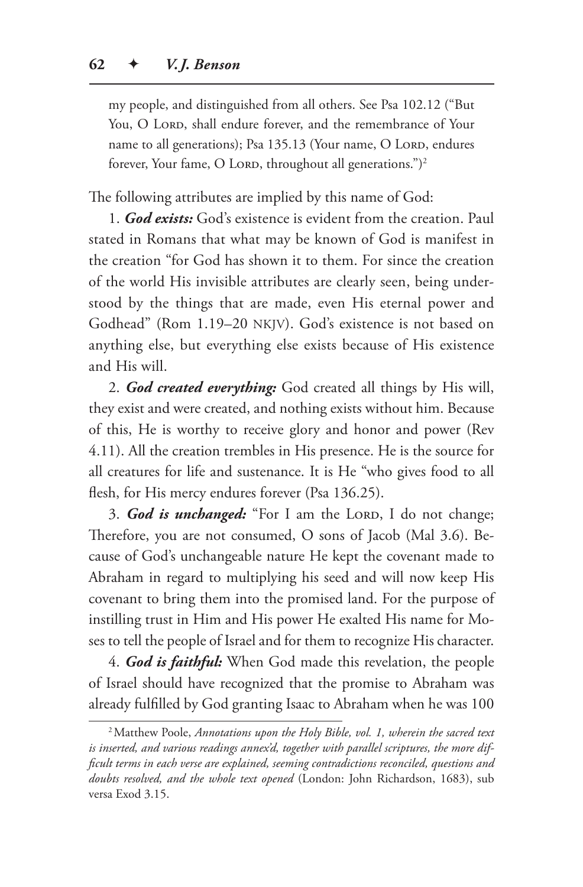my people, and distinguished from all others. See Psa 102.12 ("But You, O LORD, shall endure forever, and the remembrance of Your name to all generations); Psa 135.13 (Your name, O Lord, endures forever, Your fame, O LORD, throughout all generations.")<sup>2</sup>

The following attributes are implied by this name of God:

1. *God exists:* God's existence is evident from the creation. Paul stated in Romans that what may be known of God is manifest in the creation "for God has shown it to them. For since the creation of the world His invisible attributes are clearly seen, being understood by the things that are made, even His eternal power and Godhead" (Rom 1.19–20 NKJV). God's existence is not based on anything else, but everything else exists because of His existence and His will.

2. *God created everything:* God created all things by His will, they exist and were created, and nothing exists without him. Because of this, He is worthy to receive glory and honor and power (Rev 4.11). All the creation trembles in His presence. He is the source for all creatures for life and sustenance. It is He "who gives food to all flesh, for His mercy endures forever (Psa 136.25).

3. *God is unchanged:* "For I am the LORD, I do not change; Therefore, you are not consumed, O sons of Jacob (Mal 3.6). Because of God's unchangeable nature He kept the covenant made to Abraham in regard to multiplying his seed and will now keep His covenant to bring them into the promised land. For the purpose of instilling trust in Him and His power He exalted His name for Moses to tell the people of Israel and for them to recognize His character.

4. *God is faithful:* When God made this revelation, the people of Israel should have recognized that the promise to Abraham was already fulfilled by God granting Isaac to Abraham when he was 100

<sup>2</sup>Matthew Poole, *Annotations upon the Holy Bible, vol. 1, wherein the sacred text is inserted, and various readings annex'd, together with parallel scriptures, the more difficult terms in each verse are explained, seeming contradictions reconciled, questions and doubts resolved, and the whole text opened* (London: John Richardson, 1683), sub versa Exod 3.15.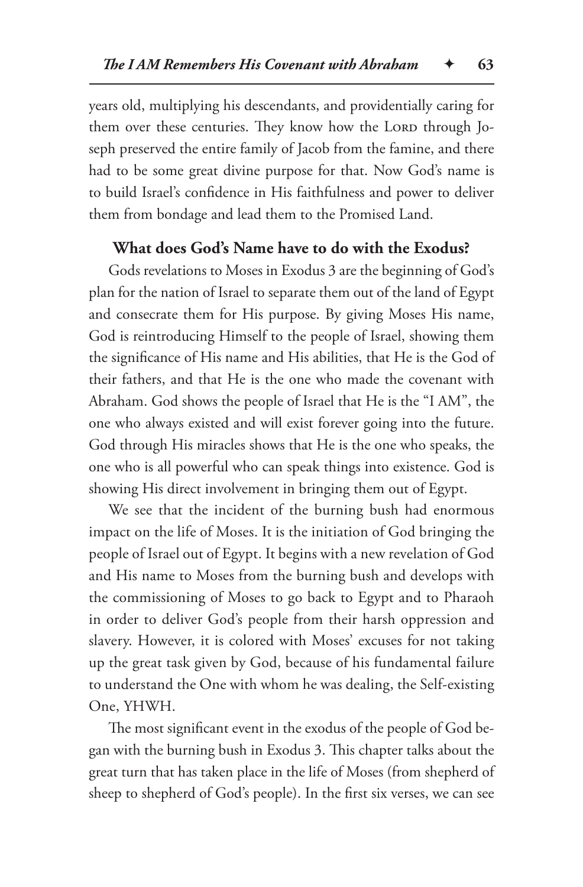years old, multiplying his descendants, and providentially caring for them over these centuries. They know how the Lorp through Joseph preserved the entire family of Jacob from the famine, and there had to be some great divine purpose for that. Now God's name is to build Israel's confidence in His faithfulness and power to deliver them from bondage and lead them to the Promised Land.

#### **What does God's Name have to do with the Exodus?**

Gods revelations to Moses in Exodus 3 are the beginning of God's plan for the nation of Israel to separate them out of the land of Egypt and consecrate them for His purpose. By giving Moses His name, God is reintroducing Himself to the people of Israel, showing them the significance of His name and His abilities, that He is the God of their fathers, and that He is the one who made the covenant with Abraham. God shows the people of Israel that He is the "I AM", the one who always existed and will exist forever going into the future. God through His miracles shows that He is the one who speaks, the one who is all powerful who can speak things into existence. God is showing His direct involvement in bringing them out of Egypt.

We see that the incident of the burning bush had enormous impact on the life of Moses. It is the initiation of God bringing the people of Israel out of Egypt. It begins with a new revelation of God and His name to Moses from the burning bush and develops with the commissioning of Moses to go back to Egypt and to Pharaoh in order to deliver God's people from their harsh oppression and slavery. However, it is colored with Moses' excuses for not taking up the great task given by God, because of his fundamental failure to understand the One with whom he was dealing, the Self-existing One, YHWH.

The most significant event in the exodus of the people of God began with the burning bush in Exodus 3. This chapter talks about the great turn that has taken place in the life of Moses (from shepherd of sheep to shepherd of God's people). In the first six verses, we can see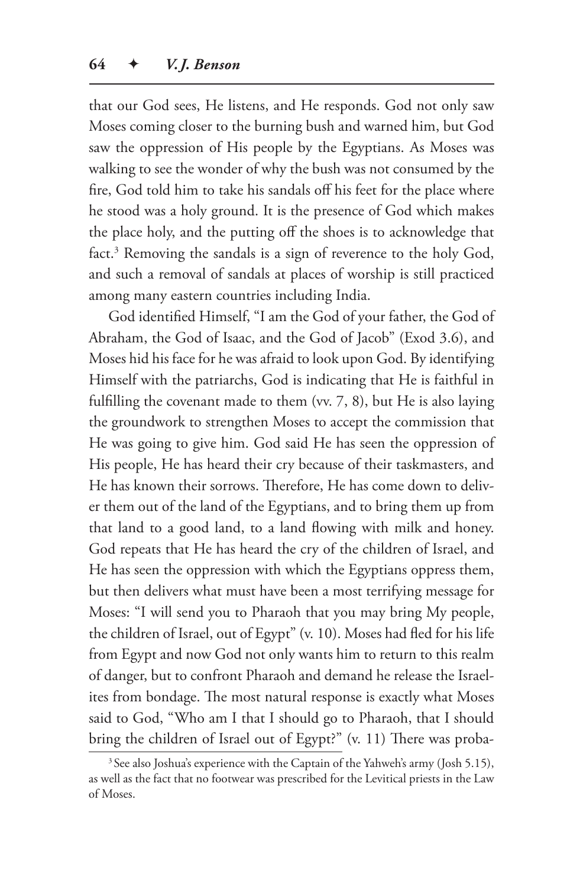that our God sees, He listens, and He responds. God not only saw Moses coming closer to the burning bush and warned him, but God saw the oppression of His people by the Egyptians. As Moses was walking to see the wonder of why the bush was not consumed by the fire, God told him to take his sandals off his feet for the place where he stood was a holy ground. It is the presence of God which makes the place holy, and the putting off the shoes is to acknowledge that fact.<sup>3</sup> Removing the sandals is a sign of reverence to the holy God, and such a removal of sandals at places of worship is still practiced among many eastern countries including India.

God identified Himself, "I am the God of your father, the God of Abraham, the God of Isaac, and the God of Jacob" (Exod 3.6), and Moses hid his face for he was afraid to look upon God. By identifying Himself with the patriarchs, God is indicating that He is faithful in fulfilling the covenant made to them (vv. 7, 8), but He is also laying the groundwork to strengthen Moses to accept the commission that He was going to give him. God said He has seen the oppression of His people, He has heard their cry because of their taskmasters, and He has known their sorrows. Therefore, He has come down to deliver them out of the land of the Egyptians, and to bring them up from that land to a good land, to a land flowing with milk and honey. God repeats that He has heard the cry of the children of Israel, and He has seen the oppression with which the Egyptians oppress them, but then delivers what must have been a most terrifying message for Moses: "I will send you to Pharaoh that you may bring My people, the children of Israel, out of Egypt" (v. 10). Moses had fled for his life from Egypt and now God not only wants him to return to this realm of danger, but to confront Pharaoh and demand he release the Israelites from bondage. The most natural response is exactly what Moses said to God, "Who am I that I should go to Pharaoh, that I should bring the children of Israel out of Egypt?" (v. 11) There was proba-

<sup>&</sup>lt;sup>3</sup> See also Joshua's experience with the Captain of the Yahweh's army (Josh 5.15), as well as the fact that no footwear was prescribed for the Levitical priests in the Law of Moses.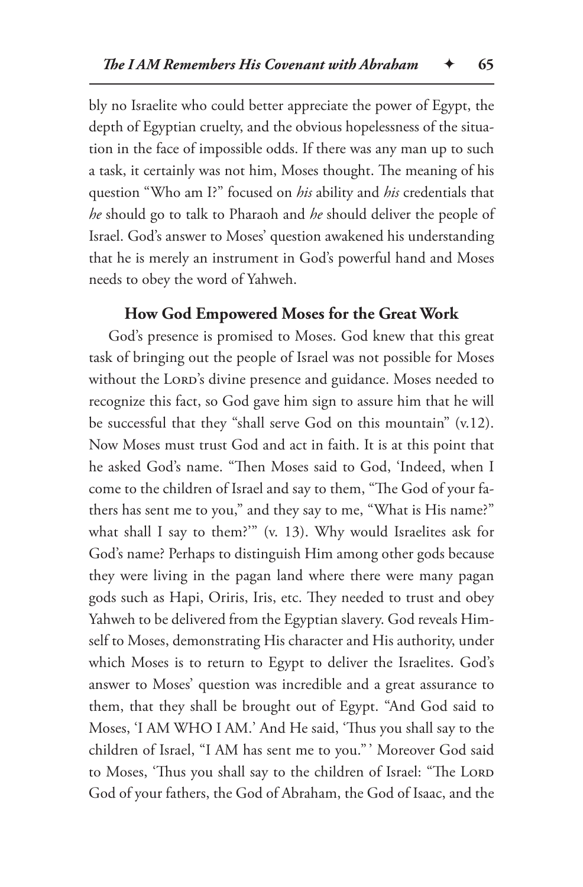bly no Israelite who could better appreciate the power of Egypt, the depth of Egyptian cruelty, and the obvious hopelessness of the situation in the face of impossible odds. If there was any man up to such a task, it certainly was not him, Moses thought. The meaning of his question "Who am I?" focused on *his* ability and *his* credentials that *he* should go to talk to Pharaoh and *he* should deliver the people of Israel. God's answer to Moses' question awakened his understanding that he is merely an instrument in God's powerful hand and Moses needs to obey the word of Yahweh.

#### **How God Empowered Moses for the Great Work**

God's presence is promised to Moses. God knew that this great task of bringing out the people of Israel was not possible for Moses without the LORD's divine presence and guidance. Moses needed to recognize this fact, so God gave him sign to assure him that he will be successful that they "shall serve God on this mountain" (v.12). Now Moses must trust God and act in faith. It is at this point that he asked God's name. "Then Moses said to God, 'Indeed, when I come to the children of Israel and say to them, "The God of your fathers has sent me to you," and they say to me, "What is His name?" what shall I say to them?'" (v. 13). Why would Israelites ask for God's name? Perhaps to distinguish Him among other gods because they were living in the pagan land where there were many pagan gods such as Hapi, Oriris, Iris, etc. They needed to trust and obey Yahweh to be delivered from the Egyptian slavery. God reveals Himself to Moses, demonstrating His character and His authority, under which Moses is to return to Egypt to deliver the Israelites. God's answer to Moses' question was incredible and a great assurance to them, that they shall be brought out of Egypt. "And God said to Moses, 'I AM WHO I AM.' And He said, 'Thus you shall say to the children of Israel, "I AM has sent me to you." ' Moreover God said to Moses, 'Thus you shall say to the children of Israel: "The LORD God of your fathers, the God of Abraham, the God of Isaac, and the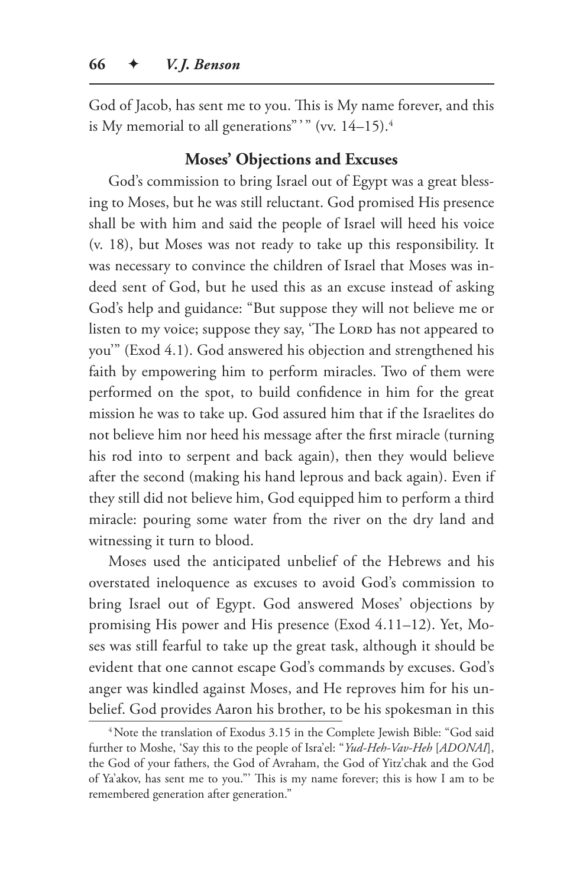God of Jacob, has sent me to you. This is My name forever, and this is My memorial to all generations" " (vv.  $14-15$ ).<sup>4</sup>

# **Moses' Objections and Excuses**

God's commission to bring Israel out of Egypt was a great blessing to Moses, but he was still reluctant. God promised His presence shall be with him and said the people of Israel will heed his voice (v. 18), but Moses was not ready to take up this responsibility. It was necessary to convince the children of Israel that Moses was indeed sent of God, but he used this as an excuse instead of asking God's help and guidance: "But suppose they will not believe me or listen to my voice; suppose they say, 'The LORD has not appeared to you'" (Exod 4.1). God answered his objection and strengthened his faith by empowering him to perform miracles. Two of them were performed on the spot, to build confidence in him for the great mission he was to take up. God assured him that if the Israelites do not believe him nor heed his message after the first miracle (turning his rod into to serpent and back again), then they would believe after the second (making his hand leprous and back again). Even if they still did not believe him, God equipped him to perform a third miracle: pouring some water from the river on the dry land and witnessing it turn to blood.

Moses used the anticipated unbelief of the Hebrews and his overstated ineloquence as excuses to avoid God's commission to bring Israel out of Egypt. God answered Moses' objections by promising His power and His presence (Exod 4.11–12). Yet, Moses was still fearful to take up the great task, although it should be evident that one cannot escape God's commands by excuses. God's anger was kindled against Moses, and He reproves him for his unbelief. God provides Aaron his brother, to be his spokesman in this

<sup>&</sup>lt;sup>4</sup>Note the translation of Exodus 3.15 in the Complete Jewish Bible: "God said further to Moshe, 'Say this to the people of Isra'el: "*Yud-Heh-Vav-Heh* [*ADONAI*], the God of your fathers, the God of Avraham, the God of Yitz'chak and the God of Ya'akov, has sent me to you."' This is my name forever; this is how I am to be remembered generation after generation."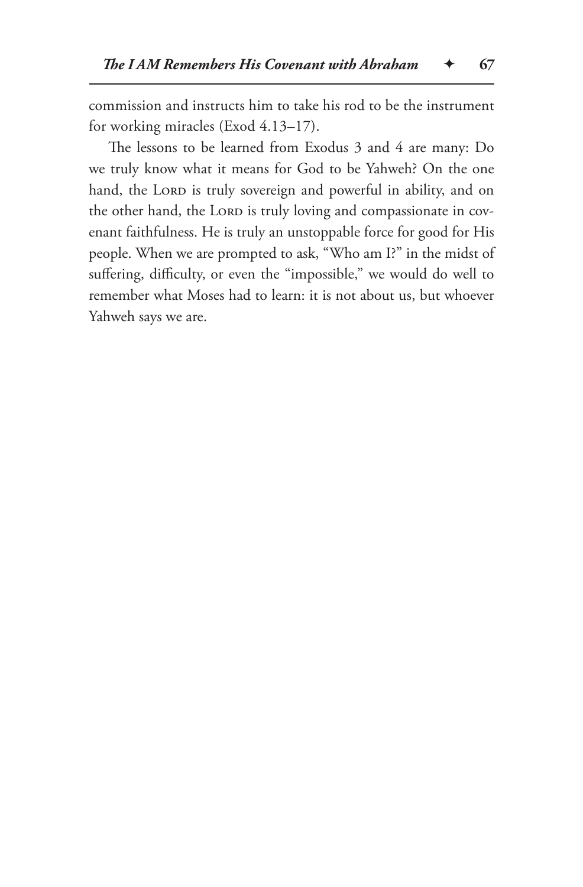commission and instructs him to take his rod to be the instrument for working miracles (Exod 4.13–17).

The lessons to be learned from Exodus 3 and 4 are many: Do we truly know what it means for God to be Yahweh? On the one hand, the LORD is truly sovereign and powerful in ability, and on the other hand, the LORD is truly loving and compassionate in covenant faithfulness. He is truly an unstoppable force for good for His people. When we are prompted to ask, "Who am I?" in the midst of suffering, difficulty, or even the "impossible," we would do well to remember what Moses had to learn: it is not about us, but whoever Yahweh says we are.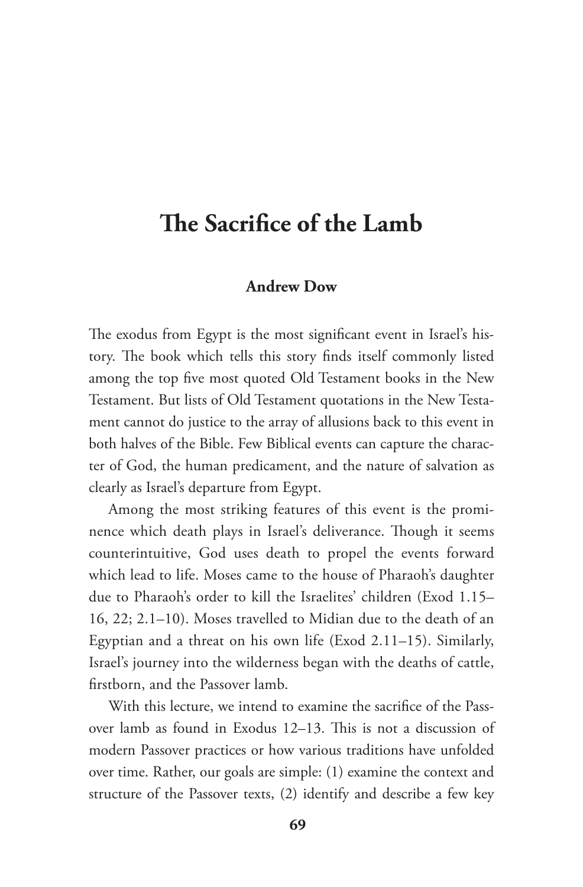# **The Sacrifice of the Lamb**

#### **Andrew Dow**

The exodus from Egypt is the most significant event in Israel's history. The book which tells this story finds itself commonly listed among the top five most quoted Old Testament books in the New Testament. But lists of Old Testament quotations in the New Testament cannot do justice to the array of allusions back to this event in both halves of the Bible. Few Biblical events can capture the character of God, the human predicament, and the nature of salvation as clearly as Israel's departure from Egypt.

Among the most striking features of this event is the prominence which death plays in Israel's deliverance. Though it seems counterintuitive, God uses death to propel the events forward which lead to life. Moses came to the house of Pharaoh's daughter due to Pharaoh's order to kill the Israelites' children (Exod 1.15– 16, 22; 2.1–10). Moses travelled to Midian due to the death of an Egyptian and a threat on his own life (Exod 2.11–15). Similarly, Israel's journey into the wilderness began with the deaths of cattle, firstborn, and the Passover lamb.

With this lecture, we intend to examine the sacrifice of the Passover lamb as found in Exodus 12–13. This is not a discussion of modern Passover practices or how various traditions have unfolded over time. Rather, our goals are simple: (1) examine the context and structure of the Passover texts, (2) identify and describe a few key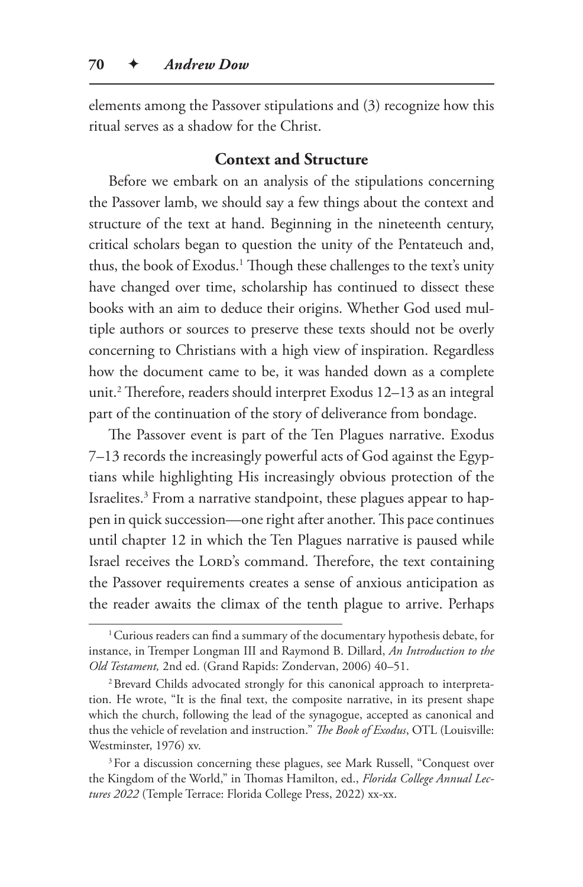elements among the Passover stipulations and (3) recognize how this ritual serves as a shadow for the Christ.

## **Context and Structure**

Before we embark on an analysis of the stipulations concerning the Passover lamb, we should say a few things about the context and structure of the text at hand. Beginning in the nineteenth century, critical scholars began to question the unity of the Pentateuch and, thus, the book of Exodus.1 Though these challenges to the text's unity have changed over time, scholarship has continued to dissect these books with an aim to deduce their origins. Whether God used multiple authors or sources to preserve these texts should not be overly concerning to Christians with a high view of inspiration. Regardless how the document came to be, it was handed down as a complete unit.2 Therefore, readers should interpret Exodus 12–13 as an integral part of the continuation of the story of deliverance from bondage.

The Passover event is part of the Ten Plagues narrative. Exodus 7–13 records the increasingly powerful acts of God against the Egyptians while highlighting His increasingly obvious protection of the Israelites.<sup>3</sup> From a narrative standpoint, these plagues appear to happen in quick succession—one right after another. This pace continues until chapter 12 in which the Ten Plagues narrative is paused while Israel receives the LORD's command. Therefore, the text containing the Passover requirements creates a sense of anxious anticipation as the reader awaits the climax of the tenth plague to arrive. Perhaps

<sup>&</sup>lt;sup>1</sup> Curious readers can find a summary of the documentary hypothesis debate, for instance, in Tremper Longman III and Raymond B. Dillard, *An Introduction to the Old Testament,* 2nd ed. (Grand Rapids: Zondervan, 2006) 40–51.

<sup>2</sup>Brevard Childs advocated strongly for this canonical approach to interpretation. He wrote, "It is the final text, the composite narrative, in its present shape which the church, following the lead of the synagogue, accepted as canonical and thus the vehicle of revelation and instruction." *The Book of Exodus*, OTL (Louisville: Westminster, 1976) xv.

<sup>&</sup>lt;sup>3</sup>For a discussion concerning these plagues, see Mark Russell, "Conquest over the Kingdom of the World," in Thomas Hamilton, ed., *Florida College Annual Lectures 2022* (Temple Terrace: Florida College Press, 2022) xx-xx.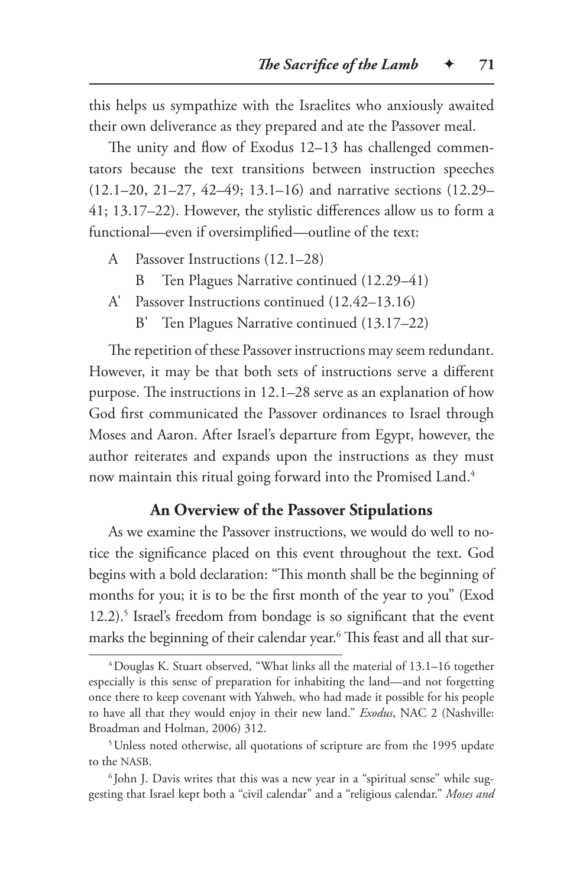this helps us sympathize with the Israelites who anxiously awaited their own deliverance as they prepared and ate the Passover meal.

The unity and flow of Exodus 12–13 has challenged commentators because the text transitions between instruction speeches (12.1–20, 21–27, 42–49; 13.1–16) and narrative sections (12.29– 41; 13.17–22). However, the stylistic differences allow us to form a functional—even if oversimplified—outline of the text:

- A Passover Instructions (12.1–28)
	- B Ten Plagues Narrative continued (12.29–41)
- A' Passover Instructions continued (12.42–13.16)
	- B' Ten Plagues Narrative continued (13.17–22)

The repetition of these Passover instructions may seem redundant. However, it may be that both sets of instructions serve a different purpose. The instructions in 12.1–28 serve as an explanation of how God first communicated the Passover ordinances to Israel through Moses and Aaron. After Israel's departure from Egypt, however, the author reiterates and expands upon the instructions as they must now maintain this ritual going forward into the Promised Land.<sup>4</sup>

## **An Overview of the Passover Stipulations**

As we examine the Passover instructions, we would do well to notice the significance placed on this event throughout the text. God begins with a bold declaration: "This month shall be the beginning of months for you; it is to be the first month of the year to you" (Exod 12.2).<sup>5</sup> Israel's freedom from bondage is so significant that the event marks the beginning of their calendar year.6 This feast and all that sur-

<sup>4</sup>Douglas K. Stuart observed, "What links all the material of 13.1–16 together especially is this sense of preparation for inhabiting the land—and not forgetting once there to keep covenant with Yahweh, who had made it possible for his people to have all that they would enjoy in their new land." *Exodus*, NAC 2 (Nashville: Broadman and Holman, 2006) 312.

<sup>&</sup>lt;sup>5</sup>Unless noted otherwise, all quotations of scripture are from the 1995 update to the NASB.

<sup>&</sup>lt;sup>6</sup> John J. Davis writes that this was a new year in a "spiritual sense" while suggesting that Israel kept both a "civil calendar" and a "religious calendar." *Moses and*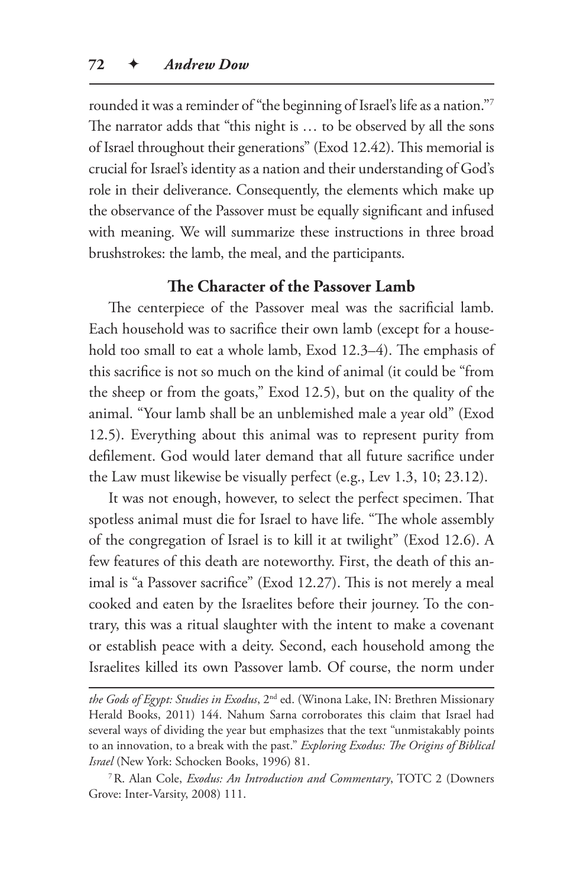rounded it was a reminder of "the beginning of Israel's life as a nation."7 The narrator adds that "this night is … to be observed by all the sons of Israel throughout their generations" (Exod 12.42). This memorial is crucial for Israel's identity as a nation and their understanding of God's role in their deliverance. Consequently, the elements which make up the observance of the Passover must be equally significant and infused with meaning. We will summarize these instructions in three broad brushstrokes: the lamb, the meal, and the participants.

### **The Character of the Passover Lamb**

The centerpiece of the Passover meal was the sacrificial lamb. Each household was to sacrifice their own lamb (except for a household too small to eat a whole lamb, Exod 12.3–4). The emphasis of this sacrifice is not so much on the kind of animal (it could be "from the sheep or from the goats," Exod 12.5), but on the quality of the animal. "Your lamb shall be an unblemished male a year old" (Exod 12.5). Everything about this animal was to represent purity from defilement. God would later demand that all future sacrifice under the Law must likewise be visually perfect (e.g., Lev 1.3, 10; 23.12).

It was not enough, however, to select the perfect specimen. That spotless animal must die for Israel to have life. "The whole assembly of the congregation of Israel is to kill it at twilight" (Exod 12.6). A few features of this death are noteworthy. First, the death of this animal is "a Passover sacrifice" (Exod 12.27). This is not merely a meal cooked and eaten by the Israelites before their journey. To the contrary, this was a ritual slaughter with the intent to make a covenant or establish peace with a deity. Second, each household among the Israelites killed its own Passover lamb. Of course, the norm under

*the Gods of Egypt: Studies in Exodus*, 2nd ed. (Winona Lake, IN: Brethren Missionary Herald Books, 2011) 144. Nahum Sarna corroborates this claim that Israel had several ways of dividing the year but emphasizes that the text "unmistakably points to an innovation, to a break with the past." *Exploring Exodus: The Origins of Biblical Israel* (New York: Schocken Books, 1996) 81.

<sup>7</sup>R. Alan Cole, *Exodus: An Introduction and Commentary*, TOTC 2 (Downers Grove: Inter-Varsity, 2008) 111.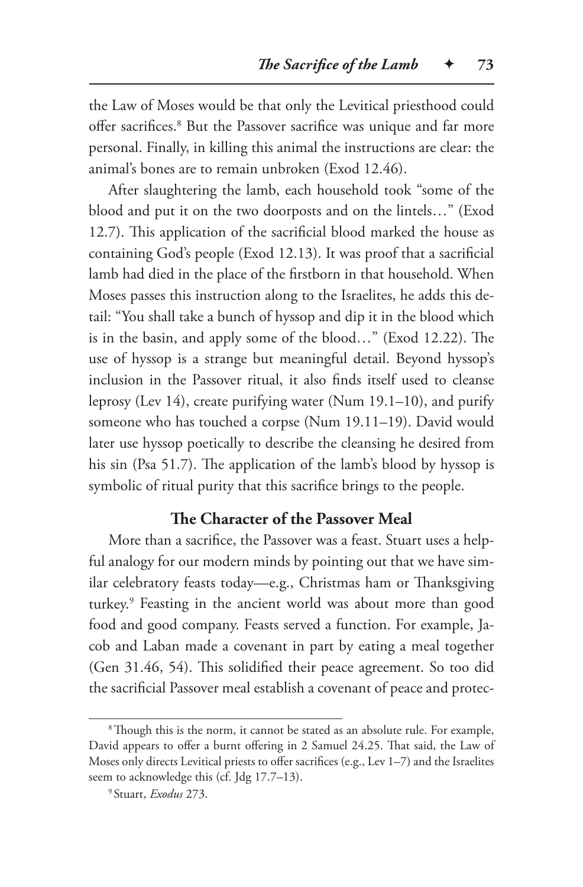the Law of Moses would be that only the Levitical priesthood could offer sacrifices.8 But the Passover sacrifice was unique and far more personal. Finally, in killing this animal the instructions are clear: the animal's bones are to remain unbroken (Exod 12.46).

After slaughtering the lamb, each household took "some of the blood and put it on the two doorposts and on the lintels…" (Exod 12.7). This application of the sacrificial blood marked the house as containing God's people (Exod 12.13). It was proof that a sacrificial lamb had died in the place of the firstborn in that household. When Moses passes this instruction along to the Israelites, he adds this detail: "You shall take a bunch of hyssop and dip it in the blood which is in the basin, and apply some of the blood…" (Exod 12.22). The use of hyssop is a strange but meaningful detail. Beyond hyssop's inclusion in the Passover ritual, it also finds itself used to cleanse leprosy (Lev 14), create purifying water (Num 19.1–10), and purify someone who has touched a corpse (Num 19.11–19). David would later use hyssop poetically to describe the cleansing he desired from his sin (Psa 51.7). The application of the lamb's blood by hyssop is symbolic of ritual purity that this sacrifice brings to the people.

# **The Character of the Passover Meal**

More than a sacrifice, the Passover was a feast. Stuart uses a helpful analogy for our modern minds by pointing out that we have similar celebratory feasts today—e.g., Christmas ham or Thanksgiving turkey.9 Feasting in the ancient world was about more than good food and good company. Feasts served a function. For example, Jacob and Laban made a covenant in part by eating a meal together (Gen 31.46, 54). This solidified their peace agreement. So too did the sacrificial Passover meal establish a covenant of peace and protec-

<sup>&</sup>lt;sup>8</sup>Though this is the norm, it cannot be stated as an absolute rule. For example, David appears to offer a burnt offering in 2 Samuel 24.25. That said, the Law of Moses only directs Levitical priests to offer sacrifices (e.g., Lev 1–7) and the Israelites seem to acknowledge this (cf. Jdg 17.7–13).

<sup>9</sup> Stuart, *Exodus* 273.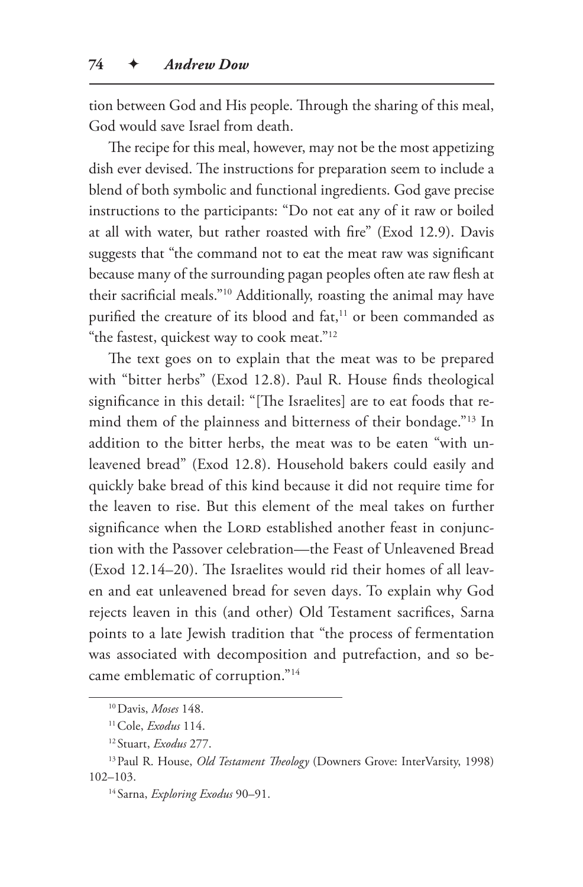tion between God and His people. Through the sharing of this meal, God would save Israel from death.

The recipe for this meal, however, may not be the most appetizing dish ever devised. The instructions for preparation seem to include a blend of both symbolic and functional ingredients. God gave precise instructions to the participants: "Do not eat any of it raw or boiled at all with water, but rather roasted with fire" (Exod 12.9). Davis suggests that "the command not to eat the meat raw was significant because many of the surrounding pagan peoples often ate raw flesh at their sacrificial meals."10 Additionally, roasting the animal may have purified the creature of its blood and fat,<sup>11</sup> or been commanded as "the fastest, quickest way to cook meat."12

The text goes on to explain that the meat was to be prepared with "bitter herbs" (Exod 12.8). Paul R. House finds theological significance in this detail: "[The Israelites] are to eat foods that remind them of the plainness and bitterness of their bondage."13 In addition to the bitter herbs, the meat was to be eaten "with unleavened bread" (Exod 12.8). Household bakers could easily and quickly bake bread of this kind because it did not require time for the leaven to rise. But this element of the meal takes on further significance when the LORD established another feast in conjunction with the Passover celebration—the Feast of Unleavened Bread (Exod 12.14–20). The Israelites would rid their homes of all leaven and eat unleavened bread for seven days. To explain why God rejects leaven in this (and other) Old Testament sacrifices, Sarna points to a late Jewish tradition that "the process of fermentation was associated with decomposition and putrefaction, and so became emblematic of corruption."14

<sup>10</sup>Davis, *Moses* 148.

<sup>11</sup>Cole, *Exodus* 114.

<sup>12</sup> Stuart, *Exodus* 277.

<sup>13</sup>Paul R. House, *Old Testament Theology* (Downers Grove: InterVarsity, 1998) 102–103.

<sup>14</sup> Sarna, *Exploring Exodus* 90–91.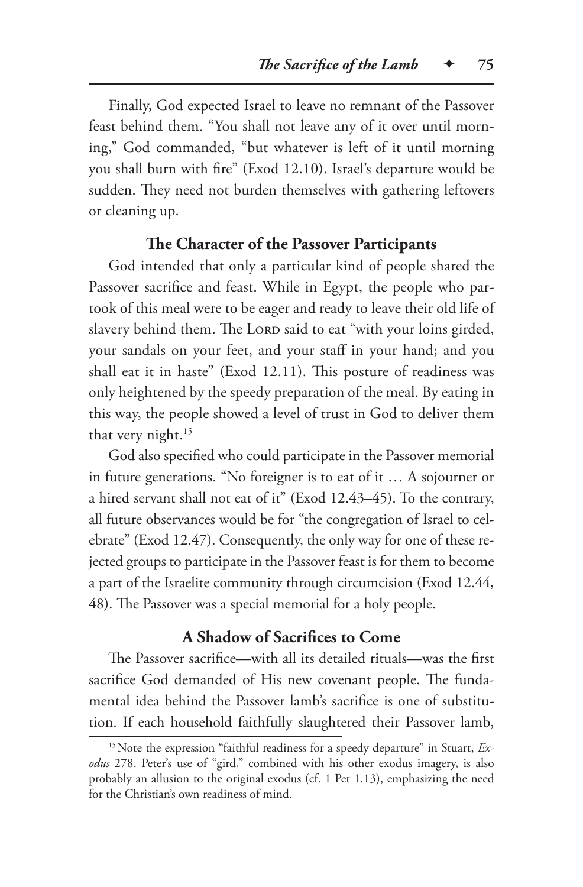Finally, God expected Israel to leave no remnant of the Passover feast behind them. "You shall not leave any of it over until morning," God commanded, "but whatever is left of it until morning you shall burn with fire" (Exod 12.10). Israel's departure would be sudden. They need not burden themselves with gathering leftovers or cleaning up.

## **The Character of the Passover Participants**

God intended that only a particular kind of people shared the Passover sacrifice and feast. While in Egypt, the people who partook of this meal were to be eager and ready to leave their old life of slavery behind them. The LORD said to eat "with your loins girded, your sandals on your feet, and your staff in your hand; and you shall eat it in haste" (Exod 12.11). This posture of readiness was only heightened by the speedy preparation of the meal. By eating in this way, the people showed a level of trust in God to deliver them that very night.<sup>15</sup>

God also specified who could participate in the Passover memorial in future generations. "No foreigner is to eat of it … A sojourner or a hired servant shall not eat of it" (Exod 12.43–45). To the contrary, all future observances would be for "the congregation of Israel to celebrate" (Exod 12.47). Consequently, the only way for one of these rejected groups to participate in the Passover feast is for them to become a part of the Israelite community through circumcision (Exod 12.44, 48). The Passover was a special memorial for a holy people.

#### **A Shadow of Sacrifices to Come**

The Passover sacrifice—with all its detailed rituals—was the first sacrifice God demanded of His new covenant people. The fundamental idea behind the Passover lamb's sacrifice is one of substitution. If each household faithfully slaughtered their Passover lamb,

<sup>&</sup>lt;sup>15</sup> Note the expression "faithful readiness for a speedy departure" in Stuart, *Exodus* 278. Peter's use of "gird," combined with his other exodus imagery, is also probably an allusion to the original exodus (cf. 1 Pet 1.13), emphasizing the need for the Christian's own readiness of mind.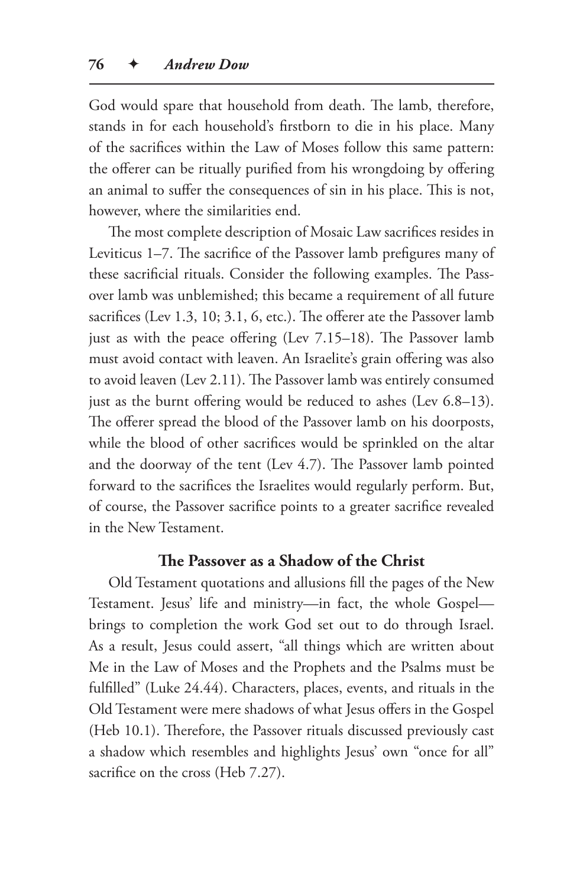God would spare that household from death. The lamb, therefore, stands in for each household's firstborn to die in his place. Many of the sacrifices within the Law of Moses follow this same pattern: the offerer can be ritually purified from his wrongdoing by offering an animal to suffer the consequences of sin in his place. This is not, however, where the similarities end.

The most complete description of Mosaic Law sacrifices resides in Leviticus 1–7. The sacrifice of the Passover lamb prefigures many of these sacrificial rituals. Consider the following examples. The Passover lamb was unblemished; this became a requirement of all future sacrifices (Lev 1.3, 10; 3.1, 6, etc.). The offerer ate the Passover lamb just as with the peace offering (Lev 7.15–18). The Passover lamb must avoid contact with leaven. An Israelite's grain offering was also to avoid leaven (Lev 2.11). The Passover lamb was entirely consumed just as the burnt offering would be reduced to ashes (Lev 6.8–13). The offerer spread the blood of the Passover lamb on his doorposts, while the blood of other sacrifices would be sprinkled on the altar and the doorway of the tent (Lev 4.7). The Passover lamb pointed forward to the sacrifices the Israelites would regularly perform. But, of course, the Passover sacrifice points to a greater sacrifice revealed in the New Testament.

#### **The Passover as a Shadow of the Christ**

Old Testament quotations and allusions fill the pages of the New Testament. Jesus' life and ministry—in fact, the whole Gospel brings to completion the work God set out to do through Israel. As a result, Jesus could assert, "all things which are written about Me in the Law of Moses and the Prophets and the Psalms must be fulfilled" (Luke 24.44). Characters, places, events, and rituals in the Old Testament were mere shadows of what Jesus offers in the Gospel (Heb 10.1). Therefore, the Passover rituals discussed previously cast a shadow which resembles and highlights Jesus' own "once for all" sacrifice on the cross (Heb 7.27).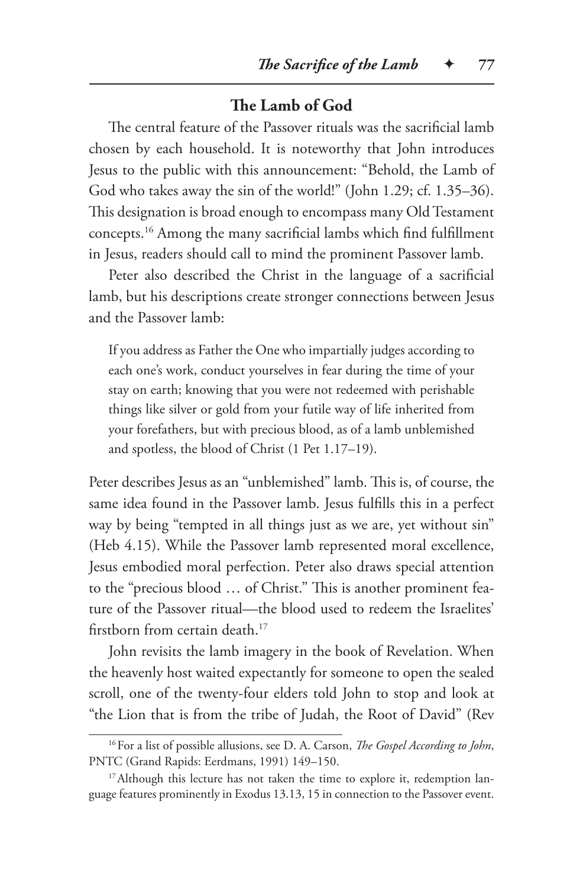#### **The Lamb of God**

The central feature of the Passover rituals was the sacrificial lamb chosen by each household. It is noteworthy that John introduces Jesus to the public with this announcement: "Behold, the Lamb of God who takes away the sin of the world!" (John 1.29; cf. 1.35–36). This designation is broad enough to encompass many Old Testament concepts.16 Among the many sacrificial lambs which find fulfillment in Jesus, readers should call to mind the prominent Passover lamb.

Peter also described the Christ in the language of a sacrificial lamb, but his descriptions create stronger connections between Jesus and the Passover lamb:

If you address as Father the One who impartially judges according to each one's work, conduct yourselves in fear during the time of your stay on earth; knowing that you were not redeemed with perishable things like silver or gold from your futile way of life inherited from your forefathers, but with precious blood, as of a lamb unblemished and spotless, the blood of Christ (1 Pet 1.17–19).

Peter describes Jesus as an "unblemished" lamb. This is, of course, the same idea found in the Passover lamb. Jesus fulfills this in a perfect way by being "tempted in all things just as we are, yet without sin" (Heb 4.15). While the Passover lamb represented moral excellence, Jesus embodied moral perfection. Peter also draws special attention to the "precious blood … of Christ." This is another prominent feature of the Passover ritual—the blood used to redeem the Israelites' firstborn from certain death.<sup>17</sup>

John revisits the lamb imagery in the book of Revelation. When the heavenly host waited expectantly for someone to open the sealed scroll, one of the twenty-four elders told John to stop and look at "the Lion that is from the tribe of Judah, the Root of David" (Rev

<sup>16</sup>For a list of possible allusions, see D. A. Carson, *The Gospel According to John*, PNTC (Grand Rapids: Eerdmans, 1991) 149–150.

<sup>&</sup>lt;sup>17</sup> Although this lecture has not taken the time to explore it, redemption language features prominently in Exodus 13.13, 15 in connection to the Passover event.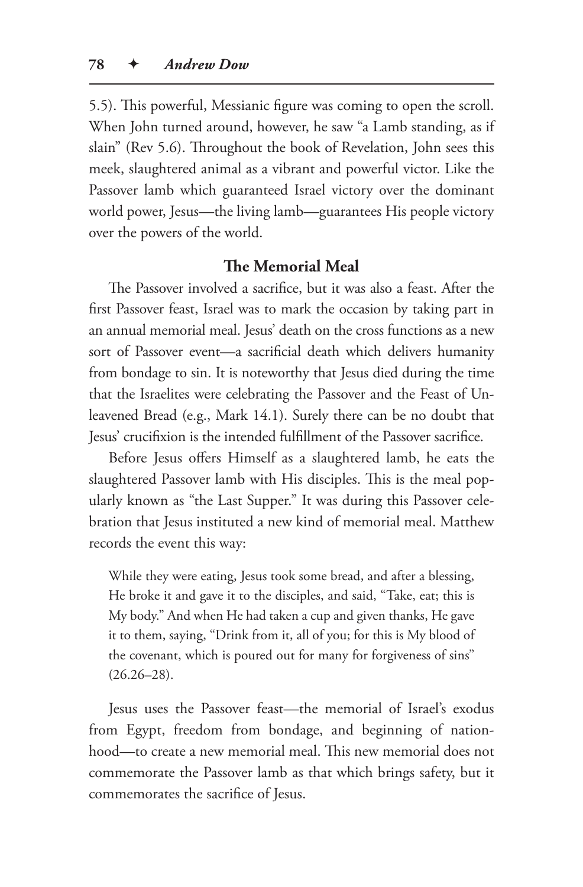5.5). This powerful, Messianic figure was coming to open the scroll. When John turned around, however, he saw "a Lamb standing, as if slain" (Rev 5.6). Throughout the book of Revelation, John sees this meek, slaughtered animal as a vibrant and powerful victor. Like the Passover lamb which guaranteed Israel victory over the dominant world power, Jesus—the living lamb—guarantees His people victory over the powers of the world.

#### **The Memorial Meal**

The Passover involved a sacrifice, but it was also a feast. After the first Passover feast, Israel was to mark the occasion by taking part in an annual memorial meal. Jesus' death on the cross functions as a new sort of Passover event—a sacrificial death which delivers humanity from bondage to sin. It is noteworthy that Jesus died during the time that the Israelites were celebrating the Passover and the Feast of Unleavened Bread (e.g., Mark 14.1). Surely there can be no doubt that Jesus' crucifixion is the intended fulfillment of the Passover sacrifice.

Before Jesus offers Himself as a slaughtered lamb, he eats the slaughtered Passover lamb with His disciples. This is the meal popularly known as "the Last Supper." It was during this Passover celebration that Jesus instituted a new kind of memorial meal. Matthew records the event this way:

While they were eating, Jesus took some bread, and after a blessing, He broke it and gave it to the disciples, and said, "Take, eat; this is My body." And when He had taken a cup and given thanks, He gave it to them, saying, "Drink from it, all of you; for this is My blood of the covenant, which is poured out for many for forgiveness of sins"  $(26.26 - 28)$ .

Jesus uses the Passover feast—the memorial of Israel's exodus from Egypt, freedom from bondage, and beginning of nationhood—to create a new memorial meal. This new memorial does not commemorate the Passover lamb as that which brings safety, but it commemorates the sacrifice of Jesus.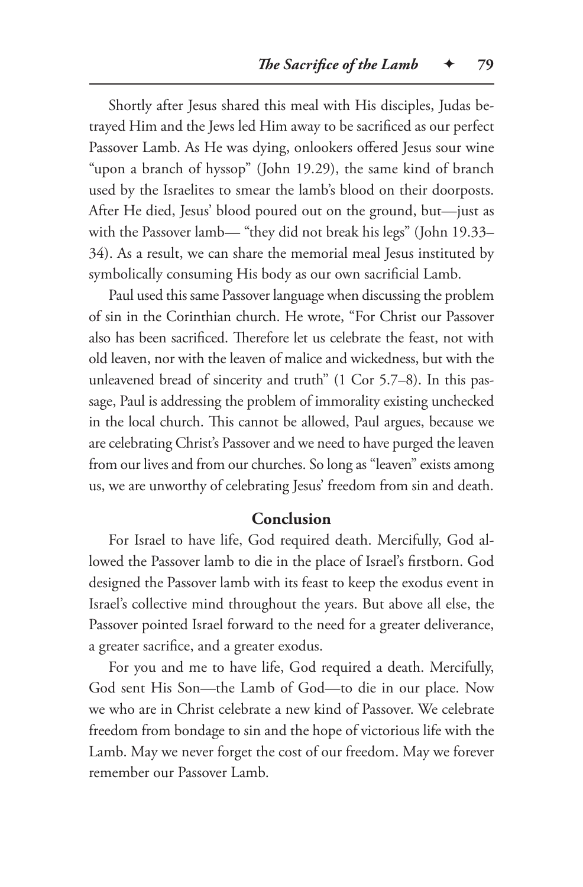Shortly after Jesus shared this meal with His disciples, Judas betrayed Him and the Jews led Him away to be sacrificed as our perfect Passover Lamb. As He was dying, onlookers offered Jesus sour wine "upon a branch of hyssop" (John 19.29), the same kind of branch used by the Israelites to smear the lamb's blood on their doorposts. After He died, Jesus' blood poured out on the ground, but—just as with the Passover lamb— "they did not break his legs" (John 19.33– 34). As a result, we can share the memorial meal Jesus instituted by symbolically consuming His body as our own sacrificial Lamb.

Paul used this same Passover language when discussing the problem of sin in the Corinthian church. He wrote, "For Christ our Passover also has been sacrificed. Therefore let us celebrate the feast, not with old leaven, nor with the leaven of malice and wickedness, but with the unleavened bread of sincerity and truth" (1 Cor 5.7–8). In this passage, Paul is addressing the problem of immorality existing unchecked in the local church. This cannot be allowed, Paul argues, because we are celebrating Christ's Passover and we need to have purged the leaven from our lives and from our churches. So long as "leaven" exists among us, we are unworthy of celebrating Jesus' freedom from sin and death.

#### **Conclusion**

For Israel to have life, God required death. Mercifully, God allowed the Passover lamb to die in the place of Israel's firstborn. God designed the Passover lamb with its feast to keep the exodus event in Israel's collective mind throughout the years. But above all else, the Passover pointed Israel forward to the need for a greater deliverance, a greater sacrifice, and a greater exodus.

For you and me to have life, God required a death. Mercifully, God sent His Son—the Lamb of God—to die in our place. Now we who are in Christ celebrate a new kind of Passover. We celebrate freedom from bondage to sin and the hope of victorious life with the Lamb. May we never forget the cost of our freedom. May we forever remember our Passover Lamb.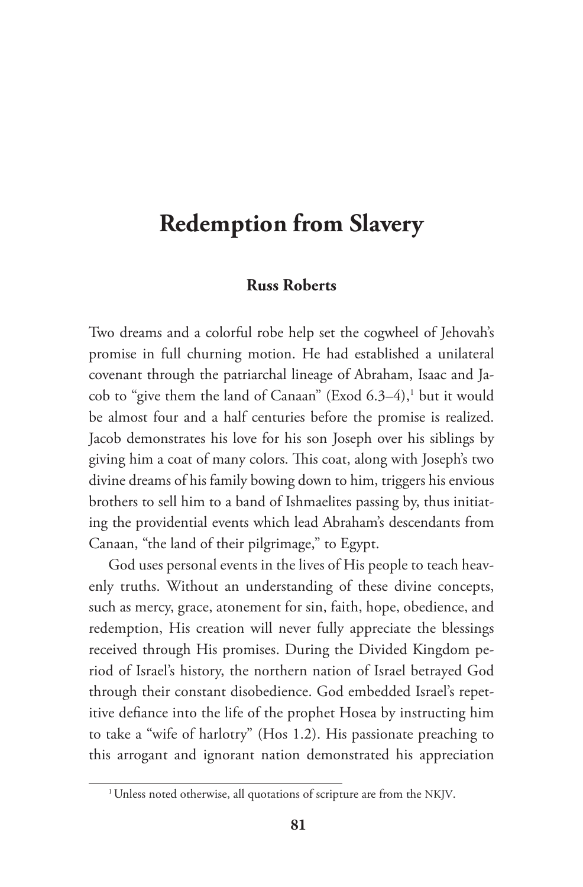# **Redemption from Slavery**

#### **Russ Roberts**

Two dreams and a colorful robe help set the cogwheel of Jehovah's promise in full churning motion. He had established a unilateral covenant through the patriarchal lineage of Abraham, Isaac and Jacob to "give them the land of Canaan" (Exod 6.3–4),<sup>1</sup> but it would be almost four and a half centuries before the promise is realized. Jacob demonstrates his love for his son Joseph over his siblings by giving him a coat of many colors. This coat, along with Joseph's two divine dreams of his family bowing down to him, triggers his envious brothers to sell him to a band of Ishmaelites passing by, thus initiating the providential events which lead Abraham's descendants from Canaan, "the land of their pilgrimage," to Egypt.

God uses personal events in the lives of His people to teach heavenly truths. Without an understanding of these divine concepts, such as mercy, grace, atonement for sin, faith, hope, obedience, and redemption, His creation will never fully appreciate the blessings received through His promises. During the Divided Kingdom period of Israel's history, the northern nation of Israel betrayed God through their constant disobedience. God embedded Israel's repetitive defiance into the life of the prophet Hosea by instructing him to take a "wife of harlotry" (Hos 1.2). His passionate preaching to this arrogant and ignorant nation demonstrated his appreciation

<sup>&</sup>lt;sup>1</sup> Unless noted otherwise, all quotations of scripture are from the NKJV.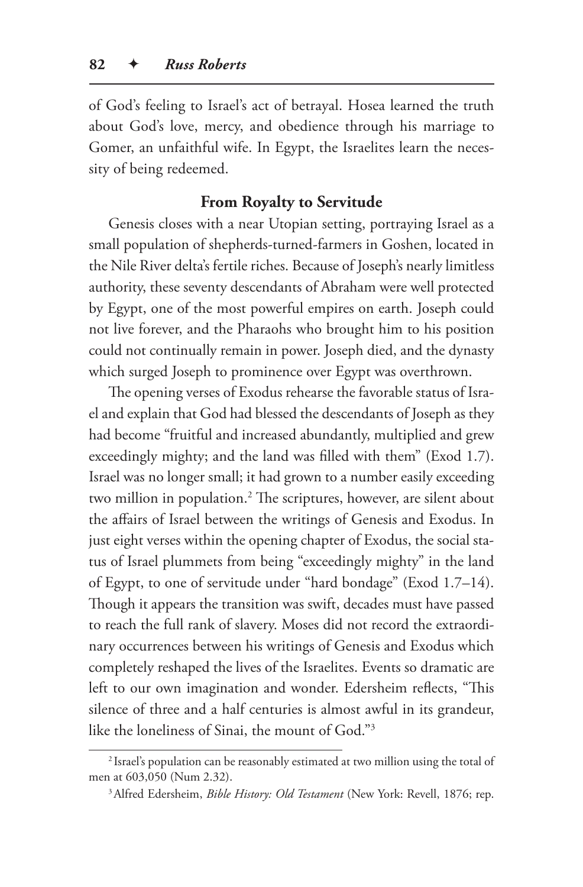of God's feeling to Israel's act of betrayal. Hosea learned the truth about God's love, mercy, and obedience through his marriage to Gomer, an unfaithful wife. In Egypt, the Israelites learn the necessity of being redeemed.

## **From Royalty to Servitude**

Genesis closes with a near Utopian setting, portraying Israel as a small population of shepherds-turned-farmers in Goshen, located in the Nile River delta's fertile riches. Because of Joseph's nearly limitless authority, these seventy descendants of Abraham were well protected by Egypt, one of the most powerful empires on earth. Joseph could not live forever, and the Pharaohs who brought him to his position could not continually remain in power. Joseph died, and the dynasty which surged Joseph to prominence over Egypt was overthrown.

The opening verses of Exodus rehearse the favorable status of Israel and explain that God had blessed the descendants of Joseph as they had become "fruitful and increased abundantly, multiplied and grew exceedingly mighty; and the land was filled with them" (Exod 1.7). Israel was no longer small; it had grown to a number easily exceeding two million in population.2 The scriptures, however, are silent about the affairs of Israel between the writings of Genesis and Exodus. In just eight verses within the opening chapter of Exodus, the social status of Israel plummets from being "exceedingly mighty" in the land of Egypt, to one of servitude under "hard bondage" (Exod 1.7–14). Though it appears the transition was swift, decades must have passed to reach the full rank of slavery. Moses did not record the extraordinary occurrences between his writings of Genesis and Exodus which completely reshaped the lives of the Israelites. Events so dramatic are left to our own imagination and wonder. Edersheim reflects, "This silence of three and a half centuries is almost awful in its grandeur, like the loneliness of Sinai, the mount of God."3

<sup>2</sup> Israel's population can be reasonably estimated at two million using the total of men at 603,050 (Num 2.32).

<sup>3</sup>Alfred Edersheim, *Bible History: Old Testament* (New York: Revell, 1876; rep.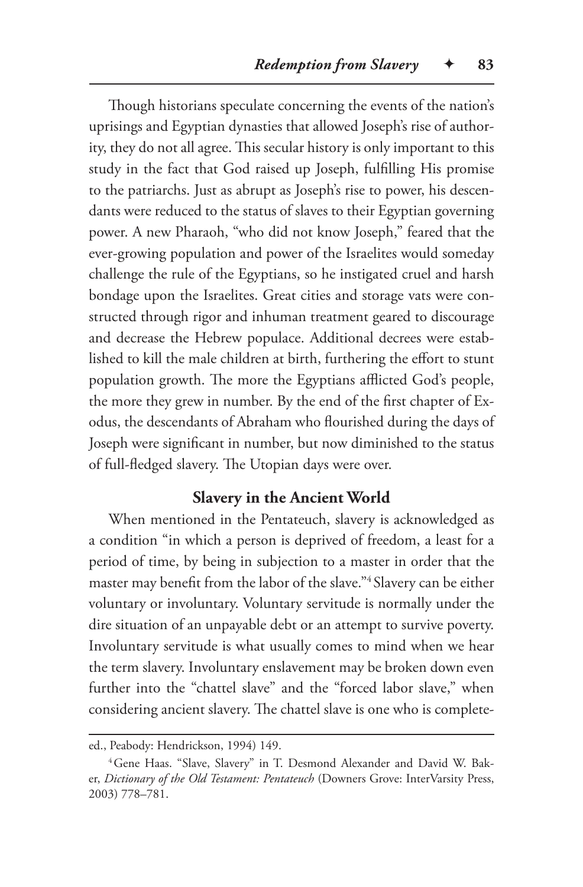Though historians speculate concerning the events of the nation's uprisings and Egyptian dynasties that allowed Joseph's rise of authority, they do not all agree. This secular history is only important to this study in the fact that God raised up Joseph, fulfilling His promise to the patriarchs. Just as abrupt as Joseph's rise to power, his descendants were reduced to the status of slaves to their Egyptian governing power. A new Pharaoh, "who did not know Joseph," feared that the ever-growing population and power of the Israelites would someday challenge the rule of the Egyptians, so he instigated cruel and harsh bondage upon the Israelites. Great cities and storage vats were constructed through rigor and inhuman treatment geared to discourage and decrease the Hebrew populace. Additional decrees were established to kill the male children at birth, furthering the effort to stunt population growth. The more the Egyptians afflicted God's people, the more they grew in number. By the end of the first chapter of Exodus, the descendants of Abraham who flourished during the days of Joseph were significant in number, but now diminished to the status of full-fledged slavery. The Utopian days were over.

## **Slavery in the Ancient World**

When mentioned in the Pentateuch, slavery is acknowledged as a condition "in which a person is deprived of freedom, a least for a period of time, by being in subjection to a master in order that the master may benefit from the labor of the slave."<sup>4</sup> Slavery can be either voluntary or involuntary. Voluntary servitude is normally under the dire situation of an unpayable debt or an attempt to survive poverty. Involuntary servitude is what usually comes to mind when we hear the term slavery. Involuntary enslavement may be broken down even further into the "chattel slave" and the "forced labor slave," when considering ancient slavery. The chattel slave is one who is complete-

ed., Peabody: Hendrickson, 1994) 149.

<sup>&</sup>lt;sup>4</sup> Gene Haas. "Slave, Slavery" in T. Desmond Alexander and David W. Baker, *Dictionary of the Old Testament: Pentateuch* (Downers Grove: InterVarsity Press, 2003) 778–781.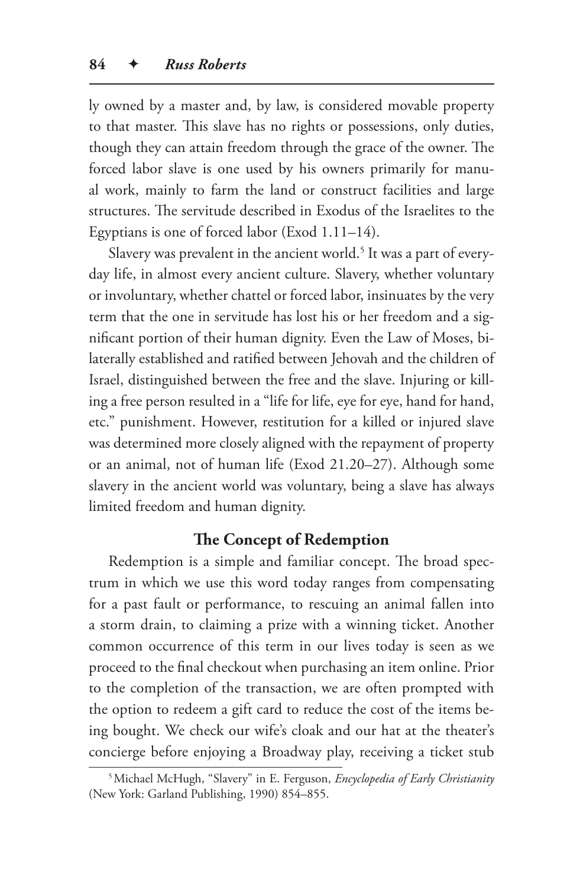ly owned by a master and, by law, is considered movable property to that master. This slave has no rights or possessions, only duties, though they can attain freedom through the grace of the owner. The forced labor slave is one used by his owners primarily for manual work, mainly to farm the land or construct facilities and large structures. The servitude described in Exodus of the Israelites to the Egyptians is one of forced labor (Exod 1.11–14).

Slavery was prevalent in the ancient world.<sup>5</sup> It was a part of everyday life, in almost every ancient culture. Slavery, whether voluntary or involuntary, whether chattel or forced labor, insinuates by the very term that the one in servitude has lost his or her freedom and a significant portion of their human dignity. Even the Law of Moses, bilaterally established and ratified between Jehovah and the children of Israel, distinguished between the free and the slave. Injuring or killing a free person resulted in a "life for life, eye for eye, hand for hand, etc." punishment. However, restitution for a killed or injured slave was determined more closely aligned with the repayment of property or an animal, not of human life (Exod 21.20–27). Although some slavery in the ancient world was voluntary, being a slave has always limited freedom and human dignity.

#### **The Concept of Redemption**

Redemption is a simple and familiar concept. The broad spectrum in which we use this word today ranges from compensating for a past fault or performance, to rescuing an animal fallen into a storm drain, to claiming a prize with a winning ticket. Another common occurrence of this term in our lives today is seen as we proceed to the final checkout when purchasing an item online. Prior to the completion of the transaction, we are often prompted with the option to redeem a gift card to reduce the cost of the items being bought. We check our wife's cloak and our hat at the theater's concierge before enjoying a Broadway play, receiving a ticket stub

<sup>5</sup>Michael McHugh, "Slavery" in E. Ferguson, *Encyclopedia of Early Christianity* (New York: Garland Publishing, 1990) 854–855.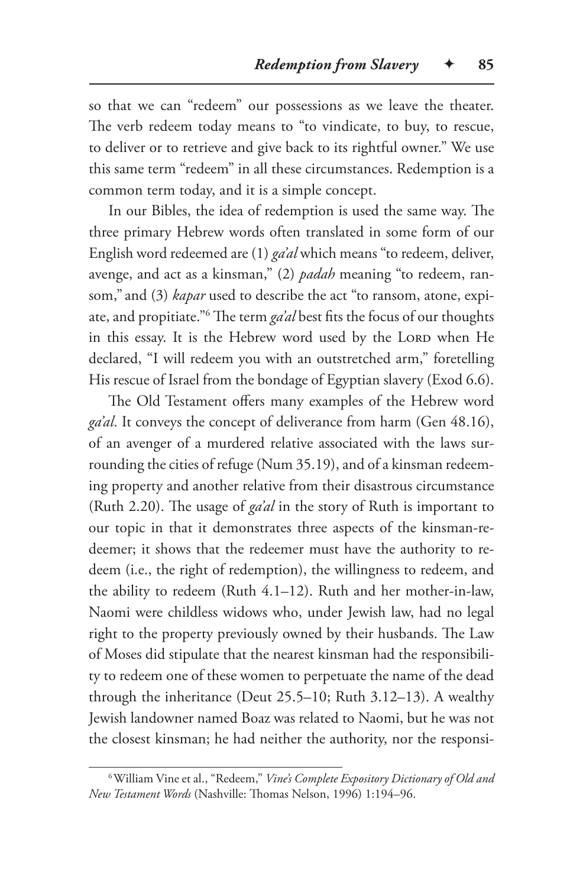so that we can "redeem" our possessions as we leave the theater. The verb redeem today means to "to vindicate, to buy, to rescue, to deliver or to retrieve and give back to its rightful owner." We use this same term "redeem" in all these circumstances. Redemption is a common term today, and it is a simple concept.

In our Bibles, the idea of redemption is used the same way. The three primary Hebrew words often translated in some form of our English word redeemed are (1) *ga'al* which means "to redeem, deliver, avenge, and act as a kinsman," (2) *padah* meaning "to redeem, ransom," and (3) *kapar* used to describe the act "to ransom, atone, expiate, and propitiate."6 The term *ga'al* best fits the focus of our thoughts in this essay. It is the Hebrew word used by the LORD when He declared, "I will redeem you with an outstretched arm," foretelling His rescue of Israel from the bondage of Egyptian slavery (Exod 6.6).

The Old Testament offers many examples of the Hebrew word *ga'al*. It conveys the concept of deliverance from harm (Gen 48.16), of an avenger of a murdered relative associated with the laws surrounding the cities of refuge (Num 35.19), and of a kinsman redeeming property and another relative from their disastrous circumstance (Ruth 2.20). The usage of *ga'al* in the story of Ruth is important to our topic in that it demonstrates three aspects of the kinsman-redeemer; it shows that the redeemer must have the authority to redeem (i.e., the right of redemption), the willingness to redeem, and the ability to redeem (Ruth 4.1–12). Ruth and her mother-in-law, Naomi were childless widows who, under Jewish law, had no legal right to the property previously owned by their husbands. The Law of Moses did stipulate that the nearest kinsman had the responsibility to redeem one of these women to perpetuate the name of the dead through the inheritance (Deut 25.5–10; Ruth 3.12–13). A wealthy Jewish landowner named Boaz was related to Naomi, but he was not the closest kinsman; he had neither the authority, nor the responsi-

<sup>6</sup>William Vine et al., "Redeem," *Vine's Complete Expository Dictionary of Old and New Testament Words* (Nashville: Thomas Nelson, 1996) 1:194–96.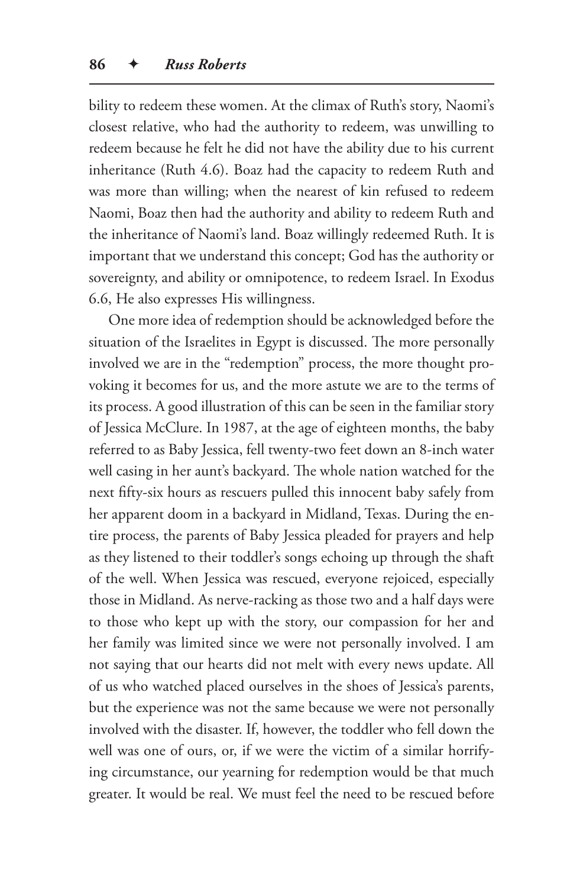bility to redeem these women. At the climax of Ruth's story, Naomi's closest relative, who had the authority to redeem, was unwilling to redeem because he felt he did not have the ability due to his current inheritance (Ruth 4.6). Boaz had the capacity to redeem Ruth and was more than willing; when the nearest of kin refused to redeem Naomi, Boaz then had the authority and ability to redeem Ruth and the inheritance of Naomi's land. Boaz willingly redeemed Ruth. It is important that we understand this concept; God has the authority or sovereignty, and ability or omnipotence, to redeem Israel. In Exodus 6.6, He also expresses His willingness.

One more idea of redemption should be acknowledged before the situation of the Israelites in Egypt is discussed. The more personally involved we are in the "redemption" process, the more thought provoking it becomes for us, and the more astute we are to the terms of its process. A good illustration of this can be seen in the familiar story of Jessica McClure. In 1987, at the age of eighteen months, the baby referred to as Baby Jessica, fell twenty-two feet down an 8-inch water well casing in her aunt's backyard. The whole nation watched for the next fifty-six hours as rescuers pulled this innocent baby safely from her apparent doom in a backyard in Midland, Texas. During the entire process, the parents of Baby Jessica pleaded for prayers and help as they listened to their toddler's songs echoing up through the shaft of the well. When Jessica was rescued, everyone rejoiced, especially those in Midland. As nerve-racking as those two and a half days were to those who kept up with the story, our compassion for her and her family was limited since we were not personally involved. I am not saying that our hearts did not melt with every news update. All of us who watched placed ourselves in the shoes of Jessica's parents, but the experience was not the same because we were not personally involved with the disaster. If, however, the toddler who fell down the well was one of ours, or, if we were the victim of a similar horrifying circumstance, our yearning for redemption would be that much greater. It would be real. We must feel the need to be rescued before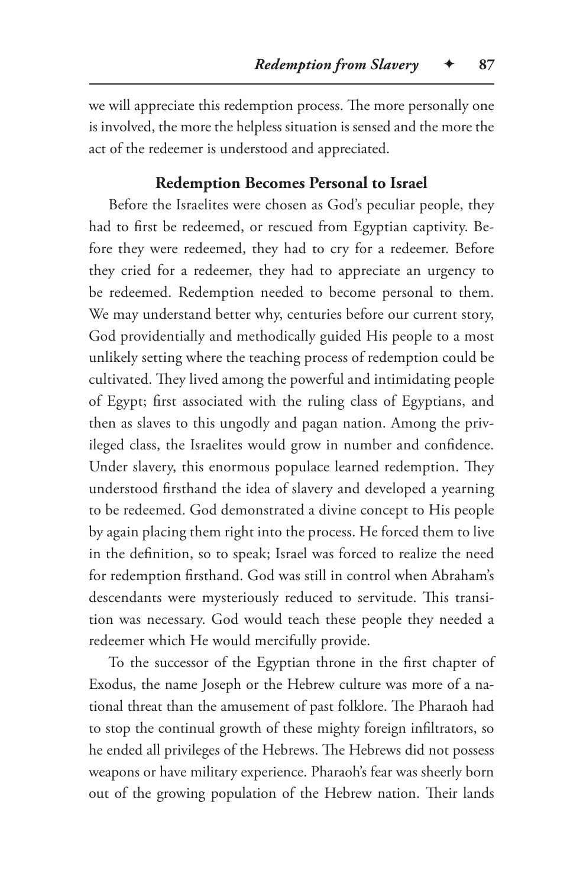we will appreciate this redemption process. The more personally one is involved, the more the helpless situation is sensed and the more the act of the redeemer is understood and appreciated.

#### **Redemption Becomes Personal to Israel**

Before the Israelites were chosen as God's peculiar people, they had to first be redeemed, or rescued from Egyptian captivity. Before they were redeemed, they had to cry for a redeemer. Before they cried for a redeemer, they had to appreciate an urgency to be redeemed. Redemption needed to become personal to them. We may understand better why, centuries before our current story, God providentially and methodically guided His people to a most unlikely setting where the teaching process of redemption could be cultivated. They lived among the powerful and intimidating people of Egypt; first associated with the ruling class of Egyptians, and then as slaves to this ungodly and pagan nation. Among the privileged class, the Israelites would grow in number and confidence. Under slavery, this enormous populace learned redemption. They understood firsthand the idea of slavery and developed a yearning to be redeemed. God demonstrated a divine concept to His people by again placing them right into the process. He forced them to live in the definition, so to speak; Israel was forced to realize the need for redemption firsthand. God was still in control when Abraham's descendants were mysteriously reduced to servitude. This transition was necessary. God would teach these people they needed a redeemer which He would mercifully provide.

To the successor of the Egyptian throne in the first chapter of Exodus, the name Joseph or the Hebrew culture was more of a national threat than the amusement of past folklore. The Pharaoh had to stop the continual growth of these mighty foreign infiltrators, so he ended all privileges of the Hebrews. The Hebrews did not possess weapons or have military experience. Pharaoh's fear was sheerly born out of the growing population of the Hebrew nation. Their lands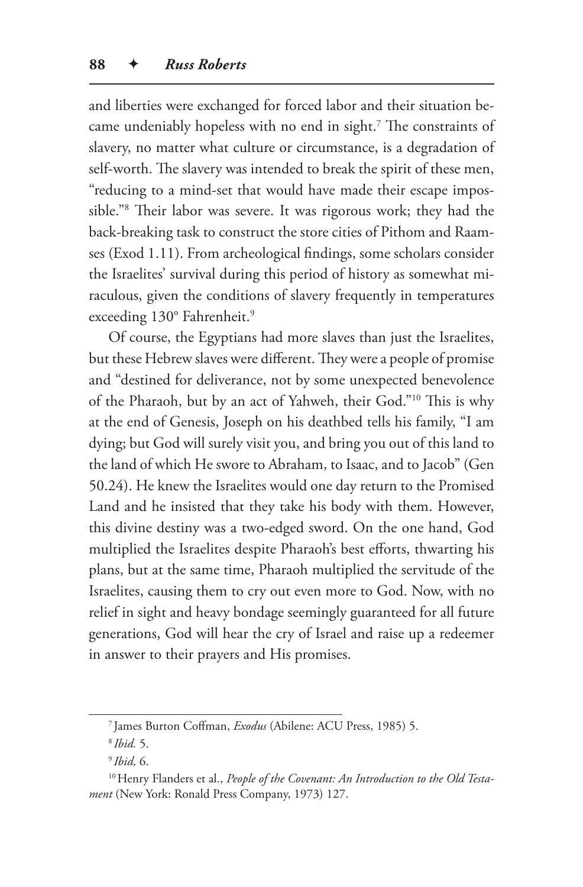and liberties were exchanged for forced labor and their situation became undeniably hopeless with no end in sight.7 The constraints of slavery, no matter what culture or circumstance, is a degradation of self-worth. The slavery was intended to break the spirit of these men, "reducing to a mind-set that would have made their escape impossible."8 Their labor was severe. It was rigorous work; they had the back-breaking task to construct the store cities of Pithom and Raamses (Exod 1.11). From archeological findings, some scholars consider the Israelites' survival during this period of history as somewhat miraculous, given the conditions of slavery frequently in temperatures exceeding 130° Fahrenheit.<sup>9</sup>

Of course, the Egyptians had more slaves than just the Israelites, but these Hebrew slaves were different. They were a people of promise and "destined for deliverance, not by some unexpected benevolence of the Pharaoh, but by an act of Yahweh, their God."10 This is why at the end of Genesis, Joseph on his deathbed tells his family, "I am dying; but God will surely visit you, and bring you out of this land to the land of which He swore to Abraham, to Isaac, and to Jacob" (Gen 50.24). He knew the Israelites would one day return to the Promised Land and he insisted that they take his body with them. However, this divine destiny was a two-edged sword. On the one hand, God multiplied the Israelites despite Pharaoh's best efforts, thwarting his plans, but at the same time, Pharaoh multiplied the servitude of the Israelites, causing them to cry out even more to God. Now, with no relief in sight and heavy bondage seemingly guaranteed for all future generations, God will hear the cry of Israel and raise up a redeemer in answer to their prayers and His promises.

<sup>7</sup> James Burton Coffman, *Exodus* (Abilene: ACU Press, 1985) 5.

<sup>8</sup> *Ibid.* 5.

<sup>9</sup> *Ibid,* 6.

<sup>&</sup>lt;sup>10</sup> Henry Flanders et al., *People of the Covenant: An Introduction to the Old Testament* (New York: Ronald Press Company, 1973) 127.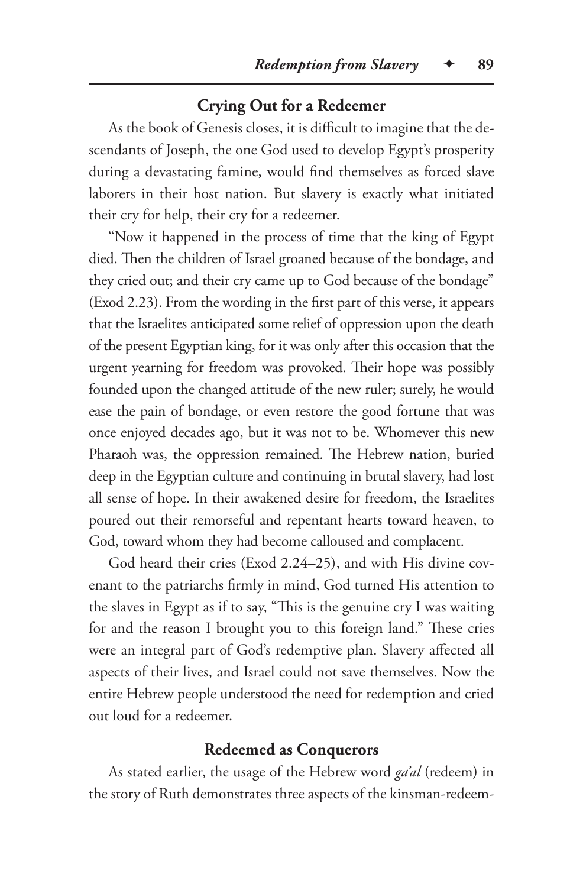## **Crying Out for a Redeemer**

As the book of Genesis closes, it is difficult to imagine that the descendants of Joseph, the one God used to develop Egypt's prosperity during a devastating famine, would find themselves as forced slave laborers in their host nation. But slavery is exactly what initiated their cry for help, their cry for a redeemer.

"Now it happened in the process of time that the king of Egypt died. Then the children of Israel groaned because of the bondage, and they cried out; and their cry came up to God because of the bondage" (Exod 2.23). From the wording in the first part of this verse, it appears that the Israelites anticipated some relief of oppression upon the death of the present Egyptian king, for it was only after this occasion that the urgent yearning for freedom was provoked. Their hope was possibly founded upon the changed attitude of the new ruler; surely, he would ease the pain of bondage, or even restore the good fortune that was once enjoyed decades ago, but it was not to be. Whomever this new Pharaoh was, the oppression remained. The Hebrew nation, buried deep in the Egyptian culture and continuing in brutal slavery, had lost all sense of hope. In their awakened desire for freedom, the Israelites poured out their remorseful and repentant hearts toward heaven, to God, toward whom they had become calloused and complacent.

God heard their cries (Exod 2.24–25), and with His divine covenant to the patriarchs firmly in mind, God turned His attention to the slaves in Egypt as if to say, "This is the genuine cry I was waiting for and the reason I brought you to this foreign land." These cries were an integral part of God's redemptive plan. Slavery affected all aspects of their lives, and Israel could not save themselves. Now the entire Hebrew people understood the need for redemption and cried out loud for a redeemer.

#### **Redeemed as Conquerors**

As stated earlier, the usage of the Hebrew word *ga'al* (redeem) in the story of Ruth demonstrates three aspects of the kinsman-redeem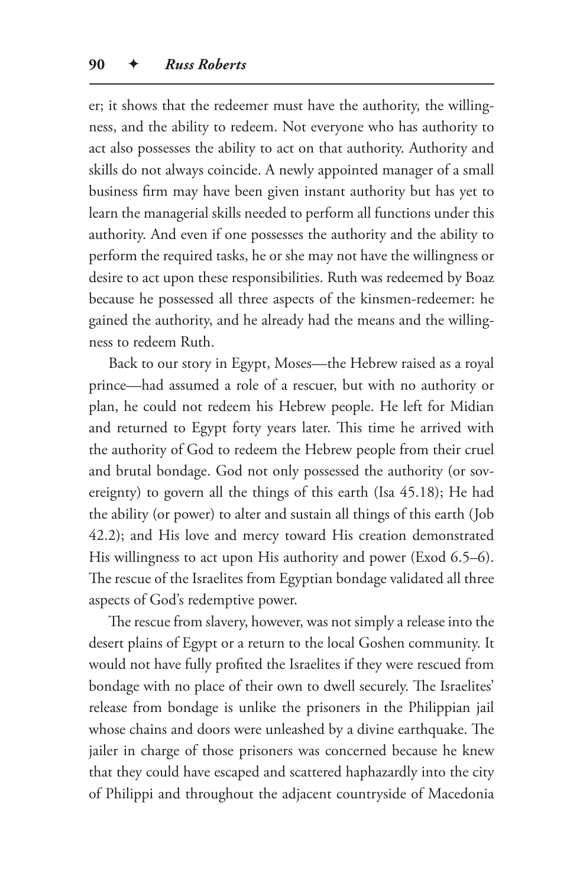er; it shows that the redeemer must have the authority, the willingness, and the ability to redeem. Not everyone who has authority to act also possesses the ability to act on that authority. Authority and skills do not always coincide. A newly appointed manager of a small business firm may have been given instant authority but has yet to learn the managerial skills needed to perform all functions under this authority. And even if one possesses the authority and the ability to perform the required tasks, he or she may not have the willingness or desire to act upon these responsibilities. Ruth was redeemed by Boaz because he possessed all three aspects of the kinsmen-redeemer: he gained the authority, and he already had the means and the willingness to redeem Ruth.

Back to our story in Egypt, Moses—the Hebrew raised as a royal prince—had assumed a role of a rescuer, but with no authority or plan, he could not redeem his Hebrew people. He left for Midian and returned to Egypt forty years later. This time he arrived with the authority of God to redeem the Hebrew people from their cruel and brutal bondage. God not only possessed the authority (or sovereignty) to govern all the things of this earth (Isa 45.18); He had the ability (or power) to alter and sustain all things of this earth (Job 42.2); and His love and mercy toward His creation demonstrated His willingness to act upon His authority and power (Exod 6.5–6). The rescue of the Israelites from Egyptian bondage validated all three aspects of God's redemptive power.

The rescue from slavery, however, was not simply a release into the desert plains of Egypt or a return to the local Goshen community. It would not have fully profited the Israelites if they were rescued from bondage with no place of their own to dwell securely. The Israelites' release from bondage is unlike the prisoners in the Philippian jail whose chains and doors were unleashed by a divine earthquake. The jailer in charge of those prisoners was concerned because he knew that they could have escaped and scattered haphazardly into the city of Philippi and throughout the adjacent countryside of Macedonia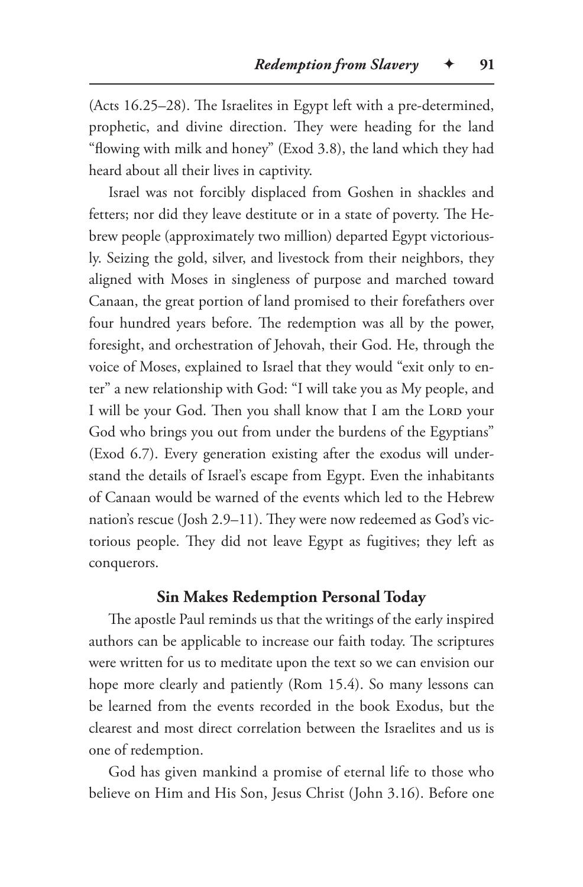(Acts 16.25–28). The Israelites in Egypt left with a pre-determined, prophetic, and divine direction. They were heading for the land "flowing with milk and honey" (Exod 3.8), the land which they had heard about all their lives in captivity.

Israel was not forcibly displaced from Goshen in shackles and fetters; nor did they leave destitute or in a state of poverty. The Hebrew people (approximately two million) departed Egypt victoriously. Seizing the gold, silver, and livestock from their neighbors, they aligned with Moses in singleness of purpose and marched toward Canaan, the great portion of land promised to their forefathers over four hundred years before. The redemption was all by the power, foresight, and orchestration of Jehovah, their God. He, through the voice of Moses, explained to Israel that they would "exit only to enter" a new relationship with God: "I will take you as My people, and I will be your God. Then you shall know that I am the LORD your God who brings you out from under the burdens of the Egyptians" (Exod 6.7). Every generation existing after the exodus will understand the details of Israel's escape from Egypt. Even the inhabitants of Canaan would be warned of the events which led to the Hebrew nation's rescue (Josh 2.9–11). They were now redeemed as God's victorious people. They did not leave Egypt as fugitives; they left as conquerors.

#### **Sin Makes Redemption Personal Today**

The apostle Paul reminds us that the writings of the early inspired authors can be applicable to increase our faith today. The scriptures were written for us to meditate upon the text so we can envision our hope more clearly and patiently (Rom 15.4). So many lessons can be learned from the events recorded in the book Exodus, but the clearest and most direct correlation between the Israelites and us is one of redemption.

God has given mankind a promise of eternal life to those who believe on Him and His Son, Jesus Christ (John 3.16). Before one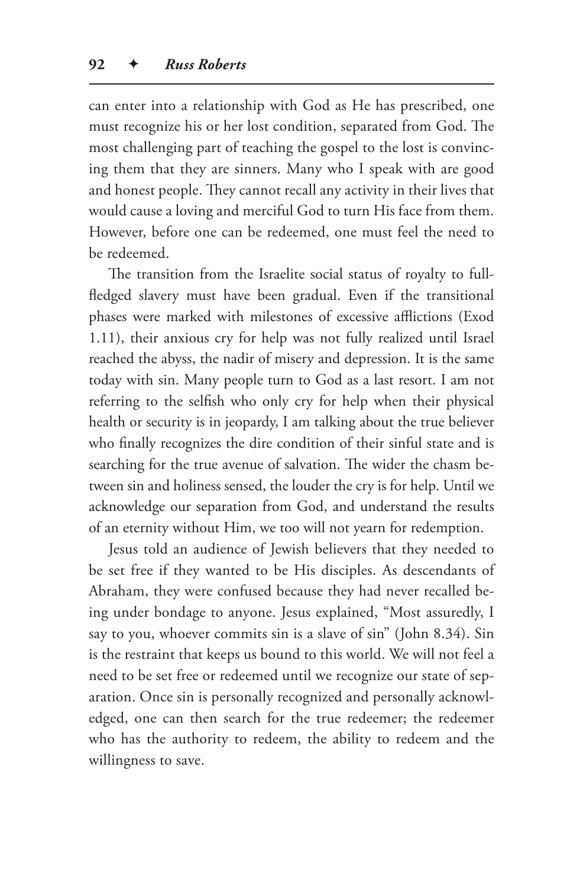can enter into a relationship with God as He has prescribed, one must recognize his or her lost condition, separated from God. The most challenging part of teaching the gospel to the lost is convincing them that they are sinners. Many who I speak with are good and honest people. They cannot recall any activity in their lives that would cause a loving and merciful God to turn His face from them. However, before one can be redeemed, one must feel the need to be redeemed.

The transition from the Israelite social status of royalty to fullfledged slavery must have been gradual. Even if the transitional phases were marked with milestones of excessive afflictions (Exod 1.11), their anxious cry for help was not fully realized until Israel reached the abyss, the nadir of misery and depression. It is the same today with sin. Many people turn to God as a last resort. I am not referring to the selfish who only cry for help when their physical health or security is in jeopardy, I am talking about the true believer who finally recognizes the dire condition of their sinful state and is searching for the true avenue of salvation. The wider the chasm between sin and holiness sensed, the louder the cry is for help. Until we acknowledge our separation from God, and understand the results of an eternity without Him, we too will not yearn for redemption.

Jesus told an audience of Jewish believers that they needed to be set free if they wanted to be His disciples. As descendants of Abraham, they were confused because they had never recalled being under bondage to anyone. Jesus explained, "Most assuredly, I say to you, whoever commits sin is a slave of sin" (John 8.34). Sin is the restraint that keeps us bound to this world. We will not feel a need to be set free or redeemed until we recognize our state of separation. Once sin is personally recognized and personally acknowledged, one can then search for the true redeemer; the redeemer who has the authority to redeem, the ability to redeem and the willingness to save.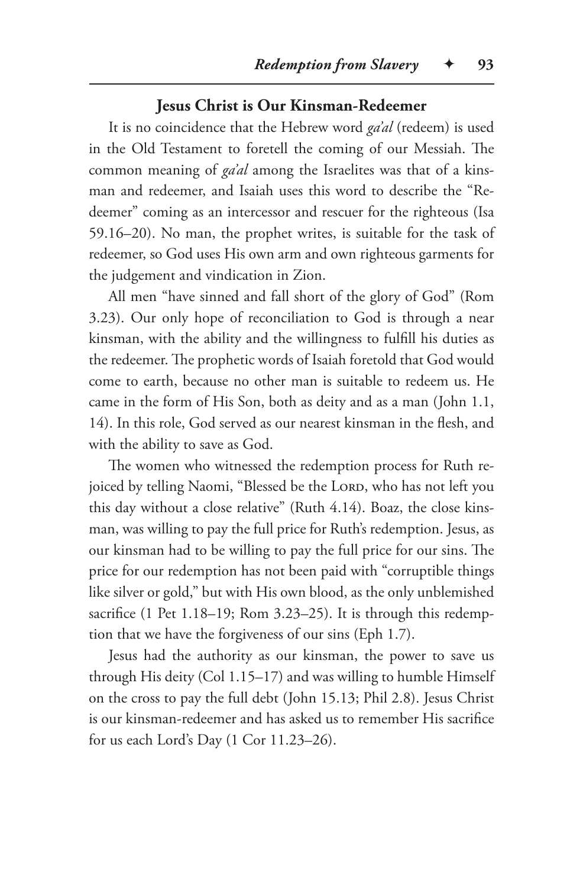## **Jesus Christ is Our Kinsman-Redeemer**

It is no coincidence that the Hebrew word *ga'al* (redeem) is used in the Old Testament to foretell the coming of our Messiah. The common meaning of *ga'al* among the Israelites was that of a kinsman and redeemer, and Isaiah uses this word to describe the "Redeemer" coming as an intercessor and rescuer for the righteous (Isa 59.16–20). No man, the prophet writes, is suitable for the task of redeemer, so God uses His own arm and own righteous garments for the judgement and vindication in Zion.

All men "have sinned and fall short of the glory of God" (Rom 3.23). Our only hope of reconciliation to God is through a near kinsman, with the ability and the willingness to fulfill his duties as the redeemer. The prophetic words of Isaiah foretold that God would come to earth, because no other man is suitable to redeem us. He came in the form of His Son, both as deity and as a man (John 1.1, 14). In this role, God served as our nearest kinsman in the flesh, and with the ability to save as God.

The women who witnessed the redemption process for Ruth rejoiced by telling Naomi, "Blessed be the LORD, who has not left you this day without a close relative" (Ruth 4.14). Boaz, the close kinsman, was willing to pay the full price for Ruth's redemption. Jesus, as our kinsman had to be willing to pay the full price for our sins. The price for our redemption has not been paid with "corruptible things like silver or gold," but with His own blood, as the only unblemished sacrifice (1 Pet 1.18–19; Rom 3.23–25). It is through this redemption that we have the forgiveness of our sins (Eph 1.7).

Jesus had the authority as our kinsman, the power to save us through His deity (Col 1.15–17) and was willing to humble Himself on the cross to pay the full debt (John 15.13; Phil 2.8). Jesus Christ is our kinsman-redeemer and has asked us to remember His sacrifice for us each Lord's Day (1 Cor 11.23–26).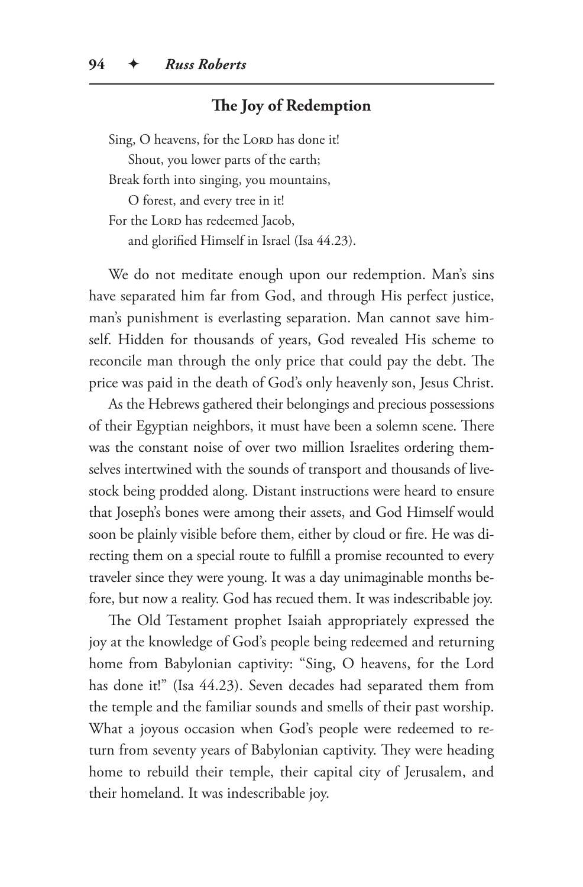# **The Joy of Redemption**

Sing, O heavens, for the LORD has done it!

Shout, you lower parts of the earth;

Break forth into singing, you mountains,

O forest, and every tree in it!

For the LORD has redeemed Jacob,

and glorified Himself in Israel (Isa 44.23).

We do not meditate enough upon our redemption. Man's sins have separated him far from God, and through His perfect justice, man's punishment is everlasting separation. Man cannot save himself. Hidden for thousands of years, God revealed His scheme to reconcile man through the only price that could pay the debt. The price was paid in the death of God's only heavenly son, Jesus Christ.

As the Hebrews gathered their belongings and precious possessions of their Egyptian neighbors, it must have been a solemn scene. There was the constant noise of over two million Israelites ordering themselves intertwined with the sounds of transport and thousands of livestock being prodded along. Distant instructions were heard to ensure that Joseph's bones were among their assets, and God Himself would soon be plainly visible before them, either by cloud or fire. He was directing them on a special route to fulfill a promise recounted to every traveler since they were young. It was a day unimaginable months before, but now a reality. God has recued them. It was indescribable joy.

The Old Testament prophet Isaiah appropriately expressed the joy at the knowledge of God's people being redeemed and returning home from Babylonian captivity: "Sing, O heavens, for the Lord has done it!" (Isa 44.23). Seven decades had separated them from the temple and the familiar sounds and smells of their past worship. What a joyous occasion when God's people were redeemed to return from seventy years of Babylonian captivity. They were heading home to rebuild their temple, their capital city of Jerusalem, and their homeland. It was indescribable joy.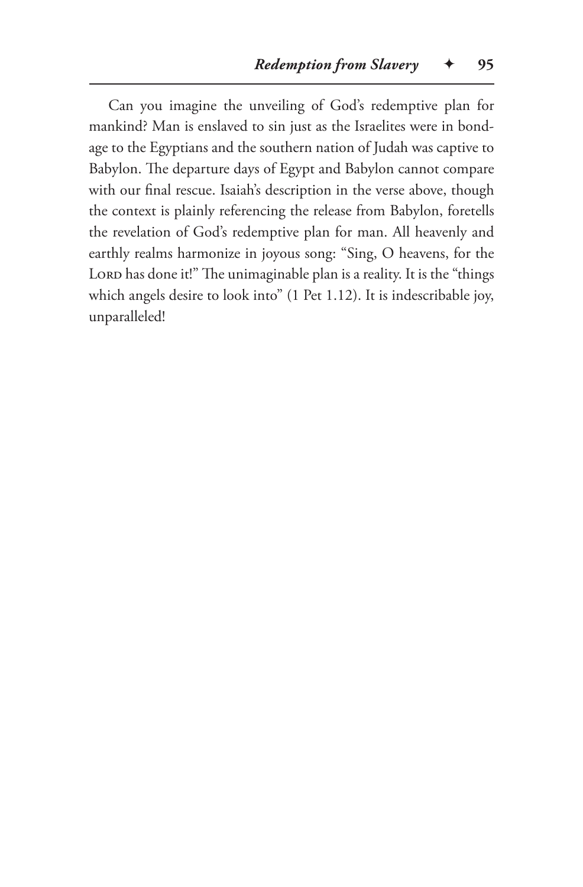Can you imagine the unveiling of God's redemptive plan for mankind? Man is enslaved to sin just as the Israelites were in bondage to the Egyptians and the southern nation of Judah was captive to Babylon. The departure days of Egypt and Babylon cannot compare with our final rescue. Isaiah's description in the verse above, though the context is plainly referencing the release from Babylon, foretells the revelation of God's redemptive plan for man. All heavenly and earthly realms harmonize in joyous song: "Sing, O heavens, for the LORD has done it!" The unimaginable plan is a reality. It is the "things which angels desire to look into" (1 Pet 1.12). It is indescribable joy, unparalleled!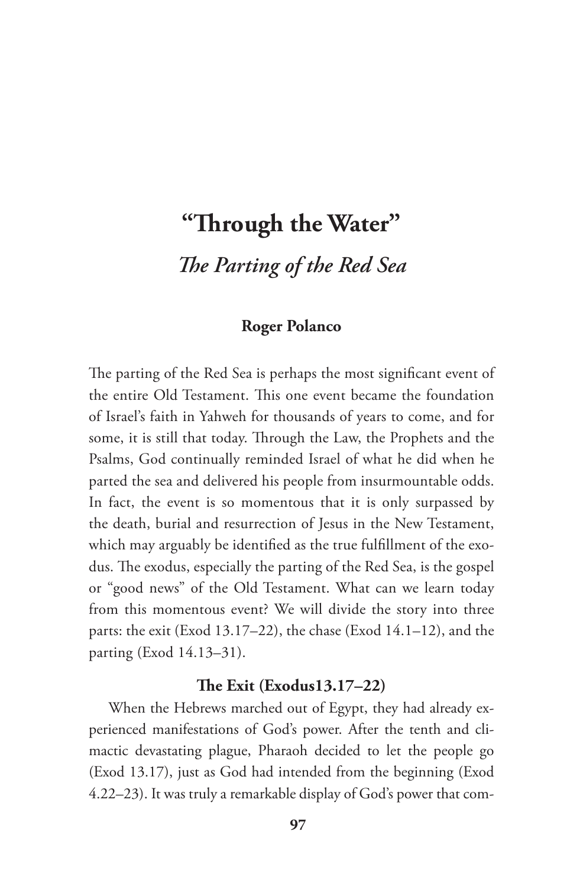# **"Through the Water"** *The Parting of the Red Sea*

# **Roger Polanco**

The parting of the Red Sea is perhaps the most significant event of the entire Old Testament. This one event became the foundation of Israel's faith in Yahweh for thousands of years to come, and for some, it is still that today. Through the Law, the Prophets and the Psalms, God continually reminded Israel of what he did when he parted the sea and delivered his people from insurmountable odds. In fact, the event is so momentous that it is only surpassed by the death, burial and resurrection of Jesus in the New Testament, which may arguably be identified as the true fulfillment of the exodus. The exodus, especially the parting of the Red Sea, is the gospel or "good news" of the Old Testament. What can we learn today from this momentous event? We will divide the story into three parts: the exit (Exod 13.17–22), the chase (Exod 14.1–12), and the parting (Exod 14.13–31).

## **The Exit (Exodus13.17–22)**

When the Hebrews marched out of Egypt, they had already experienced manifestations of God's power. After the tenth and climactic devastating plague, Pharaoh decided to let the people go (Exod 13.17), just as God had intended from the beginning (Exod 4.22–23). It was truly a remarkable display of God's power that com-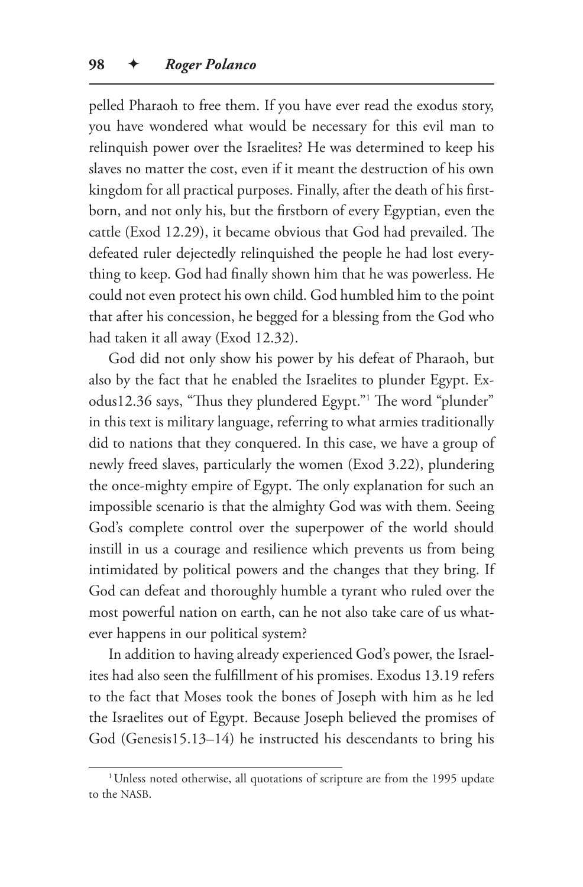pelled Pharaoh to free them. If you have ever read the exodus story, you have wondered what would be necessary for this evil man to relinquish power over the Israelites? He was determined to keep his slaves no matter the cost, even if it meant the destruction of his own kingdom for all practical purposes. Finally, after the death of his firstborn, and not only his, but the firstborn of every Egyptian, even the cattle (Exod 12.29), it became obvious that God had prevailed. The defeated ruler dejectedly relinquished the people he had lost everything to keep. God had finally shown him that he was powerless. He could not even protect his own child. God humbled him to the point that after his concession, he begged for a blessing from the God who had taken it all away (Exod 12.32).

God did not only show his power by his defeat of Pharaoh, but also by the fact that he enabled the Israelites to plunder Egypt. Exodus12.36 says, "Thus they plundered Egypt."1 The word "plunder" in this text is military language, referring to what armies traditionally did to nations that they conquered. In this case, we have a group of newly freed slaves, particularly the women (Exod 3.22), plundering the once-mighty empire of Egypt. The only explanation for such an impossible scenario is that the almighty God was with them. Seeing God's complete control over the superpower of the world should instill in us a courage and resilience which prevents us from being intimidated by political powers and the changes that they bring. If God can defeat and thoroughly humble a tyrant who ruled over the most powerful nation on earth, can he not also take care of us whatever happens in our political system?

In addition to having already experienced God's power, the Israelites had also seen the fulfillment of his promises. Exodus 13.19 refers to the fact that Moses took the bones of Joseph with him as he led the Israelites out of Egypt. Because Joseph believed the promises of God (Genesis15.13–14) he instructed his descendants to bring his

<sup>&</sup>lt;sup>1</sup>Unless noted otherwise, all quotations of scripture are from the 1995 update to the NASB.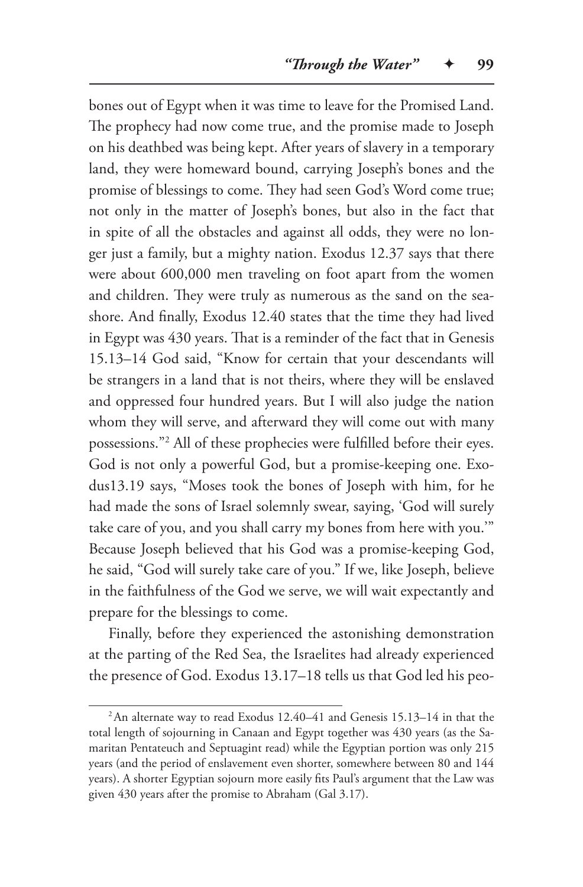bones out of Egypt when it was time to leave for the Promised Land. The prophecy had now come true, and the promise made to Joseph on his deathbed was being kept. After years of slavery in a temporary land, they were homeward bound, carrying Joseph's bones and the promise of blessings to come. They had seen God's Word come true; not only in the matter of Joseph's bones, but also in the fact that in spite of all the obstacles and against all odds, they were no longer just a family, but a mighty nation. Exodus 12.37 says that there were about 600,000 men traveling on foot apart from the women and children. They were truly as numerous as the sand on the seashore. And finally, Exodus 12.40 states that the time they had lived in Egypt was 430 years. That is a reminder of the fact that in Genesis 15.13–14 God said, "Know for certain that your descendants will be strangers in a land that is not theirs, where they will be enslaved and oppressed four hundred years. But I will also judge the nation whom they will serve, and afterward they will come out with many possessions."2 All of these prophecies were fulfilled before their eyes. God is not only a powerful God, but a promise-keeping one. Exodus13.19 says, "Moses took the bones of Joseph with him, for he had made the sons of Israel solemnly swear, saying, 'God will surely take care of you, and you shall carry my bones from here with you.'" Because Joseph believed that his God was a promise-keeping God, he said, "God will surely take care of you." If we, like Joseph, believe in the faithfulness of the God we serve, we will wait expectantly and prepare for the blessings to come.

Finally, before they experienced the astonishing demonstration at the parting of the Red Sea, the Israelites had already experienced the presence of God. Exodus 13.17–18 tells us that God led his peo-

<sup>2</sup>An alternate way to read Exodus 12.40–41 and Genesis 15.13–14 in that the total length of sojourning in Canaan and Egypt together was 430 years (as the Samaritan Pentateuch and Septuagint read) while the Egyptian portion was only 215 years (and the period of enslavement even shorter, somewhere between 80 and 144 years). A shorter Egyptian sojourn more easily fits Paul's argument that the Law was given 430 years after the promise to Abraham (Gal 3.17).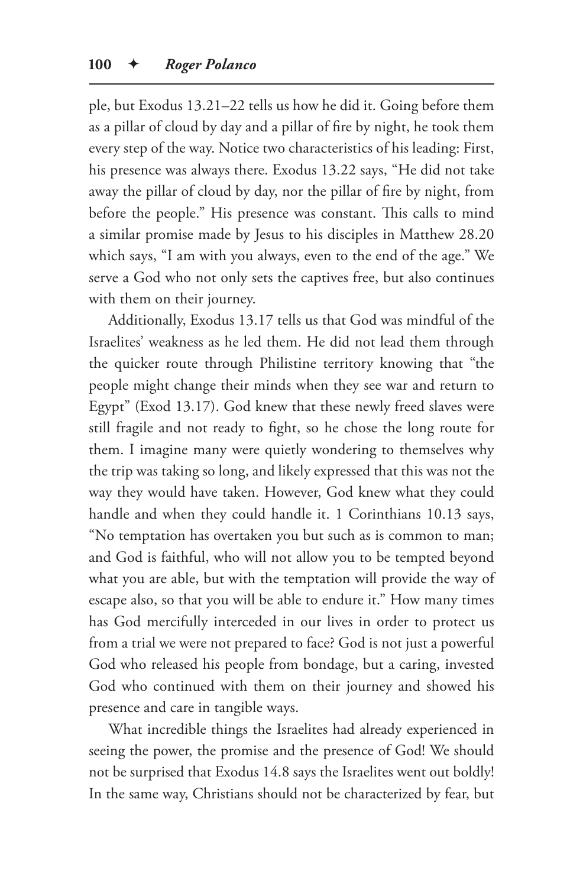ple, but Exodus 13.21–22 tells us how he did it. Going before them as a pillar of cloud by day and a pillar of fire by night, he took them every step of the way. Notice two characteristics of his leading: First, his presence was always there. Exodus 13.22 says, "He did not take away the pillar of cloud by day, nor the pillar of fire by night, from before the people." His presence was constant. This calls to mind a similar promise made by Jesus to his disciples in Matthew 28.20 which says, "I am with you always, even to the end of the age." We serve a God who not only sets the captives free, but also continues with them on their journey.

Additionally, Exodus 13.17 tells us that God was mindful of the Israelites' weakness as he led them. He did not lead them through the quicker route through Philistine territory knowing that "the people might change their minds when they see war and return to Egypt" (Exod 13.17). God knew that these newly freed slaves were still fragile and not ready to fight, so he chose the long route for them. I imagine many were quietly wondering to themselves why the trip was taking so long, and likely expressed that this was not the way they would have taken. However, God knew what they could handle and when they could handle it. 1 Corinthians 10.13 says, "No temptation has overtaken you but such as is common to man; and God is faithful, who will not allow you to be tempted beyond what you are able, but with the temptation will provide the way of escape also, so that you will be able to endure it." How many times has God mercifully interceded in our lives in order to protect us from a trial we were not prepared to face? God is not just a powerful God who released his people from bondage, but a caring, invested God who continued with them on their journey and showed his presence and care in tangible ways.

What incredible things the Israelites had already experienced in seeing the power, the promise and the presence of God! We should not be surprised that Exodus 14.8 says the Israelites went out boldly! In the same way, Christians should not be characterized by fear, but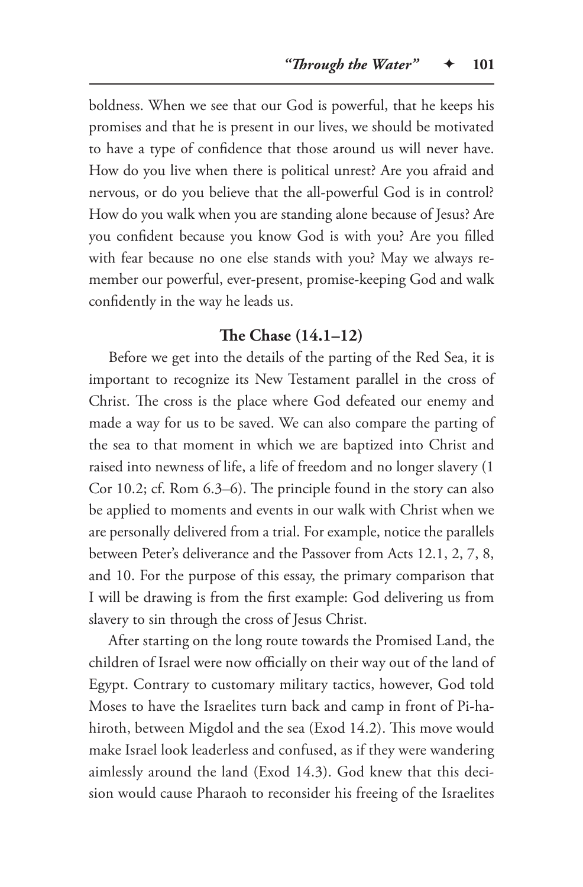boldness. When we see that our God is powerful, that he keeps his promises and that he is present in our lives, we should be motivated to have a type of confidence that those around us will never have. How do you live when there is political unrest? Are you afraid and nervous, or do you believe that the all-powerful God is in control? How do you walk when you are standing alone because of Jesus? Are you confident because you know God is with you? Are you filled with fear because no one else stands with you? May we always remember our powerful, ever-present, promise-keeping God and walk confidently in the way he leads us.

#### **The Chase (14.1–12)**

Before we get into the details of the parting of the Red Sea, it is important to recognize its New Testament parallel in the cross of Christ. The cross is the place where God defeated our enemy and made a way for us to be saved. We can also compare the parting of the sea to that moment in which we are baptized into Christ and raised into newness of life, a life of freedom and no longer slavery (1 Cor 10.2; cf. Rom 6.3–6). The principle found in the story can also be applied to moments and events in our walk with Christ when we are personally delivered from a trial. For example, notice the parallels between Peter's deliverance and the Passover from Acts 12.1, 2, 7, 8, and 10. For the purpose of this essay, the primary comparison that I will be drawing is from the first example: God delivering us from slavery to sin through the cross of Jesus Christ.

After starting on the long route towards the Promised Land, the children of Israel were now officially on their way out of the land of Egypt. Contrary to customary military tactics, however, God told Moses to have the Israelites turn back and camp in front of Pi-hahiroth, between Migdol and the sea (Exod 14.2). This move would make Israel look leaderless and confused, as if they were wandering aimlessly around the land (Exod 14.3). God knew that this decision would cause Pharaoh to reconsider his freeing of the Israelites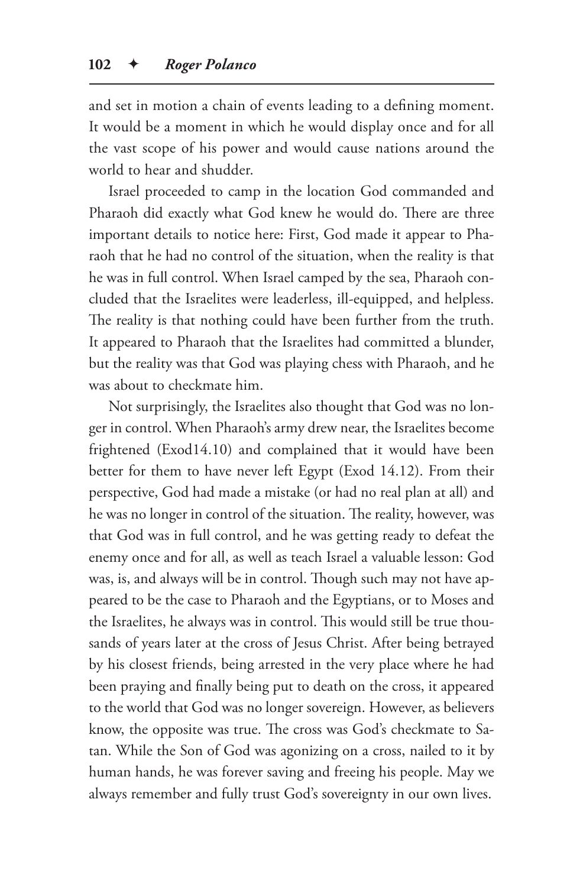and set in motion a chain of events leading to a defining moment. It would be a moment in which he would display once and for all the vast scope of his power and would cause nations around the world to hear and shudder.

Israel proceeded to camp in the location God commanded and Pharaoh did exactly what God knew he would do. There are three important details to notice here: First, God made it appear to Pharaoh that he had no control of the situation, when the reality is that he was in full control. When Israel camped by the sea, Pharaoh concluded that the Israelites were leaderless, ill-equipped, and helpless. The reality is that nothing could have been further from the truth. It appeared to Pharaoh that the Israelites had committed a blunder, but the reality was that God was playing chess with Pharaoh, and he was about to checkmate him.

Not surprisingly, the Israelites also thought that God was no longer in control. When Pharaoh's army drew near, the Israelites become frightened (Exod14.10) and complained that it would have been better for them to have never left Egypt (Exod 14.12). From their perspective, God had made a mistake (or had no real plan at all) and he was no longer in control of the situation. The reality, however, was that God was in full control, and he was getting ready to defeat the enemy once and for all, as well as teach Israel a valuable lesson: God was, is, and always will be in control. Though such may not have appeared to be the case to Pharaoh and the Egyptians, or to Moses and the Israelites, he always was in control. This would still be true thousands of years later at the cross of Jesus Christ. After being betrayed by his closest friends, being arrested in the very place where he had been praying and finally being put to death on the cross, it appeared to the world that God was no longer sovereign. However, as believers know, the opposite was true. The cross was God's checkmate to Satan. While the Son of God was agonizing on a cross, nailed to it by human hands, he was forever saving and freeing his people. May we always remember and fully trust God's sovereignty in our own lives.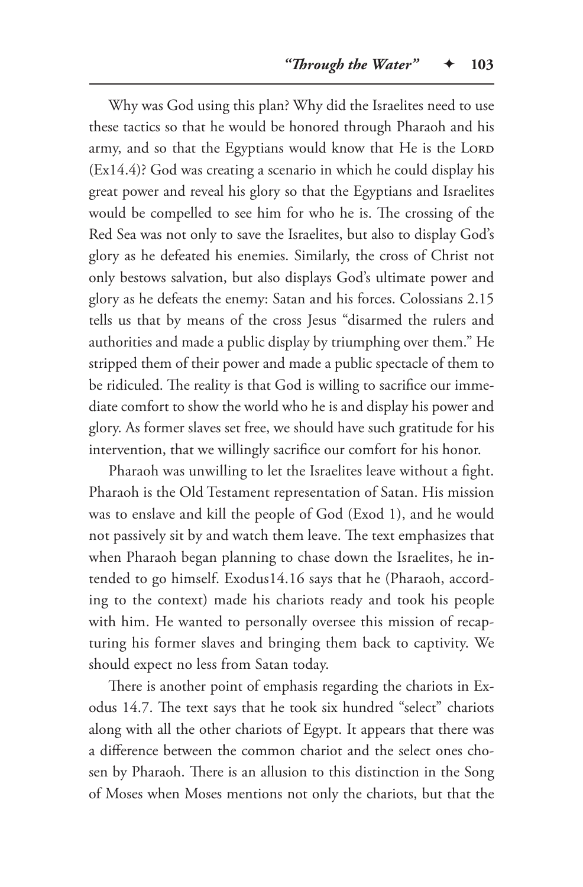Why was God using this plan? Why did the Israelites need to use these tactics so that he would be honored through Pharaoh and his army, and so that the Egyptians would know that He is the LORD (Ex14.4)? God was creating a scenario in which he could display his great power and reveal his glory so that the Egyptians and Israelites would be compelled to see him for who he is. The crossing of the Red Sea was not only to save the Israelites, but also to display God's glory as he defeated his enemies. Similarly, the cross of Christ not only bestows salvation, but also displays God's ultimate power and glory as he defeats the enemy: Satan and his forces. Colossians 2.15 tells us that by means of the cross Jesus "disarmed the rulers and authorities and made a public display by triumphing over them." He stripped them of their power and made a public spectacle of them to be ridiculed. The reality is that God is willing to sacrifice our immediate comfort to show the world who he is and display his power and glory. As former slaves set free, we should have such gratitude for his intervention, that we willingly sacrifice our comfort for his honor.

Pharaoh was unwilling to let the Israelites leave without a fight. Pharaoh is the Old Testament representation of Satan. His mission was to enslave and kill the people of God (Exod 1), and he would not passively sit by and watch them leave. The text emphasizes that when Pharaoh began planning to chase down the Israelites, he intended to go himself. Exodus14.16 says that he (Pharaoh, according to the context) made his chariots ready and took his people with him. He wanted to personally oversee this mission of recapturing his former slaves and bringing them back to captivity. We should expect no less from Satan today.

There is another point of emphasis regarding the chariots in Exodus 14.7. The text says that he took six hundred "select" chariots along with all the other chariots of Egypt. It appears that there was a difference between the common chariot and the select ones chosen by Pharaoh. There is an allusion to this distinction in the Song of Moses when Moses mentions not only the chariots, but that the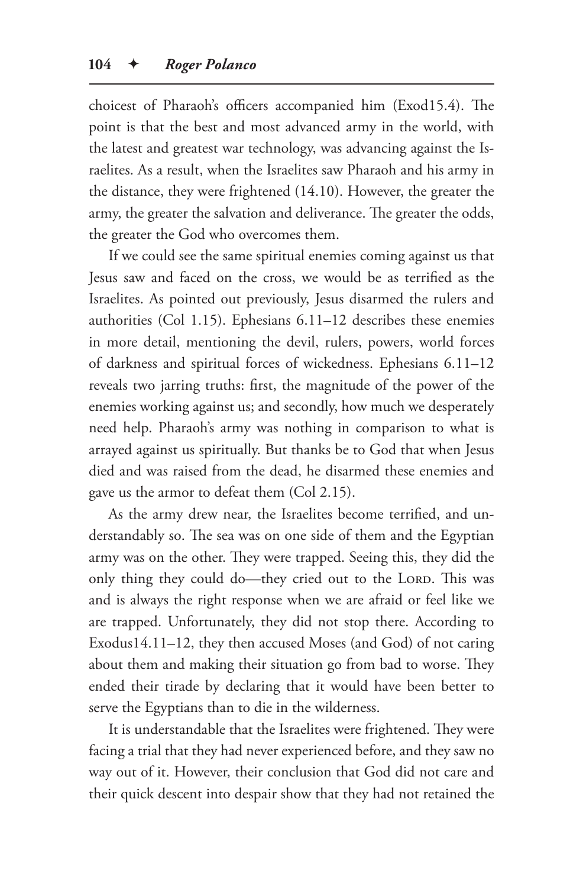choicest of Pharaoh's officers accompanied him (Exod15.4). The point is that the best and most advanced army in the world, with the latest and greatest war technology, was advancing against the Israelites. As a result, when the Israelites saw Pharaoh and his army in the distance, they were frightened (14.10). However, the greater the army, the greater the salvation and deliverance. The greater the odds, the greater the God who overcomes them.

If we could see the same spiritual enemies coming against us that Jesus saw and faced on the cross, we would be as terrified as the Israelites. As pointed out previously, Jesus disarmed the rulers and authorities (Col 1.15). Ephesians 6.11–12 describes these enemies in more detail, mentioning the devil, rulers, powers, world forces of darkness and spiritual forces of wickedness. Ephesians 6.11–12 reveals two jarring truths: first, the magnitude of the power of the enemies working against us; and secondly, how much we desperately need help. Pharaoh's army was nothing in comparison to what is arrayed against us spiritually. But thanks be to God that when Jesus died and was raised from the dead, he disarmed these enemies and gave us the armor to defeat them (Col 2.15).

As the army drew near, the Israelites become terrified, and understandably so. The sea was on one side of them and the Egyptian army was on the other. They were trapped. Seeing this, they did the only thing they could do—they cried out to the LORD. This was and is always the right response when we are afraid or feel like we are trapped. Unfortunately, they did not stop there. According to Exodus14.11–12, they then accused Moses (and God) of not caring about them and making their situation go from bad to worse. They ended their tirade by declaring that it would have been better to serve the Egyptians than to die in the wilderness.

It is understandable that the Israelites were frightened. They were facing a trial that they had never experienced before, and they saw no way out of it. However, their conclusion that God did not care and their quick descent into despair show that they had not retained the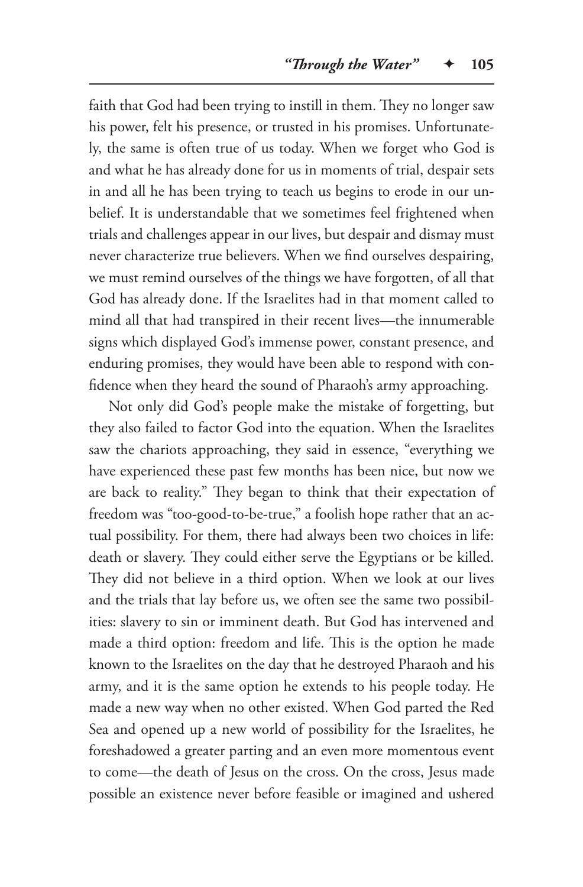faith that God had been trying to instill in them. They no longer saw his power, felt his presence, or trusted in his promises. Unfortunately, the same is often true of us today. When we forget who God is and what he has already done for us in moments of trial, despair sets in and all he has been trying to teach us begins to erode in our unbelief. It is understandable that we sometimes feel frightened when trials and challenges appear in our lives, but despair and dismay must never characterize true believers. When we find ourselves despairing, we must remind ourselves of the things we have forgotten, of all that God has already done. If the Israelites had in that moment called to mind all that had transpired in their recent lives—the innumerable signs which displayed God's immense power, constant presence, and enduring promises, they would have been able to respond with confidence when they heard the sound of Pharaoh's army approaching.

Not only did God's people make the mistake of forgetting, but they also failed to factor God into the equation. When the Israelites saw the chariots approaching, they said in essence, "everything we have experienced these past few months has been nice, but now we are back to reality." They began to think that their expectation of freedom was "too-good-to-be-true," a foolish hope rather that an actual possibility. For them, there had always been two choices in life: death or slavery. They could either serve the Egyptians or be killed. They did not believe in a third option. When we look at our lives and the trials that lay before us, we often see the same two possibilities: slavery to sin or imminent death. But God has intervened and made a third option: freedom and life. This is the option he made known to the Israelites on the day that he destroyed Pharaoh and his army, and it is the same option he extends to his people today. He made a new way when no other existed. When God parted the Red Sea and opened up a new world of possibility for the Israelites, he foreshadowed a greater parting and an even more momentous event to come—the death of Jesus on the cross. On the cross, Jesus made possible an existence never before feasible or imagined and ushered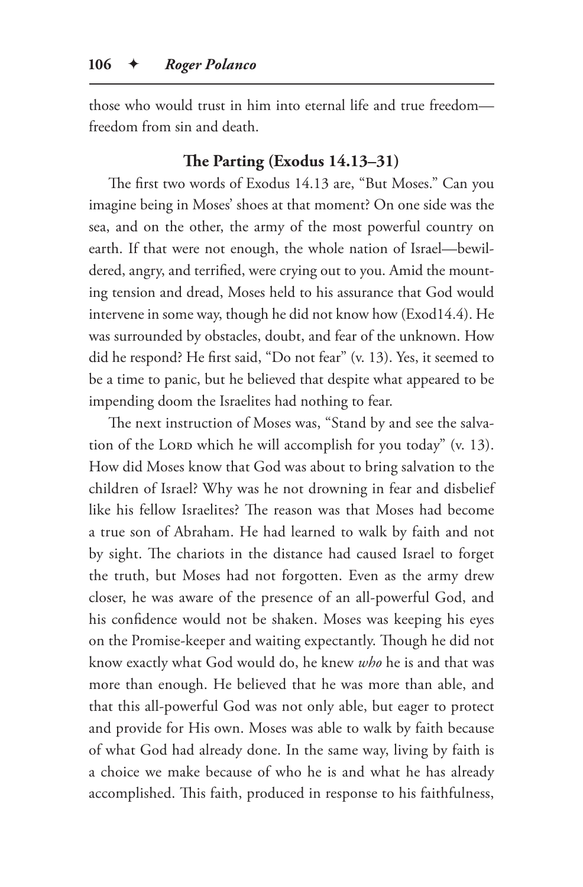those who would trust in him into eternal life and true freedom freedom from sin and death.

# **The Parting (Exodus 14.13–31)**

The first two words of Exodus 14.13 are, "But Moses." Can you imagine being in Moses' shoes at that moment? On one side was the sea, and on the other, the army of the most powerful country on earth. If that were not enough, the whole nation of Israel—bewildered, angry, and terrified, were crying out to you. Amid the mounting tension and dread, Moses held to his assurance that God would intervene in some way, though he did not know how (Exod14.4). He was surrounded by obstacles, doubt, and fear of the unknown. How did he respond? He first said, "Do not fear" (v. 13). Yes, it seemed to be a time to panic, but he believed that despite what appeared to be impending doom the Israelites had nothing to fear.

The next instruction of Moses was, "Stand by and see the salvation of the Lord which he will accomplish for you today" (v. 13). How did Moses know that God was about to bring salvation to the children of Israel? Why was he not drowning in fear and disbelief like his fellow Israelites? The reason was that Moses had become a true son of Abraham. He had learned to walk by faith and not by sight. The chariots in the distance had caused Israel to forget the truth, but Moses had not forgotten. Even as the army drew closer, he was aware of the presence of an all-powerful God, and his confidence would not be shaken. Moses was keeping his eyes on the Promise-keeper and waiting expectantly. Though he did not know exactly what God would do, he knew *who* he is and that was more than enough. He believed that he was more than able, and that this all-powerful God was not only able, but eager to protect and provide for His own. Moses was able to walk by faith because of what God had already done. In the same way, living by faith is a choice we make because of who he is and what he has already accomplished. This faith, produced in response to his faithfulness,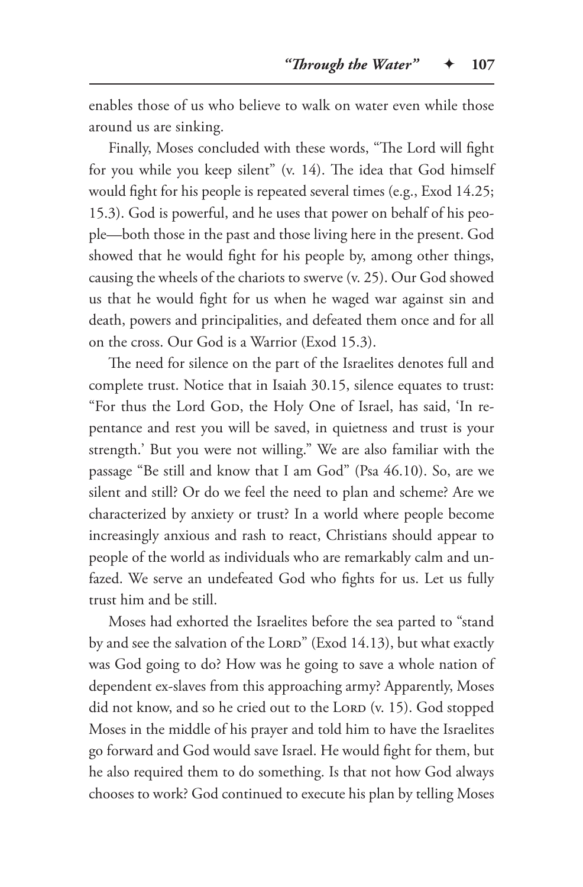enables those of us who believe to walk on water even while those around us are sinking.

Finally, Moses concluded with these words, "The Lord will fight for you while you keep silent" (v. 14). The idea that God himself would fight for his people is repeated several times (e.g., Exod 14.25; 15.3). God is powerful, and he uses that power on behalf of his people—both those in the past and those living here in the present. God showed that he would fight for his people by, among other things, causing the wheels of the chariots to swerve (v. 25). Our God showed us that he would fight for us when he waged war against sin and death, powers and principalities, and defeated them once and for all on the cross. Our God is a Warrior (Exod 15.3).

The need for silence on the part of the Israelites denotes full and complete trust. Notice that in Isaiah 30.15, silence equates to trust: "For thus the Lord God, the Holy One of Israel, has said, 'In repentance and rest you will be saved, in quietness and trust is your strength.' But you were not willing." We are also familiar with the passage "Be still and know that I am God" (Psa 46.10). So, are we silent and still? Or do we feel the need to plan and scheme? Are we characterized by anxiety or trust? In a world where people become increasingly anxious and rash to react, Christians should appear to people of the world as individuals who are remarkably calm and unfazed. We serve an undefeated God who fights for us. Let us fully trust him and be still.

Moses had exhorted the Israelites before the sea parted to "stand by and see the salvation of the LORD" (Exod 14.13), but what exactly was God going to do? How was he going to save a whole nation of dependent ex-slaves from this approaching army? Apparently, Moses did not know, and so he cried out to the LORD (v. 15). God stopped Moses in the middle of his prayer and told him to have the Israelites go forward and God would save Israel. He would fight for them, but he also required them to do something. Is that not how God always chooses to work? God continued to execute his plan by telling Moses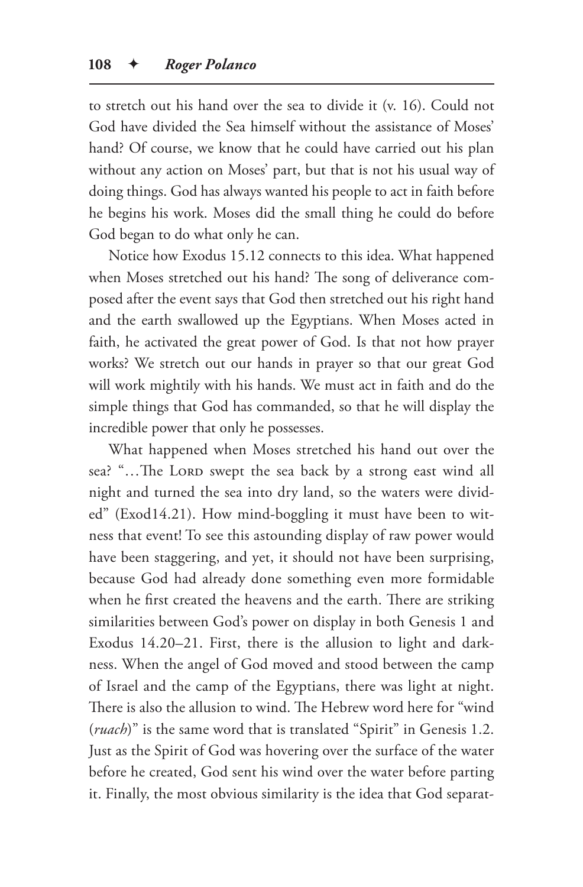to stretch out his hand over the sea to divide it (v. 16). Could not God have divided the Sea himself without the assistance of Moses' hand? Of course, we know that he could have carried out his plan without any action on Moses' part, but that is not his usual way of doing things. God has always wanted his people to act in faith before he begins his work. Moses did the small thing he could do before God began to do what only he can.

Notice how Exodus 15.12 connects to this idea. What happened when Moses stretched out his hand? The song of deliverance composed after the event says that God then stretched out his right hand and the earth swallowed up the Egyptians. When Moses acted in faith, he activated the great power of God. Is that not how prayer works? We stretch out our hands in prayer so that our great God will work mightily with his hands. We must act in faith and do the simple things that God has commanded, so that he will display the incredible power that only he possesses.

What happened when Moses stretched his hand out over the sea? "...The LORD swept the sea back by a strong east wind all night and turned the sea into dry land, so the waters were divided" (Exod14.21). How mind-boggling it must have been to witness that event! To see this astounding display of raw power would have been staggering, and yet, it should not have been surprising, because God had already done something even more formidable when he first created the heavens and the earth. There are striking similarities between God's power on display in both Genesis 1 and Exodus 14.20–21. First, there is the allusion to light and darkness. When the angel of God moved and stood between the camp of Israel and the camp of the Egyptians, there was light at night. There is also the allusion to wind. The Hebrew word here for "wind (*ruach*)" is the same word that is translated "Spirit" in Genesis 1.2. Just as the Spirit of God was hovering over the surface of the water before he created, God sent his wind over the water before parting it. Finally, the most obvious similarity is the idea that God separat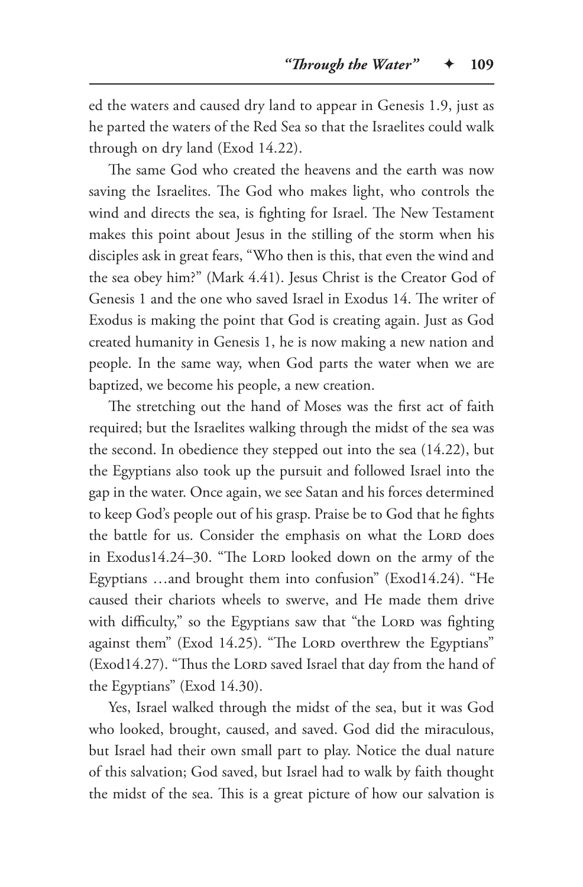ed the waters and caused dry land to appear in Genesis 1.9, just as he parted the waters of the Red Sea so that the Israelites could walk through on dry land (Exod 14.22).

The same God who created the heavens and the earth was now saving the Israelites. The God who makes light, who controls the wind and directs the sea, is fighting for Israel. The New Testament makes this point about Jesus in the stilling of the storm when his disciples ask in great fears, "Who then is this, that even the wind and the sea obey him?" (Mark 4.41). Jesus Christ is the Creator God of Genesis 1 and the one who saved Israel in Exodus 14. The writer of Exodus is making the point that God is creating again. Just as God created humanity in Genesis 1, he is now making a new nation and people. In the same way, when God parts the water when we are baptized, we become his people, a new creation.

The stretching out the hand of Moses was the first act of faith required; but the Israelites walking through the midst of the sea was the second. In obedience they stepped out into the sea (14.22), but the Egyptians also took up the pursuit and followed Israel into the gap in the water. Once again, we see Satan and his forces determined to keep God's people out of his grasp. Praise be to God that he fights the battle for us. Consider the emphasis on what the LORD does in Exodus14.24-30. "The Lorp looked down on the army of the Egyptians …and brought them into confusion" (Exod14.24). "He caused their chariots wheels to swerve, and He made them drive with difficulty," so the Egyptians saw that "the LORD was fighting against them" (Exod 14.25). "The Lord overthrew the Egyptians" (Exod14.27). "Thus the LORD saved Israel that day from the hand of the Egyptians" (Exod 14.30).

Yes, Israel walked through the midst of the sea, but it was God who looked, brought, caused, and saved. God did the miraculous, but Israel had their own small part to play. Notice the dual nature of this salvation; God saved, but Israel had to walk by faith thought the midst of the sea. This is a great picture of how our salvation is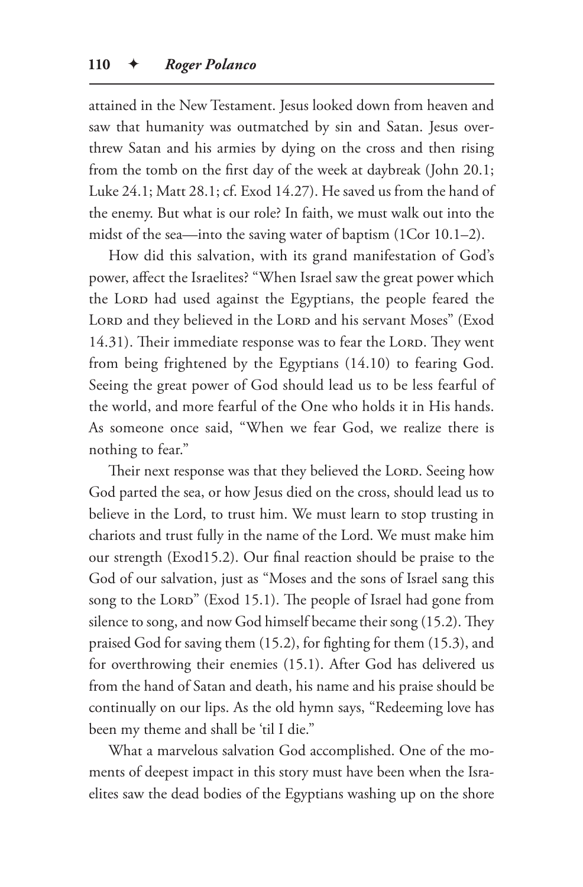attained in the New Testament. Jesus looked down from heaven and saw that humanity was outmatched by sin and Satan. Jesus overthrew Satan and his armies by dying on the cross and then rising from the tomb on the first day of the week at daybreak (John 20.1; Luke 24.1; Matt 28.1; cf. Exod 14.27). He saved us from the hand of the enemy. But what is our role? In faith, we must walk out into the midst of the sea—into the saving water of baptism (1Cor 10.1–2).

How did this salvation, with its grand manifestation of God's power, affect the Israelites? "When Israel saw the great power which the Lord had used against the Egyptians, the people feared the LORD and they believed in the LORD and his servant Moses" (Exod 14.31). Their immediate response was to fear the LORD. They went from being frightened by the Egyptians (14.10) to fearing God. Seeing the great power of God should lead us to be less fearful of the world, and more fearful of the One who holds it in His hands. As someone once said, "When we fear God, we realize there is nothing to fear."

Their next response was that they believed the LORD. Seeing how God parted the sea, or how Jesus died on the cross, should lead us to believe in the Lord, to trust him. We must learn to stop trusting in chariots and trust fully in the name of the Lord. We must make him our strength (Exod15.2). Our final reaction should be praise to the God of our salvation, just as "Moses and the sons of Israel sang this song to the LORD" (Exod 15.1). The people of Israel had gone from silence to song, and now God himself became their song (15.2). They praised God for saving them (15.2), for fighting for them (15.3), and for overthrowing their enemies (15.1). After God has delivered us from the hand of Satan and death, his name and his praise should be continually on our lips. As the old hymn says, "Redeeming love has been my theme and shall be 'til I die."

What a marvelous salvation God accomplished. One of the moments of deepest impact in this story must have been when the Israelites saw the dead bodies of the Egyptians washing up on the shore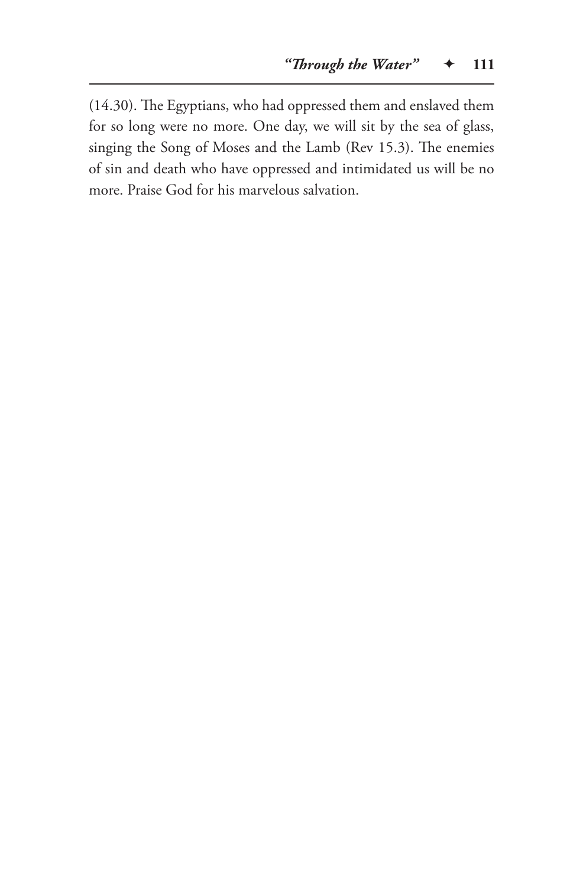(14.30). The Egyptians, who had oppressed them and enslaved them for so long were no more. One day, we will sit by the sea of glass, singing the Song of Moses and the Lamb (Rev 15.3). The enemies of sin and death who have oppressed and intimidated us will be no more. Praise God for his marvelous salvation.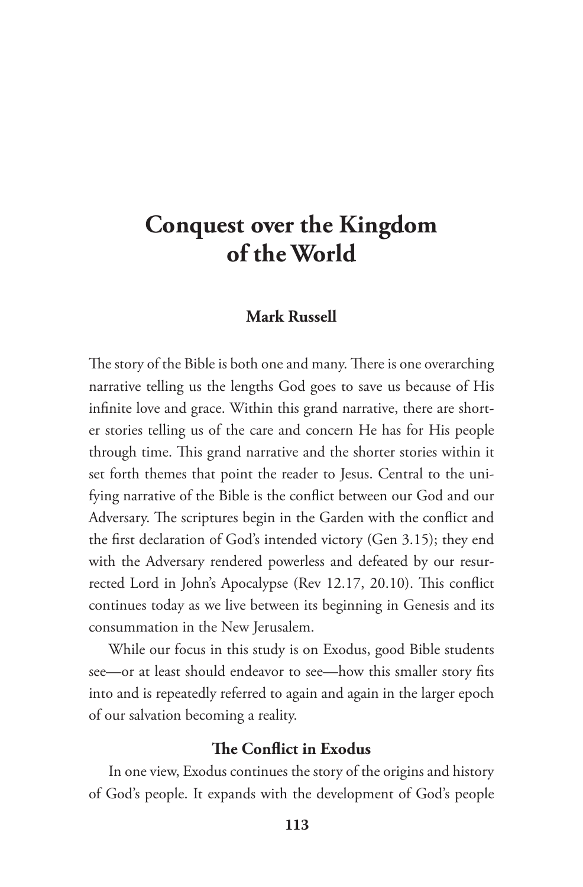# **Conquest over the Kingdom of the World**

# **Mark Russell**

The story of the Bible is both one and many. There is one overarching narrative telling us the lengths God goes to save us because of His infinite love and grace. Within this grand narrative, there are shorter stories telling us of the care and concern He has for His people through time. This grand narrative and the shorter stories within it set forth themes that point the reader to Jesus. Central to the unifying narrative of the Bible is the conflict between our God and our Adversary. The scriptures begin in the Garden with the conflict and the first declaration of God's intended victory (Gen 3.15); they end with the Adversary rendered powerless and defeated by our resurrected Lord in John's Apocalypse (Rev 12.17, 20.10). This conflict continues today as we live between its beginning in Genesis and its consummation in the New Jerusalem.

While our focus in this study is on Exodus, good Bible students see—or at least should endeavor to see—how this smaller story fits into and is repeatedly referred to again and again in the larger epoch of our salvation becoming a reality.

#### **The Conflict in Exodus**

In one view, Exodus continues the story of the origins and history of God's people. It expands with the development of God's people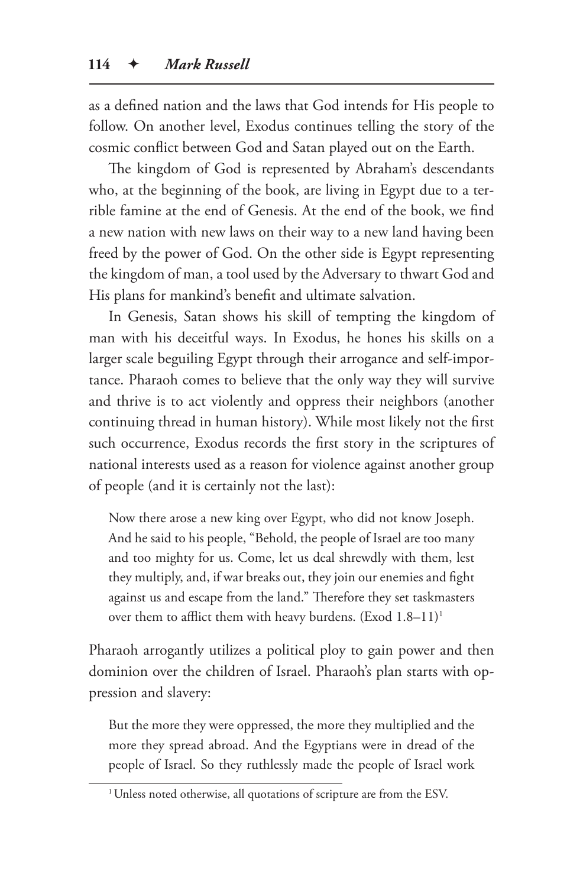as a defined nation and the laws that God intends for His people to follow. On another level, Exodus continues telling the story of the cosmic conflict between God and Satan played out on the Earth.

The kingdom of God is represented by Abraham's descendants who, at the beginning of the book, are living in Egypt due to a terrible famine at the end of Genesis. At the end of the book, we find a new nation with new laws on their way to a new land having been freed by the power of God. On the other side is Egypt representing the kingdom of man, a tool used by the Adversary to thwart God and His plans for mankind's benefit and ultimate salvation.

In Genesis, Satan shows his skill of tempting the kingdom of man with his deceitful ways. In Exodus, he hones his skills on a larger scale beguiling Egypt through their arrogance and self-importance. Pharaoh comes to believe that the only way they will survive and thrive is to act violently and oppress their neighbors (another continuing thread in human history). While most likely not the first such occurrence, Exodus records the first story in the scriptures of national interests used as a reason for violence against another group of people (and it is certainly not the last):

Now there arose a new king over Egypt, who did not know Joseph. And he said to his people, "Behold, the people of Israel are too many and too mighty for us. Come, let us deal shrewdly with them, lest they multiply, and, if war breaks out, they join our enemies and fight against us and escape from the land." Therefore they set taskmasters over them to afflict them with heavy burdens. (Exod 1.8–11)1

Pharaoh arrogantly utilizes a political ploy to gain power and then dominion over the children of Israel. Pharaoh's plan starts with oppression and slavery:

But the more they were oppressed, the more they multiplied and the more they spread abroad. And the Egyptians were in dread of the people of Israel. So they ruthlessly made the people of Israel work

<sup>&</sup>lt;sup>1</sup> Unless noted otherwise, all quotations of scripture are from the ESV.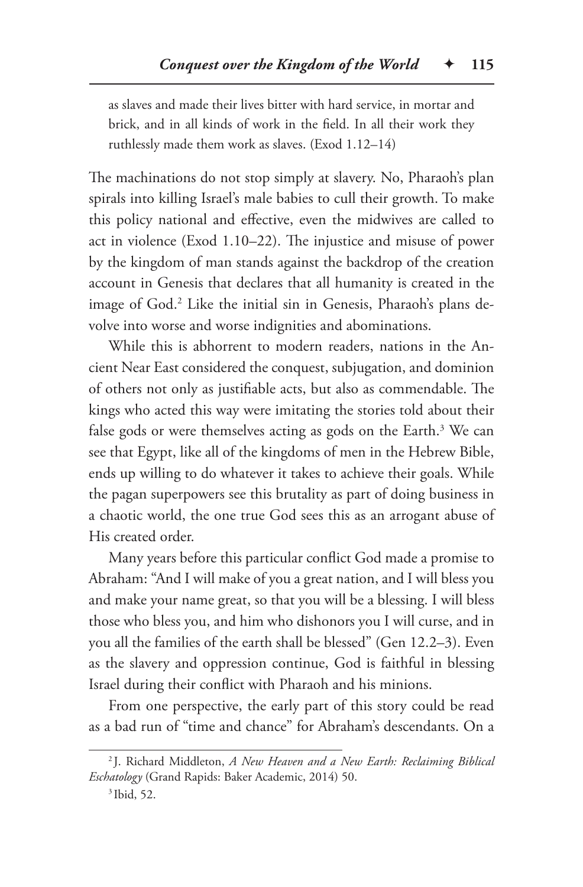as slaves and made their lives bitter with hard service, in mortar and brick, and in all kinds of work in the field. In all their work they ruthlessly made them work as slaves. (Exod 1.12–14)

The machinations do not stop simply at slavery. No, Pharaoh's plan spirals into killing Israel's male babies to cull their growth. To make this policy national and effective, even the midwives are called to act in violence (Exod 1.10–22). The injustice and misuse of power by the kingdom of man stands against the backdrop of the creation account in Genesis that declares that all humanity is created in the image of God.2 Like the initial sin in Genesis, Pharaoh's plans devolve into worse and worse indignities and abominations.

While this is abhorrent to modern readers, nations in the Ancient Near East considered the conquest, subjugation, and dominion of others not only as justifiable acts, but also as commendable. The kings who acted this way were imitating the stories told about their false gods or were themselves acting as gods on the Earth.<sup>3</sup> We can see that Egypt, like all of the kingdoms of men in the Hebrew Bible, ends up willing to do whatever it takes to achieve their goals. While the pagan superpowers see this brutality as part of doing business in a chaotic world, the one true God sees this as an arrogant abuse of His created order.

Many years before this particular conflict God made a promise to Abraham: "And I will make of you a great nation, and I will bless you and make your name great, so that you will be a blessing. I will bless those who bless you, and him who dishonors you I will curse, and in you all the families of the earth shall be blessed" (Gen 12.2–3). Even as the slavery and oppression continue, God is faithful in blessing Israel during their conflict with Pharaoh and his minions.

From one perspective, the early part of this story could be read as a bad run of "time and chance" for Abraham's descendants. On a

<sup>2</sup> J. Richard Middleton, *A New Heaven and a New Earth: Reclaiming Biblical Eschatology* (Grand Rapids: Baker Academic, 2014) 50.

<sup>3</sup> Ibid, 52.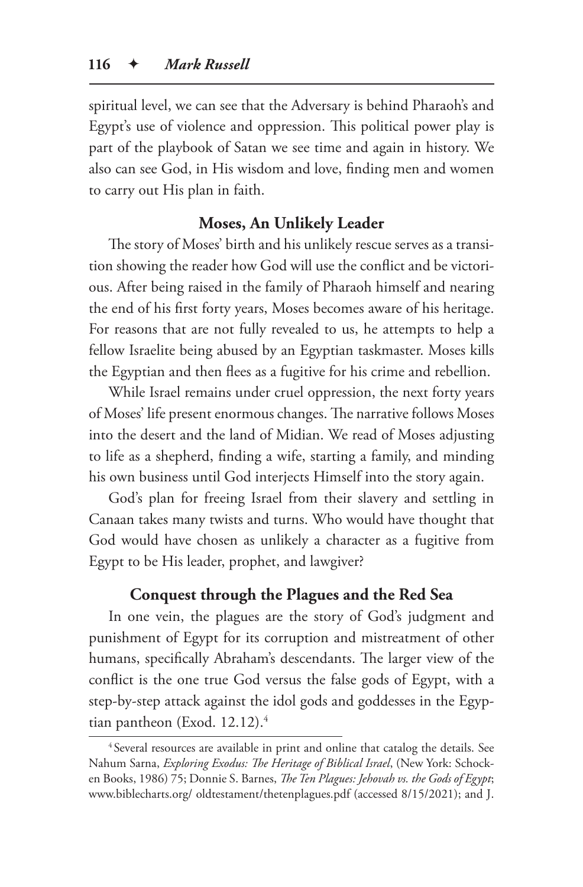spiritual level, we can see that the Adversary is behind Pharaoh's and Egypt's use of violence and oppression. This political power play is part of the playbook of Satan we see time and again in history. We also can see God, in His wisdom and love, finding men and women to carry out His plan in faith.

# **Moses, An Unlikely Leader**

The story of Moses' birth and his unlikely rescue serves as a transition showing the reader how God will use the conflict and be victorious. After being raised in the family of Pharaoh himself and nearing the end of his first forty years, Moses becomes aware of his heritage. For reasons that are not fully revealed to us, he attempts to help a fellow Israelite being abused by an Egyptian taskmaster. Moses kills the Egyptian and then flees as a fugitive for his crime and rebellion.

While Israel remains under cruel oppression, the next forty years of Moses' life present enormous changes. The narrative follows Moses into the desert and the land of Midian. We read of Moses adjusting to life as a shepherd, finding a wife, starting a family, and minding his own business until God interjects Himself into the story again.

God's plan for freeing Israel from their slavery and settling in Canaan takes many twists and turns. Who would have thought that God would have chosen as unlikely a character as a fugitive from Egypt to be His leader, prophet, and lawgiver?

#### **Conquest through the Plagues and the Red Sea**

In one vein, the plagues are the story of God's judgment and punishment of Egypt for its corruption and mistreatment of other humans, specifically Abraham's descendants. The larger view of the conflict is the one true God versus the false gods of Egypt, with a step-by-step attack against the idol gods and goddesses in the Egyptian pantheon (Exod. 12.12).<sup>4</sup>

<sup>&</sup>lt;sup>4</sup> Several resources are available in print and online that catalog the details. See Nahum Sarna, *Exploring Exodus: The Heritage of Biblical Israel*, (New York: Schocken Books, 1986) 75; Donnie S. Barnes, *The Ten Plagues: Jehovah vs. the Gods of Egypt*; www.biblecharts.org/ oldtestament/thetenplagues.pdf (accessed 8/15/2021); and J.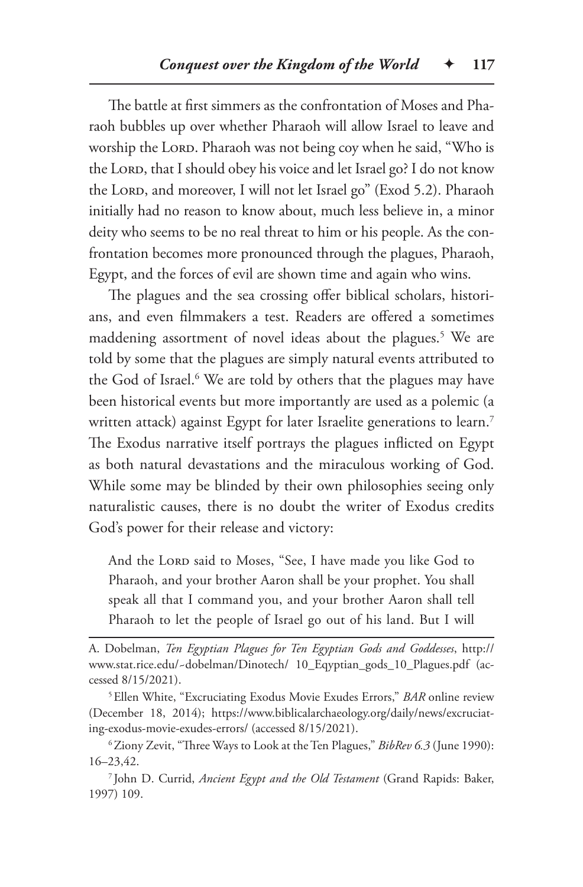The battle at first simmers as the confrontation of Moses and Pharaoh bubbles up over whether Pharaoh will allow Israel to leave and worship the LORD. Pharaoh was not being coy when he said, "Who is the LORD, that I should obey his voice and let Israel go? I do not know the LORD, and moreover, I will not let Israel go" (Exod 5.2). Pharaoh initially had no reason to know about, much less believe in, a minor deity who seems to be no real threat to him or his people. As the confrontation becomes more pronounced through the plagues, Pharaoh, Egypt, and the forces of evil are shown time and again who wins.

The plagues and the sea crossing offer biblical scholars, historians, and even filmmakers a test. Readers are offered a sometimes maddening assortment of novel ideas about the plagues.<sup>5</sup> We are told by some that the plagues are simply natural events attributed to the God of Israel.<sup>6</sup> We are told by others that the plagues may have been historical events but more importantly are used as a polemic (a written attack) against Egypt for later Israelite generations to learn.<sup>7</sup> The Exodus narrative itself portrays the plagues inflicted on Egypt as both natural devastations and the miraculous working of God. While some may be blinded by their own philosophies seeing only naturalistic causes, there is no doubt the writer of Exodus credits God's power for their release and victory:

And the LORD said to Moses, "See, I have made you like God to Pharaoh, and your brother Aaron shall be your prophet. You shall speak all that I command you, and your brother Aaron shall tell Pharaoh to let the people of Israel go out of his land. But I will

<sup>7</sup> John D. Currid, *Ancient Egypt and the Old Testament* (Grand Rapids: Baker, 1997) 109.

A. Dobelman, *Ten Egyptian Plagues for Ten Egyptian Gods and Goddesses*, http:// www.stat.rice.edu/~dobelman/Dinotech/ 10\_Eqyptian\_gods\_10\_Plagues.pdf (accessed 8/15/2021).

<sup>5</sup>Ellen White, "Excruciating Exodus Movie Exudes Errors," *BAR* online review (December 18, 2014); https://www.biblicalarchaeology.org/daily/news/excruciating-exodus-movie-exudes-errors/ (accessed 8/15/2021).

<sup>6</sup>Ziony Zevit, "Three Ways to Look at the Ten Plagues," *BibRev 6.3* (June 1990): 16–23,42.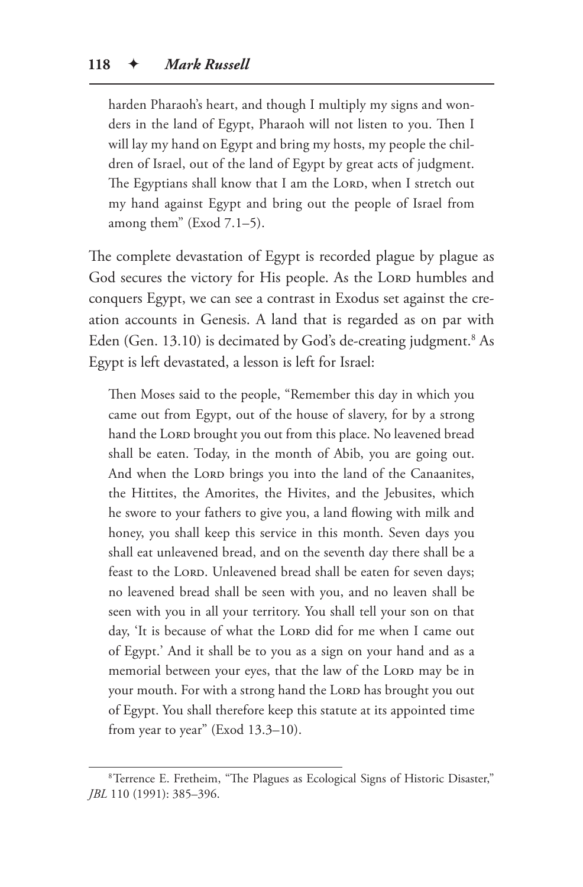harden Pharaoh's heart, and though I multiply my signs and wonders in the land of Egypt, Pharaoh will not listen to you. Then I will lay my hand on Egypt and bring my hosts, my people the children of Israel, out of the land of Egypt by great acts of judgment. The Egyptians shall know that I am the LORD, when I stretch out my hand against Egypt and bring out the people of Israel from among them" (Exod 7.1–5).

The complete devastation of Egypt is recorded plague by plague as God secures the victory for His people. As the Lorp humbles and conquers Egypt, we can see a contrast in Exodus set against the creation accounts in Genesis. A land that is regarded as on par with Eden (Gen. 13.10) is decimated by God's de-creating judgment.<sup>8</sup> As Egypt is left devastated, a lesson is left for Israel:

Then Moses said to the people, "Remember this day in which you came out from Egypt, out of the house of slavery, for by a strong hand the Lorp brought you out from this place. No leavened bread shall be eaten. Today, in the month of Abib, you are going out. And when the Lord brings you into the land of the Canaanites, the Hittites, the Amorites, the Hivites, and the Jebusites, which he swore to your fathers to give you, a land flowing with milk and honey, you shall keep this service in this month. Seven days you shall eat unleavened bread, and on the seventh day there shall be a feast to the LORD. Unleavened bread shall be eaten for seven days; no leavened bread shall be seen with you, and no leaven shall be seen with you in all your territory. You shall tell your son on that day, 'It is because of what the LORD did for me when I came out of Egypt.' And it shall be to you as a sign on your hand and as a memorial between your eyes, that the law of the LORD may be in your mouth. For with a strong hand the LORD has brought you out of Egypt. You shall therefore keep this statute at its appointed time from year to year" (Exod 13.3–10).

<sup>8</sup>Terrence E. Fretheim, "The Plagues as Ecological Signs of Historic Disaster," *JBL* 110 (1991): 385–396.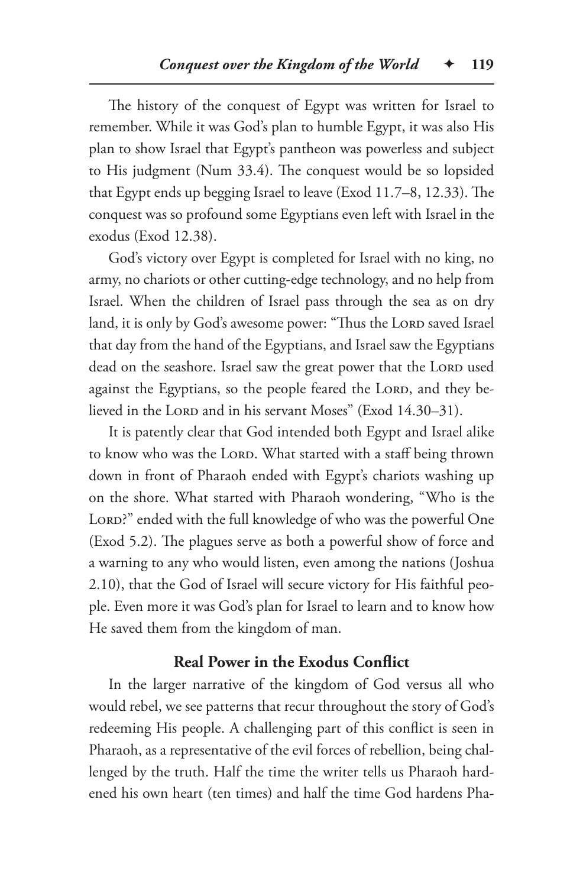The history of the conquest of Egypt was written for Israel to remember. While it was God's plan to humble Egypt, it was also His plan to show Israel that Egypt's pantheon was powerless and subject to His judgment (Num 33.4). The conquest would be so lopsided that Egypt ends up begging Israel to leave (Exod 11.7–8, 12.33). The conquest was so profound some Egyptians even left with Israel in the exodus (Exod 12.38).

God's victory over Egypt is completed for Israel with no king, no army, no chariots or other cutting-edge technology, and no help from Israel. When the children of Israel pass through the sea as on dry land, it is only by God's awesome power: "Thus the LORD saved Israel that day from the hand of the Egyptians, and Israel saw the Egyptians dead on the seashore. Israel saw the great power that the LORD used against the Egyptians, so the people feared the LORD, and they believed in the Lord and in his servant Moses" (Exod 14.30-31).

It is patently clear that God intended both Egypt and Israel alike to know who was the LORD. What started with a staff being thrown down in front of Pharaoh ended with Egypt's chariots washing up on the shore. What started with Pharaoh wondering, "Who is the LORD?" ended with the full knowledge of who was the powerful One (Exod 5.2). The plagues serve as both a powerful show of force and a warning to any who would listen, even among the nations (Joshua 2.10), that the God of Israel will secure victory for His faithful people. Even more it was God's plan for Israel to learn and to know how He saved them from the kingdom of man.

# **Real Power in the Exodus Conflict**

In the larger narrative of the kingdom of God versus all who would rebel, we see patterns that recur throughout the story of God's redeeming His people. A challenging part of this conflict is seen in Pharaoh, as a representative of the evil forces of rebellion, being challenged by the truth. Half the time the writer tells us Pharaoh hardened his own heart (ten times) and half the time God hardens Pha-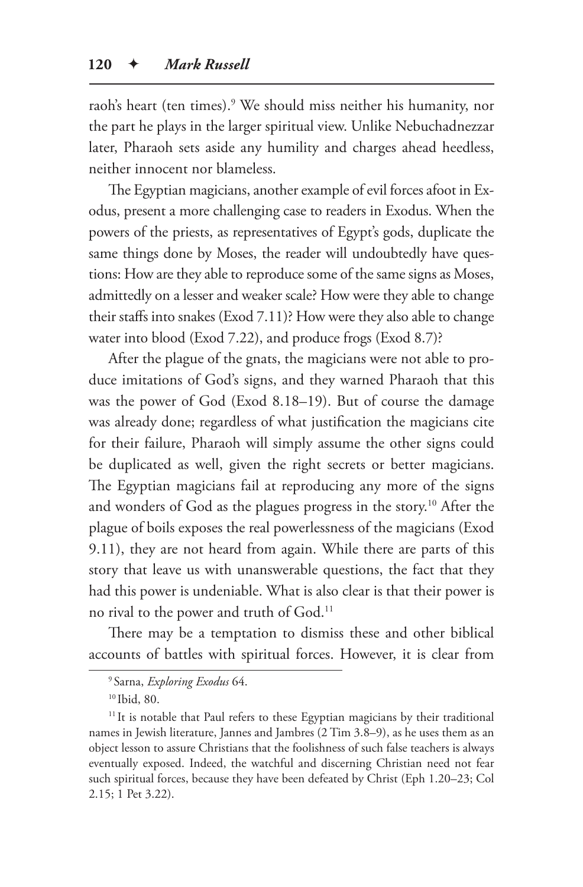raoh's heart (ten times).9 We should miss neither his humanity, nor the part he plays in the larger spiritual view. Unlike Nebuchadnezzar later, Pharaoh sets aside any humility and charges ahead heedless, neither innocent nor blameless.

The Egyptian magicians, another example of evil forces afoot in Exodus, present a more challenging case to readers in Exodus. When the powers of the priests, as representatives of Egypt's gods, duplicate the same things done by Moses, the reader will undoubtedly have questions: How are they able to reproduce some of the same signs as Moses, admittedly on a lesser and weaker scale? How were they able to change their staffs into snakes (Exod 7.11)? How were they also able to change water into blood (Exod 7.22), and produce frogs (Exod 8.7)?

After the plague of the gnats, the magicians were not able to produce imitations of God's signs, and they warned Pharaoh that this was the power of God (Exod 8.18–19). But of course the damage was already done; regardless of what justification the magicians cite for their failure, Pharaoh will simply assume the other signs could be duplicated as well, given the right secrets or better magicians. The Egyptian magicians fail at reproducing any more of the signs and wonders of God as the plagues progress in the story.10 After the plague of boils exposes the real powerlessness of the magicians (Exod 9.11), they are not heard from again. While there are parts of this story that leave us with unanswerable questions, the fact that they had this power is undeniable. What is also clear is that their power is no rival to the power and truth of God.11

There may be a temptation to dismiss these and other biblical accounts of battles with spiritual forces. However, it is clear from

<sup>9</sup> Sarna, *Exploring Exodus* 64.

<sup>10</sup> Ibid, 80.

<sup>&</sup>lt;sup>11</sup> It is notable that Paul refers to these Egyptian magicians by their traditional names in Jewish literature, Jannes and Jambres (2 Tim 3.8–9), as he uses them as an object lesson to assure Christians that the foolishness of such false teachers is always eventually exposed. Indeed, the watchful and discerning Christian need not fear such spiritual forces, because they have been defeated by Christ (Eph 1.20–23; Col 2.15; 1 Pet 3.22).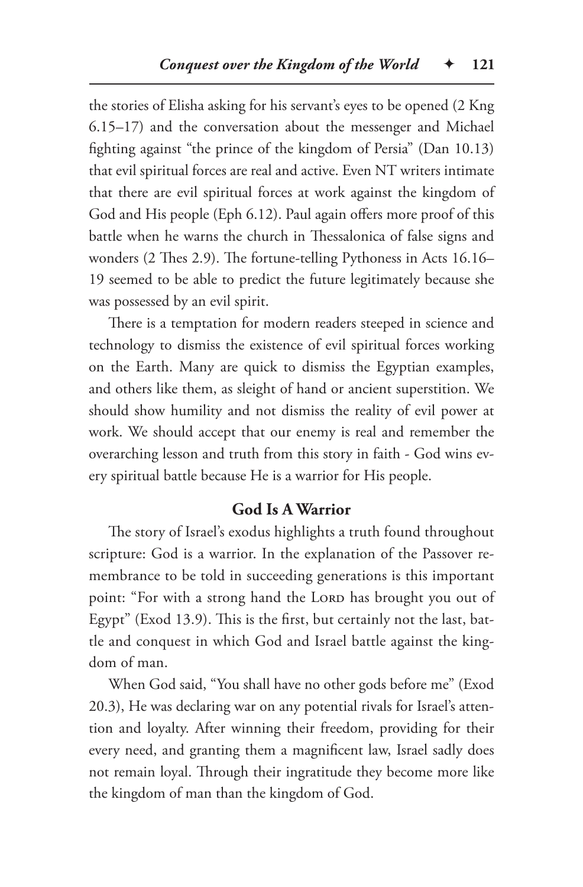the stories of Elisha asking for his servant's eyes to be opened (2 Kng 6.15–17) and the conversation about the messenger and Michael fighting against "the prince of the kingdom of Persia" (Dan 10.13) that evil spiritual forces are real and active. Even NT writers intimate that there are evil spiritual forces at work against the kingdom of God and His people (Eph 6.12). Paul again offers more proof of this battle when he warns the church in Thessalonica of false signs and wonders (2 Thes 2.9). The fortune-telling Pythoness in Acts 16.16– 19 seemed to be able to predict the future legitimately because she was possessed by an evil spirit.

There is a temptation for modern readers steeped in science and technology to dismiss the existence of evil spiritual forces working on the Earth. Many are quick to dismiss the Egyptian examples, and others like them, as sleight of hand or ancient superstition. We should show humility and not dismiss the reality of evil power at work. We should accept that our enemy is real and remember the overarching lesson and truth from this story in faith - God wins every spiritual battle because He is a warrior for His people.

# **God Is A Warrior**

The story of Israel's exodus highlights a truth found throughout scripture: God is a warrior. In the explanation of the Passover remembrance to be told in succeeding generations is this important point: "For with a strong hand the LORD has brought you out of Egypt" (Exod 13.9). This is the first, but certainly not the last, battle and conquest in which God and Israel battle against the kingdom of man.

When God said, "You shall have no other gods before me" (Exod 20.3), He was declaring war on any potential rivals for Israel's attention and loyalty. After winning their freedom, providing for their every need, and granting them a magnificent law, Israel sadly does not remain loyal. Through their ingratitude they become more like the kingdom of man than the kingdom of God.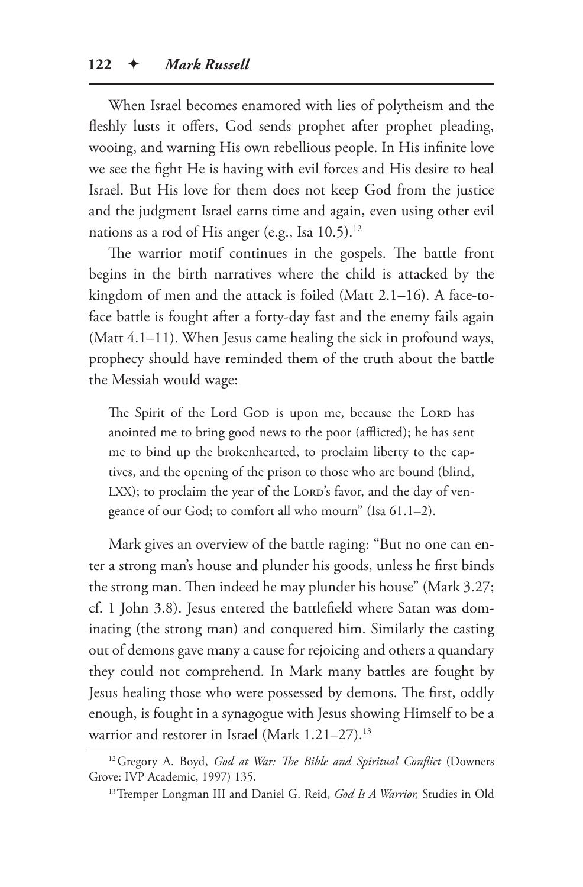When Israel becomes enamored with lies of polytheism and the fleshly lusts it offers, God sends prophet after prophet pleading, wooing, and warning His own rebellious people. In His infinite love we see the fight He is having with evil forces and His desire to heal Israel. But His love for them does not keep God from the justice and the judgment Israel earns time and again, even using other evil nations as a rod of His anger (e.g., Isa  $10.5$ ).<sup>12</sup>

The warrior motif continues in the gospels. The battle front begins in the birth narratives where the child is attacked by the kingdom of men and the attack is foiled (Matt 2.1–16). A face-toface battle is fought after a forty-day fast and the enemy fails again (Matt 4.1–11). When Jesus came healing the sick in profound ways, prophecy should have reminded them of the truth about the battle the Messiah would wage:

The Spirit of the Lord Gop is upon me, because the Lord has anointed me to bring good news to the poor (afflicted); he has sent me to bind up the brokenhearted, to proclaim liberty to the captives, and the opening of the prison to those who are bound (blind, LXX); to proclaim the year of the LORD's favor, and the day of vengeance of our God; to comfort all who mourn" (Isa 61.1–2).

Mark gives an overview of the battle raging: "But no one can enter a strong man's house and plunder his goods, unless he first binds the strong man. Then indeed he may plunder his house" (Mark 3.27; cf. 1 John 3.8). Jesus entered the battlefield where Satan was dominating (the strong man) and conquered him. Similarly the casting out of demons gave many a cause for rejoicing and others a quandary they could not comprehend. In Mark many battles are fought by Jesus healing those who were possessed by demons. The first, oddly enough, is fought in a synagogue with Jesus showing Himself to be a warrior and restorer in Israel (Mark 1.21-27).<sup>13</sup>

<sup>12</sup>Gregory A. Boyd, *God at War: The Bible and Spiritual Conflict* (Downers Grove: IVP Academic, 1997) 135.

<sup>13</sup>Tremper Longman III and Daniel G. Reid, *God Is A Warrior,* Studies in Old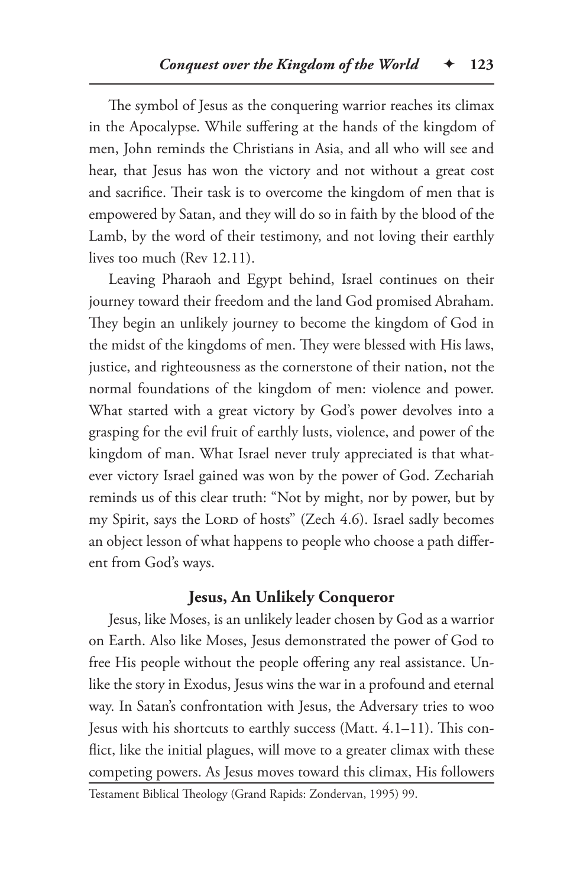The symbol of Jesus as the conquering warrior reaches its climax in the Apocalypse. While suffering at the hands of the kingdom of men, John reminds the Christians in Asia, and all who will see and hear, that Jesus has won the victory and not without a great cost and sacrifice. Their task is to overcome the kingdom of men that is empowered by Satan, and they will do so in faith by the blood of the Lamb, by the word of their testimony, and not loving their earthly lives too much (Rev 12.11).

Leaving Pharaoh and Egypt behind, Israel continues on their journey toward their freedom and the land God promised Abraham. They begin an unlikely journey to become the kingdom of God in the midst of the kingdoms of men. They were blessed with His laws, justice, and righteousness as the cornerstone of their nation, not the normal foundations of the kingdom of men: violence and power. What started with a great victory by God's power devolves into a grasping for the evil fruit of earthly lusts, violence, and power of the kingdom of man. What Israel never truly appreciated is that whatever victory Israel gained was won by the power of God. Zechariah reminds us of this clear truth: "Not by might, nor by power, but by my Spirit, says the LORD of hosts" (Zech 4.6). Israel sadly becomes an object lesson of what happens to people who choose a path different from God's ways.

# **Jesus, An Unlikely Conqueror**

Jesus, like Moses, is an unlikely leader chosen by God as a warrior on Earth. Also like Moses, Jesus demonstrated the power of God to free His people without the people offering any real assistance. Unlike the story in Exodus, Jesus wins the war in a profound and eternal way. In Satan's confrontation with Jesus, the Adversary tries to woo Jesus with his shortcuts to earthly success (Matt. 4.1–11). This conflict, like the initial plagues, will move to a greater climax with these competing powers. As Jesus moves toward this climax, His followers

Testament Biblical Theology (Grand Rapids: Zondervan, 1995) 99.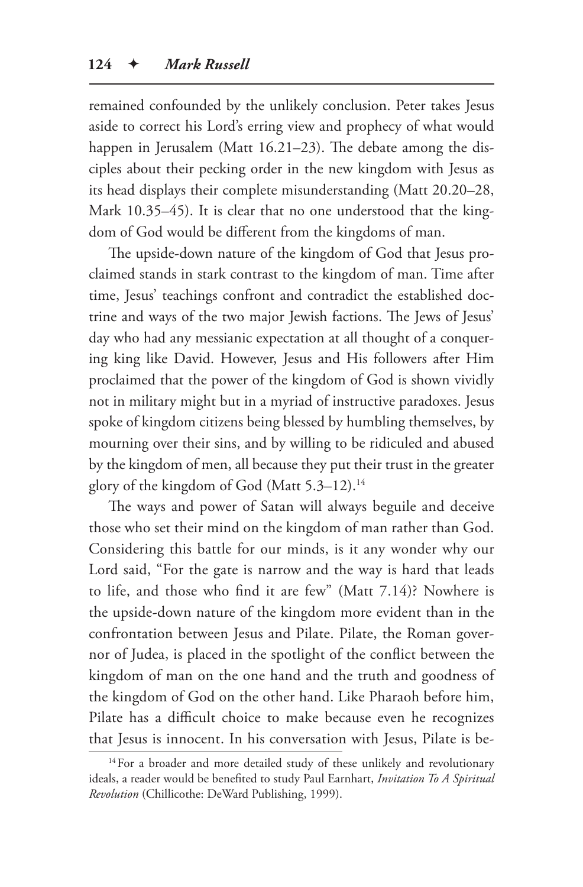remained confounded by the unlikely conclusion. Peter takes Jesus aside to correct his Lord's erring view and prophecy of what would happen in Jerusalem (Matt 16.21–23). The debate among the disciples about their pecking order in the new kingdom with Jesus as its head displays their complete misunderstanding (Matt 20.20–28, Mark 10.35–45). It is clear that no one understood that the kingdom of God would be different from the kingdoms of man.

The upside-down nature of the kingdom of God that Jesus proclaimed stands in stark contrast to the kingdom of man. Time after time, Jesus' teachings confront and contradict the established doctrine and ways of the two major Jewish factions. The Jews of Jesus' day who had any messianic expectation at all thought of a conquering king like David. However, Jesus and His followers after Him proclaimed that the power of the kingdom of God is shown vividly not in military might but in a myriad of instructive paradoxes. Jesus spoke of kingdom citizens being blessed by humbling themselves, by mourning over their sins, and by willing to be ridiculed and abused by the kingdom of men, all because they put their trust in the greater glory of the kingdom of God (Matt 5.3–12).<sup>14</sup>

The ways and power of Satan will always beguile and deceive those who set their mind on the kingdom of man rather than God. Considering this battle for our minds, is it any wonder why our Lord said, "For the gate is narrow and the way is hard that leads to life, and those who find it are few" (Matt 7.14)? Nowhere is the upside-down nature of the kingdom more evident than in the confrontation between Jesus and Pilate. Pilate, the Roman governor of Judea, is placed in the spotlight of the conflict between the kingdom of man on the one hand and the truth and goodness of the kingdom of God on the other hand. Like Pharaoh before him, Pilate has a difficult choice to make because even he recognizes that Jesus is innocent. In his conversation with Jesus, Pilate is be-

<sup>&</sup>lt;sup>14</sup> For a broader and more detailed study of these unlikely and revolutionary ideals, a reader would be benefited to study Paul Earnhart, *Invitation To A Spiritual Revolution* (Chillicothe: DeWard Publishing, 1999).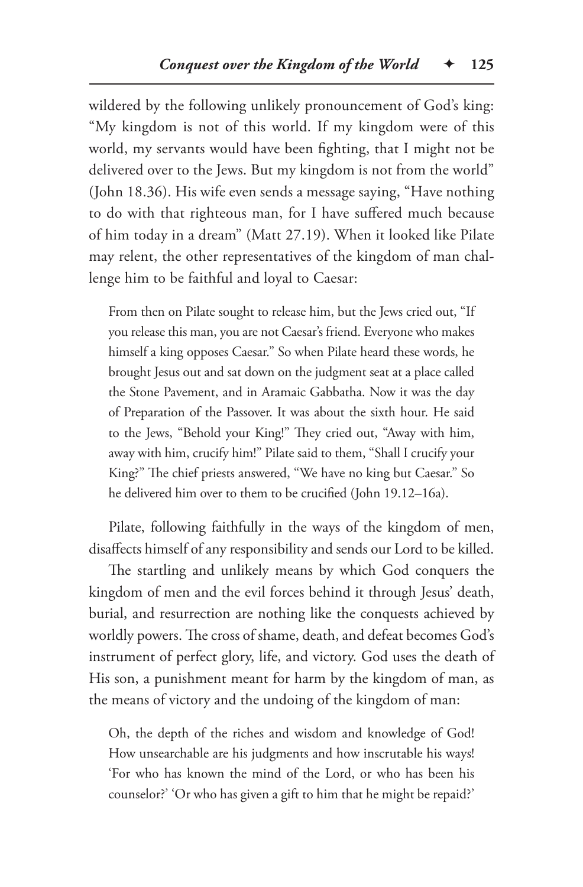wildered by the following unlikely pronouncement of God's king: "My kingdom is not of this world. If my kingdom were of this world, my servants would have been fighting, that I might not be delivered over to the Jews. But my kingdom is not from the world" (John 18.36). His wife even sends a message saying, "Have nothing to do with that righteous man, for I have suffered much because of him today in a dream" (Matt 27.19). When it looked like Pilate may relent, the other representatives of the kingdom of man challenge him to be faithful and loyal to Caesar:

From then on Pilate sought to release him, but the Jews cried out, "If you release this man, you are not Caesar's friend. Everyone who makes himself a king opposes Caesar." So when Pilate heard these words, he brought Jesus out and sat down on the judgment seat at a place called the Stone Pavement, and in Aramaic Gabbatha. Now it was the day of Preparation of the Passover. It was about the sixth hour. He said to the Jews, "Behold your King!" They cried out, "Away with him, away with him, crucify him!" Pilate said to them, "Shall I crucify your King?" The chief priests answered, "We have no king but Caesar." So he delivered him over to them to be crucified (John 19.12–16a).

Pilate, following faithfully in the ways of the kingdom of men, disaffects himself of any responsibility and sends our Lord to be killed.

The startling and unlikely means by which God conquers the kingdom of men and the evil forces behind it through Jesus' death, burial, and resurrection are nothing like the conquests achieved by worldly powers. The cross of shame, death, and defeat becomes God's instrument of perfect glory, life, and victory. God uses the death of His son, a punishment meant for harm by the kingdom of man, as the means of victory and the undoing of the kingdom of man:

Oh, the depth of the riches and wisdom and knowledge of God! How unsearchable are his judgments and how inscrutable his ways! 'For who has known the mind of the Lord, or who has been his counselor?' 'Or who has given a gift to him that he might be repaid?'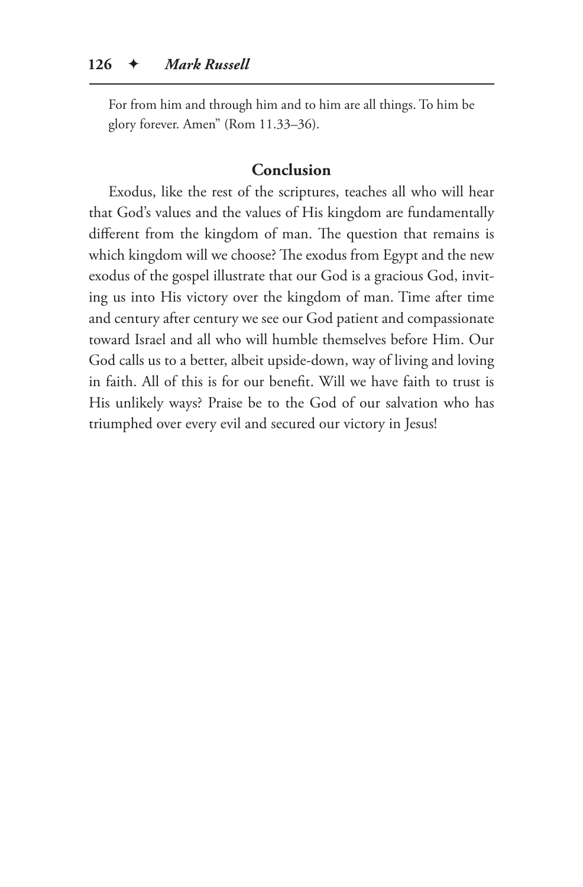For from him and through him and to him are all things. To him be glory forever. Amen" (Rom 11.33–36).

#### **Conclusion**

Exodus, like the rest of the scriptures, teaches all who will hear that God's values and the values of His kingdom are fundamentally different from the kingdom of man. The question that remains is which kingdom will we choose? The exodus from Egypt and the new exodus of the gospel illustrate that our God is a gracious God, inviting us into His victory over the kingdom of man. Time after time and century after century we see our God patient and compassionate toward Israel and all who will humble themselves before Him. Our God calls us to a better, albeit upside-down, way of living and loving in faith. All of this is for our benefit. Will we have faith to trust is His unlikely ways? Praise be to the God of our salvation who has triumphed over every evil and secured our victory in Jesus!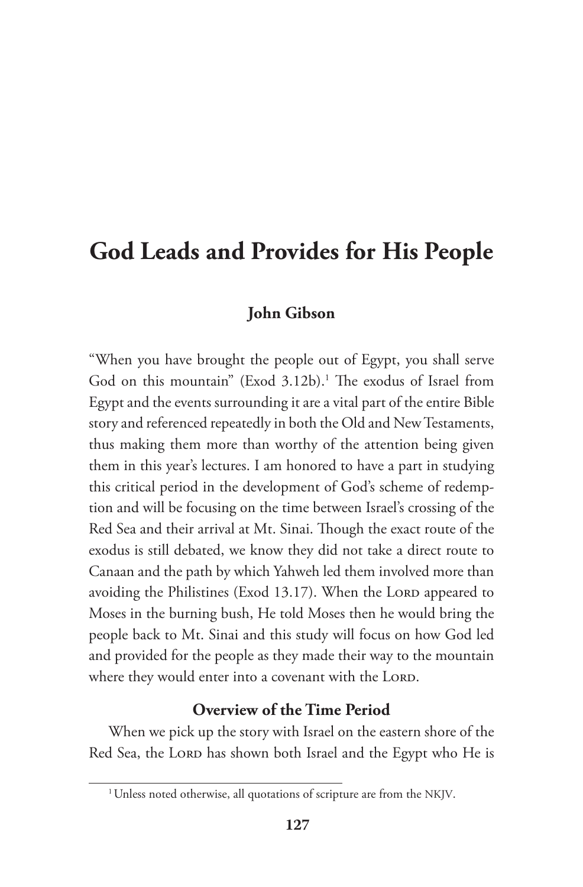# **God Leads and Provides for His People**

# **John Gibson**

"When you have brought the people out of Egypt, you shall serve God on this mountain" (Exod 3.12b).<sup>1</sup> The exodus of Israel from Egypt and the events surrounding it are a vital part of the entire Bible story and referenced repeatedly in both the Old and New Testaments, thus making them more than worthy of the attention being given them in this year's lectures. I am honored to have a part in studying this critical period in the development of God's scheme of redemption and will be focusing on the time between Israel's crossing of the Red Sea and their arrival at Mt. Sinai. Though the exact route of the exodus is still debated, we know they did not take a direct route to Canaan and the path by which Yahweh led them involved more than avoiding the Philistines (Exod 13.17). When the LORD appeared to Moses in the burning bush, He told Moses then he would bring the people back to Mt. Sinai and this study will focus on how God led and provided for the people as they made their way to the mountain where they would enter into a covenant with the LORD.

# **Overview of the Time Period**

When we pick up the story with Israel on the eastern shore of the Red Sea, the LORD has shown both Israel and the Egypt who He is

<sup>&</sup>lt;sup>1</sup> Unless noted otherwise, all quotations of scripture are from the NKJV.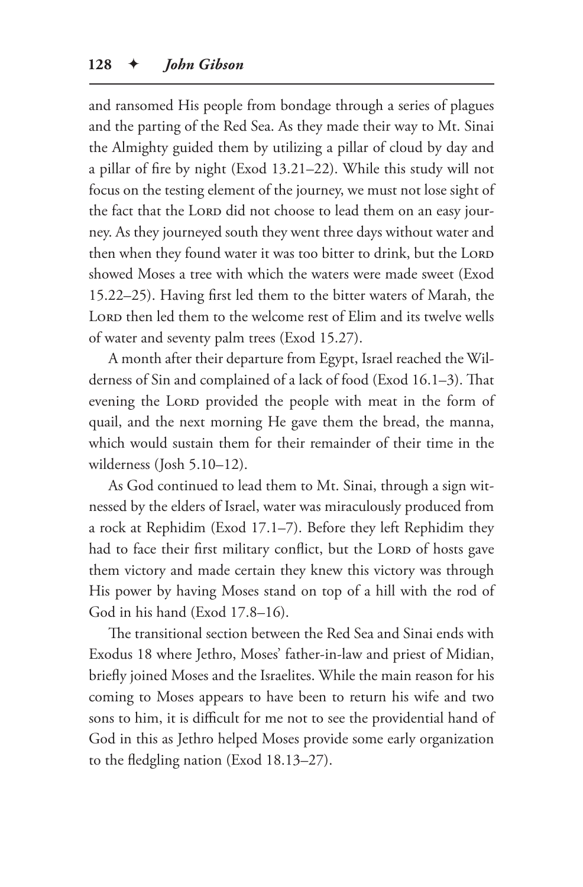and ransomed His people from bondage through a series of plagues and the parting of the Red Sea. As they made their way to Mt. Sinai the Almighty guided them by utilizing a pillar of cloud by day and a pillar of fire by night (Exod 13.21–22). While this study will not focus on the testing element of the journey, we must not lose sight of the fact that the LORD did not choose to lead them on an easy journey. As they journeyed south they went three days without water and then when they found water it was too bitter to drink, but the LORD showed Moses a tree with which the waters were made sweet (Exod 15.22–25). Having first led them to the bitter waters of Marah, the LORD then led them to the welcome rest of Elim and its twelve wells of water and seventy palm trees (Exod 15.27).

A month after their departure from Egypt, Israel reached the Wilderness of Sin and complained of a lack of food (Exod 16.1–3). That evening the LORD provided the people with meat in the form of quail, and the next morning He gave them the bread, the manna, which would sustain them for their remainder of their time in the wilderness (Josh 5.10–12).

As God continued to lead them to Mt. Sinai, through a sign witnessed by the elders of Israel, water was miraculously produced from a rock at Rephidim (Exod 17.1–7). Before they left Rephidim they had to face their first military conflict, but the LORD of hosts gave them victory and made certain they knew this victory was through His power by having Moses stand on top of a hill with the rod of God in his hand (Exod 17.8–16).

The transitional section between the Red Sea and Sinai ends with Exodus 18 where Jethro, Moses' father-in-law and priest of Midian, briefly joined Moses and the Israelites. While the main reason for his coming to Moses appears to have been to return his wife and two sons to him, it is difficult for me not to see the providential hand of God in this as Jethro helped Moses provide some early organization to the fledgling nation (Exod 18.13–27).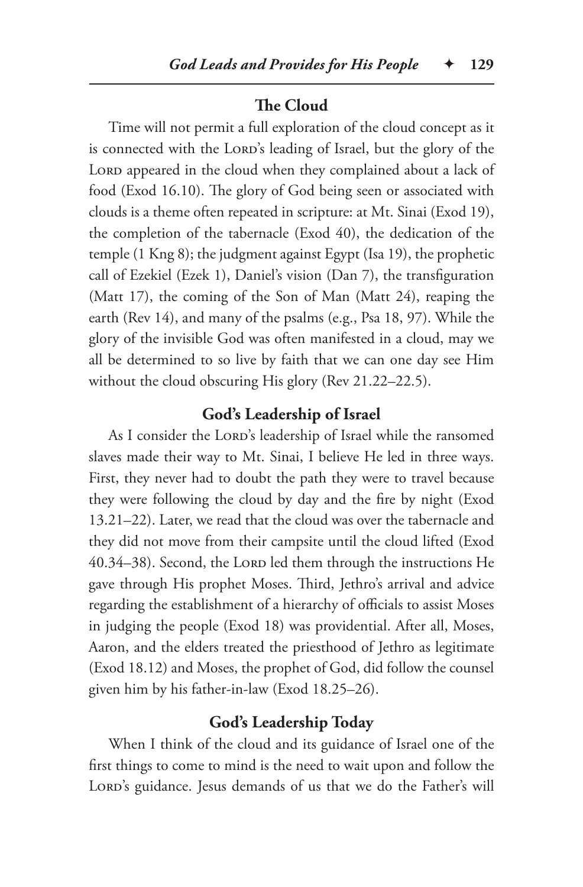# **The Cloud**

Time will not permit a full exploration of the cloud concept as it is connected with the LORD's leading of Israel, but the glory of the LORD appeared in the cloud when they complained about a lack of food (Exod 16.10). The glory of God being seen or associated with clouds is a theme often repeated in scripture: at Mt. Sinai (Exod 19), the completion of the tabernacle (Exod 40), the dedication of the temple (1 Kng 8); the judgment against Egypt (Isa 19), the prophetic call of Ezekiel (Ezek 1), Daniel's vision (Dan 7), the transfiguration (Matt 17), the coming of the Son of Man (Matt 24), reaping the earth (Rev 14), and many of the psalms (e.g., Psa 18, 97). While the glory of the invisible God was often manifested in a cloud, may we all be determined to so live by faith that we can one day see Him without the cloud obscuring His glory (Rev 21.22–22.5).

# **God's Leadership of Israel**

As I consider the LORD's leadership of Israel while the ransomed slaves made their way to Mt. Sinai, I believe He led in three ways. First, they never had to doubt the path they were to travel because they were following the cloud by day and the fire by night (Exod 13.21–22). Later, we read that the cloud was over the tabernacle and they did not move from their campsite until the cloud lifted (Exod 40.34–38). Second, the Lorp led them through the instructions He gave through His prophet Moses. Third, Jethro's arrival and advice regarding the establishment of a hierarchy of officials to assist Moses in judging the people (Exod 18) was providential. After all, Moses, Aaron, and the elders treated the priesthood of Jethro as legitimate (Exod 18.12) and Moses, the prophet of God, did follow the counsel given him by his father-in-law (Exod 18.25–26).

# **God's Leadership Today**

When I think of the cloud and its guidance of Israel one of the first things to come to mind is the need to wait upon and follow the LORD's guidance. Jesus demands of us that we do the Father's will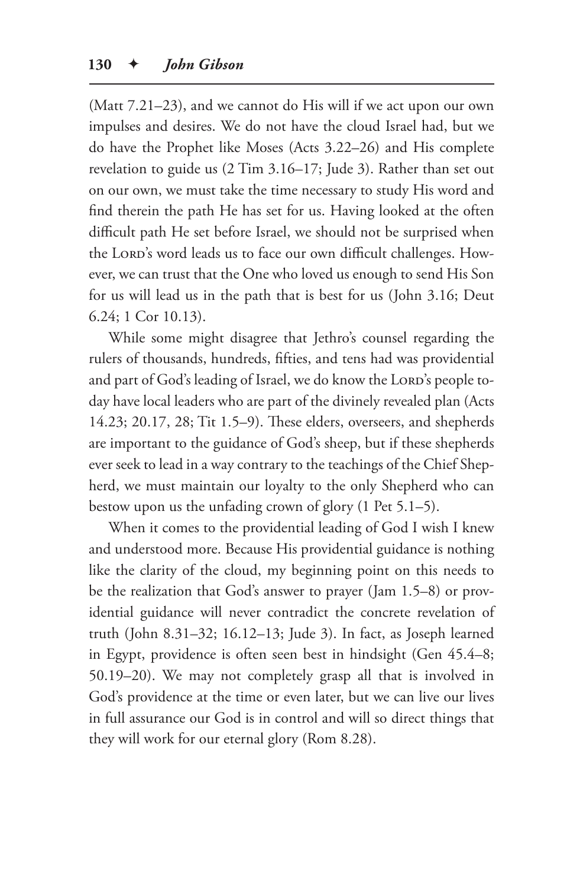(Matt 7.21–23), and we cannot do His will if we act upon our own impulses and desires. We do not have the cloud Israel had, but we do have the Prophet like Moses (Acts 3.22–26) and His complete revelation to guide us (2 Tim 3.16–17; Jude 3). Rather than set out on our own, we must take the time necessary to study His word and find therein the path He has set for us. Having looked at the often difficult path He set before Israel, we should not be surprised when the LORD's word leads us to face our own difficult challenges. However, we can trust that the One who loved us enough to send His Son for us will lead us in the path that is best for us (John 3.16; Deut 6.24; 1 Cor 10.13).

While some might disagree that Jethro's counsel regarding the rulers of thousands, hundreds, fifties, and tens had was providential and part of God's leading of Israel, we do know the LORD's people today have local leaders who are part of the divinely revealed plan (Acts 14.23; 20.17, 28; Tit 1.5–9). These elders, overseers, and shepherds are important to the guidance of God's sheep, but if these shepherds ever seek to lead in a way contrary to the teachings of the Chief Shepherd, we must maintain our loyalty to the only Shepherd who can bestow upon us the unfading crown of glory (1 Pet 5.1–5).

When it comes to the providential leading of God I wish I knew and understood more. Because His providential guidance is nothing like the clarity of the cloud, my beginning point on this needs to be the realization that God's answer to prayer (Jam 1.5–8) or providential guidance will never contradict the concrete revelation of truth (John 8.31–32; 16.12–13; Jude 3). In fact, as Joseph learned in Egypt, providence is often seen best in hindsight (Gen 45.4–8; 50.19–20). We may not completely grasp all that is involved in God's providence at the time or even later, but we can live our lives in full assurance our God is in control and will so direct things that they will work for our eternal glory (Rom 8.28).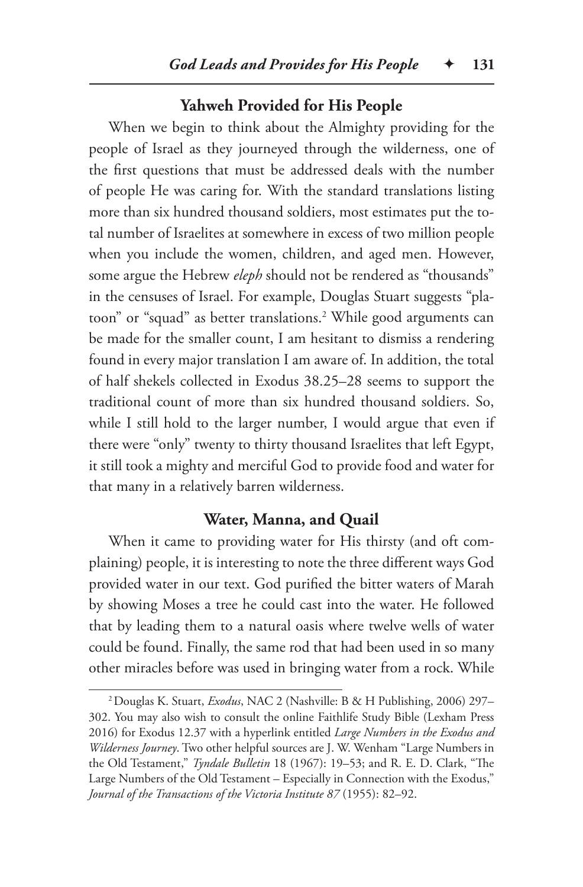#### **Yahweh Provided for His People**

When we begin to think about the Almighty providing for the people of Israel as they journeyed through the wilderness, one of the first questions that must be addressed deals with the number of people He was caring for. With the standard translations listing more than six hundred thousand soldiers, most estimates put the total number of Israelites at somewhere in excess of two million people when you include the women, children, and aged men. However, some argue the Hebrew *eleph* should not be rendered as "thousands" in the censuses of Israel. For example, Douglas Stuart suggests "platoon" or "squad" as better translations.2 While good arguments can be made for the smaller count, I am hesitant to dismiss a rendering found in every major translation I am aware of. In addition, the total of half shekels collected in Exodus 38.25–28 seems to support the traditional count of more than six hundred thousand soldiers. So, while I still hold to the larger number, I would argue that even if there were "only" twenty to thirty thousand Israelites that left Egypt, it still took a mighty and merciful God to provide food and water for that many in a relatively barren wilderness.

## **Water, Manna, and Quail**

When it came to providing water for His thirsty (and oft complaining) people, it is interesting to note the three different ways God provided water in our text. God purified the bitter waters of Marah by showing Moses a tree he could cast into the water. He followed that by leading them to a natural oasis where twelve wells of water could be found. Finally, the same rod that had been used in so many other miracles before was used in bringing water from a rock. While

<sup>2</sup>Douglas K. Stuart, *Exodus*, NAC 2 (Nashville: B & H Publishing, 2006) 297– 302. You may also wish to consult the online Faithlife Study Bible (Lexham Press 2016) for Exodus 12.37 with a hyperlink entitled *Large Numbers in the Exodus and Wilderness Journey*. Two other helpful sources are J. W. Wenham "Large Numbers in the Old Testament," *Tyndale Bulletin* 18 (1967): 19–53; and R. E. D. Clark, "The Large Numbers of the Old Testament – Especially in Connection with the Exodus," *Journal of the Transactions of the Victoria Institute 87* (1955): 82–92.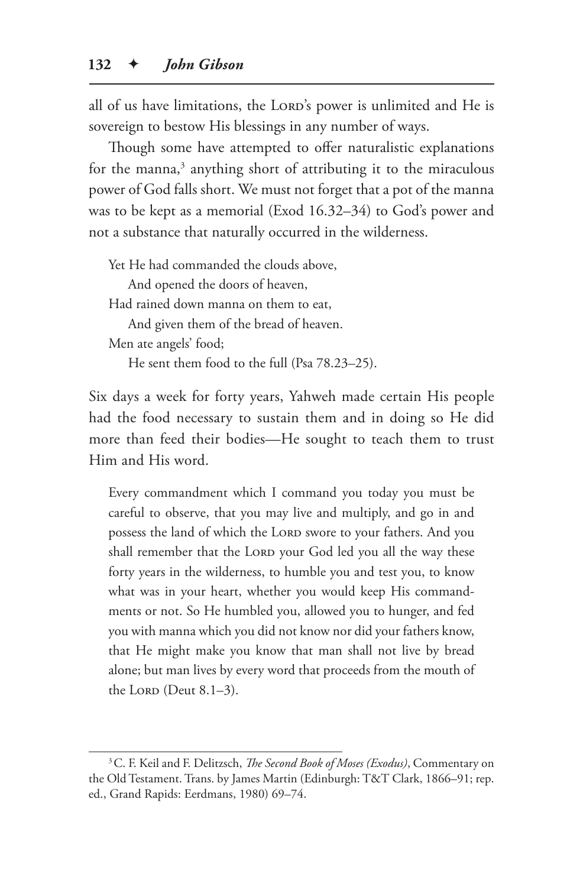all of us have limitations, the LORD's power is unlimited and He is sovereign to bestow His blessings in any number of ways.

Though some have attempted to offer naturalistic explanations for the manna,<sup>3</sup> anything short of attributing it to the miraculous power of God falls short. We must not forget that a pot of the manna was to be kept as a memorial (Exod 16.32–34) to God's power and not a substance that naturally occurred in the wilderness.

Yet He had commanded the clouds above, And opened the doors of heaven, Had rained down manna on them to eat, And given them of the bread of heaven. Men ate angels' food; He sent them food to the full (Psa 78.23–25).

Six days a week for forty years, Yahweh made certain His people had the food necessary to sustain them and in doing so He did more than feed their bodies—He sought to teach them to trust Him and His word.

Every commandment which I command you today you must be careful to observe, that you may live and multiply, and go in and possess the land of which the LORD swore to your fathers. And you shall remember that the LORD your God led you all the way these forty years in the wilderness, to humble you and test you, to know what was in your heart, whether you would keep His commandments or not. So He humbled you, allowed you to hunger, and fed you with manna which you did not know nor did your fathers know, that He might make you know that man shall not live by bread alone; but man lives by every word that proceeds from the mouth of the LORD (Deut  $8.1-3$ ).

<sup>3</sup>C. F. Keil and F. Delitzsch, *The Second Book of Moses (Exodus)*, Commentary on the Old Testament. Trans. by James Martin (Edinburgh: T&T Clark, 1866–91; rep. ed., Grand Rapids: Eerdmans, 1980) 69–74.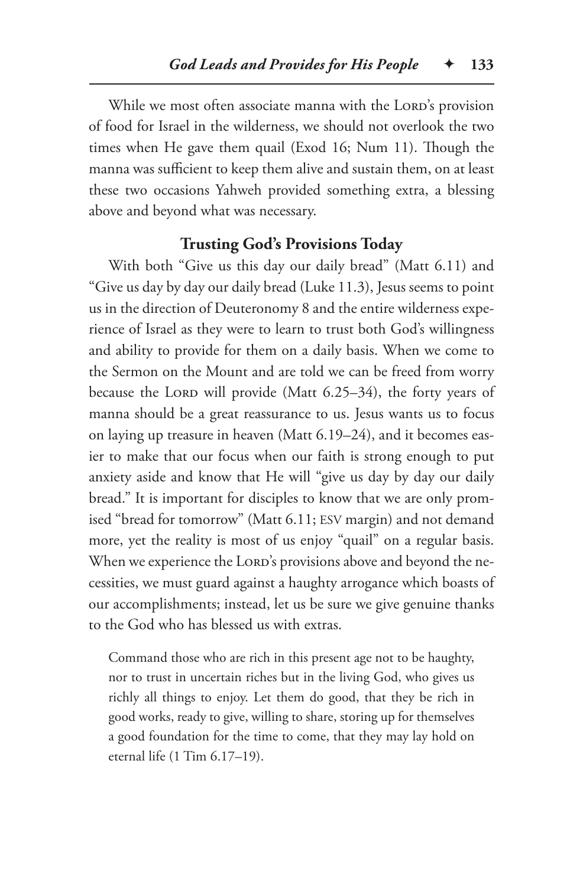While we most often associate manna with the LORD's provision of food for Israel in the wilderness, we should not overlook the two times when He gave them quail (Exod 16; Num 11). Though the manna was sufficient to keep them alive and sustain them, on at least these two occasions Yahweh provided something extra, a blessing above and beyond what was necessary.

## **Trusting God's Provisions Today**

With both "Give us this day our daily bread" (Matt 6.11) and "Give us day by day our daily bread (Luke 11.3), Jesus seems to point us in the direction of Deuteronomy 8 and the entire wilderness experience of Israel as they were to learn to trust both God's willingness and ability to provide for them on a daily basis. When we come to the Sermon on the Mount and are told we can be freed from worry because the LORD will provide (Matt  $6.25-34$ ), the forty years of manna should be a great reassurance to us. Jesus wants us to focus on laying up treasure in heaven (Matt 6.19–24), and it becomes easier to make that our focus when our faith is strong enough to put anxiety aside and know that He will "give us day by day our daily bread." It is important for disciples to know that we are only promised "bread for tomorrow" (Matt 6.11; ESV margin) and not demand more, yet the reality is most of us enjoy "quail" on a regular basis. When we experience the LORD's provisions above and beyond the necessities, we must guard against a haughty arrogance which boasts of our accomplishments; instead, let us be sure we give genuine thanks to the God who has blessed us with extras.

Command those who are rich in this present age not to be haughty, nor to trust in uncertain riches but in the living God, who gives us richly all things to enjoy. Let them do good, that they be rich in good works, ready to give, willing to share, storing up for themselves a good foundation for the time to come, that they may lay hold on eternal life (1 Tim 6.17–19).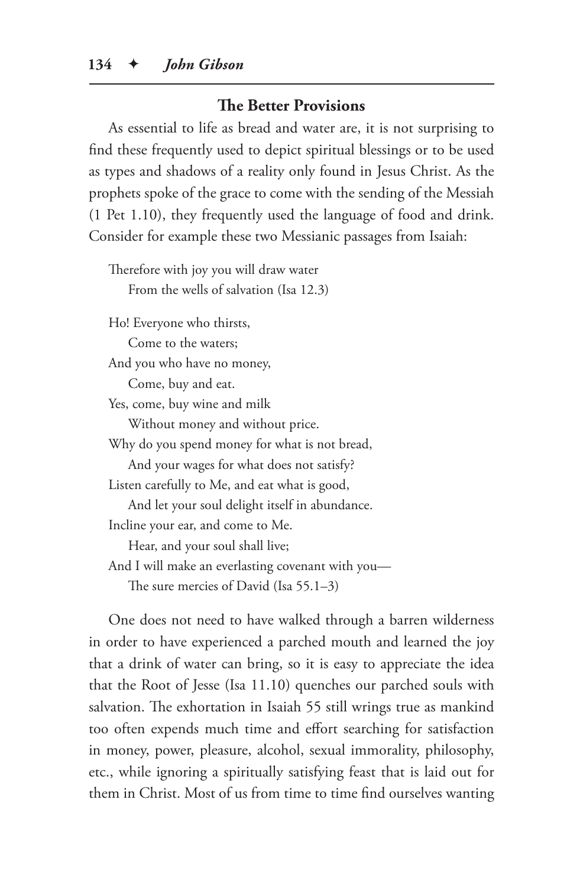#### **The Better Provisions**

As essential to life as bread and water are, it is not surprising to find these frequently used to depict spiritual blessings or to be used as types and shadows of a reality only found in Jesus Christ. As the prophets spoke of the grace to come with the sending of the Messiah (1 Pet 1.10), they frequently used the language of food and drink. Consider for example these two Messianic passages from Isaiah:

Therefore with joy you will draw water From the wells of salvation (Isa 12.3) Ho! Everyone who thirsts, Come to the waters; And you who have no money, Come, buy and eat. Yes, come, buy wine and milk Without money and without price. Why do you spend money for what is not bread, And your wages for what does not satisfy? Listen carefully to Me, and eat what is good, And let your soul delight itself in abundance. Incline your ear, and come to Me. Hear, and your soul shall live; And I will make an everlasting covenant with you— The sure mercies of David (Isa 55.1–3)

One does not need to have walked through a barren wilderness in order to have experienced a parched mouth and learned the joy that a drink of water can bring, so it is easy to appreciate the idea that the Root of Jesse (Isa 11.10) quenches our parched souls with salvation. The exhortation in Isaiah 55 still wrings true as mankind too often expends much time and effort searching for satisfaction in money, power, pleasure, alcohol, sexual immorality, philosophy, etc., while ignoring a spiritually satisfying feast that is laid out for them in Christ. Most of us from time to time find ourselves wanting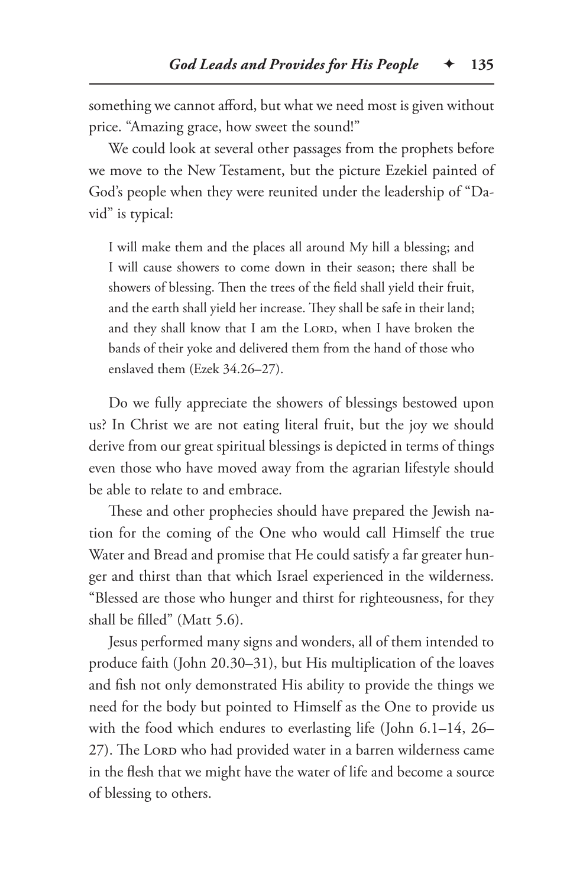something we cannot afford, but what we need most is given without price. "Amazing grace, how sweet the sound!"

We could look at several other passages from the prophets before we move to the New Testament, but the picture Ezekiel painted of God's people when they were reunited under the leadership of "David" is typical:

I will make them and the places all around My hill a blessing; and I will cause showers to come down in their season; there shall be showers of blessing. Then the trees of the field shall yield their fruit, and the earth shall yield her increase. They shall be safe in their land; and they shall know that I am the LORD, when I have broken the bands of their yoke and delivered them from the hand of those who enslaved them (Ezek 34.26–27).

Do we fully appreciate the showers of blessings bestowed upon us? In Christ we are not eating literal fruit, but the joy we should derive from our great spiritual blessings is depicted in terms of things even those who have moved away from the agrarian lifestyle should be able to relate to and embrace.

These and other prophecies should have prepared the Jewish nation for the coming of the One who would call Himself the true Water and Bread and promise that He could satisfy a far greater hunger and thirst than that which Israel experienced in the wilderness. "Blessed are those who hunger and thirst for righteousness, for they shall be filled" (Matt 5.6).

Jesus performed many signs and wonders, all of them intended to produce faith (John 20.30–31), but His multiplication of the loaves and fish not only demonstrated His ability to provide the things we need for the body but pointed to Himself as the One to provide us with the food which endures to everlasting life (John 6.1–14, 26– 27). The Lorp who had provided water in a barren wilderness came in the flesh that we might have the water of life and become a source of blessing to others.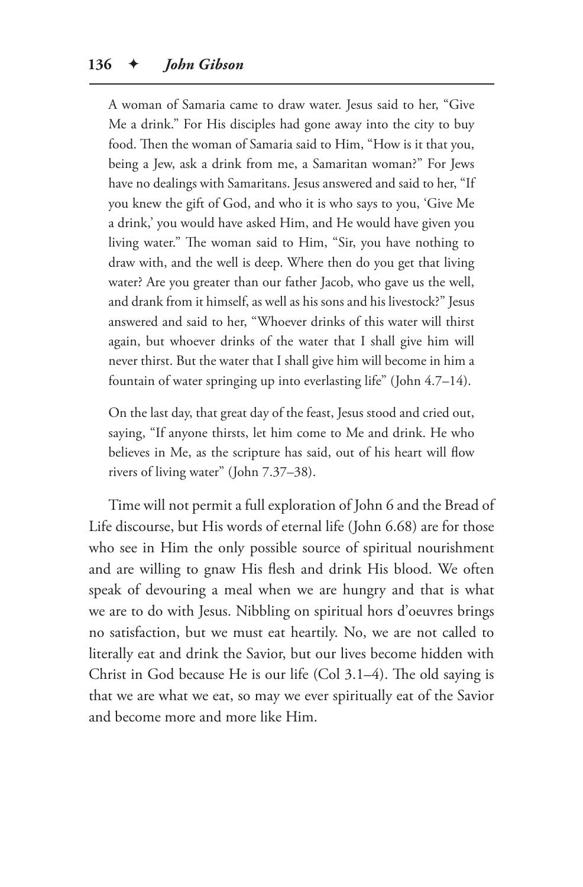A woman of Samaria came to draw water. Jesus said to her, "Give Me a drink." For His disciples had gone away into the city to buy food. Then the woman of Samaria said to Him, "How is it that you, being a Jew, ask a drink from me, a Samaritan woman?" For Jews have no dealings with Samaritans. Jesus answered and said to her, "If you knew the gift of God, and who it is who says to you, 'Give Me a drink,' you would have asked Him, and He would have given you living water." The woman said to Him, "Sir, you have nothing to draw with, and the well is deep. Where then do you get that living water? Are you greater than our father Jacob, who gave us the well, and drank from it himself, as well as his sons and his livestock?" Jesus answered and said to her, "Whoever drinks of this water will thirst again, but whoever drinks of the water that I shall give him will never thirst. But the water that I shall give him will become in him a fountain of water springing up into everlasting life" (John 4.7–14).

On the last day, that great day of the feast, Jesus stood and cried out, saying, "If anyone thirsts, let him come to Me and drink. He who believes in Me, as the scripture has said, out of his heart will flow rivers of living water" (John 7.37–38).

Time will not permit a full exploration of John 6 and the Bread of Life discourse, but His words of eternal life (John 6.68) are for those who see in Him the only possible source of spiritual nourishment and are willing to gnaw His flesh and drink His blood. We often speak of devouring a meal when we are hungry and that is what we are to do with Jesus. Nibbling on spiritual hors d'oeuvres brings no satisfaction, but we must eat heartily. No, we are not called to literally eat and drink the Savior, but our lives become hidden with Christ in God because He is our life (Col 3.1–4). The old saying is that we are what we eat, so may we ever spiritually eat of the Savior and become more and more like Him.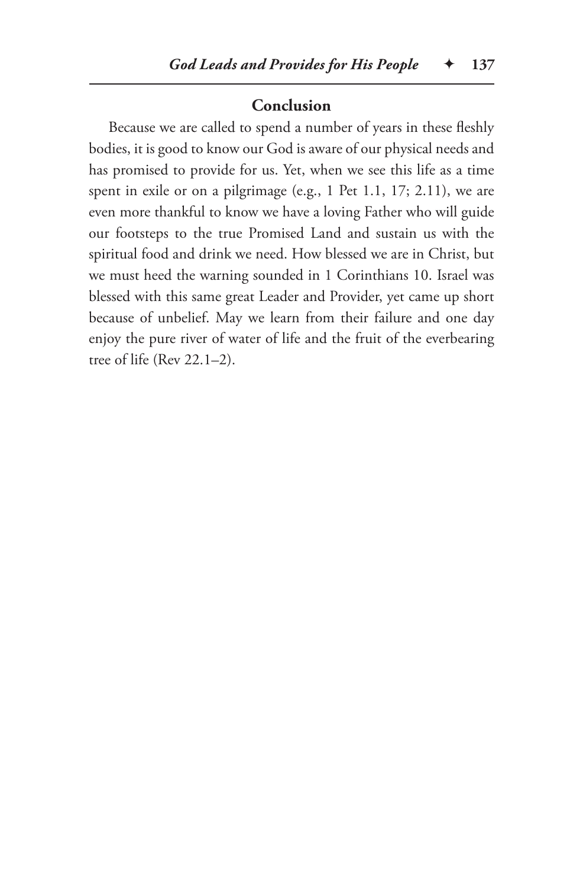#### **Conclusion**

Because we are called to spend a number of years in these fleshly bodies, it is good to know our God is aware of our physical needs and has promised to provide for us. Yet, when we see this life as a time spent in exile or on a pilgrimage (e.g., 1 Pet 1.1, 17; 2.11), we are even more thankful to know we have a loving Father who will guide our footsteps to the true Promised Land and sustain us with the spiritual food and drink we need. How blessed we are in Christ, but we must heed the warning sounded in 1 Corinthians 10. Israel was blessed with this same great Leader and Provider, yet came up short because of unbelief. May we learn from their failure and one day enjoy the pure river of water of life and the fruit of the everbearing tree of life (Rev 22.1–2).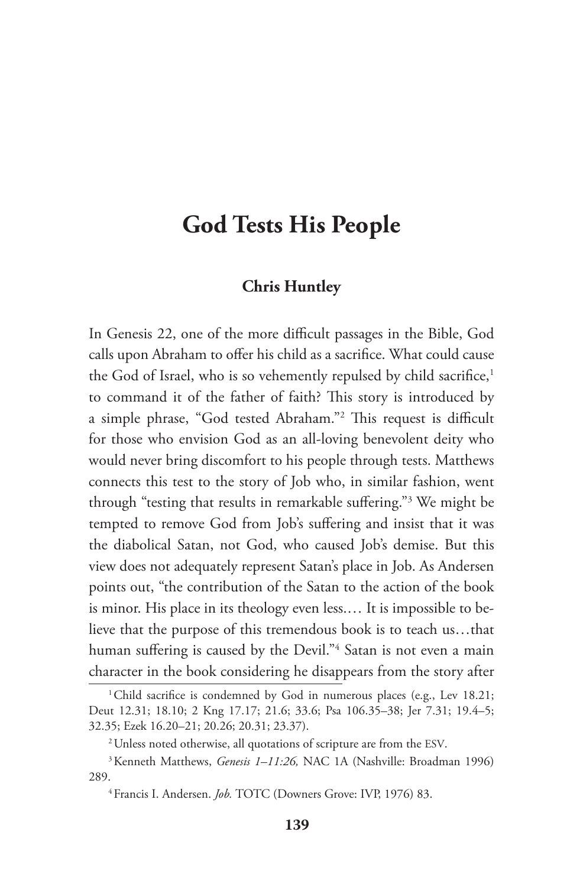# **God Tests His People**

#### **Chris Huntley**

In Genesis 22, one of the more difficult passages in the Bible, God calls upon Abraham to offer his child as a sacrifice. What could cause the God of Israel, who is so vehemently repulsed by child sacrifice,<sup>1</sup> to command it of the father of faith? This story is introduced by a simple phrase, "God tested Abraham."2 This request is difficult for those who envision God as an all-loving benevolent deity who would never bring discomfort to his people through tests. Matthews connects this test to the story of Job who, in similar fashion, went through "testing that results in remarkable suffering."3 We might be tempted to remove God from Job's suffering and insist that it was the diabolical Satan, not God, who caused Job's demise. But this view does not adequately represent Satan's place in Job. As Andersen points out, "the contribution of the Satan to the action of the book is minor. His place in its theology even less.… It is impossible to believe that the purpose of this tremendous book is to teach us…that human suffering is caused by the Devil."<sup>4</sup> Satan is not even a main character in the book considering he disappears from the story after

<sup>&</sup>lt;sup>1</sup>Child sacrifice is condemned by God in numerous places (e.g., Lev 18.21; Deut 12.31; 18.10; 2 Kng 17.17; 21.6; 33.6; Psa 106.35–38; Jer 7.31; 19.4–5; 32.35; Ezek 16.20–21; 20.26; 20.31; 23.37).

<sup>&</sup>lt;sup>2</sup> Unless noted otherwise, all quotations of scripture are from the ESV.

<sup>3</sup>Kenneth Matthews, *Genesis 1–11:26,* NAC 1A (Nashville: Broadman 1996) 289.

<sup>4</sup>Francis I. Andersen. *Job.* TOTC (Downers Grove: IVP, 1976) 83.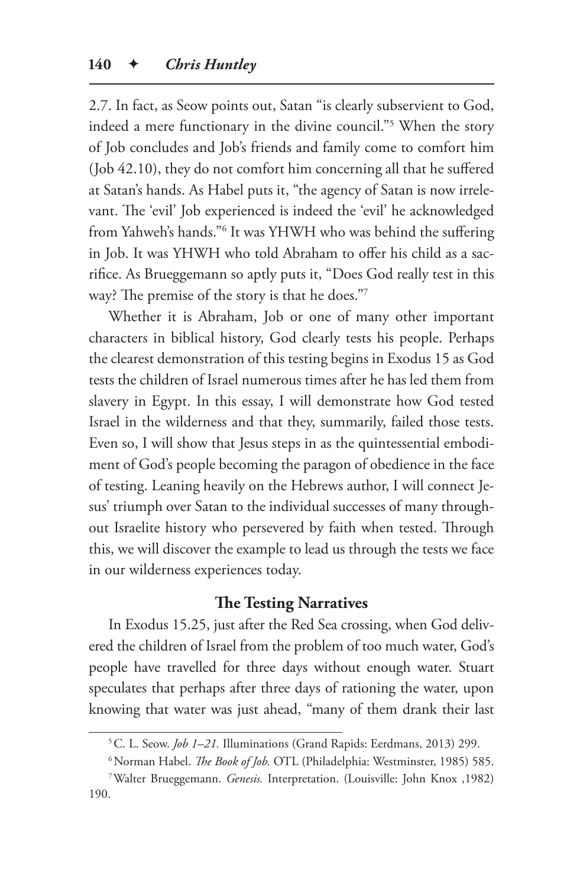2.7. In fact, as Seow points out, Satan "is clearly subservient to God, indeed a mere functionary in the divine council."5 When the story of Job concludes and Job's friends and family come to comfort him (Job 42.10), they do not comfort him concerning all that he suffered at Satan's hands. As Habel puts it, "the agency of Satan is now irrelevant. The 'evil' Job experienced is indeed the 'evil' he acknowledged from Yahweh's hands."6 It was YHWH who was behind the suffering in Job. It was YHWH who told Abraham to offer his child as a sacrifice. As Brueggemann so aptly puts it, "Does God really test in this way? The premise of the story is that he does."7

Whether it is Abraham, Job or one of many other important characters in biblical history, God clearly tests his people. Perhaps the clearest demonstration of this testing begins in Exodus 15 as God tests the children of Israel numerous times after he has led them from slavery in Egypt. In this essay, I will demonstrate how God tested Israel in the wilderness and that they, summarily, failed those tests. Even so, I will show that Jesus steps in as the quintessential embodiment of God's people becoming the paragon of obedience in the face of testing. Leaning heavily on the Hebrews author, I will connect Jesus' triumph over Satan to the individual successes of many throughout Israelite history who persevered by faith when tested. Through this, we will discover the example to lead us through the tests we face in our wilderness experiences today.

## **The Testing Narratives**

In Exodus 15.25, just after the Red Sea crossing, when God delivered the children of Israel from the problem of too much water, God's people have travelled for three days without enough water. Stuart speculates that perhaps after three days of rationing the water, upon knowing that water was just ahead, "many of them drank their last

<sup>5</sup>C. L. Seow. *Job 1–21.* Illuminations (Grand Rapids: Eerdmans, 2013) 299.

<sup>6</sup>Norman Habel. *The Book of Job.* OTL (Philadelphia: Westminster, 1985) 585.

<sup>7</sup>Walter Brueggemann. *Genesis.* Interpretation. (Louisville: John Knox ,1982) 190.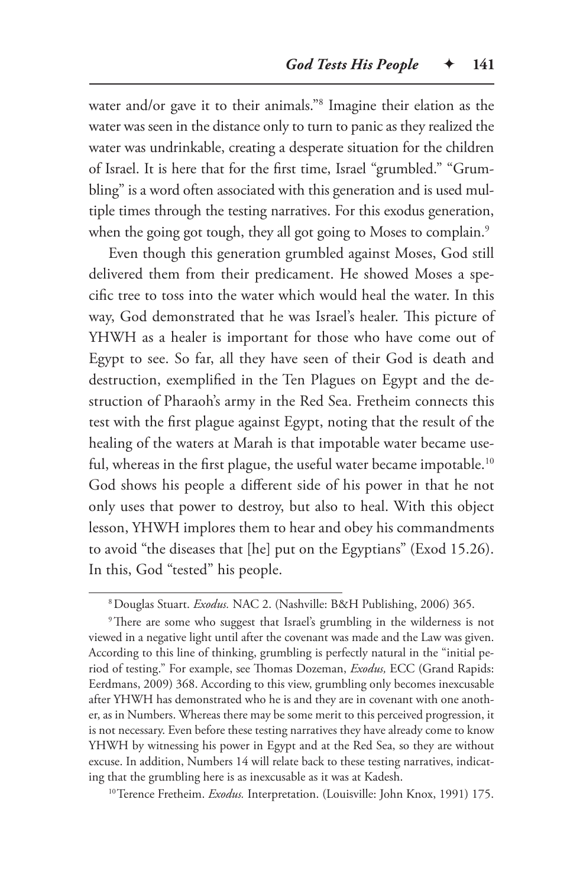water and/or gave it to their animals."8 Imagine their elation as the water was seen in the distance only to turn to panic as they realized the water was undrinkable, creating a desperate situation for the children of Israel. It is here that for the first time, Israel "grumbled." "Grumbling" is a word often associated with this generation and is used multiple times through the testing narratives. For this exodus generation, when the going got tough, they all got going to Moses to complain.<sup>9</sup>

Even though this generation grumbled against Moses, God still delivered them from their predicament. He showed Moses a specific tree to toss into the water which would heal the water. In this way, God demonstrated that he was Israel's healer. This picture of YHWH as a healer is important for those who have come out of Egypt to see. So far, all they have seen of their God is death and destruction, exemplified in the Ten Plagues on Egypt and the destruction of Pharaoh's army in the Red Sea. Fretheim connects this test with the first plague against Egypt, noting that the result of the healing of the waters at Marah is that impotable water became useful, whereas in the first plague, the useful water became impotable.<sup>10</sup> God shows his people a different side of his power in that he not only uses that power to destroy, but also to heal. With this object lesson, YHWH implores them to hear and obey his commandments to avoid "the diseases that [he] put on the Egyptians" (Exod 15.26). In this, God "tested" his people.

<sup>9</sup>There are some who suggest that Israel's grumbling in the wilderness is not viewed in a negative light until after the covenant was made and the Law was given. According to this line of thinking, grumbling is perfectly natural in the "initial period of testing." For example, see Thomas Dozeman, *Exodus,* ECC (Grand Rapids: Eerdmans, 2009) 368. According to this view, grumbling only becomes inexcusable after YHWH has demonstrated who he is and they are in covenant with one another, as in Numbers. Whereas there may be some merit to this perceived progression, it is not necessary. Even before these testing narratives they have already come to know YHWH by witnessing his power in Egypt and at the Red Sea, so they are without excuse. In addition, Numbers 14 will relate back to these testing narratives, indicating that the grumbling here is as inexcusable as it was at Kadesh.

<sup>10</sup>Terence Fretheim. *Exodus*. Interpretation. (Louisville: John Knox, 1991) 175.

<sup>8</sup>Douglas Stuart. *Exodus.* NAC 2. (Nashville: B&H Publishing, 2006) 365.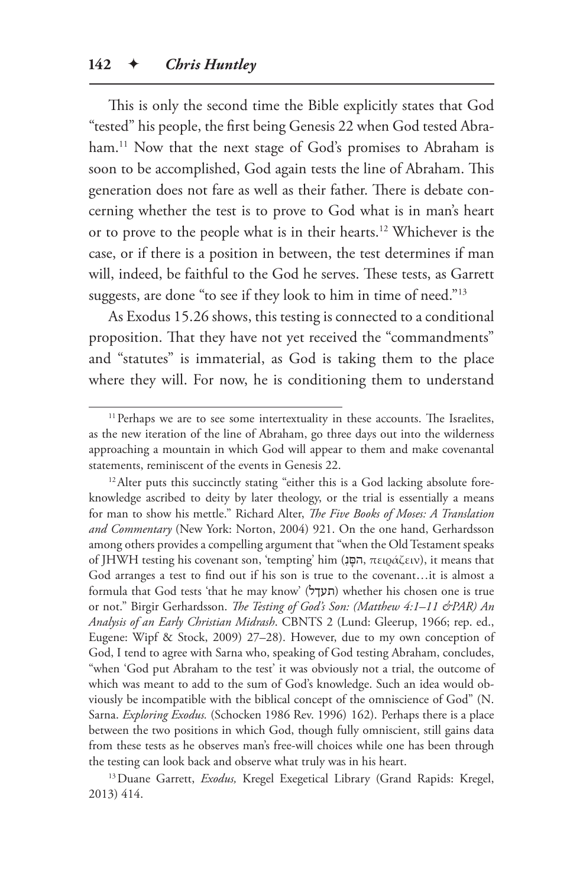This is only the second time the Bible explicitly states that God "tested" his people, the first being Genesis 22 when God tested Abraham.<sup>11</sup> Now that the next stage of God's promises to Abraham is soon to be accomplished, God again tests the line of Abraham. This generation does not fare as well as their father. There is debate concerning whether the test is to prove to God what is in man's heart or to prove to the people what is in their hearts.12 Whichever is the case, or if there is a position in between, the test determines if man will, indeed, be faithful to the God he serves. These tests, as Garrett suggests, are done "to see if they look to him in time of need."13

As Exodus 15.26 shows, this testing is connected to a conditional proposition. That they have not yet received the "commandments" and "statutes" is immaterial, as God is taking them to the place where they will. For now, he is conditioning them to understand

<sup>12</sup> Alter puts this succinctly stating "either this is a God lacking absolute foreknowledge ascribed to deity by later theology, or the trial is essentially a means for man to show his mettle." Richard Alter, *The Five Books of Moses: A Translation and Commentary* (New York: Norton, 2004) 921. On the one hand, Gerhardsson among others provides a compelling argument that "when the Old Testament speaks of JHWH testing his covenant son, 'tempting' him (נִ םָּ ה, πειράζειν), it means that God arranges a test to find out if his son is true to the covenant…it is almost a formula that God tests 'that he may know' (תעךל) whether his chosen one is true or not." Birgir Gerhardsson. *The Testing of God's Son: (Matthew 4:1–11 &PAR) An Analysis of an Early Christian Midrash*. CBNTS 2 (Lund: Gleerup, 1966; rep. ed., Eugene: Wipf & Stock, 2009) 27–28). However, due to my own conception of God, I tend to agree with Sarna who, speaking of God testing Abraham, concludes, "when 'God put Abraham to the test' it was obviously not a trial, the outcome of which was meant to add to the sum of God's knowledge. Such an idea would obviously be incompatible with the biblical concept of the omniscience of God" (N. Sarna. *Exploring Exodus.* (Schocken 1986 Rev. 1996) 162). Perhaps there is a place between the two positions in which God, though fully omniscient, still gains data from these tests as he observes man's free-will choices while one has been through the testing can look back and observe what truly was in his heart.

<sup>13</sup> Duane Garrett, *Exodus*, Kregel Exegetical Library (Grand Rapids: Kregel, 2013) 414.

<sup>&</sup>lt;sup>11</sup> Perhaps we are to see some intertextuality in these accounts. The Israelites, as the new iteration of the line of Abraham, go three days out into the wilderness approaching a mountain in which God will appear to them and make covenantal statements, reminiscent of the events in Genesis 22.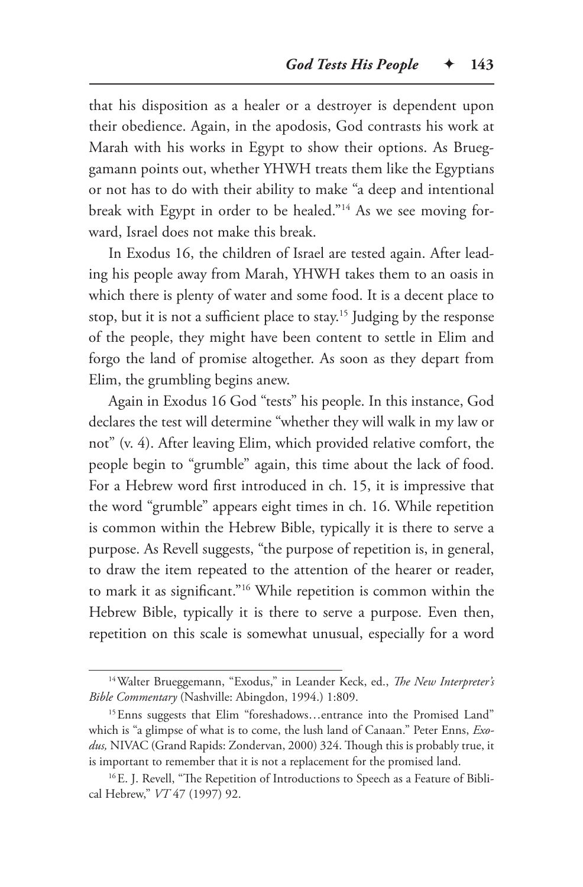that his disposition as a healer or a destroyer is dependent upon their obedience. Again, in the apodosis, God contrasts his work at Marah with his works in Egypt to show their options. As Brueggamann points out, whether YHWH treats them like the Egyptians or not has to do with their ability to make "a deep and intentional break with Egypt in order to be healed."14 As we see moving forward, Israel does not make this break.

In Exodus 16, the children of Israel are tested again. After leading his people away from Marah, YHWH takes them to an oasis in which there is plenty of water and some food. It is a decent place to stop, but it is not a sufficient place to stay.15 Judging by the response of the people, they might have been content to settle in Elim and forgo the land of promise altogether. As soon as they depart from Elim, the grumbling begins anew.

Again in Exodus 16 God "tests" his people. In this instance, God declares the test will determine "whether they will walk in my law or not" (v. 4). After leaving Elim, which provided relative comfort, the people begin to "grumble" again, this time about the lack of food. For a Hebrew word first introduced in ch. 15, it is impressive that the word "grumble" appears eight times in ch. 16. While repetition is common within the Hebrew Bible, typically it is there to serve a purpose. As Revell suggests, "the purpose of repetition is, in general, to draw the item repeated to the attention of the hearer or reader, to mark it as significant."16 While repetition is common within the Hebrew Bible, typically it is there to serve a purpose. Even then, repetition on this scale is somewhat unusual, especially for a word

<sup>14</sup>Walter Brueggemann, "Exodus," in Leander Keck, ed., *The New Interpreter's Bible Commentary* (Nashville: Abingdon, 1994.) 1:809.

<sup>15</sup>Enns suggests that Elim "foreshadows…entrance into the Promised Land" which is "a glimpse of what is to come, the lush land of Canaan." Peter Enns, *Exodus,* NIVAC (Grand Rapids: Zondervan, 2000) 324. Though this is probably true, it is important to remember that it is not a replacement for the promised land.

<sup>&</sup>lt;sup>16</sup>E. J. Revell, "The Repetition of Introductions to Speech as a Feature of Biblical Hebrew," *VT* 47 (1997) 92.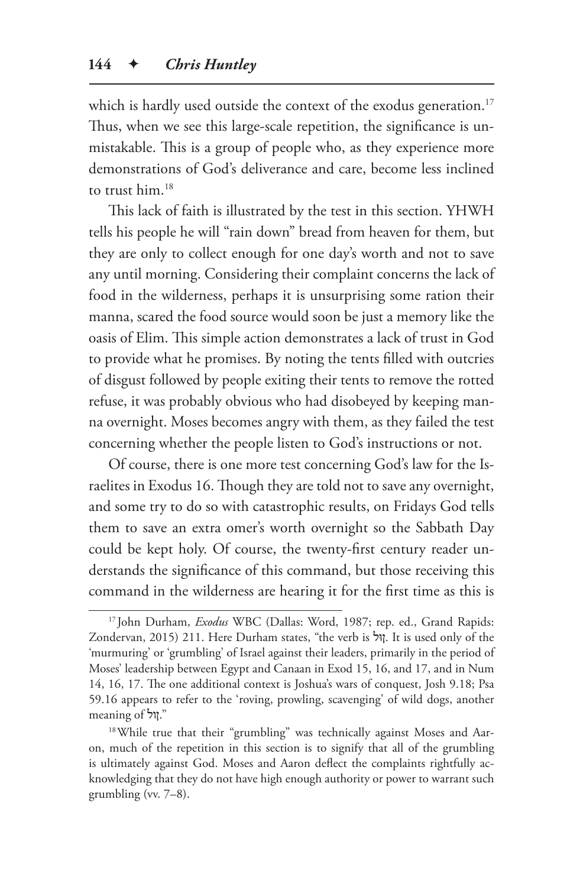which is hardly used outside the context of the exodus generation.<sup>17</sup> Thus, when we see this large-scale repetition, the significance is unmistakable. This is a group of people who, as they experience more demonstrations of God's deliverance and care, become less inclined to trust him.18

This lack of faith is illustrated by the test in this section. YHWH tells his people he will "rain down" bread from heaven for them, but they are only to collect enough for one day's worth and not to save any until morning. Considering their complaint concerns the lack of food in the wilderness, perhaps it is unsurprising some ration their manna, scared the food source would soon be just a memory like the oasis of Elim. This simple action demonstrates a lack of trust in God to provide what he promises. By noting the tents filled with outcries of disgust followed by people exiting their tents to remove the rotted refuse, it was probably obvious who had disobeyed by keeping manna overnight. Moses becomes angry with them, as they failed the test concerning whether the people listen to God's instructions or not.

Of course, there is one more test concerning God's law for the Israelites in Exodus 16. Though they are told not to save any overnight, and some try to do so with catastrophic results, on Fridays God tells them to save an extra omer's worth overnight so the Sabbath Day could be kept holy. Of course, the twenty-first century reader understands the significance of this command, but those receiving this command in the wilderness are hearing it for the first time as this is

<sup>17</sup> John Durham, *Exodus* WBC (Dallas: Word, 1987; rep. ed., Grand Rapids: Zondervan, 2015) 211. Here Durham states, "the verb is ולּן. It is used only of the 'murmuring' or 'grumbling' of Israel against their leaders, primarily in the period of Moses' leadership between Egypt and Canaan in Exod 15, 16, and 17, and in Num 14, 16, 17. The one additional context is Joshua's wars of conquest, Josh 9.18; Psa 59.16 appears to refer to the 'roving, prowling, scavenging' of wild dogs, another meaning of ןול."

<sup>&</sup>lt;sup>18</sup> While true that their "grumbling" was technically against Moses and Aaron, much of the repetition in this section is to signify that all of the grumbling is ultimately against God. Moses and Aaron deflect the complaints rightfully acknowledging that they do not have high enough authority or power to warrant such grumbling (vv. 7–8).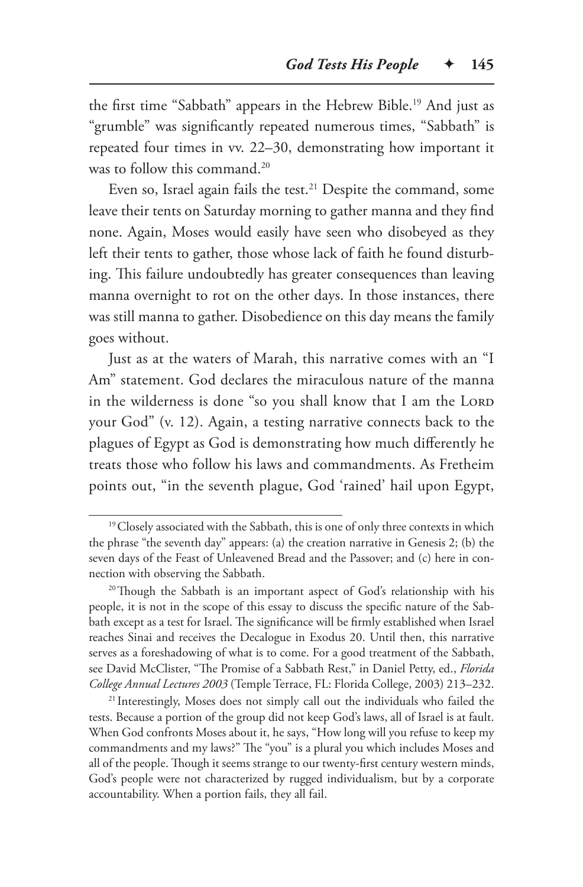the first time "Sabbath" appears in the Hebrew Bible.19 And just as "grumble" was significantly repeated numerous times, "Sabbath" is repeated four times in vv. 22–30, demonstrating how important it was to follow this command.<sup>20</sup>

Even so, Israel again fails the test.<sup>21</sup> Despite the command, some leave their tents on Saturday morning to gather manna and they find none. Again, Moses would easily have seen who disobeyed as they left their tents to gather, those whose lack of faith he found disturbing. This failure undoubtedly has greater consequences than leaving manna overnight to rot on the other days. In those instances, there was still manna to gather. Disobedience on this day means the family goes without.

Just as at the waters of Marah, this narrative comes with an "I Am" statement. God declares the miraculous nature of the manna in the wilderness is done "so you shall know that I am the LORD your God" (v. 12). Again, a testing narrative connects back to the plagues of Egypt as God is demonstrating how much differently he treats those who follow his laws and commandments. As Fretheim points out, "in the seventh plague, God 'rained' hail upon Egypt,

<sup>&</sup>lt;sup>19</sup> Closely associated with the Sabbath, this is one of only three contexts in which the phrase "the seventh day" appears: (a) the creation narrative in Genesis 2; (b) the seven days of the Feast of Unleavened Bread and the Passover; and (c) here in connection with observing the Sabbath.

<sup>&</sup>lt;sup>20</sup>Though the Sabbath is an important aspect of God's relationship with his people, it is not in the scope of this essay to discuss the specific nature of the Sabbath except as a test for Israel. The significance will be firmly established when Israel reaches Sinai and receives the Decalogue in Exodus 20. Until then, this narrative serves as a foreshadowing of what is to come. For a good treatment of the Sabbath, see David McClister, "The Promise of a Sabbath Rest," in Daniel Petty, ed., *Florida College Annual Lectures 2003* (Temple Terrace, FL: Florida College, 2003) 213–232.

<sup>&</sup>lt;sup>21</sup> Interestingly, Moses does not simply call out the individuals who failed the tests. Because a portion of the group did not keep God's laws, all of Israel is at fault. When God confronts Moses about it, he says, "How long will you refuse to keep my commandments and my laws?" The "you" is a plural you which includes Moses and all of the people. Though it seems strange to our twenty-first century western minds, God's people were not characterized by rugged individualism, but by a corporate accountability. When a portion fails, they all fail.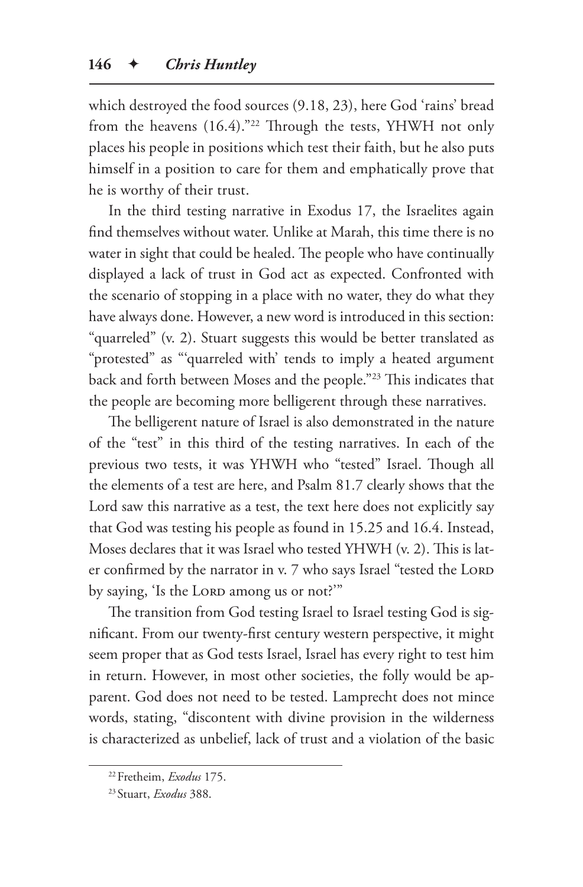which destroyed the food sources (9.18, 23), here God 'rains' bread from the heavens (16.4)."22 Through the tests, YHWH not only places his people in positions which test their faith, but he also puts himself in a position to care for them and emphatically prove that he is worthy of their trust.

In the third testing narrative in Exodus 17, the Israelites again find themselves without water. Unlike at Marah, this time there is no water in sight that could be healed. The people who have continually displayed a lack of trust in God act as expected. Confronted with the scenario of stopping in a place with no water, they do what they have always done. However, a new word is introduced in this section: "quarreled" (v. 2). Stuart suggests this would be better translated as "protested" as "'quarreled with' tends to imply a heated argument back and forth between Moses and the people."23 This indicates that the people are becoming more belligerent through these narratives.

The belligerent nature of Israel is also demonstrated in the nature of the "test" in this third of the testing narratives. In each of the previous two tests, it was YHWH who "tested" Israel. Though all the elements of a test are here, and Psalm 81.7 clearly shows that the Lord saw this narrative as a test, the text here does not explicitly say that God was testing his people as found in 15.25 and 16.4. Instead, Moses declares that it was Israel who tested YHWH (v. 2). This is later confirmed by the narrator in v. 7 who says Israel "tested the LORD by saying, 'Is the LORD among us or not?'"

The transition from God testing Israel to Israel testing God is significant. From our twenty-first century western perspective, it might seem proper that as God tests Israel, Israel has every right to test him in return. However, in most other societies, the folly would be apparent. God does not need to be tested. Lamprecht does not mince words, stating, "discontent with divine provision in the wilderness is characterized as unbelief, lack of trust and a violation of the basic

<sup>22</sup>Fretheim, *Exodus* 175.

<sup>23</sup> Stuart, *Exodus* 388.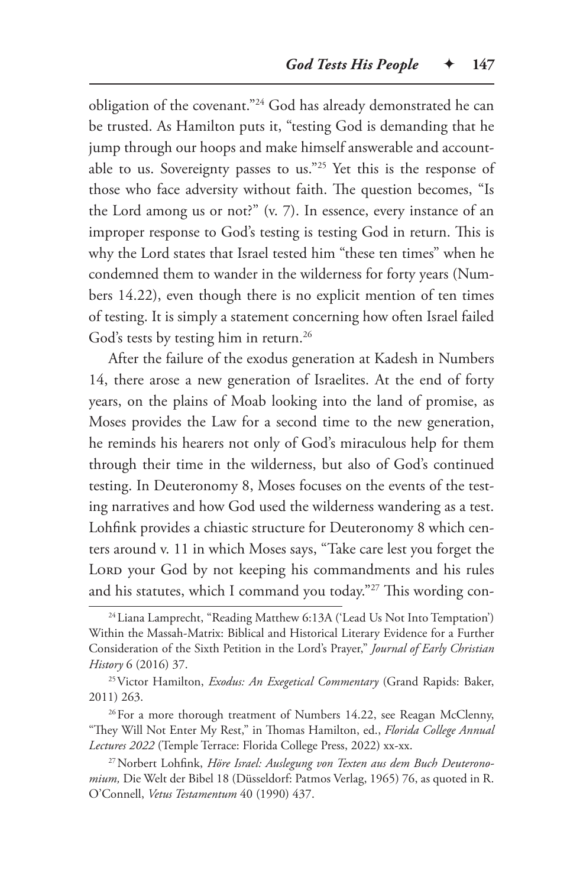obligation of the covenant."24 God has already demonstrated he can be trusted. As Hamilton puts it, "testing God is demanding that he jump through our hoops and make himself answerable and accountable to us. Sovereignty passes to us."25 Yet this is the response of those who face adversity without faith. The question becomes, "Is the Lord among us or not?" (v. 7). In essence, every instance of an improper response to God's testing is testing God in return. This is why the Lord states that Israel tested him "these ten times" when he condemned them to wander in the wilderness for forty years (Numbers 14.22), even though there is no explicit mention of ten times of testing. It is simply a statement concerning how often Israel failed God's tests by testing him in return.<sup>26</sup>

After the failure of the exodus generation at Kadesh in Numbers 14, there arose a new generation of Israelites. At the end of forty years, on the plains of Moab looking into the land of promise, as Moses provides the Law for a second time to the new generation, he reminds his hearers not only of God's miraculous help for them through their time in the wilderness, but also of God's continued testing. In Deuteronomy 8, Moses focuses on the events of the testing narratives and how God used the wilderness wandering as a test. Lohfink provides a chiastic structure for Deuteronomy 8 which centers around v. 11 in which Moses says, "Take care lest you forget the LORD your God by not keeping his commandments and his rules and his statutes, which I command you today."27 This wording con-

<sup>&</sup>lt;sup>24</sup> Liana Lamprecht, "Reading Matthew 6:13A ('Lead Us Not Into Temptation') Within the Massah-Matrix: Biblical and Historical Literary Evidence for a Further Consideration of the Sixth Petition in the Lord's Prayer," *Journal of Early Christian History* 6 (2016) 37.

<sup>25</sup>Victor Hamilton, *Exodus: An Exegetical Commentary* (Grand Rapids: Baker, 2011) 263.

<sup>&</sup>lt;sup>26</sup>For a more thorough treatment of Numbers 14.22, see Reagan McClenny, "They Will Not Enter My Rest," in Thomas Hamilton, ed., *Florida College Annual Lectures 2022* (Temple Terrace: Florida College Press, 2022) xx-xx.

<sup>27</sup>Norbert Lohfink, *Höre Israel: Auslegung von Texten aus dem Buch Deuteronomium,* Die Welt der Bibel 18 (Düsseldorf: Patmos Verlag, 1965) 76, as quoted in R. O'Connell, *Vetus Testamentum* 40 (1990) 437.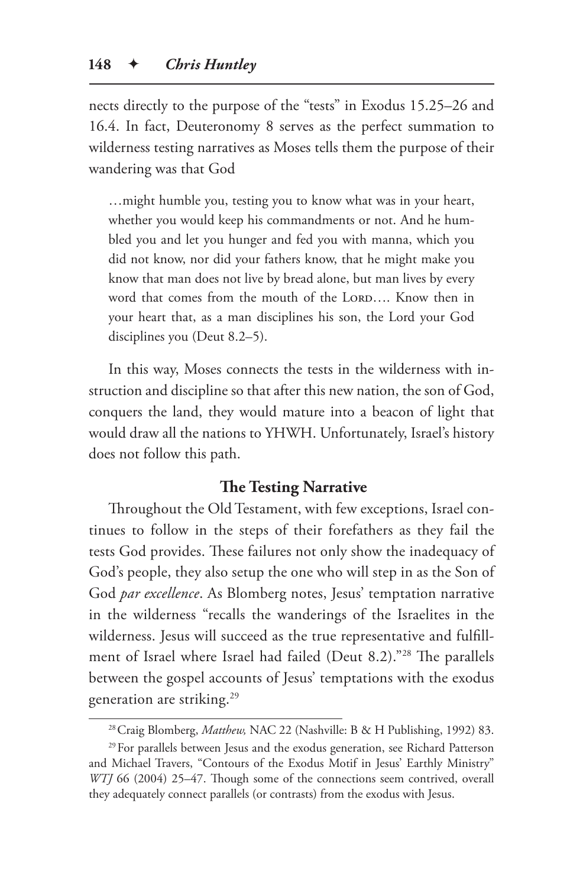nects directly to the purpose of the "tests" in Exodus 15.25–26 and 16.4. In fact, Deuteronomy 8 serves as the perfect summation to wilderness testing narratives as Moses tells them the purpose of their wandering was that God

…might humble you, testing you to know what was in your heart, whether you would keep his commandments or not. And he humbled you and let you hunger and fed you with manna, which you did not know, nor did your fathers know, that he might make you know that man does not live by bread alone, but man lives by every word that comes from the mouth of the LORD.... Know then in your heart that, as a man disciplines his son, the Lord your God disciplines you (Deut 8.2–5).

In this way, Moses connects the tests in the wilderness with instruction and discipline so that after this new nation, the son of God, conquers the land, they would mature into a beacon of light that would draw all the nations to YHWH. Unfortunately, Israel's history does not follow this path.

## **The Testing Narrative**

Throughout the Old Testament, with few exceptions, Israel continues to follow in the steps of their forefathers as they fail the tests God provides. These failures not only show the inadequacy of God's people, they also setup the one who will step in as the Son of God *par excellence*. As Blomberg notes, Jesus' temptation narrative in the wilderness "recalls the wanderings of the Israelites in the wilderness. Jesus will succeed as the true representative and fulfillment of Israel where Israel had failed (Deut 8.2)."28 The parallels between the gospel accounts of Jesus' temptations with the exodus generation are striking.29

<sup>&</sup>lt;sup>28</sup> Craig Blomberg, Matthew, NAC 22 (Nashville: B & H Publishing, 1992) 83.

<sup>&</sup>lt;sup>29</sup> For parallels between Jesus and the exodus generation, see Richard Patterson and Michael Travers, "Contours of the Exodus Motif in Jesus' Earthly Ministry" *WTJ* 66 (2004) 25–47. Though some of the connections seem contrived, overall they adequately connect parallels (or contrasts) from the exodus with Jesus.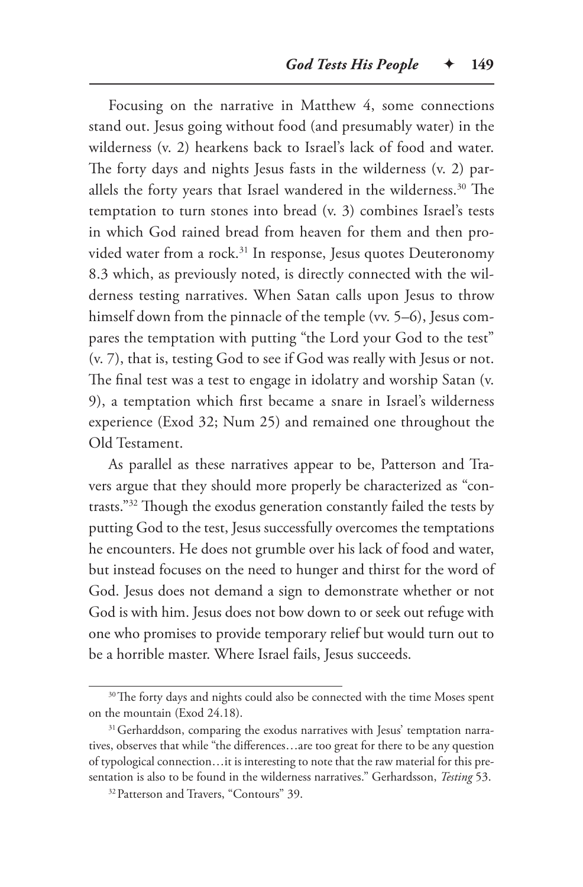Focusing on the narrative in Matthew 4, some connections stand out. Jesus going without food (and presumably water) in the wilderness (v. 2) hearkens back to Israel's lack of food and water. The forty days and nights Jesus fasts in the wilderness (v. 2) parallels the forty years that Israel wandered in the wilderness.<sup>30</sup> The temptation to turn stones into bread (v. 3) combines Israel's tests in which God rained bread from heaven for them and then provided water from a rock.<sup>31</sup> In response, Jesus quotes Deuteronomy 8.3 which, as previously noted, is directly connected with the wilderness testing narratives. When Satan calls upon Jesus to throw himself down from the pinnacle of the temple (vv. 5–6), Jesus compares the temptation with putting "the Lord your God to the test" (v. 7), that is, testing God to see if God was really with Jesus or not. The final test was a test to engage in idolatry and worship Satan (v. 9), a temptation which first became a snare in Israel's wilderness experience (Exod 32; Num 25) and remained one throughout the Old Testament.

As parallel as these narratives appear to be, Patterson and Travers argue that they should more properly be characterized as "contrasts."32 Though the exodus generation constantly failed the tests by putting God to the test, Jesus successfully overcomes the temptations he encounters. He does not grumble over his lack of food and water, but instead focuses on the need to hunger and thirst for the word of God. Jesus does not demand a sign to demonstrate whether or not God is with him. Jesus does not bow down to or seek out refuge with one who promises to provide temporary relief but would turn out to be a horrible master. Where Israel fails, Jesus succeeds.

<sup>&</sup>lt;sup>30</sup>The forty days and nights could also be connected with the time Moses spent on the mountain (Exod 24.18).

<sup>&</sup>lt;sup>31</sup> Gerharddson, comparing the exodus narratives with Jesus' temptation narratives, observes that while "the differences…are too great for there to be any question of typological connection…it is interesting to note that the raw material for this presentation is also to be found in the wilderness narratives." Gerhardsson, *Testing* 53.

<sup>&</sup>lt;sup>32</sup> Patterson and Travers, "Contours" 39.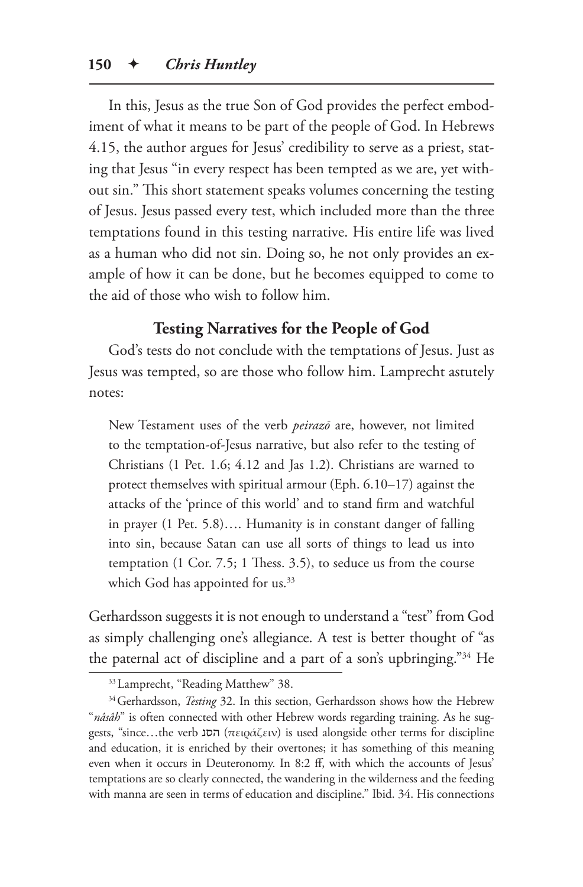In this, Jesus as the true Son of God provides the perfect embodiment of what it means to be part of the people of God. In Hebrews 4.15, the author argues for Jesus' credibility to serve as a priest, stating that Jesus "in every respect has been tempted as we are, yet without sin." This short statement speaks volumes concerning the testing of Jesus. Jesus passed every test, which included more than the three temptations found in this testing narrative. His entire life was lived as a human who did not sin. Doing so, he not only provides an example of how it can be done, but he becomes equipped to come to the aid of those who wish to follow him.

## **Testing Narratives for the People of God**

God's tests do not conclude with the temptations of Jesus. Just as Jesus was tempted, so are those who follow him. Lamprecht astutely notes:

New Testament uses of the verb *peirazō* are, however, not limited to the temptation-of-Jesus narrative, but also refer to the testing of Christians (1 Pet. 1.6; 4.12 and Jas 1.2). Christians are warned to protect themselves with spiritual armour (Eph. 6.10–17) against the attacks of the 'prince of this world' and to stand firm and watchful in prayer (1 Pet. 5.8)…. Humanity is in constant danger of falling into sin, because Satan can use all sorts of things to lead us into temptation (1 Cor. 7.5; 1 Thess. 3.5), to seduce us from the course which God has appointed for us.<sup>33</sup>

Gerhardsson suggests it is not enough to understand a "test" from God as simply challenging one's allegiance. A test is better thought of "as the paternal act of discipline and a part of a son's upbringing."34 He

<sup>33</sup>Lamprecht, "Reading Matthew" 38.

<sup>&</sup>lt;sup>34</sup> Gerhardsson, *Testing* 32. In this section, Gerhardsson shows how the Hebrew "*nâsâh*" is often connected with other Hebrew words regarding training. As he suggests, "since...the verb 
ποιράζειν) is used alongside other terms for discipline and education, it is enriched by their overtones; it has something of this meaning even when it occurs in Deuteronomy. In 8:2 ff, with which the accounts of Jesus' temptations are so clearly connected, the wandering in the wilderness and the feeding with manna are seen in terms of education and discipline." Ibid. 34. His connections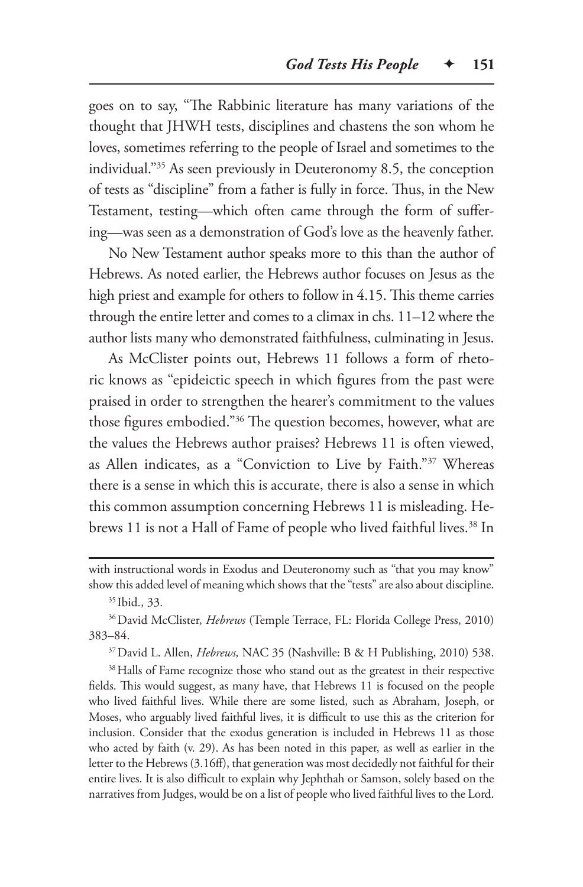goes on to say, "The Rabbinic literature has many variations of the thought that JHWH tests, disciplines and chastens the son whom he loves, sometimes referring to the people of Israel and sometimes to the individual."35 As seen previously in Deuteronomy 8.5, the conception of tests as "discipline" from a father is fully in force. Thus, in the New Testament, testing—which often came through the form of suffering—was seen as a demonstration of God's love as the heavenly father.

No New Testament author speaks more to this than the author of Hebrews. As noted earlier, the Hebrews author focuses on Jesus as the high priest and example for others to follow in 4.15. This theme carries through the entire letter and comes to a climax in chs. 11–12 where the author lists many who demonstrated faithfulness, culminating in Jesus.

As McClister points out, Hebrews 11 follows a form of rhetoric knows as "epideictic speech in which figures from the past were praised in order to strengthen the hearer's commitment to the values those figures embodied."36 The question becomes, however, what are the values the Hebrews author praises? Hebrews 11 is often viewed, as Allen indicates, as a "Conviction to Live by Faith."37 Whereas there is a sense in which this is accurate, there is also a sense in which this common assumption concerning Hebrews 11 is misleading. Hebrews 11 is not a Hall of Fame of people who lived faithful lives.<sup>38</sup> In

37David L. Allen, *Hebrews,* NAC 35 (Nashville: B & H Publishing, 2010) 538.

<sup>38</sup> Halls of Fame recognize those who stand out as the greatest in their respective fields. This would suggest, as many have, that Hebrews 11 is focused on the people who lived faithful lives. While there are some listed, such as Abraham, Joseph, or Moses, who arguably lived faithful lives, it is difficult to use this as the criterion for inclusion. Consider that the exodus generation is included in Hebrews 11 as those who acted by faith (v. 29). As has been noted in this paper, as well as earlier in the letter to the Hebrews (3.16ff), that generation was most decidedly not faithful for their entire lives. It is also difficult to explain why Jephthah or Samson, solely based on the narratives from Judges, would be on a list of people who lived faithful lives to the Lord.

with instructional words in Exodus and Deuteronomy such as "that you may know" show this added level of meaning which shows that the "tests" are also about discipline.

<sup>35</sup> Ibid., 33.

<sup>36</sup>David McClister, *Hebrews* (Temple Terrace, FL: Florida College Press, 2010) 383–84.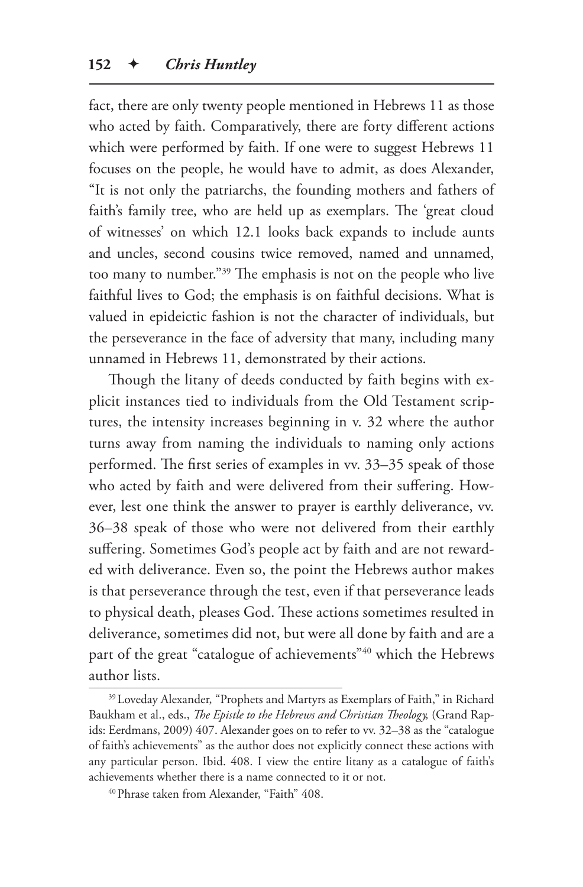fact, there are only twenty people mentioned in Hebrews 11 as those who acted by faith. Comparatively, there are forty different actions which were performed by faith. If one were to suggest Hebrews 11 focuses on the people, he would have to admit, as does Alexander, "It is not only the patriarchs, the founding mothers and fathers of faith's family tree, who are held up as exemplars. The 'great cloud of witnesses' on which 12.1 looks back expands to include aunts and uncles, second cousins twice removed, named and unnamed, too many to number."39 The emphasis is not on the people who live faithful lives to God; the emphasis is on faithful decisions. What is valued in epideictic fashion is not the character of individuals, but the perseverance in the face of adversity that many, including many unnamed in Hebrews 11, demonstrated by their actions.

Though the litany of deeds conducted by faith begins with explicit instances tied to individuals from the Old Testament scriptures, the intensity increases beginning in v. 32 where the author turns away from naming the individuals to naming only actions performed. The first series of examples in vv. 33–35 speak of those who acted by faith and were delivered from their suffering. However, lest one think the answer to prayer is earthly deliverance, vv. 36–38 speak of those who were not delivered from their earthly suffering. Sometimes God's people act by faith and are not rewarded with deliverance. Even so, the point the Hebrews author makes is that perseverance through the test, even if that perseverance leads to physical death, pleases God. These actions sometimes resulted in deliverance, sometimes did not, but were all done by faith and are a part of the great "catalogue of achievements"<sup>40</sup> which the Hebrews author lists.

<sup>39</sup>Loveday Alexander, "Prophets and Martyrs as Exemplars of Faith," in Richard Baukham et al., eds., *The Epistle to the Hebrews and Christian Theology,* (Grand Rapids: Eerdmans, 2009) 407. Alexander goes on to refer to vv. 32–38 as the "catalogue of faith's achievements" as the author does not explicitly connect these actions with any particular person. Ibid. 408. I view the entire litany as a catalogue of faith's achievements whether there is a name connected to it or not.

<sup>40</sup>Phrase taken from Alexander, "Faith" 408.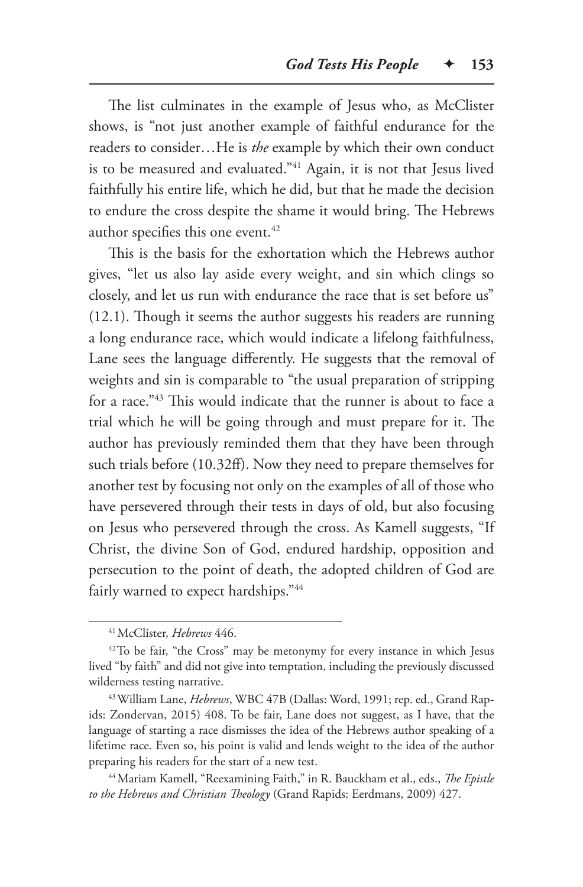The list culminates in the example of Jesus who, as McClister shows, is "not just another example of faithful endurance for the readers to consider…He is *the* example by which their own conduct is to be measured and evaluated."<sup>41</sup> Again, it is not that Jesus lived faithfully his entire life, which he did, but that he made the decision to endure the cross despite the shame it would bring. The Hebrews author specifies this one event.<sup>42</sup>

This is the basis for the exhortation which the Hebrews author gives, "let us also lay aside every weight, and sin which clings so closely, and let us run with endurance the race that is set before us" (12.1). Though it seems the author suggests his readers are running a long endurance race, which would indicate a lifelong faithfulness, Lane sees the language differently. He suggests that the removal of weights and sin is comparable to "the usual preparation of stripping for a race."43 This would indicate that the runner is about to face a trial which he will be going through and must prepare for it. The author has previously reminded them that they have been through such trials before (10.32ff). Now they need to prepare themselves for another test by focusing not only on the examples of all of those who have persevered through their tests in days of old, but also focusing on Jesus who persevered through the cross. As Kamell suggests, "If Christ, the divine Son of God, endured hardship, opposition and persecution to the point of death, the adopted children of God are fairly warned to expect hardships."44

<sup>41</sup>McClister, *Hebrews* 446.

<sup>&</sup>lt;sup>42</sup>To be fair, "the Cross" may be metonymy for every instance in which Jesus lived "by faith" and did not give into temptation, including the previously discussed wilderness testing narrative.

<sup>43</sup>William Lane, *Hebrews*, WBC 47B (Dallas: Word, 1991; rep. ed., Grand Rapids: Zondervan, 2015) 408. To be fair, Lane does not suggest, as I have, that the language of starting a race dismisses the idea of the Hebrews author speaking of a lifetime race. Even so, his point is valid and lends weight to the idea of the author preparing his readers for the start of a new test.

<sup>44</sup>Mariam Kamell, "Reexamining Faith," in R. Bauckham et al., eds., *The Epistle to the Hebrews and Christian Theology* (Grand Rapids: Eerdmans, 2009) 427.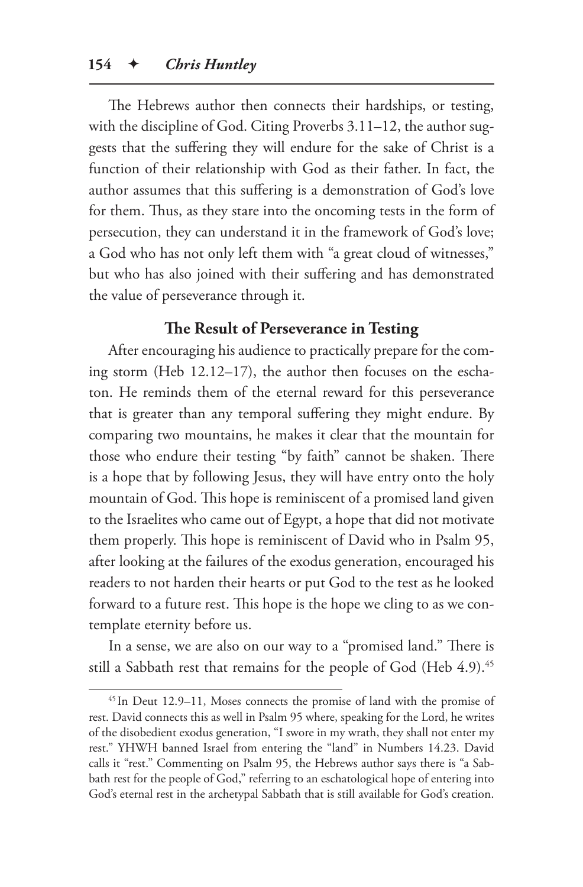The Hebrews author then connects their hardships, or testing, with the discipline of God. Citing Proverbs 3.11–12, the author suggests that the suffering they will endure for the sake of Christ is a function of their relationship with God as their father. In fact, the author assumes that this suffering is a demonstration of God's love for them. Thus, as they stare into the oncoming tests in the form of persecution, they can understand it in the framework of God's love; a God who has not only left them with "a great cloud of witnesses," but who has also joined with their suffering and has demonstrated the value of perseverance through it.

## **The Result of Perseverance in Testing**

After encouraging his audience to practically prepare for the coming storm (Heb 12.12–17), the author then focuses on the eschaton. He reminds them of the eternal reward for this perseverance that is greater than any temporal suffering they might endure. By comparing two mountains, he makes it clear that the mountain for those who endure their testing "by faith" cannot be shaken. There is a hope that by following Jesus, they will have entry onto the holy mountain of God. This hope is reminiscent of a promised land given to the Israelites who came out of Egypt, a hope that did not motivate them properly. This hope is reminiscent of David who in Psalm 95, after looking at the failures of the exodus generation, encouraged his readers to not harden their hearts or put God to the test as he looked forward to a future rest. This hope is the hope we cling to as we contemplate eternity before us.

In a sense, we are also on our way to a "promised land." There is still a Sabbath rest that remains for the people of God (Heb 4.9).<sup>45</sup>

<sup>45</sup> In Deut 12.9–11, Moses connects the promise of land with the promise of rest. David connects this as well in Psalm 95 where, speaking for the Lord, he writes of the disobedient exodus generation, "I swore in my wrath, they shall not enter my rest." YHWH banned Israel from entering the "land" in Numbers 14.23. David calls it "rest." Commenting on Psalm 95, the Hebrews author says there is "a Sabbath rest for the people of God," referring to an eschatological hope of entering into God's eternal rest in the archetypal Sabbath that is still available for God's creation.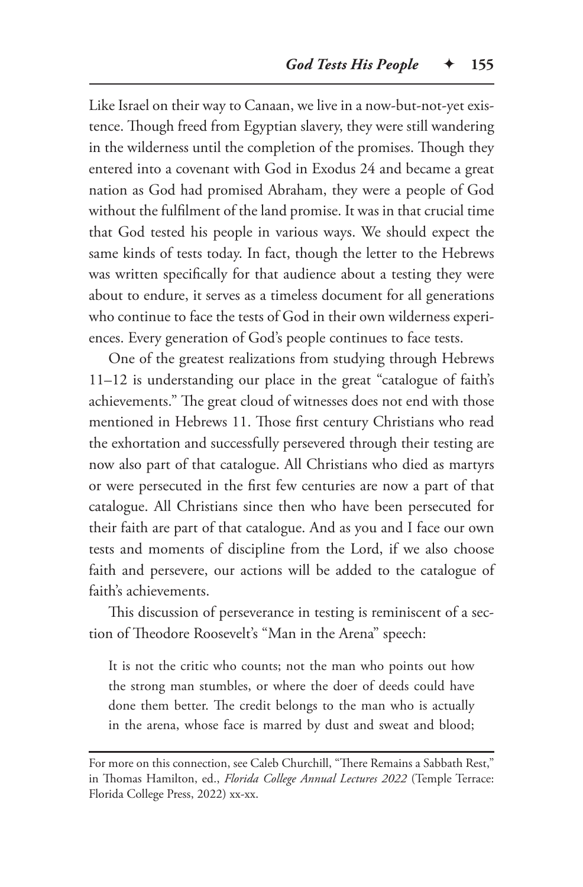Like Israel on their way to Canaan, we live in a now-but-not-yet existence. Though freed from Egyptian slavery, they were still wandering in the wilderness until the completion of the promises. Though they entered into a covenant with God in Exodus 24 and became a great nation as God had promised Abraham, they were a people of God without the fulfilment of the land promise. It was in that crucial time that God tested his people in various ways. We should expect the same kinds of tests today. In fact, though the letter to the Hebrews was written specifically for that audience about a testing they were about to endure, it serves as a timeless document for all generations who continue to face the tests of God in their own wilderness experiences. Every generation of God's people continues to face tests.

One of the greatest realizations from studying through Hebrews 11–12 is understanding our place in the great "catalogue of faith's achievements." The great cloud of witnesses does not end with those mentioned in Hebrews 11. Those first century Christians who read the exhortation and successfully persevered through their testing are now also part of that catalogue. All Christians who died as martyrs or were persecuted in the first few centuries are now a part of that catalogue. All Christians since then who have been persecuted for their faith are part of that catalogue. And as you and I face our own tests and moments of discipline from the Lord, if we also choose faith and persevere, our actions will be added to the catalogue of faith's achievements.

This discussion of perseverance in testing is reminiscent of a section of Theodore Roosevelt's "Man in the Arena" speech:

It is not the critic who counts; not the man who points out how the strong man stumbles, or where the doer of deeds could have done them better. The credit belongs to the man who is actually in the arena, whose face is marred by dust and sweat and blood;

For more on this connection, see Caleb Churchill, "There Remains a Sabbath Rest," in Thomas Hamilton, ed., *Florida College Annual Lectures 2022* (Temple Terrace: Florida College Press, 2022) xx-xx.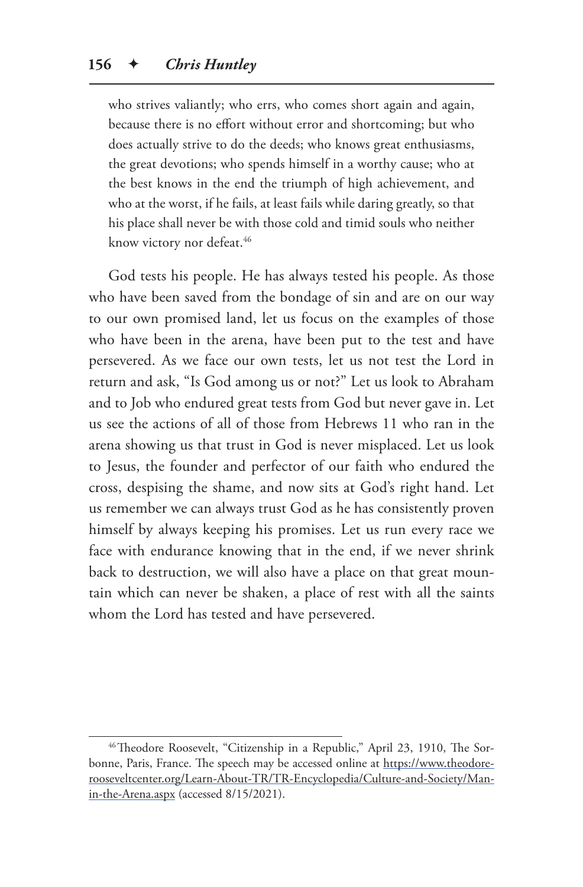who strives valiantly; who errs, who comes short again and again, because there is no effort without error and shortcoming; but who does actually strive to do the deeds; who knows great enthusiasms, the great devotions; who spends himself in a worthy cause; who at the best knows in the end the triumph of high achievement, and who at the worst, if he fails, at least fails while daring greatly, so that his place shall never be with those cold and timid souls who neither know victory nor defeat.<sup>46</sup>

God tests his people. He has always tested his people. As those who have been saved from the bondage of sin and are on our way to our own promised land, let us focus on the examples of those who have been in the arena, have been put to the test and have persevered. As we face our own tests, let us not test the Lord in return and ask, "Is God among us or not?" Let us look to Abraham and to Job who endured great tests from God but never gave in. Let us see the actions of all of those from Hebrews 11 who ran in the arena showing us that trust in God is never misplaced. Let us look to Jesus, the founder and perfector of our faith who endured the cross, despising the shame, and now sits at God's right hand. Let us remember we can always trust God as he has consistently proven himself by always keeping his promises. Let us run every race we face with endurance knowing that in the end, if we never shrink back to destruction, we will also have a place on that great mountain which can never be shaken, a place of rest with all the saints whom the Lord has tested and have persevered.

<sup>&</sup>lt;sup>46</sup>Theodore Roosevelt, "Citizenship in a Republic," April 23, 1910, The Sorbonne, Paris, France. The speech may be accessed online at https://www.theodorerooseveltcenter.org/Learn-About-TR/TR-Encyclopedia/Culture-and-Society/Manin-the-Arena.aspx (accessed 8/15/2021).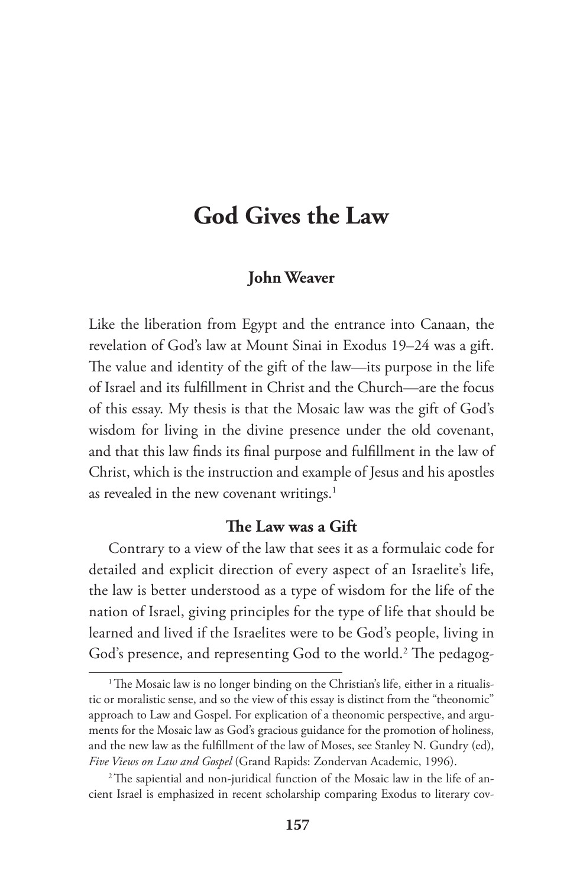# **God Gives the Law**

#### **John Weaver**

Like the liberation from Egypt and the entrance into Canaan, the revelation of God's law at Mount Sinai in Exodus 19–24 was a gift. The value and identity of the gift of the law—its purpose in the life of Israel and its fulfillment in Christ and the Church—are the focus of this essay. My thesis is that the Mosaic law was the gift of God's wisdom for living in the divine presence under the old covenant, and that this law finds its final purpose and fulfillment in the law of Christ, which is the instruction and example of Jesus and his apostles as revealed in the new covenant writings.<sup>1</sup>

### **The Law was a Gift**

Contrary to a view of the law that sees it as a formulaic code for detailed and explicit direction of every aspect of an Israelite's life, the law is better understood as a type of wisdom for the life of the nation of Israel, giving principles for the type of life that should be learned and lived if the Israelites were to be God's people, living in God's presence, and representing God to the world.<sup>2</sup> The pedagog-

<sup>&</sup>lt;sup>1</sup>The Mosaic law is no longer binding on the Christian's life, either in a ritualistic or moralistic sense, and so the view of this essay is distinct from the "theonomic" approach to Law and Gospel. For explication of a theonomic perspective, and arguments for the Mosaic law as God's gracious guidance for the promotion of holiness, and the new law as the fulfillment of the law of Moses, see Stanley N. Gundry (ed), *Five Views on Law and Gospel* (Grand Rapids: Zondervan Academic, 1996).

<sup>&</sup>lt;sup>2</sup>The sapiential and non-juridical function of the Mosaic law in the life of ancient Israel is emphasized in recent scholarship comparing Exodus to literary cov-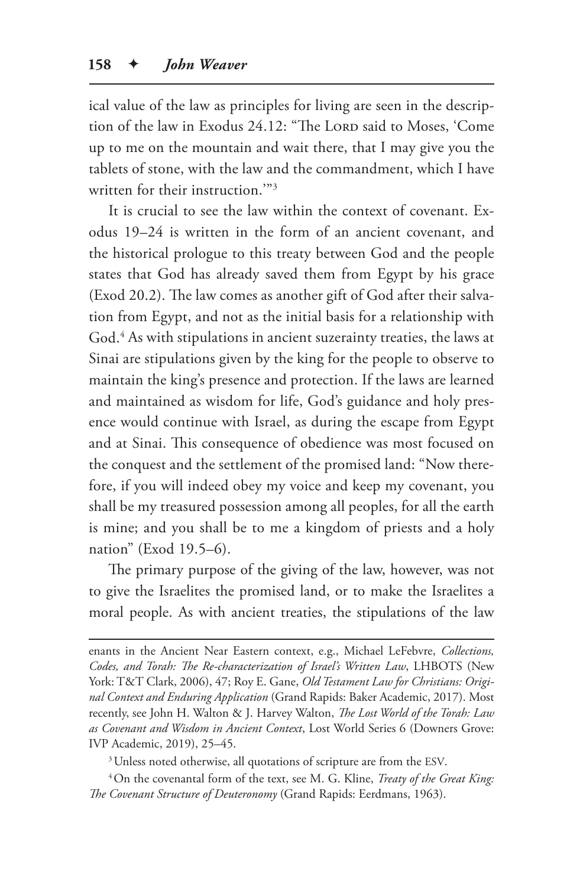ical value of the law as principles for living are seen in the description of the law in Exodus 24.12: "The LORD said to Moses, 'Come up to me on the mountain and wait there, that I may give you the tablets of stone, with the law and the commandment, which I have written for their instruction.'"3

It is crucial to see the law within the context of covenant. Exodus 19–24 is written in the form of an ancient covenant, and the historical prologue to this treaty between God and the people states that God has already saved them from Egypt by his grace (Exod 20.2). The law comes as another gift of God after their salvation from Egypt, and not as the initial basis for a relationship with God.4 As with stipulations in ancient suzerainty treaties, the laws at Sinai are stipulations given by the king for the people to observe to maintain the king's presence and protection. If the laws are learned and maintained as wisdom for life, God's guidance and holy presence would continue with Israel, as during the escape from Egypt and at Sinai. This consequence of obedience was most focused on the conquest and the settlement of the promised land: "Now therefore, if you will indeed obey my voice and keep my covenant, you shall be my treasured possession among all peoples, for all the earth is mine; and you shall be to me a kingdom of priests and a holy nation" (Exod 19.5–6).

The primary purpose of the giving of the law, however, was not to give the Israelites the promised land, or to make the Israelites a moral people. As with ancient treaties, the stipulations of the law

enants in the Ancient Near Eastern context, e.g., Michael LeFebvre, *Collections, Codes, and Torah: The Re-characterization of Israel's Written Law*, LHBOTS (New York: T&T Clark, 2006), 47; Roy E. Gane, *Old Testament Law for Christians: Original Context and Enduring Application* (Grand Rapids: Baker Academic, 2017). Most recently, see John H. Walton & J. Harvey Walton, *The Lost World of the Torah: Law as Covenant and Wisdom in Ancient Context*, Lost World Series 6 (Downers Grove: IVP Academic, 2019), 25–45.

 $3$  Unless noted otherwise, all quotations of scripture are from the ESV.

4On the covenantal form of the text, see M. G. Kline, *Treaty of the Great King: The Covenant Structure of Deuteronomy* (Grand Rapids: Eerdmans, 1963).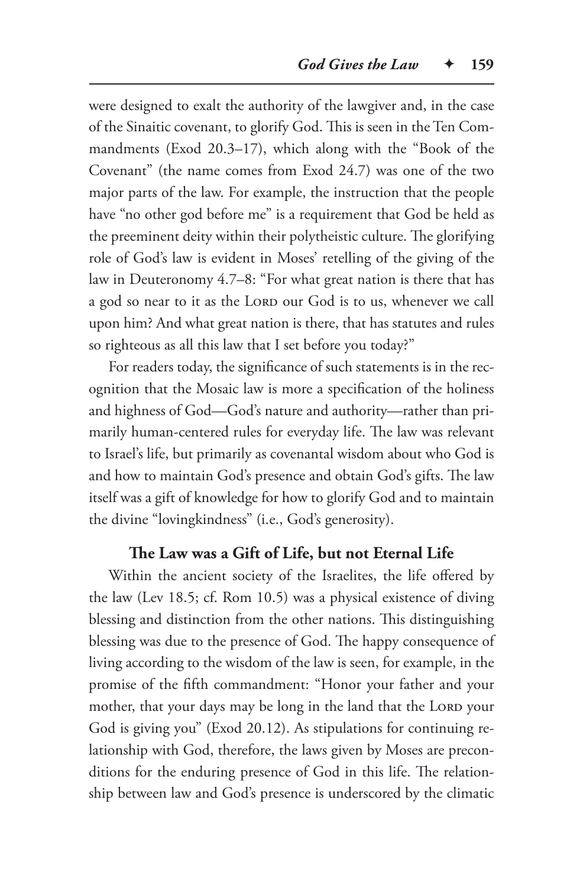were designed to exalt the authority of the lawgiver and, in the case of the Sinaitic covenant, to glorify God. This is seen in the Ten Commandments (Exod 20.3–17), which along with the "Book of the Covenant" (the name comes from Exod 24.7) was one of the two major parts of the law. For example, the instruction that the people have "no other god before me" is a requirement that God be held as the preeminent deity within their polytheistic culture. The glorifying role of God's law is evident in Moses' retelling of the giving of the law in Deuteronomy 4.7–8: "For what great nation is there that has a god so near to it as the LORD our God is to us, whenever we call upon him? And what great nation is there, that has statutes and rules so righteous as all this law that I set before you today?"

For readers today, the significance of such statements is in the recognition that the Mosaic law is more a specification of the holiness and highness of God—God's nature and authority—rather than primarily human-centered rules for everyday life. The law was relevant to Israel's life, but primarily as covenantal wisdom about who God is and how to maintain God's presence and obtain God's gifts. The law itself was a gift of knowledge for how to glorify God and to maintain the divine "lovingkindness" (i.e., God's generosity).

#### **The Law was a Gift of Life, but not Eternal Life**

Within the ancient society of the Israelites, the life offered by the law (Lev 18.5; cf. Rom 10.5) was a physical existence of diving blessing and distinction from the other nations. This distinguishing blessing was due to the presence of God. The happy consequence of living according to the wisdom of the law is seen, for example, in the promise of the fifth commandment: "Honor your father and your mother, that your days may be long in the land that the LORD your God is giving you" (Exod 20.12). As stipulations for continuing relationship with God, therefore, the laws given by Moses are preconditions for the enduring presence of God in this life. The relationship between law and God's presence is underscored by the climatic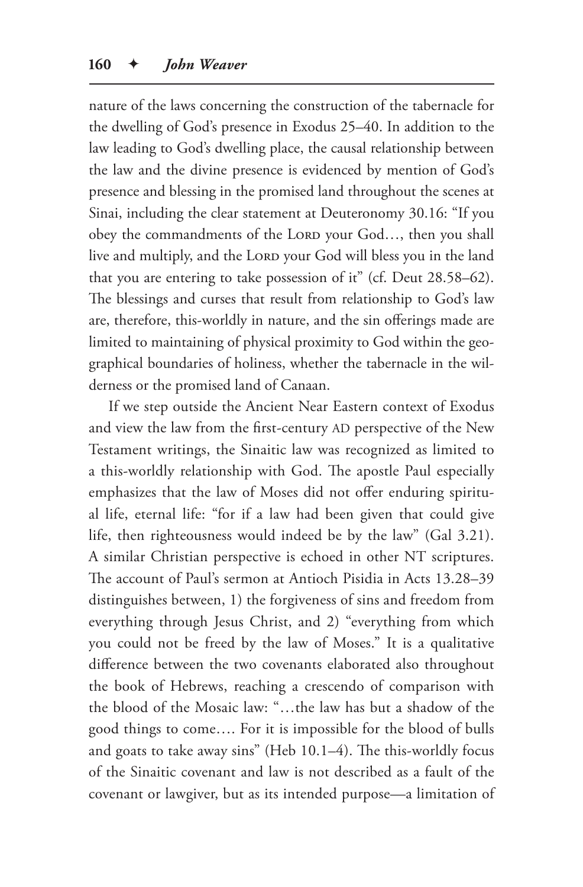nature of the laws concerning the construction of the tabernacle for the dwelling of God's presence in Exodus 25–40. In addition to the law leading to God's dwelling place, the causal relationship between the law and the divine presence is evidenced by mention of God's presence and blessing in the promised land throughout the scenes at Sinai, including the clear statement at Deuteronomy 30.16: "If you obey the commandments of the LORD your God..., then you shall live and multiply, and the LORD your God will bless you in the land that you are entering to take possession of it" (cf. Deut 28.58–62). The blessings and curses that result from relationship to God's law are, therefore, this-worldly in nature, and the sin offerings made are limited to maintaining of physical proximity to God within the geographical boundaries of holiness, whether the tabernacle in the wilderness or the promised land of Canaan.

If we step outside the Ancient Near Eastern context of Exodus and view the law from the first-century AD perspective of the New Testament writings, the Sinaitic law was recognized as limited to a this-worldly relationship with God. The apostle Paul especially emphasizes that the law of Moses did not offer enduring spiritual life, eternal life: "for if a law had been given that could give life, then righteousness would indeed be by the law" (Gal 3.21). A similar Christian perspective is echoed in other NT scriptures. The account of Paul's sermon at Antioch Pisidia in Acts 13.28–39 distinguishes between, 1) the forgiveness of sins and freedom from everything through Jesus Christ, and 2) "everything from which you could not be freed by the law of Moses." It is a qualitative difference between the two covenants elaborated also throughout the book of Hebrews, reaching a crescendo of comparison with the blood of the Mosaic law: "…the law has but a shadow of the good things to come…. For it is impossible for the blood of bulls and goats to take away sins" (Heb 10.1–4). The this-worldly focus of the Sinaitic covenant and law is not described as a fault of the covenant or lawgiver, but as its intended purpose—a limitation of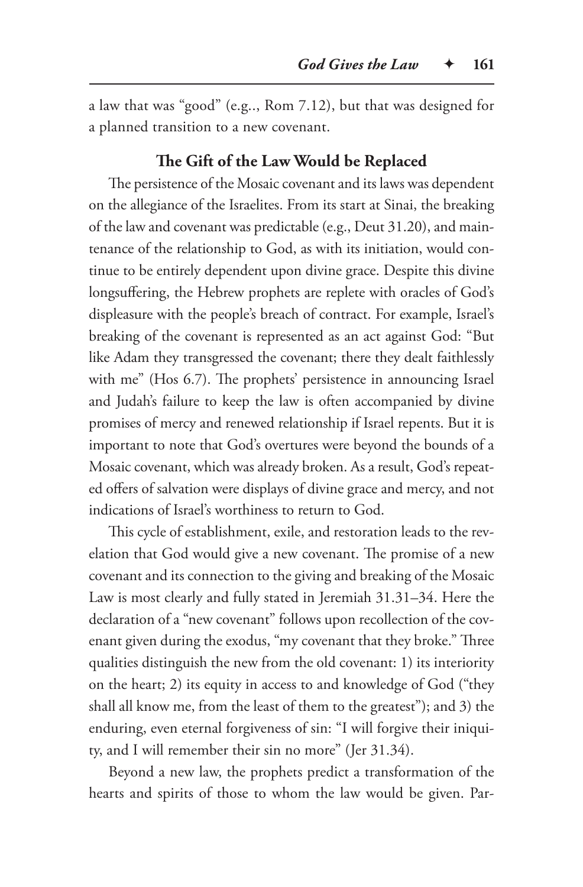a law that was "good" (e.g.., Rom 7.12), but that was designed for a planned transition to a new covenant.

#### **The Gift of the Law Would be Replaced**

The persistence of the Mosaic covenant and its laws was dependent on the allegiance of the Israelites. From its start at Sinai, the breaking of the law and covenant was predictable (e.g., Deut 31.20), and maintenance of the relationship to God, as with its initiation, would continue to be entirely dependent upon divine grace. Despite this divine longsuffering, the Hebrew prophets are replete with oracles of God's displeasure with the people's breach of contract. For example, Israel's breaking of the covenant is represented as an act against God: "But like Adam they transgressed the covenant; there they dealt faithlessly with me" (Hos 6.7). The prophets' persistence in announcing Israel and Judah's failure to keep the law is often accompanied by divine promises of mercy and renewed relationship if Israel repents. But it is important to note that God's overtures were beyond the bounds of a Mosaic covenant, which was already broken. As a result, God's repeated offers of salvation were displays of divine grace and mercy, and not indications of Israel's worthiness to return to God.

This cycle of establishment, exile, and restoration leads to the revelation that God would give a new covenant. The promise of a new covenant and its connection to the giving and breaking of the Mosaic Law is most clearly and fully stated in Jeremiah 31.31–34. Here the declaration of a "new covenant" follows upon recollection of the covenant given during the exodus, "my covenant that they broke." Three qualities distinguish the new from the old covenant: 1) its interiority on the heart; 2) its equity in access to and knowledge of God ("they shall all know me, from the least of them to the greatest"); and 3) the enduring, even eternal forgiveness of sin: "I will forgive their iniquity, and I will remember their sin no more" (Jer 31.34).

Beyond a new law, the prophets predict a transformation of the hearts and spirits of those to whom the law would be given. Par-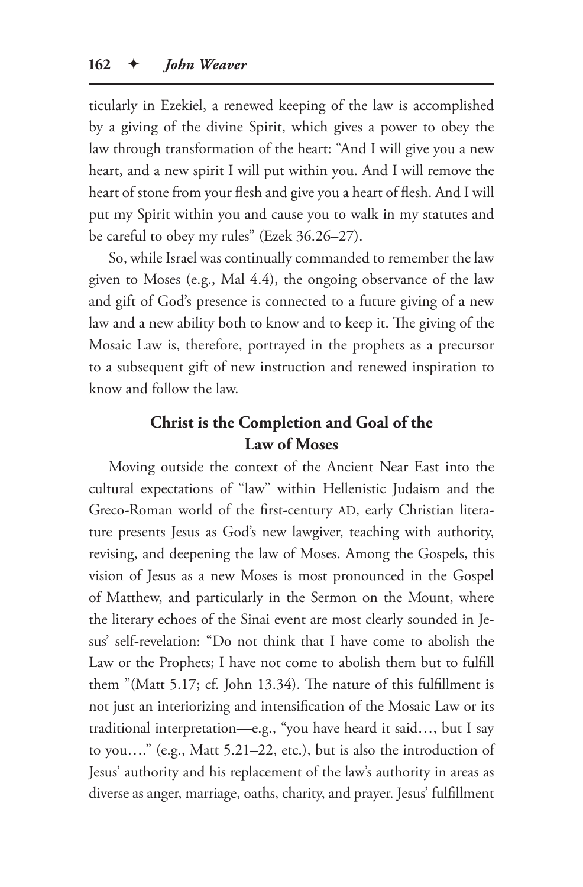ticularly in Ezekiel, a renewed keeping of the law is accomplished by a giving of the divine Spirit, which gives a power to obey the law through transformation of the heart: "And I will give you a new heart, and a new spirit I will put within you. And I will remove the heart of stone from your flesh and give you a heart of flesh. And I will put my Spirit within you and cause you to walk in my statutes and be careful to obey my rules" (Ezek 36.26–27).

So, while Israel was continually commanded to remember the law given to Moses (e.g., Mal 4.4), the ongoing observance of the law and gift of God's presence is connected to a future giving of a new law and a new ability both to know and to keep it. The giving of the Mosaic Law is, therefore, portrayed in the prophets as a precursor to a subsequent gift of new instruction and renewed inspiration to know and follow the law.

## **Christ is the Completion and Goal of the Law of Moses**

Moving outside the context of the Ancient Near East into the cultural expectations of "law" within Hellenistic Judaism and the Greco-Roman world of the first-century AD, early Christian literature presents Jesus as God's new lawgiver, teaching with authority, revising, and deepening the law of Moses. Among the Gospels, this vision of Jesus as a new Moses is most pronounced in the Gospel of Matthew, and particularly in the Sermon on the Mount, where the literary echoes of the Sinai event are most clearly sounded in Jesus' self-revelation: "Do not think that I have come to abolish the Law or the Prophets; I have not come to abolish them but to fulfill them "(Matt 5.17; cf. John 13.34). The nature of this fulfillment is not just an interiorizing and intensification of the Mosaic Law or its traditional interpretation—e.g., "you have heard it said…, but I say to you…." (e.g., Matt 5.21–22, etc.), but is also the introduction of Jesus' authority and his replacement of the law's authority in areas as diverse as anger, marriage, oaths, charity, and prayer. Jesus' fulfillment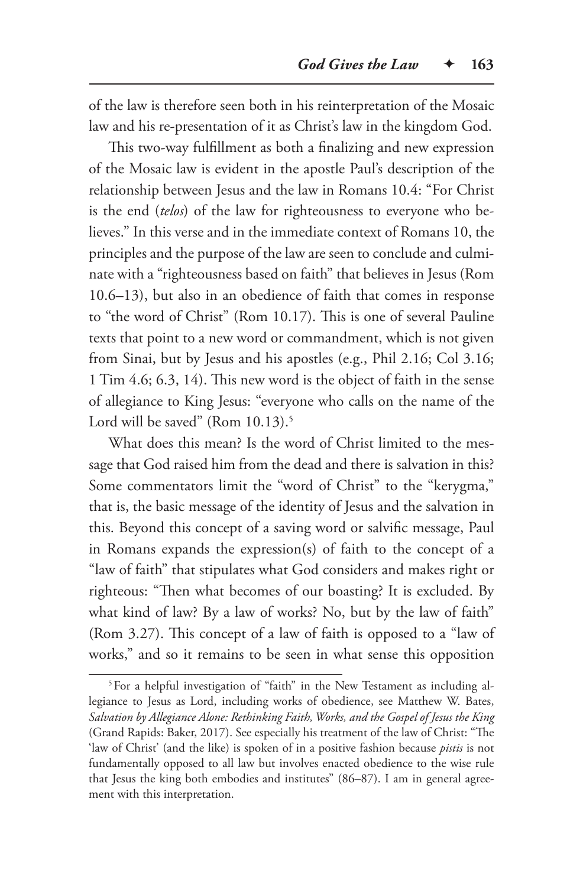of the law is therefore seen both in his reinterpretation of the Mosaic law and his re-presentation of it as Christ's law in the kingdom God.

This two-way fulfillment as both a finalizing and new expression of the Mosaic law is evident in the apostle Paul's description of the relationship between Jesus and the law in Romans 10.4: "For Christ is the end (*telos*) of the law for righteousness to everyone who believes." In this verse and in the immediate context of Romans 10, the principles and the purpose of the law are seen to conclude and culminate with a "righteousness based on faith" that believes in Jesus (Rom 10.6–13), but also in an obedience of faith that comes in response to "the word of Christ" (Rom 10.17). This is one of several Pauline texts that point to a new word or commandment, which is not given from Sinai, but by Jesus and his apostles (e.g., Phil 2.16; Col 3.16; 1 Tim 4.6; 6.3, 14). This new word is the object of faith in the sense of allegiance to King Jesus: "everyone who calls on the name of the Lord will be saved" (Rom 10.13).<sup>5</sup>

What does this mean? Is the word of Christ limited to the message that God raised him from the dead and there is salvation in this? Some commentators limit the "word of Christ" to the "kerygma," that is, the basic message of the identity of Jesus and the salvation in this. Beyond this concept of a saving word or salvific message, Paul in Romans expands the expression(s) of faith to the concept of a "law of faith" that stipulates what God considers and makes right or righteous: "Then what becomes of our boasting? It is excluded. By what kind of law? By a law of works? No, but by the law of faith" (Rom 3.27). This concept of a law of faith is opposed to a "law of works," and so it remains to be seen in what sense this opposition

<sup>&</sup>lt;sup>5</sup>For a helpful investigation of "faith" in the New Testament as including allegiance to Jesus as Lord, including works of obedience, see Matthew W. Bates, *Salvation by Allegiance Alone: Rethinking Faith, Works, and the Gospel of Jesus the King* (Grand Rapids: Baker, 2017). See especially his treatment of the law of Christ: "The 'law of Christ' (and the like) is spoken of in a positive fashion because *pistis* is not fundamentally opposed to all law but involves enacted obedience to the wise rule that Jesus the king both embodies and institutes" (86–87). I am in general agreement with this interpretation.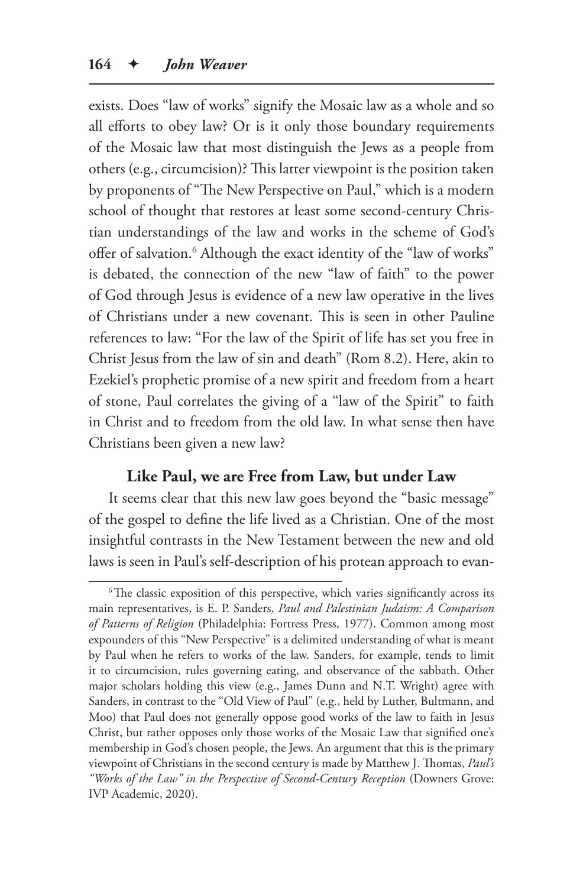exists. Does "law of works" signify the Mosaic law as a whole and so all efforts to obey law? Or is it only those boundary requirements of the Mosaic law that most distinguish the Jews as a people from others (e.g., circumcision)? This latter viewpoint is the position taken by proponents of "The New Perspective on Paul," which is a modern school of thought that restores at least some second-century Christian understandings of the law and works in the scheme of God's offer of salvation.<sup>6</sup> Although the exact identity of the "law of works" is debated, the connection of the new "law of faith" to the power of God through Jesus is evidence of a new law operative in the lives of Christians under a new covenant. This is seen in other Pauline references to law: "For the law of the Spirit of life has set you free in Christ Jesus from the law of sin and death" (Rom 8.2). Here, akin to Ezekiel's prophetic promise of a new spirit and freedom from a heart of stone, Paul correlates the giving of a "law of the Spirit" to faith in Christ and to freedom from the old law. In what sense then have Christians been given a new law?

### **Like Paul, we are Free from Law, but under Law**

It seems clear that this new law goes beyond the "basic message" of the gospel to define the life lived as a Christian. One of the most insightful contrasts in the New Testament between the new and old laws is seen in Paul's self-description of his protean approach to evan-

<sup>&</sup>lt;sup>6</sup>The classic exposition of this perspective, which varies significantly across its main representatives, is E. P. Sanders, *Paul and Palestinian Judaism: A Comparison of Patterns of Religion* (Philadelphia: Fortress Press, 1977). Common among most expounders of this "New Perspective" is a delimited understanding of what is meant by Paul when he refers to works of the law. Sanders, for example, tends to limit it to circumcision, rules governing eating, and observance of the sabbath. Other major scholars holding this view (e.g., James Dunn and N.T. Wright) agree with Sanders, in contrast to the "Old View of Paul" (e.g., held by Luther, Bultmann, and Moo) that Paul does not generally oppose good works of the law to faith in Jesus Christ, but rather opposes only those works of the Mosaic Law that signified one's membership in God's chosen people, the Jews. An argument that this is the primary viewpoint of Christians in the second century is made by Matthew J. Thomas, *Paul's "Works of the Law" in the Perspective of Second-Century Reception* (Downers Grove: IVP Academic, 2020).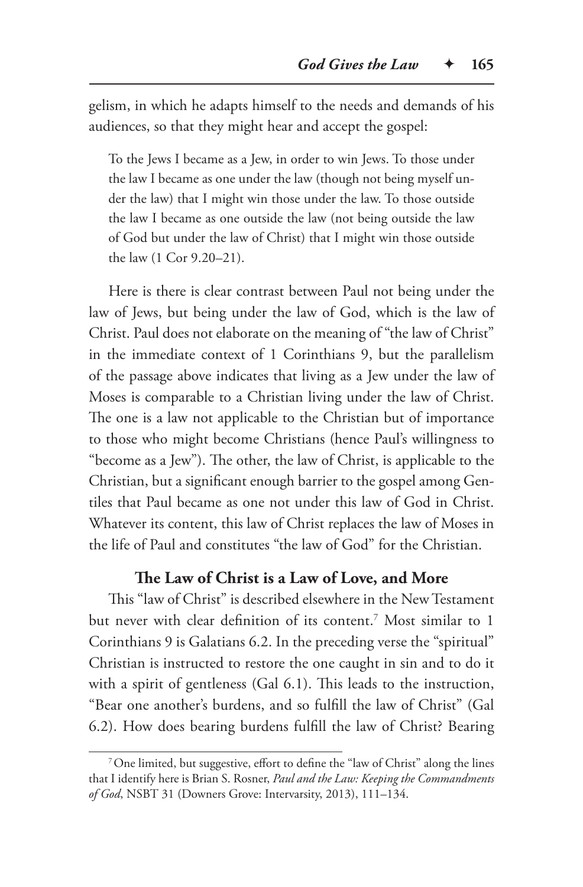gelism, in which he adapts himself to the needs and demands of his audiences, so that they might hear and accept the gospel:

To the Jews I became as a Jew, in order to win Jews. To those under the law I became as one under the law (though not being myself under the law) that I might win those under the law. To those outside the law I became as one outside the law (not being outside the law of God but under the law of Christ) that I might win those outside the law (1 Cor 9.20–21).

Here is there is clear contrast between Paul not being under the law of Jews, but being under the law of God, which is the law of Christ. Paul does not elaborate on the meaning of "the law of Christ" in the immediate context of 1 Corinthians 9, but the parallelism of the passage above indicates that living as a Jew under the law of Moses is comparable to a Christian living under the law of Christ. The one is a law not applicable to the Christian but of importance to those who might become Christians (hence Paul's willingness to "become as a Jew"). The other, the law of Christ, is applicable to the Christian, but a significant enough barrier to the gospel among Gentiles that Paul became as one not under this law of God in Christ. Whatever its content, this law of Christ replaces the law of Moses in the life of Paul and constitutes "the law of God" for the Christian.

## **The Law of Christ is a Law of Love, and More**

This "law of Christ" is described elsewhere in the New Testament but never with clear definition of its content.7 Most similar to 1 Corinthians 9 is Galatians 6.2. In the preceding verse the "spiritual" Christian is instructed to restore the one caught in sin and to do it with a spirit of gentleness (Gal 6.1). This leads to the instruction, "Bear one another's burdens, and so fulfill the law of Christ" (Gal 6.2). How does bearing burdens fulfill the law of Christ? Bearing

<sup>7</sup>One limited, but suggestive, effort to define the "law of Christ" along the lines that I identify here is Brian S. Rosner, *Paul and the Law: Keeping the Commandments of God*, NSBT 31 (Downers Grove: Intervarsity, 2013), 111–134.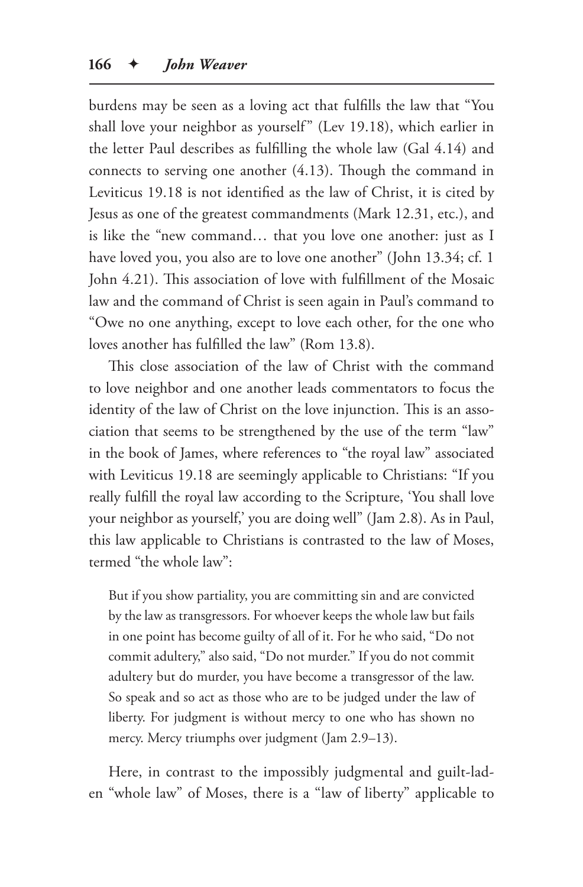burdens may be seen as a loving act that fulfills the law that "You shall love your neighbor as yourself" (Lev 19.18), which earlier in the letter Paul describes as fulfilling the whole law (Gal 4.14) and connects to serving one another (4.13). Though the command in Leviticus 19.18 is not identified as the law of Christ, it is cited by Jesus as one of the greatest commandments (Mark 12.31, etc.), and is like the "new command… that you love one another: just as I have loved you, you also are to love one another" (John 13.34; cf. 1 John 4.21). This association of love with fulfillment of the Mosaic law and the command of Christ is seen again in Paul's command to "Owe no one anything, except to love each other, for the one who loves another has fulfilled the law" (Rom 13.8).

This close association of the law of Christ with the command to love neighbor and one another leads commentators to focus the identity of the law of Christ on the love injunction. This is an association that seems to be strengthened by the use of the term "law" in the book of James, where references to "the royal law" associated with Leviticus 19.18 are seemingly applicable to Christians: "If you really fulfill the royal law according to the Scripture, 'You shall love your neighbor as yourself,' you are doing well" (Jam 2.8). As in Paul, this law applicable to Christians is contrasted to the law of Moses, termed "the whole law":

But if you show partiality, you are committing sin and are convicted by the law as transgressors. For whoever keeps the whole law but fails in one point has become guilty of all of it. For he who said, "Do not commit adultery," also said, "Do not murder." If you do not commit adultery but do murder, you have become a transgressor of the law. So speak and so act as those who are to be judged under the law of liberty. For judgment is without mercy to one who has shown no mercy. Mercy triumphs over judgment (Jam 2.9–13).

Here, in contrast to the impossibly judgmental and guilt-laden "whole law" of Moses, there is a "law of liberty" applicable to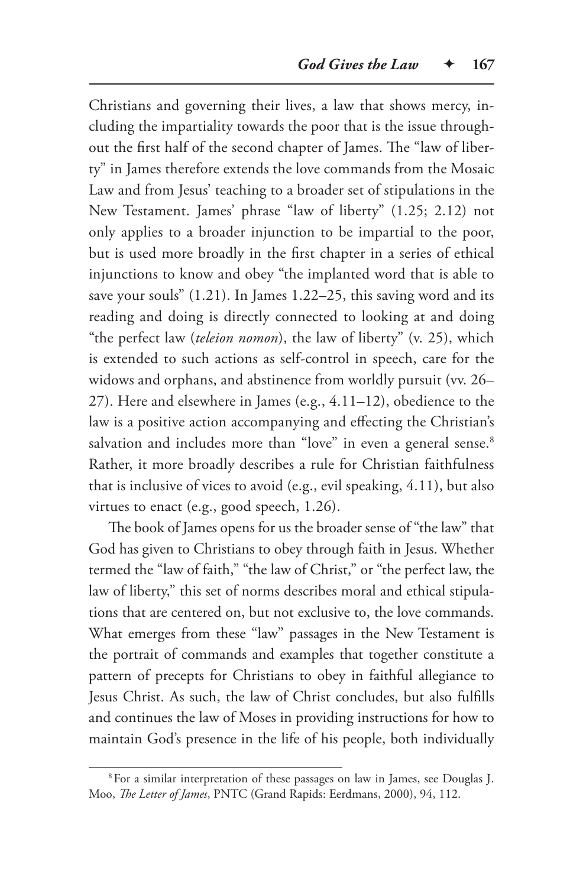Christians and governing their lives, a law that shows mercy, including the impartiality towards the poor that is the issue throughout the first half of the second chapter of James. The "law of liberty" in James therefore extends the love commands from the Mosaic Law and from Jesus' teaching to a broader set of stipulations in the New Testament. James' phrase "law of liberty" (1.25; 2.12) not only applies to a broader injunction to be impartial to the poor, but is used more broadly in the first chapter in a series of ethical injunctions to know and obey "the implanted word that is able to save your souls" (1.21). In James 1.22–25, this saving word and its reading and doing is directly connected to looking at and doing "the perfect law (*teleion nomon*), the law of liberty" (v. 25), which is extended to such actions as self-control in speech, care for the widows and orphans, and abstinence from worldly pursuit (vv. 26– 27). Here and elsewhere in James (e.g., 4.11–12), obedience to the law is a positive action accompanying and effecting the Christian's salvation and includes more than "love" in even a general sense.<sup>8</sup> Rather, it more broadly describes a rule for Christian faithfulness that is inclusive of vices to avoid (e.g., evil speaking, 4.11), but also virtues to enact (e.g., good speech, 1.26).

The book of James opens for us the broader sense of "the law" that God has given to Christians to obey through faith in Jesus. Whether termed the "law of faith," "the law of Christ," or "the perfect law, the law of liberty," this set of norms describes moral and ethical stipulations that are centered on, but not exclusive to, the love commands. What emerges from these "law" passages in the New Testament is the portrait of commands and examples that together constitute a pattern of precepts for Christians to obey in faithful allegiance to Jesus Christ. As such, the law of Christ concludes, but also fulfills and continues the law of Moses in providing instructions for how to maintain God's presence in the life of his people, both individually

<sup>8</sup>For a similar interpretation of these passages on law in James, see Douglas J. Moo, *The Letter of James*, PNTC (Grand Rapids: Eerdmans, 2000), 94, 112.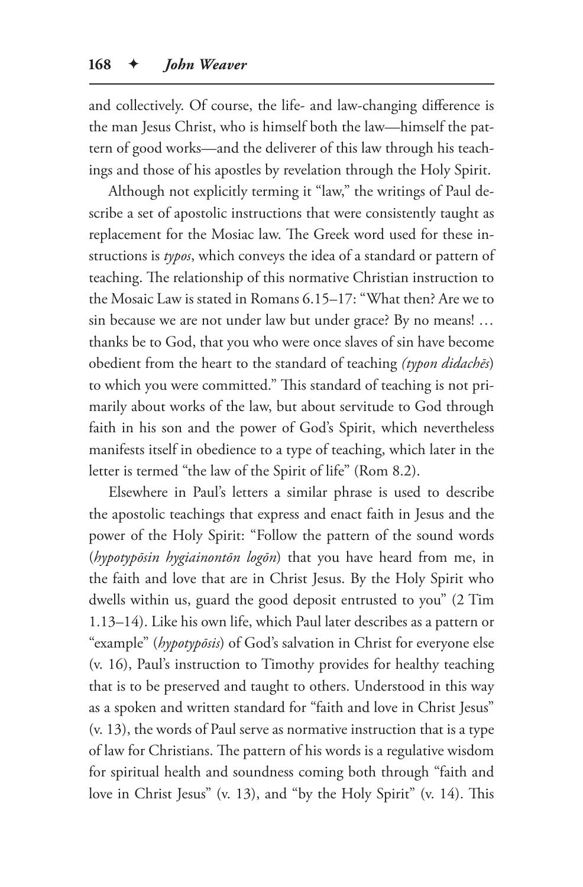and collectively. Of course, the life- and law-changing difference is the man Jesus Christ, who is himself both the law—himself the pattern of good works—and the deliverer of this law through his teachings and those of his apostles by revelation through the Holy Spirit.

Although not explicitly terming it "law," the writings of Paul describe a set of apostolic instructions that were consistently taught as replacement for the Mosiac law. The Greek word used for these instructions is *typos*, which conveys the idea of a standard or pattern of teaching. The relationship of this normative Christian instruction to the Mosaic Law is stated in Romans 6.15–17: "What then? Are we to sin because we are not under law but under grace? By no means! … thanks be to God, that you who were once slaves of sin have become obedient from the heart to the standard of teaching *(typon didachēs*) to which you were committed." This standard of teaching is not primarily about works of the law, but about servitude to God through faith in his son and the power of God's Spirit, which nevertheless manifests itself in obedience to a type of teaching, which later in the letter is termed "the law of the Spirit of life" (Rom 8.2).

Elsewhere in Paul's letters a similar phrase is used to describe the apostolic teachings that express and enact faith in Jesus and the power of the Holy Spirit: "Follow the pattern of the sound words (*hypotypōsin hygiainontōn logōn*) that you have heard from me, in the faith and love that are in Christ Jesus. By the Holy Spirit who dwells within us, guard the good deposit entrusted to you" (2 Tim 1.13–14). Like his own life, which Paul later describes as a pattern or "example" (*hypotypōsis*) of God's salvation in Christ for everyone else (v. 16), Paul's instruction to Timothy provides for healthy teaching that is to be preserved and taught to others. Understood in this way as a spoken and written standard for "faith and love in Christ Jesus" (v. 13), the words of Paul serve as normative instruction that is a type of law for Christians. The pattern of his words is a regulative wisdom for spiritual health and soundness coming both through "faith and love in Christ Jesus" (v. 13), and "by the Holy Spirit" (v. 14). This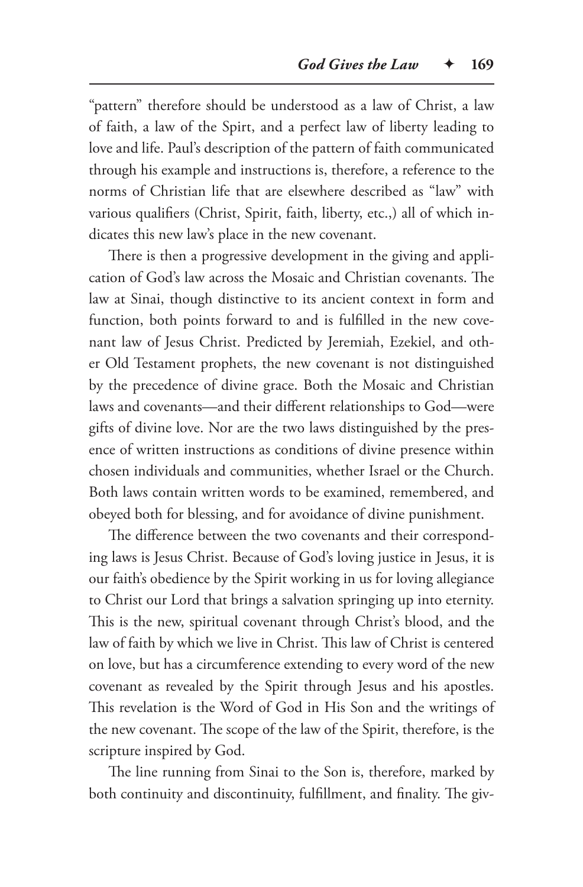"pattern" therefore should be understood as a law of Christ, a law of faith, a law of the Spirt, and a perfect law of liberty leading to love and life. Paul's description of the pattern of faith communicated through his example and instructions is, therefore, a reference to the norms of Christian life that are elsewhere described as "law" with various qualifiers (Christ, Spirit, faith, liberty, etc.,) all of which indicates this new law's place in the new covenant.

There is then a progressive development in the giving and application of God's law across the Mosaic and Christian covenants. The law at Sinai, though distinctive to its ancient context in form and function, both points forward to and is fulfilled in the new covenant law of Jesus Christ. Predicted by Jeremiah, Ezekiel, and other Old Testament prophets, the new covenant is not distinguished by the precedence of divine grace. Both the Mosaic and Christian laws and covenants—and their different relationships to God—were gifts of divine love. Nor are the two laws distinguished by the presence of written instructions as conditions of divine presence within chosen individuals and communities, whether Israel or the Church. Both laws contain written words to be examined, remembered, and obeyed both for blessing, and for avoidance of divine punishment.

The difference between the two covenants and their corresponding laws is Jesus Christ. Because of God's loving justice in Jesus, it is our faith's obedience by the Spirit working in us for loving allegiance to Christ our Lord that brings a salvation springing up into eternity. This is the new, spiritual covenant through Christ's blood, and the law of faith by which we live in Christ. This law of Christ is centered on love, but has a circumference extending to every word of the new covenant as revealed by the Spirit through Jesus and his apostles. This revelation is the Word of God in His Son and the writings of the new covenant. The scope of the law of the Spirit, therefore, is the scripture inspired by God.

The line running from Sinai to the Son is, therefore, marked by both continuity and discontinuity, fulfillment, and finality. The giv-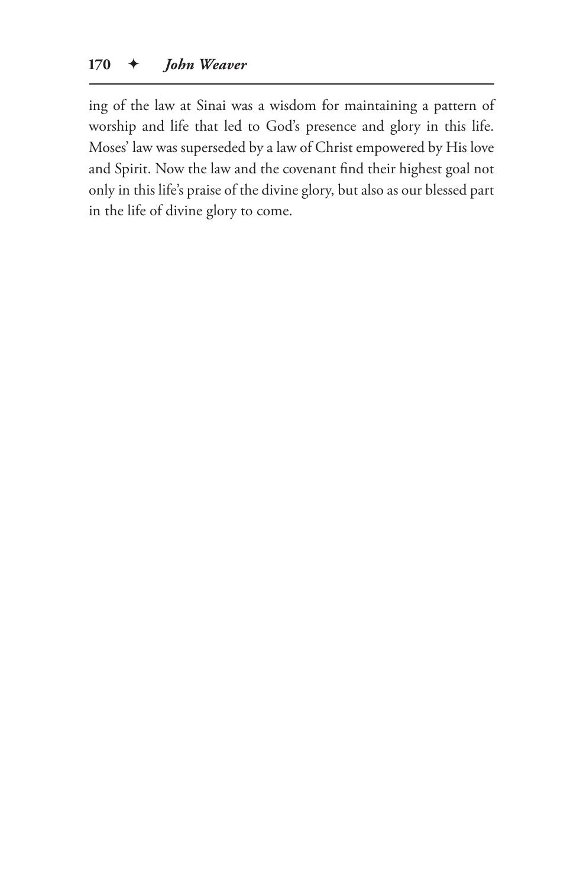ing of the law at Sinai was a wisdom for maintaining a pattern of worship and life that led to God's presence and glory in this life. Moses' law was superseded by a law of Christ empowered by His love and Spirit. Now the law and the covenant find their highest goal not only in this life's praise of the divine glory, but also as our blessed part in the life of divine glory to come.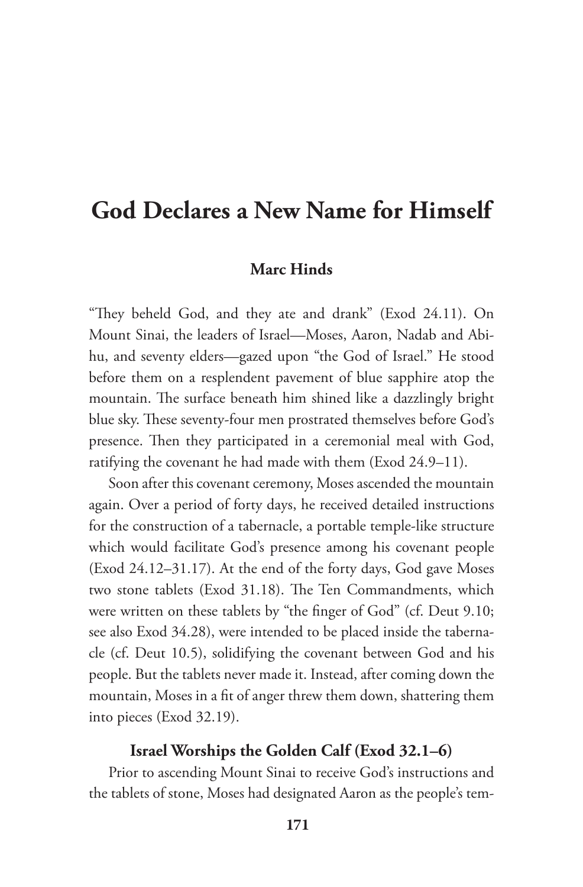# **God Declares a New Name for Himself**

# **Marc Hinds**

"They beheld God, and they ate and drank" (Exod 24.11). On Mount Sinai, the leaders of Israel—Moses, Aaron, Nadab and Abihu, and seventy elders—gazed upon "the God of Israel." He stood before them on a resplendent pavement of blue sapphire atop the mountain. The surface beneath him shined like a dazzlingly bright blue sky. These seventy-four men prostrated themselves before God's presence. Then they participated in a ceremonial meal with God, ratifying the covenant he had made with them (Exod 24.9–11).

Soon after this covenant ceremony, Moses ascended the mountain again. Over a period of forty days, he received detailed instructions for the construction of a tabernacle, a portable temple-like structure which would facilitate God's presence among his covenant people (Exod 24.12–31.17). At the end of the forty days, God gave Moses two stone tablets (Exod 31.18). The Ten Commandments, which were written on these tablets by "the finger of God" (cf. Deut 9.10; see also Exod 34.28), were intended to be placed inside the tabernacle (cf. Deut 10.5), solidifying the covenant between God and his people. But the tablets never made it. Instead, after coming down the mountain, Moses in a fit of anger threw them down, shattering them into pieces (Exod 32.19).

# **Israel Worships the Golden Calf (Exod 32.1–6)**

Prior to ascending Mount Sinai to receive God's instructions and the tablets of stone, Moses had designated Aaron as the people's tem-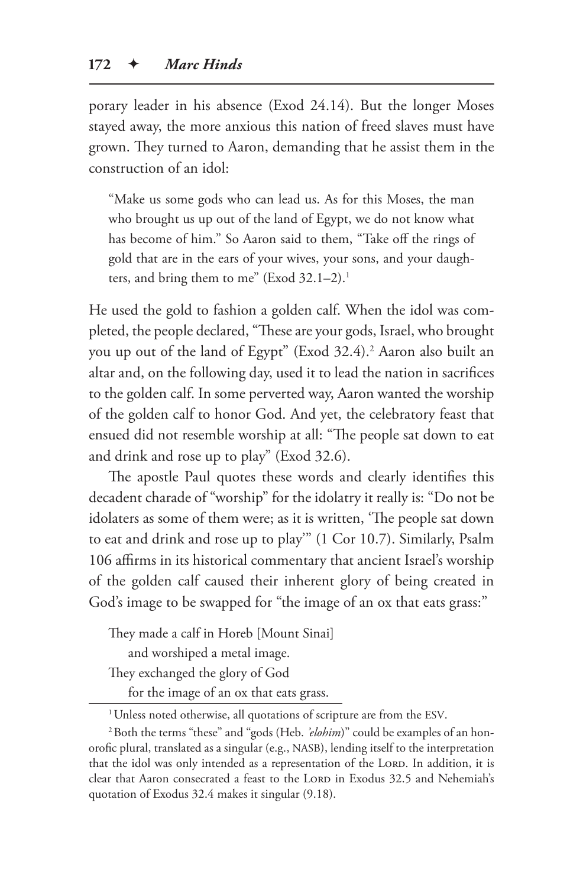porary leader in his absence (Exod 24.14). But the longer Moses stayed away, the more anxious this nation of freed slaves must have grown. They turned to Aaron, demanding that he assist them in the construction of an idol:

"Make us some gods who can lead us. As for this Moses, the man who brought us up out of the land of Egypt, we do not know what has become of him." So Aaron said to them, "Take off the rings of gold that are in the ears of your wives, your sons, and your daughters, and bring them to me" (Exod 32.1-2).<sup>1</sup>

He used the gold to fashion a golden calf. When the idol was completed, the people declared, "These are your gods, Israel, who brought you up out of the land of Egypt" (Exod 32.4).<sup>2</sup> Aaron also built an altar and, on the following day, used it to lead the nation in sacrifices to the golden calf. In some perverted way, Aaron wanted the worship of the golden calf to honor God. And yet, the celebratory feast that ensued did not resemble worship at all: "The people sat down to eat and drink and rose up to play" (Exod 32.6).

The apostle Paul quotes these words and clearly identifies this decadent charade of "worship" for the idolatry it really is: "Do not be idolaters as some of them were; as it is written, 'The people sat down to eat and drink and rose up to play'" (1 Cor 10.7). Similarly, Psalm 106 affirms in its historical commentary that ancient Israel's worship of the golden calf caused their inherent glory of being created in God's image to be swapped for "the image of an ox that eats grass:"

They made a calf in Horeb [Mount Sinai]

and worshiped a metal image.

They exchanged the glory of God

for the image of an ox that eats grass.

<sup>&</sup>lt;sup>1</sup> Unless noted otherwise, all quotations of scripture are from the ESV.

<sup>&</sup>lt;sup>2</sup> Both the terms "these" and "gods (Heb. *'elohim*)" could be examples of an honorofic plural, translated as a singular (e.g., NASB), lending itself to the interpretation that the idol was only intended as a representation of the LORD. In addition, it is clear that Aaron consecrated a feast to the LORD in Exodus 32.5 and Nehemiah's quotation of Exodus 32.4 makes it singular (9.18).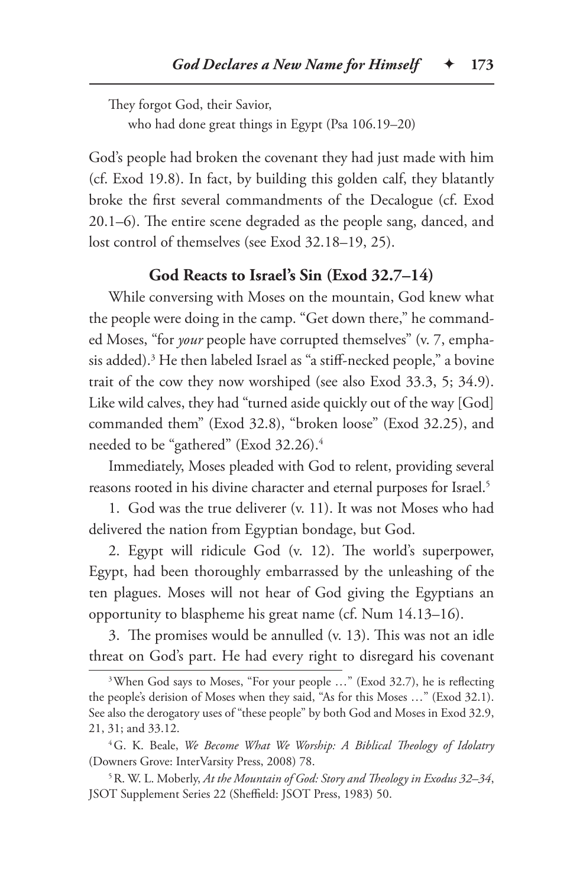They forgot God, their Savior, who had done great things in Egypt (Psa 106.19–20)

God's people had broken the covenant they had just made with him (cf. Exod 19.8). In fact, by building this golden calf, they blatantly broke the first several commandments of the Decalogue (cf. Exod 20.1–6). The entire scene degraded as the people sang, danced, and lost control of themselves (see Exod 32.18–19, 25).

# **God Reacts to Israel's Sin (Exod 32.7–14)**

While conversing with Moses on the mountain, God knew what the people were doing in the camp. "Get down there," he commanded Moses, "for *your* people have corrupted themselves" (v. 7, emphasis added).3 He then labeled Israel as "a stiff-necked people," a bovine trait of the cow they now worshiped (see also Exod 33.3, 5; 34.9). Like wild calves, they had "turned aside quickly out of the way [God] commanded them" (Exod 32.8), "broken loose" (Exod 32.25), and needed to be "gathered" (Exod 32.26).4

Immediately, Moses pleaded with God to relent, providing several reasons rooted in his divine character and eternal purposes for Israel.<sup>5</sup>

1. God was the true deliverer (v. 11). It was not Moses who had delivered the nation from Egyptian bondage, but God.

2. Egypt will ridicule God (v. 12). The world's superpower, Egypt, had been thoroughly embarrassed by the unleashing of the ten plagues. Moses will not hear of God giving the Egyptians an opportunity to blaspheme his great name (cf. Num 14.13–16).

3. The promises would be annulled (v. 13). This was not an idle threat on God's part. He had every right to disregard his covenant

<sup>&</sup>lt;sup>3</sup>When God says to Moses, "For your people ..." (Exod 32.7), he is reflecting the people's derision of Moses when they said, "As for this Moses …" (Exod 32.1). See also the derogatory uses of "these people" by both God and Moses in Exod 32.9, 21, 31; and 33.12.

<sup>4</sup>G. K. Beale, *We Become What We Worship: A Biblical Theology of Idolatry* (Downers Grove: InterVarsity Press, 2008) 78.

<sup>5</sup>R. W. L. Moberly, *At the Mountain of God: Story and Theology in Exodus 32–34*, JSOT Supplement Series 22 (Sheffield: JSOT Press, 1983) 50.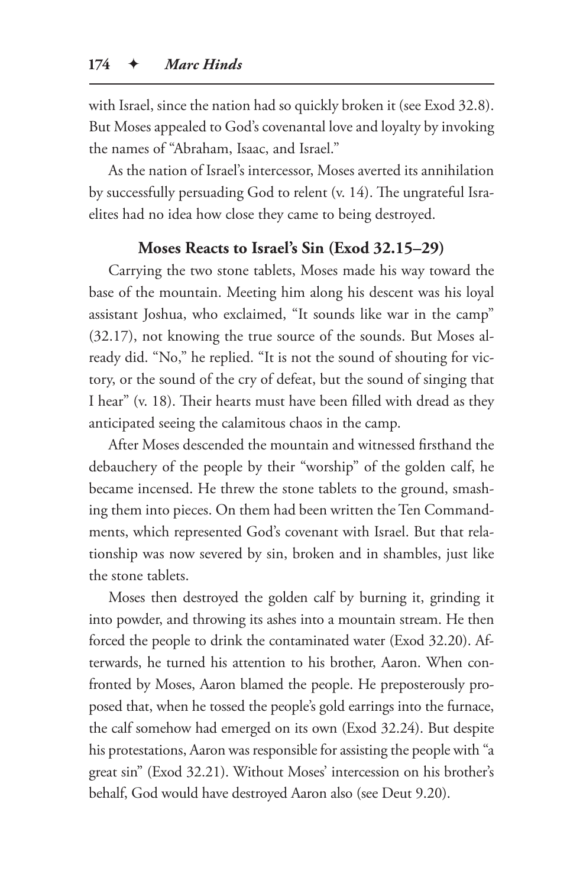with Israel, since the nation had so quickly broken it (see Exod 32.8). But Moses appealed to God's covenantal love and loyalty by invoking the names of "Abraham, Isaac, and Israel."

As the nation of Israel's intercessor, Moses averted its annihilation by successfully persuading God to relent (v. 14). The ungrateful Israelites had no idea how close they came to being destroyed.

# **Moses Reacts to Israel's Sin (Exod 32.15–29)**

Carrying the two stone tablets, Moses made his way toward the base of the mountain. Meeting him along his descent was his loyal assistant Joshua, who exclaimed, "It sounds like war in the camp" (32.17), not knowing the true source of the sounds. But Moses already did. "No," he replied. "It is not the sound of shouting for victory, or the sound of the cry of defeat, but the sound of singing that I hear" (v. 18). Their hearts must have been filled with dread as they anticipated seeing the calamitous chaos in the camp.

After Moses descended the mountain and witnessed firsthand the debauchery of the people by their "worship" of the golden calf, he became incensed. He threw the stone tablets to the ground, smashing them into pieces. On them had been written the Ten Commandments, which represented God's covenant with Israel. But that relationship was now severed by sin, broken and in shambles, just like the stone tablets.

Moses then destroyed the golden calf by burning it, grinding it into powder, and throwing its ashes into a mountain stream. He then forced the people to drink the contaminated water (Exod 32.20). Afterwards, he turned his attention to his brother, Aaron. When confronted by Moses, Aaron blamed the people. He preposterously proposed that, when he tossed the people's gold earrings into the furnace, the calf somehow had emerged on its own (Exod 32.24). But despite his protestations, Aaron was responsible for assisting the people with "a great sin" (Exod 32.21). Without Moses' intercession on his brother's behalf, God would have destroyed Aaron also (see Deut 9.20).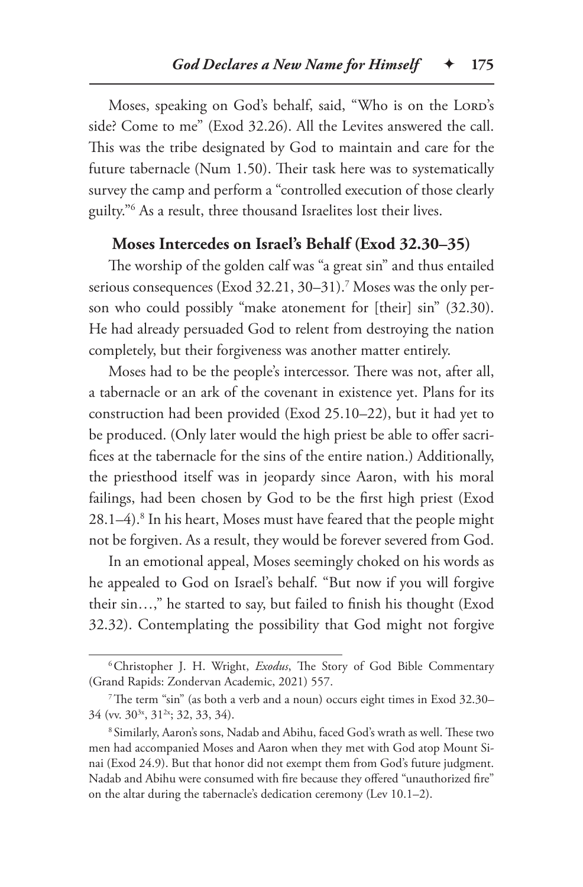Moses, speaking on God's behalf, said, "Who is on the LORD's side? Come to me" (Exod 32.26). All the Levites answered the call. This was the tribe designated by God to maintain and care for the future tabernacle (Num 1.50). Their task here was to systematically survey the camp and perform a "controlled execution of those clearly guilty."6 As a result, three thousand Israelites lost their lives.

# **Moses Intercedes on Israel's Behalf (Exod 32.30–35)**

The worship of the golden calf was "a great sin" and thus entailed serious consequences (Exod 32.21, 30–31).7 Moses was the only person who could possibly "make atonement for [their] sin" (32.30). He had already persuaded God to relent from destroying the nation completely, but their forgiveness was another matter entirely.

Moses had to be the people's intercessor. There was not, after all, a tabernacle or an ark of the covenant in existence yet. Plans for its construction had been provided (Exod 25.10–22), but it had yet to be produced. (Only later would the high priest be able to offer sacrifices at the tabernacle for the sins of the entire nation.) Additionally, the priesthood itself was in jeopardy since Aaron, with his moral failings, had been chosen by God to be the first high priest (Exod 28.1–4).8 In his heart, Moses must have feared that the people might not be forgiven. As a result, they would be forever severed from God.

In an emotional appeal, Moses seemingly choked on his words as he appealed to God on Israel's behalf. "But now if you will forgive their sin…," he started to say, but failed to finish his thought (Exod 32.32). Contemplating the possibility that God might not forgive

<sup>6</sup>Christopher J. H. Wright, *Exodus*, The Story of God Bible Commentary (Grand Rapids: Zondervan Academic, 2021) 557.

<sup>7</sup>The term "sin" (as both a verb and a noun) occurs eight times in Exod 32.30– 34 (vv. 30<sup>3x</sup>, 31<sup>2x</sup>; 32, 33, 34).

<sup>8</sup> Similarly, Aaron's sons, Nadab and Abihu, faced God's wrath as well. These two men had accompanied Moses and Aaron when they met with God atop Mount Sinai (Exod 24.9). But that honor did not exempt them from God's future judgment. Nadab and Abihu were consumed with fire because they offered "unauthorized fire" on the altar during the tabernacle's dedication ceremony (Lev 10.1–2).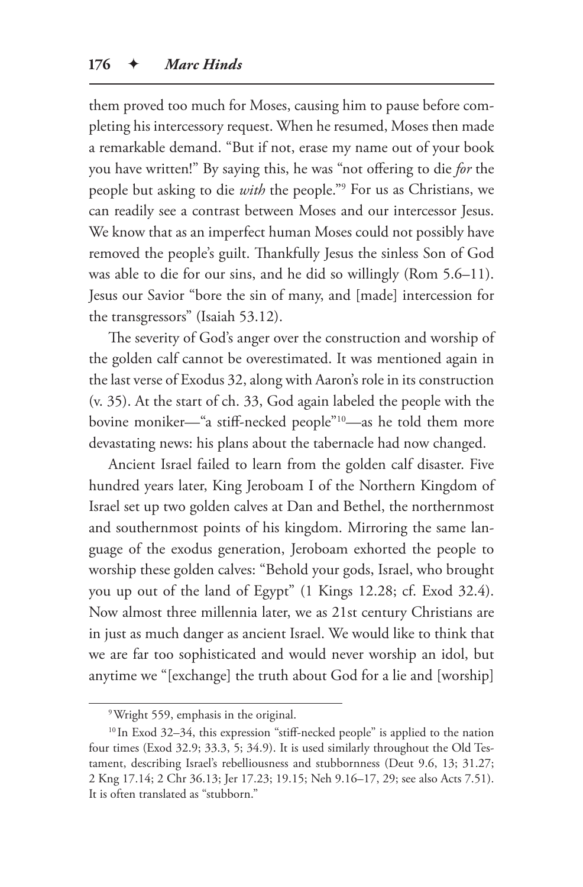them proved too much for Moses, causing him to pause before completing his intercessory request. When he resumed, Moses then made a remarkable demand. "But if not, erase my name out of your book you have written!" By saying this, he was "not offering to die *for* the people but asking to die *with* the people."9 For us as Christians, we can readily see a contrast between Moses and our intercessor Jesus. We know that as an imperfect human Moses could not possibly have removed the people's guilt. Thankfully Jesus the sinless Son of God was able to die for our sins, and he did so willingly (Rom 5.6–11). Jesus our Savior "bore the sin of many, and [made] intercession for the transgressors" (Isaiah 53.12).

The severity of God's anger over the construction and worship of the golden calf cannot be overestimated. It was mentioned again in the last verse of Exodus 32, along with Aaron's role in its construction (v. 35). At the start of ch. 33, God again labeled the people with the bovine moniker—"a stiff-necked people"10—as he told them more devastating news: his plans about the tabernacle had now changed.

Ancient Israel failed to learn from the golden calf disaster. Five hundred years later, King Jeroboam I of the Northern Kingdom of Israel set up two golden calves at Dan and Bethel, the northernmost and southernmost points of his kingdom. Mirroring the same language of the exodus generation, Jeroboam exhorted the people to worship these golden calves: "Behold your gods, Israel, who brought you up out of the land of Egypt" (1 Kings 12.28; cf. Exod 32.4). Now almost three millennia later, we as 21st century Christians are in just as much danger as ancient Israel. We would like to think that we are far too sophisticated and would never worship an idol, but anytime we "[exchange] the truth about God for a lie and [worship]

<sup>9</sup>Wright 559, emphasis in the original.

<sup>10</sup> In Exod 32–34, this expression "stiff-necked people" is applied to the nation four times (Exod 32.9; 33.3, 5; 34.9). It is used similarly throughout the Old Testament, describing Israel's rebelliousness and stubbornness (Deut 9.6, 13; 31.27; 2 Kng 17.14; 2 Chr 36.13; Jer 17.23; 19.15; Neh 9.16–17, 29; see also Acts 7.51). It is often translated as "stubborn."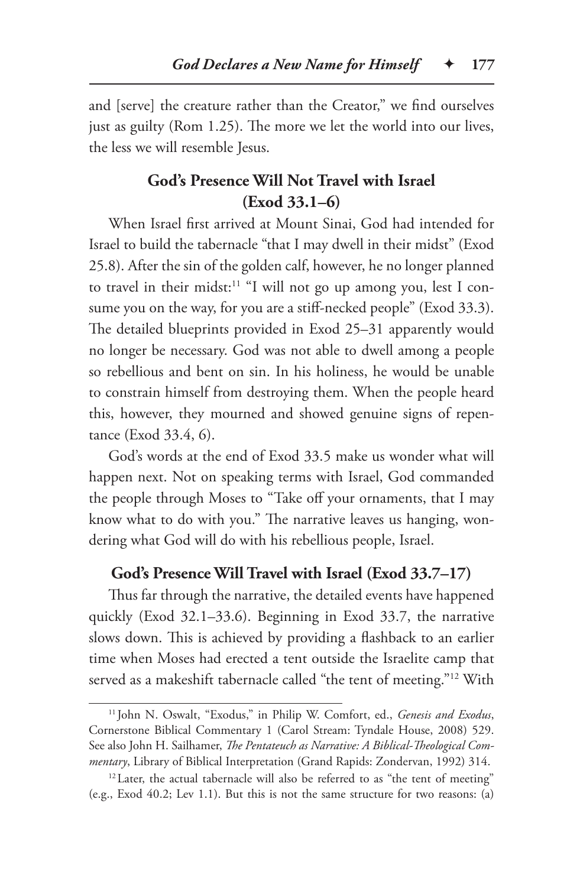and [serve] the creature rather than the Creator," we find ourselves just as guilty (Rom 1.25). The more we let the world into our lives, the less we will resemble Jesus.

# **God's Presence Will Not Travel with Israel (Exod 33.1–6)**

When Israel first arrived at Mount Sinai, God had intended for Israel to build the tabernacle "that I may dwell in their midst" (Exod 25.8). After the sin of the golden calf, however, he no longer planned to travel in their midst:<sup>11</sup> "I will not go up among you, lest I consume you on the way, for you are a stiff-necked people" (Exod 33.3). The detailed blueprints provided in Exod 25–31 apparently would no longer be necessary. God was not able to dwell among a people so rebellious and bent on sin. In his holiness, he would be unable to constrain himself from destroying them. When the people heard this, however, they mourned and showed genuine signs of repentance (Exod 33.4, 6).

God's words at the end of Exod 33.5 make us wonder what will happen next. Not on speaking terms with Israel, God commanded the people through Moses to "Take off your ornaments, that I may know what to do with you." The narrative leaves us hanging, wondering what God will do with his rebellious people, Israel.

### **God's Presence Will Travel with Israel (Exod 33.7–17)**

Thus far through the narrative, the detailed events have happened quickly (Exod 32.1–33.6). Beginning in Exod 33.7, the narrative slows down. This is achieved by providing a flashback to an earlier time when Moses had erected a tent outside the Israelite camp that served as a makeshift tabernacle called "the tent of meeting."<sup>12</sup> With

<sup>11</sup> John N. Oswalt, "Exodus," in Philip W. Comfort, ed., *Genesis and Exodus*, Cornerstone Biblical Commentary 1 (Carol Stream: Tyndale House, 2008) 529. See also John H. Sailhamer, *The Pentateuch as Narrative: A Biblical-Theological Commentary*, Library of Biblical Interpretation (Grand Rapids: Zondervan, 1992) 314.

<sup>&</sup>lt;sup>12</sup> Later, the actual tabernacle will also be referred to as "the tent of meeting" (e.g., Exod 40.2; Lev 1.1). But this is not the same structure for two reasons: (a)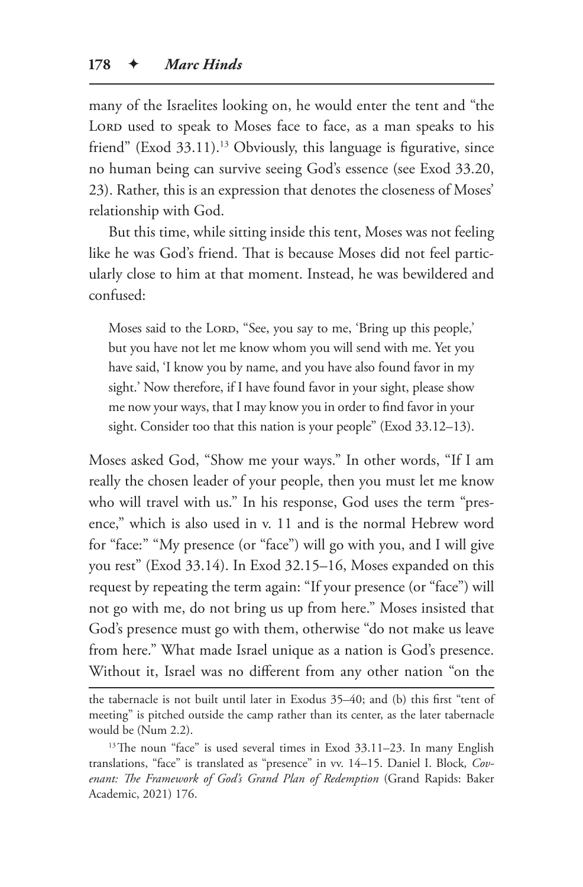many of the Israelites looking on, he would enter the tent and "the LORD used to speak to Moses face to face, as a man speaks to his friend" (Exod 33.11).<sup>13</sup> Obviously, this language is figurative, since no human being can survive seeing God's essence (see Exod 33.20, 23). Rather, this is an expression that denotes the closeness of Moses' relationship with God.

But this time, while sitting inside this tent, Moses was not feeling like he was God's friend. That is because Moses did not feel particularly close to him at that moment. Instead, he was bewildered and confused:

Moses said to the LORD, "See, you say to me, 'Bring up this people,' but you have not let me know whom you will send with me. Yet you have said, 'I know you by name, and you have also found favor in my sight.' Now therefore, if I have found favor in your sight, please show me now your ways, that I may know you in order to find favor in your sight. Consider too that this nation is your people" (Exod 33.12–13).

Moses asked God, "Show me your ways." In other words, "If I am really the chosen leader of your people, then you must let me know who will travel with us." In his response, God uses the term "presence," which is also used in v. 11 and is the normal Hebrew word for "face:" "My presence (or "face") will go with you, and I will give you rest" (Exod 33.14). In Exod 32.15–16, Moses expanded on this request by repeating the term again: "If your presence (or "face") will not go with me, do not bring us up from here." Moses insisted that God's presence must go with them, otherwise "do not make us leave from here." What made Israel unique as a nation is God's presence. Without it, Israel was no different from any other nation "on the

the tabernacle is not built until later in Exodus 35–40; and (b) this first "tent of meeting" is pitched outside the camp rather than its center, as the later tabernacle would be (Num 2.2).

<sup>&</sup>lt;sup>13</sup>The noun "face" is used several times in Exod 33.11–23. In many English translations, "face" is translated as "presence" in vv. 14–15. Daniel I. Block*, Covenant: The Framework of God's Grand Plan of Redemption* (Grand Rapids: Baker Academic, 2021) 176.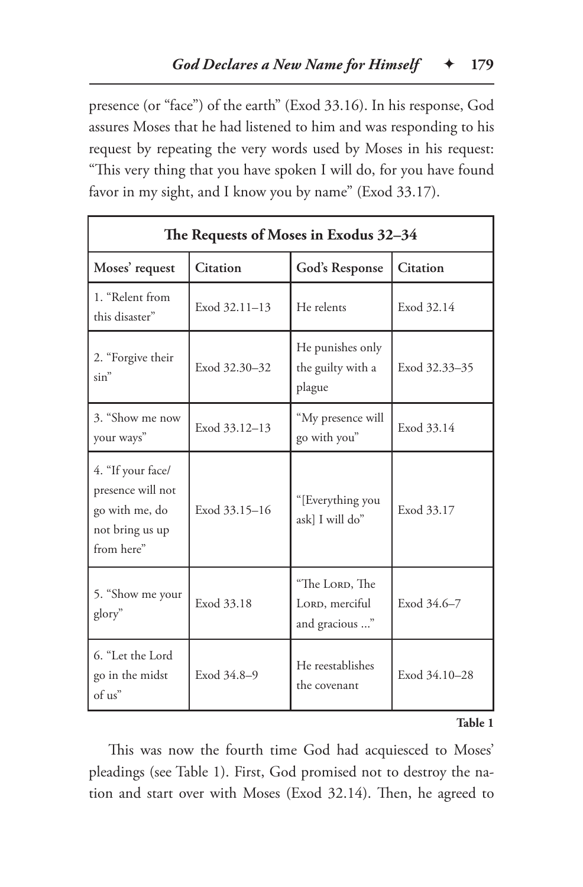presence (or "face") of the earth" (Exod 33.16). In his response, God assures Moses that he had listened to him and was responding to his request by repeating the very words used by Moses in his request: "This very thing that you have spoken I will do, for you have found favor in my sight, and I know you by name" (Exod 33.17).

| The Requests of Moses in Exodus 32-34                                                     |                 |                                                    |               |  |  |
|-------------------------------------------------------------------------------------------|-----------------|----------------------------------------------------|---------------|--|--|
| Moses' request                                                                            | <b>Citation</b> | God's Response                                     | Citation      |  |  |
| 1. "Relent from<br>this disaster"                                                         | Exod 32.11-13   | He relents                                         | Exod 32.14    |  |  |
| 2. "Forgive their<br>$\sin$ "                                                             | Exod 32.30-32   | He punishes only<br>the guilty with a<br>plague    | Exod 32.33-35 |  |  |
| 3. "Show me now<br>your ways"                                                             | Exod 33.12-13   | "My presence will<br>go with you"                  | Exod 33.14    |  |  |
| 4. "If your face/<br>presence will not<br>go with me, do<br>not bring us up<br>from here" | Exod 33.15-16   | "[Everything you<br>ask] I will do"                | Exod 33.17    |  |  |
| 5. "Show me your<br>glory"                                                                | Exod 33.18      | "The LORD, The<br>LORD, merciful<br>and gracious " | Exod 34.6-7   |  |  |
| 6. "Let the Lord<br>go in the midst<br>of us"                                             | Exod 34.8-9     | He reestablishes<br>the covenant                   | Exod 34.10-28 |  |  |

#### **Table 1**

This was now the fourth time God had acquiesced to Moses' pleadings (see Table 1). First, God promised not to destroy the nation and start over with Moses (Exod 32.14). Then, he agreed to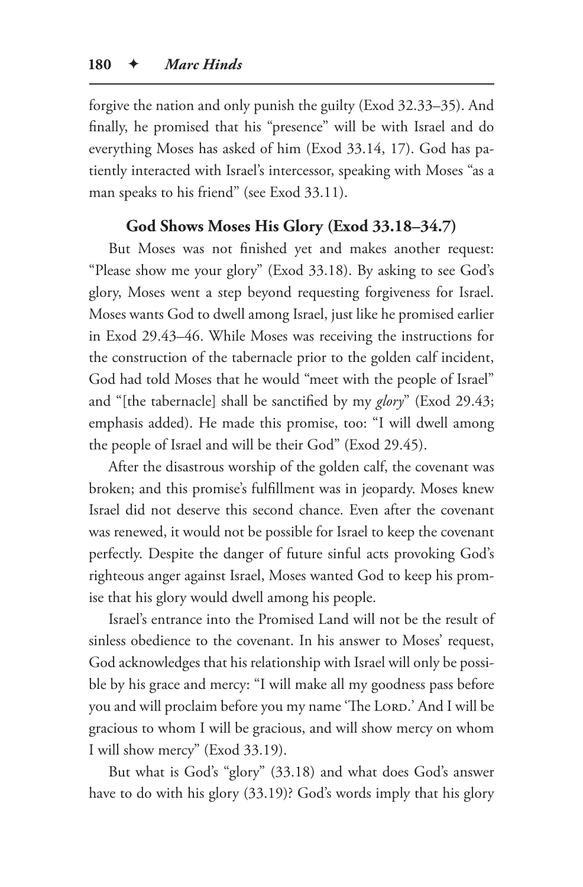forgive the nation and only punish the guilty (Exod 32.33–35). And finally, he promised that his "presence" will be with Israel and do everything Moses has asked of him (Exod 33.14, 17). God has patiently interacted with Israel's intercessor, speaking with Moses "as a man speaks to his friend" (see Exod 33.11).

# **God Shows Moses His Glory (Exod 33.18–34.7)**

But Moses was not finished yet and makes another request: "Please show me your glory" (Exod 33.18). By asking to see God's glory, Moses went a step beyond requesting forgiveness for Israel. Moses wants God to dwell among Israel, just like he promised earlier in Exod 29.43–46. While Moses was receiving the instructions for the construction of the tabernacle prior to the golden calf incident, God had told Moses that he would "meet with the people of Israel" and "[the tabernacle] shall be sanctified by my *glory*" (Exod 29.43; emphasis added). He made this promise, too: "I will dwell among the people of Israel and will be their God" (Exod 29.45).

After the disastrous worship of the golden calf, the covenant was broken; and this promise's fulfillment was in jeopardy. Moses knew Israel did not deserve this second chance. Even after the covenant was renewed, it would not be possible for Israel to keep the covenant perfectly. Despite the danger of future sinful acts provoking God's righteous anger against Israel, Moses wanted God to keep his promise that his glory would dwell among his people.

Israel's entrance into the Promised Land will not be the result of sinless obedience to the covenant. In his answer to Moses' request, God acknowledges that his relationship with Israel will only be possible by his grace and mercy: "I will make all my goodness pass before you and will proclaim before you my name 'The Lord.' And I will be gracious to whom I will be gracious, and will show mercy on whom I will show mercy" (Exod 33.19).

But what is God's "glory" (33.18) and what does God's answer have to do with his glory (33.19)? God's words imply that his glory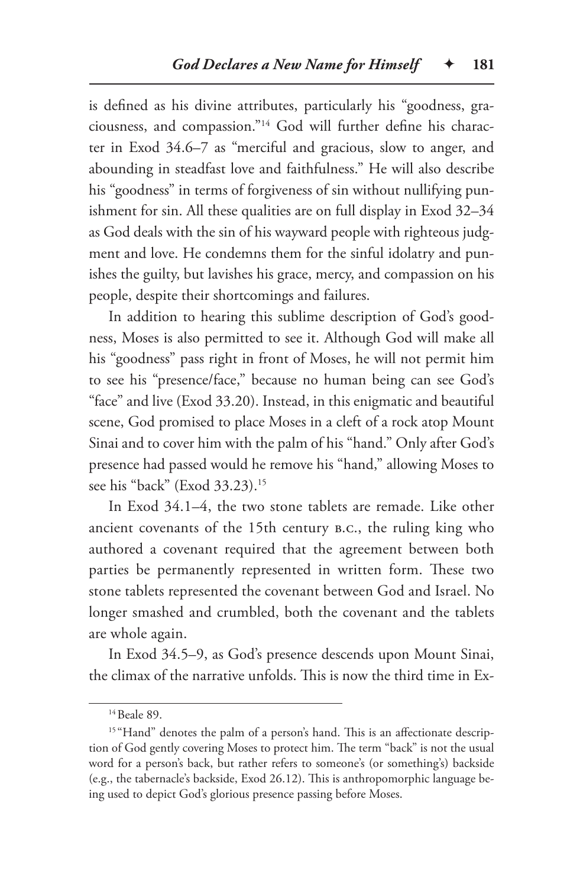is defined as his divine attributes, particularly his "goodness, graciousness, and compassion."14 God will further define his character in Exod 34.6–7 as "merciful and gracious, slow to anger, and abounding in steadfast love and faithfulness." He will also describe his "goodness" in terms of forgiveness of sin without nullifying punishment for sin. All these qualities are on full display in Exod 32–34 as God deals with the sin of his wayward people with righteous judgment and love. He condemns them for the sinful idolatry and punishes the guilty, but lavishes his grace, mercy, and compassion on his people, despite their shortcomings and failures.

In addition to hearing this sublime description of God's goodness, Moses is also permitted to see it. Although God will make all his "goodness" pass right in front of Moses, he will not permit him to see his "presence/face," because no human being can see God's "face" and live (Exod 33.20). Instead, in this enigmatic and beautiful scene, God promised to place Moses in a cleft of a rock atop Mount Sinai and to cover him with the palm of his "hand." Only after God's presence had passed would he remove his "hand," allowing Moses to see his "back" (Exod 33.23).15

In Exod 34.1–4, the two stone tablets are remade. Like other ancient covenants of the 15th century b.c., the ruling king who authored a covenant required that the agreement between both parties be permanently represented in written form. These two stone tablets represented the covenant between God and Israel. No longer smashed and crumbled, both the covenant and the tablets are whole again.

In Exod 34.5–9, as God's presence descends upon Mount Sinai, the climax of the narrative unfolds. This is now the third time in Ex-

<sup>&</sup>lt;sup>14</sup> Beale 89.

<sup>&</sup>lt;sup>15</sup> "Hand" denotes the palm of a person's hand. This is an affectionate description of God gently covering Moses to protect him. The term "back" is not the usual word for a person's back, but rather refers to someone's (or something's) backside (e.g., the tabernacle's backside, Exod 26.12). This is anthropomorphic language being used to depict God's glorious presence passing before Moses.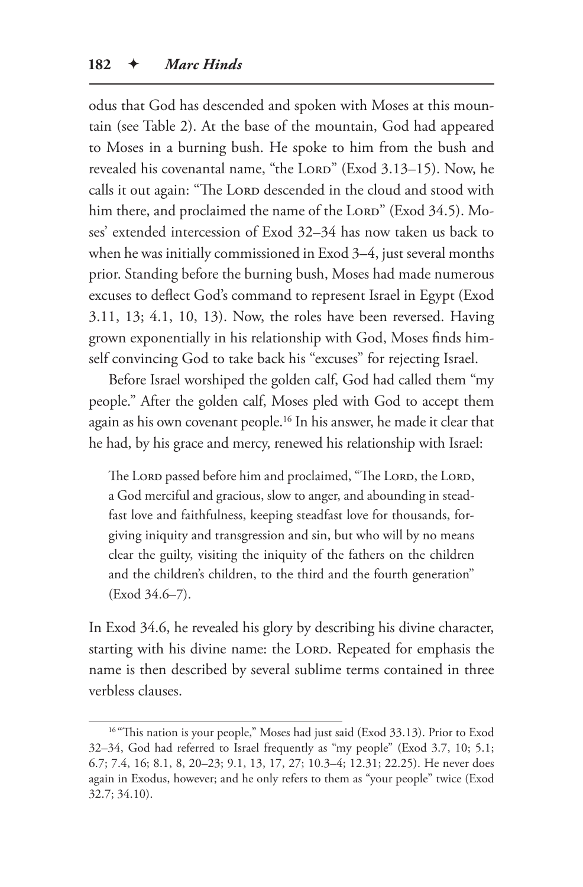odus that God has descended and spoken with Moses at this mountain (see Table 2). At the base of the mountain, God had appeared to Moses in a burning bush. He spoke to him from the bush and revealed his covenantal name, "the LORD" (Exod 3.13-15). Now, he calls it out again: "The LORD descended in the cloud and stood with him there, and proclaimed the name of the LORD" (Exod 34.5). Moses' extended intercession of Exod 32–34 has now taken us back to when he was initially commissioned in Exod 3–4, just several months prior. Standing before the burning bush, Moses had made numerous excuses to deflect God's command to represent Israel in Egypt (Exod 3.11, 13; 4.1, 10, 13). Now, the roles have been reversed. Having grown exponentially in his relationship with God, Moses finds himself convincing God to take back his "excuses" for rejecting Israel.

Before Israel worshiped the golden calf, God had called them "my people." After the golden calf, Moses pled with God to accept them again as his own covenant people.16 In his answer, he made it clear that he had, by his grace and mercy, renewed his relationship with Israel:

The Lord passed before him and proclaimed, "The Lord, the Lord, a God merciful and gracious, slow to anger, and abounding in steadfast love and faithfulness, keeping steadfast love for thousands, forgiving iniquity and transgression and sin, but who will by no means clear the guilty, visiting the iniquity of the fathers on the children and the children's children, to the third and the fourth generation" (Exod 34.6–7).

In Exod 34.6, he revealed his glory by describing his divine character, starting with his divine name: the LORD. Repeated for emphasis the name is then described by several sublime terms contained in three verbless clauses.

<sup>&</sup>lt;sup>16</sup> "This nation is your people," Moses had just said (Exod 33.13). Prior to Exod 32–34, God had referred to Israel frequently as "my people" (Exod 3.7, 10; 5.1; 6.7; 7.4, 16; 8.1, 8, 20–23; 9.1, 13, 17, 27; 10.3–4; 12.31; 22.25). He never does again in Exodus, however; and he only refers to them as "your people" twice (Exod 32.7; 34.10).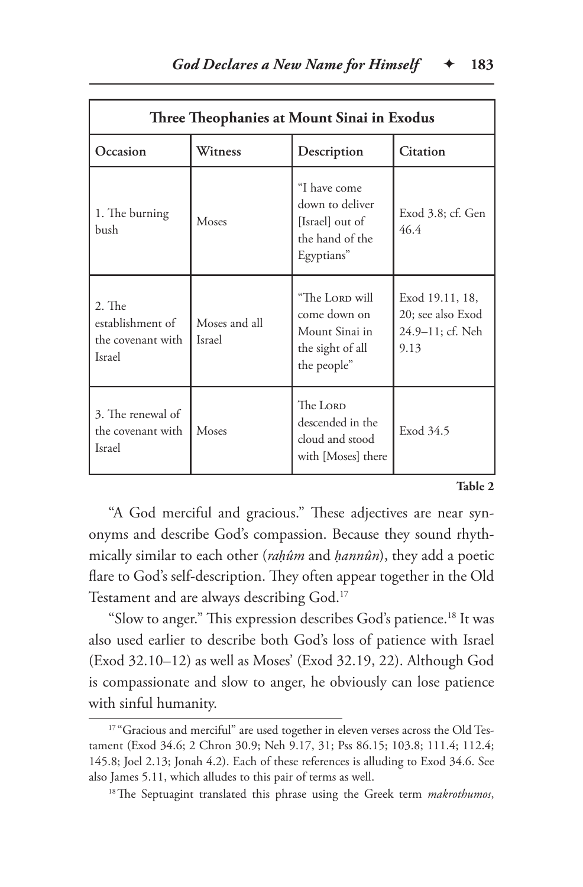| Three Theophanies at Mount Sinai in Exodus                         |                                |                                                                                     |                                                                  |  |  |
|--------------------------------------------------------------------|--------------------------------|-------------------------------------------------------------------------------------|------------------------------------------------------------------|--|--|
| Occasion                                                           | Witness                        | Description                                                                         | <b>Citation</b>                                                  |  |  |
| 1. The burning<br>bush                                             | Moses                          | "I have come<br>down to deliver<br>[Israel] out of<br>the hand of the<br>Egyptians" | Exod 3.8; cf. Gen<br>46.4                                        |  |  |
| $2.$ The<br>establishment of<br>the covenant with<br><b>Israel</b> | Moses and all<br><b>Israel</b> | "The LORD will<br>come down on<br>Mount Sinai in<br>the sight of all<br>the people" | Exod 19.11, 18,<br>20; see also Exod<br>24.9–11; cf. Neh<br>9.13 |  |  |
| 3. The renewal of<br>the covenant with<br><b>Israel</b>            | Moses                          | The LORD<br>descended in the<br>cloud and stood<br>with [Moses] there               | Exod 34.5                                                        |  |  |

#### **Table 2**

"A God merciful and gracious." These adjectives are near synonyms and describe God's compassion. Because they sound rhythmically similar to each other (*raḥûm* and *ḥannûn*), they add a poetic flare to God's self-description. They often appear together in the Old Testament and are always describing God.<sup>17</sup>

"Slow to anger." This expression describes God's patience.18 It was also used earlier to describe both God's loss of patience with Israel (Exod 32.10–12) as well as Moses' (Exod 32.19, 22). Although God is compassionate and slow to anger, he obviously can lose patience with sinful humanity.

<sup>&</sup>lt;sup>17</sup> "Gracious and merciful" are used together in eleven verses across the Old Testament (Exod 34.6; 2 Chron 30.9; Neh 9.17, 31; Pss 86.15; 103.8; 111.4; 112.4; 145.8; Joel 2.13; Jonah 4.2). Each of these references is alluding to Exod 34.6. See also James 5.11, which alludes to this pair of terms as well.

<sup>18</sup>The Septuagint translated this phrase using the Greek term *makrothumos*,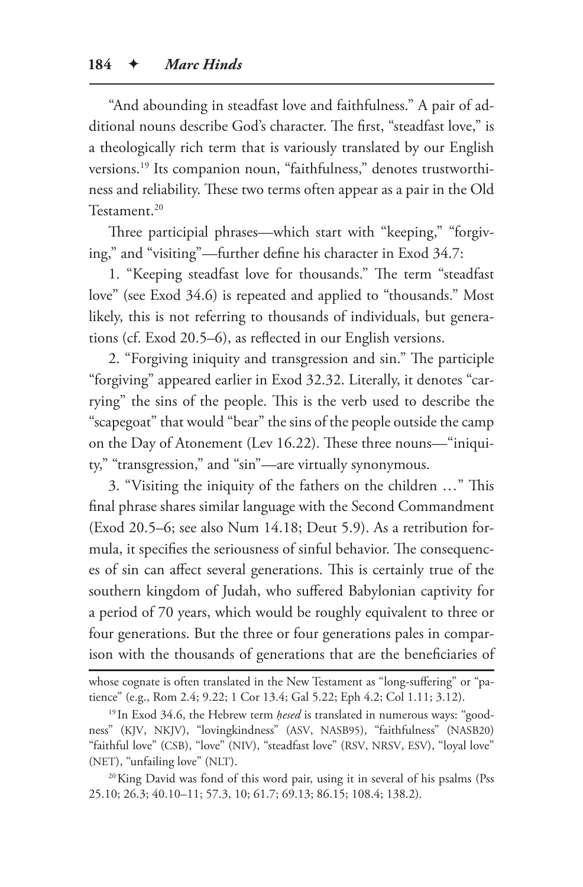"And abounding in steadfast love and faithfulness." A pair of additional nouns describe God's character. The first, "steadfast love," is a theologically rich term that is variously translated by our English versions.19 Its companion noun, "faithfulness," denotes trustworthiness and reliability. These two terms often appear as a pair in the Old Testament.20

Three participial phrases—which start with "keeping," "forgiving," and "visiting"—further define his character in Exod 34.7:

1. "Keeping steadfast love for thousands." The term "steadfast love" (see Exod 34.6) is repeated and applied to "thousands." Most likely, this is not referring to thousands of individuals, but generations (cf. Exod 20.5–6), as reflected in our English versions.

2. "Forgiving iniquity and transgression and sin." The participle "forgiving" appeared earlier in Exod 32.32. Literally, it denotes "carrying" the sins of the people. This is the verb used to describe the "scapegoat" that would "bear" the sins of the people outside the camp on the Day of Atonement (Lev 16.22). These three nouns—"iniquity," "transgression," and "sin"—are virtually synonymous.

3. "Visiting the iniquity of the fathers on the children …" This final phrase shares similar language with the Second Commandment (Exod 20.5–6; see also Num 14.18; Deut 5.9). As a retribution formula, it specifies the seriousness of sinful behavior. The consequences of sin can affect several generations. This is certainly true of the southern kingdom of Judah, who suffered Babylonian captivity for a period of 70 years, which would be roughly equivalent to three or four generations. But the three or four generations pales in comparison with the thousands of generations that are the beneficiaries of

whose cognate is often translated in the New Testament as "long-suffering" or "patience" (e.g., Rom 2.4; 9.22; 1 Cor 13.4; Gal 5.22; Eph 4.2; Col 1.11; 3.12).

<sup>19</sup> In Exod 34.6, the Hebrew term *ḥesed* is translated in numerous ways: "goodness" (KJV, NKJV), "lovingkindness" (ASV, NASB95), "faithfulness" (NASB20) "faithful love" (CSB), "love" (NIV), "steadfast love" (RSV, NRSV, ESV), "loyal love" (NET), "unfailing love" (NLT).

<sup>&</sup>lt;sup>20</sup>King David was fond of this word pair, using it in several of his psalms (Pss 25.10; 26.3; 40.10–11; 57.3, 10; 61.7; 69.13; 86.15; 108.4; 138.2).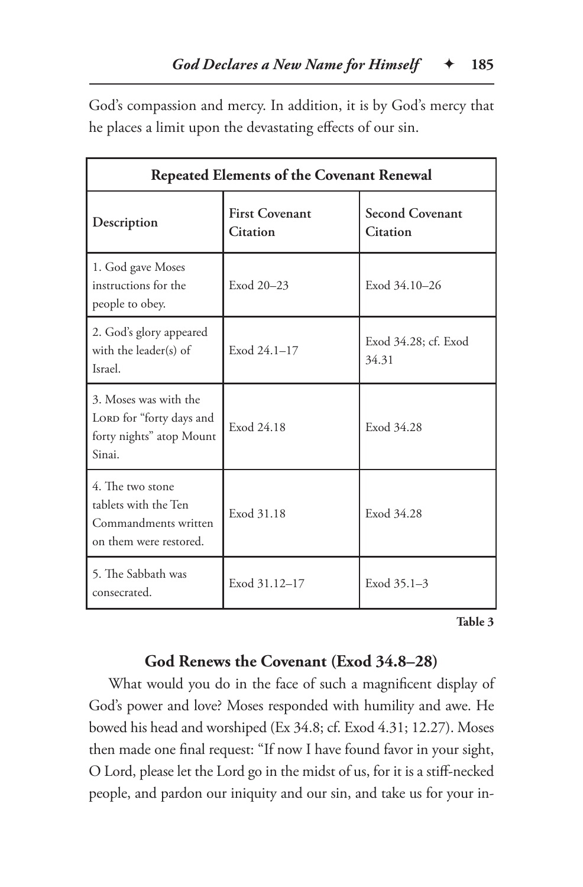God's compassion and mercy. In addition, it is by God's mercy that he places a limit upon the devastating effects of our sin.

| <b>Repeated Elements of the Covenant Renewal</b>                                           |                                   |                                           |  |  |
|--------------------------------------------------------------------------------------------|-----------------------------------|-------------------------------------------|--|--|
| Description                                                                                | <b>First Covenant</b><br>Citation | <b>Second Covenant</b><br><b>Citation</b> |  |  |
| 1. God gave Moses<br>instructions for the<br>people to obey.                               | Exod 20-23                        | Exod 34.10-26                             |  |  |
| 2. God's glory appeared<br>with the leader(s) of<br>Israel.                                | Exod 24.1-17                      | Exod 34.28; cf. Exod<br>34.31             |  |  |
| 3. Moses was with the<br>LORD for "forty days and<br>forty nights" atop Mount<br>Sinai.    | Exod 24.18                        | Exod 34.28                                |  |  |
| 4. The two stone<br>tablets with the Ten<br>Commandments written<br>on them were restored. | Exod 31.18                        | Exod 34.28                                |  |  |
| 5. The Sabbath was<br>consecrated.                                                         | Exod 31.12-17                     | Exod 35.1-3                               |  |  |

**Table 3**

# **God Renews the Covenant (Exod 34.8–28)**

What would you do in the face of such a magnificent display of God's power and love? Moses responded with humility and awe. He bowed his head and worshiped (Ex 34.8; cf. Exod 4.31; 12.27). Moses then made one final request: "If now I have found favor in your sight, O Lord, please let the Lord go in the midst of us, for it is a stiff-necked people, and pardon our iniquity and our sin, and take us for your in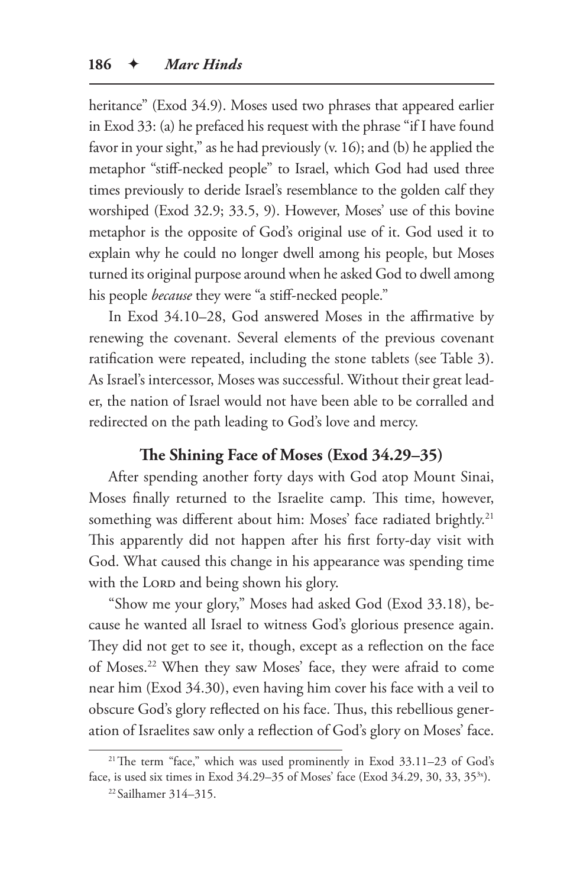heritance" (Exod 34.9). Moses used two phrases that appeared earlier in Exod 33: (a) he prefaced his request with the phrase "if I have found favor in your sight," as he had previously (v. 16); and (b) he applied the metaphor "stiff-necked people" to Israel, which God had used three times previously to deride Israel's resemblance to the golden calf they worshiped (Exod 32.9; 33.5, 9). However, Moses' use of this bovine metaphor is the opposite of God's original use of it. God used it to explain why he could no longer dwell among his people, but Moses turned its original purpose around when he asked God to dwell among his people *because* they were "a stiff-necked people."

In Exod 34.10–28, God answered Moses in the affirmative by renewing the covenant. Several elements of the previous covenant ratification were repeated, including the stone tablets (see Table 3). As Israel's intercessor, Moses was successful. Without their great leader, the nation of Israel would not have been able to be corralled and redirected on the path leading to God's love and mercy.

# **The Shining Face of Moses (Exod 34.29–35)**

After spending another forty days with God atop Mount Sinai, Moses finally returned to the Israelite camp. This time, however, something was different about him: Moses' face radiated brightly.<sup>21</sup> This apparently did not happen after his first forty-day visit with God. What caused this change in his appearance was spending time with the LORD and being shown his glory.

"Show me your glory," Moses had asked God (Exod 33.18), because he wanted all Israel to witness God's glorious presence again. They did not get to see it, though, except as a reflection on the face of Moses.22 When they saw Moses' face, they were afraid to come near him (Exod 34.30), even having him cover his face with a veil to obscure God's glory reflected on his face. Thus, this rebellious generation of Israelites saw only a reflection of God's glory on Moses' face.

<sup>21</sup>The term "face," which was used prominently in Exod 33.11–23 of God's face, is used six times in Exod 34.29–35 of Moses' face (Exod 34.29, 30, 33, 35<sup>3x</sup>).

<sup>22</sup> Sailhamer 314–315.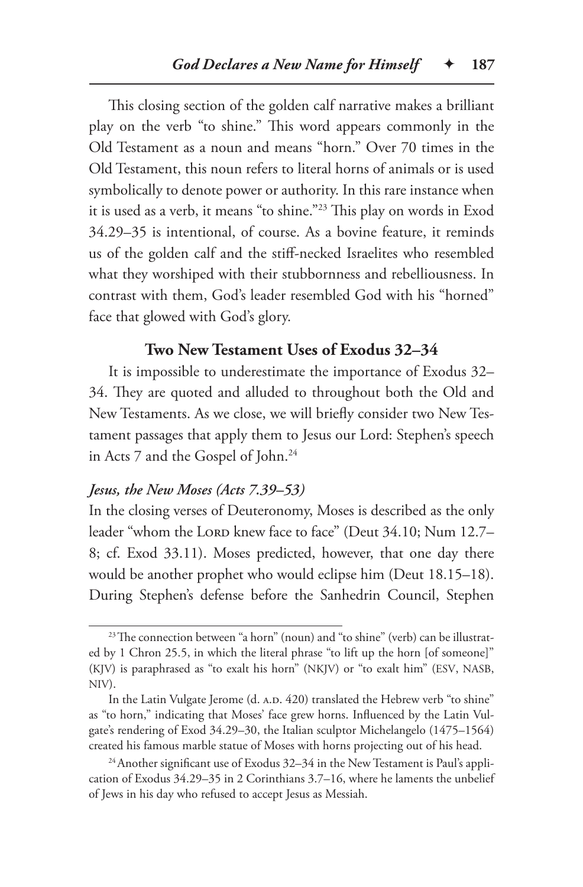This closing section of the golden calf narrative makes a brilliant play on the verb "to shine." This word appears commonly in the Old Testament as a noun and means "horn." Over 70 times in the Old Testament, this noun refers to literal horns of animals or is used symbolically to denote power or authority. In this rare instance when it is used as a verb, it means "to shine."23 This play on words in Exod 34.29–35 is intentional, of course. As a bovine feature, it reminds us of the golden calf and the stiff-necked Israelites who resembled what they worshiped with their stubbornness and rebelliousness. In contrast with them, God's leader resembled God with his "horned" face that glowed with God's glory.

#### **Two New Testament Uses of Exodus 32–34**

It is impossible to underestimate the importance of Exodus 32– 34. They are quoted and alluded to throughout both the Old and New Testaments. As we close, we will briefly consider two New Testament passages that apply them to Jesus our Lord: Stephen's speech in Acts 7 and the Gospel of John.<sup>24</sup>

# *Jesus, the New Moses (Acts 7.39–53)*

In the closing verses of Deuteronomy, Moses is described as the only leader "whom the Loro knew face to face" (Deut 34.10; Num 12.7– 8; cf. Exod 33.11). Moses predicted, however, that one day there would be another prophet who would eclipse him (Deut 18.15–18). During Stephen's defense before the Sanhedrin Council, Stephen

<sup>&</sup>lt;sup>23</sup>The connection between "a horn" (noun) and "to shine" (verb) can be illustrated by 1 Chron 25.5, in which the literal phrase "to lift up the horn [of someone]" (KJV) is paraphrased as "to exalt his horn" (NKJV) or "to exalt him" (ESV, NASB, NIV).

In the Latin Vulgate Jerome (d. A.D. 420) translated the Hebrew verb "to shine" as "to horn," indicating that Moses' face grew horns. Influenced by the Latin Vulgate's rendering of Exod 34.29–30, the Italian sculptor Michelangelo (1475–1564) created his famous marble statue of Moses with horns projecting out of his head.

 $24$ Another significant use of Exodus 32–34 in the New Testament is Paul's application of Exodus 34.29–35 in 2 Corinthians 3.7–16, where he laments the unbelief of Jews in his day who refused to accept Jesus as Messiah.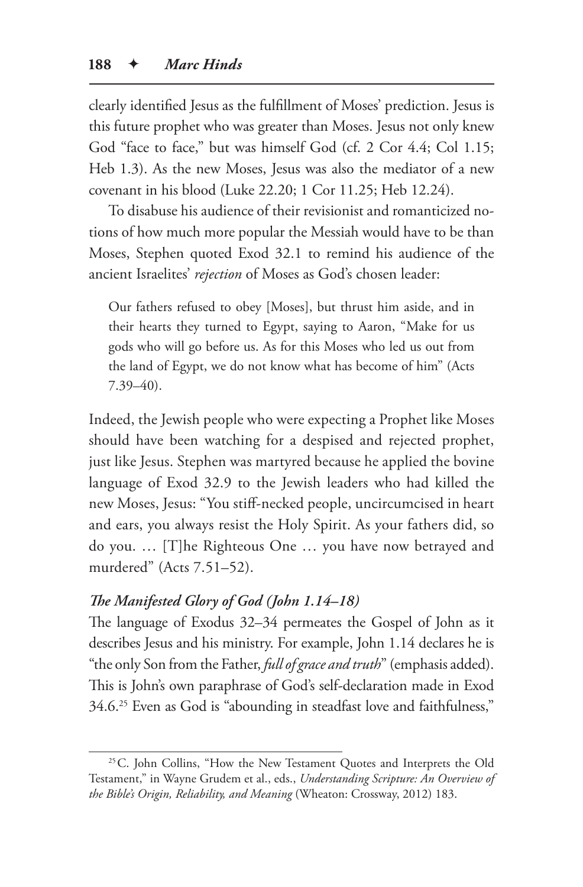clearly identified Jesus as the fulfillment of Moses' prediction. Jesus is this future prophet who was greater than Moses. Jesus not only knew God "face to face," but was himself God (cf. 2 Cor 4.4; Col 1.15; Heb 1.3). As the new Moses, Jesus was also the mediator of a new covenant in his blood (Luke 22.20; 1 Cor 11.25; Heb 12.24).

To disabuse his audience of their revisionist and romanticized notions of how much more popular the Messiah would have to be than Moses, Stephen quoted Exod 32.1 to remind his audience of the ancient Israelites' *rejection* of Moses as God's chosen leader:

Our fathers refused to obey [Moses], but thrust him aside, and in their hearts they turned to Egypt, saying to Aaron, "Make for us gods who will go before us. As for this Moses who led us out from the land of Egypt, we do not know what has become of him" (Acts 7.39–40).

Indeed, the Jewish people who were expecting a Prophet like Moses should have been watching for a despised and rejected prophet, just like Jesus. Stephen was martyred because he applied the bovine language of Exod 32.9 to the Jewish leaders who had killed the new Moses, Jesus: "You stiff-necked people, uncircumcised in heart and ears, you always resist the Holy Spirit. As your fathers did, so do you. … [T]he Righteous One … you have now betrayed and murdered" (Acts 7.51–52).

# *The Manifested Glory of God (John 1.14–18)*

The language of Exodus 32–34 permeates the Gospel of John as it describes Jesus and his ministry. For example, John 1.14 declares he is "the only Son from the Father, *full of grace and truth*" (emphasis added). This is John's own paraphrase of God's self-declaration made in Exod 34.6.25 Even as God is "abounding in steadfast love and faithfulness,"

<sup>&</sup>lt;sup>25</sup> C. John Collins, "How the New Testament Quotes and Interprets the Old Testament," in Wayne Grudem et al., eds., *Understanding Scripture: An Overview of the Bible's Origin, Reliability, and Meaning* (Wheaton: Crossway, 2012) 183.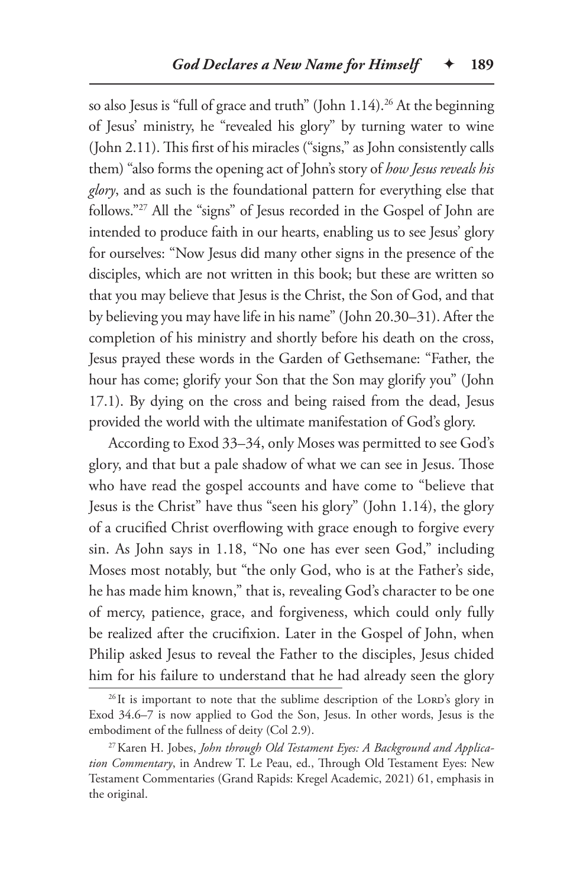so also Jesus is "full of grace and truth" (John 1.14).<sup>26</sup> At the beginning of Jesus' ministry, he "revealed his glory" by turning water to wine (John 2.11). This first of his miracles ("signs," as John consistently calls them) "also forms the opening act of John's story of *how Jesus reveals his glory*, and as such is the foundational pattern for everything else that follows."27 All the "signs" of Jesus recorded in the Gospel of John are intended to produce faith in our hearts, enabling us to see Jesus' glory for ourselves: "Now Jesus did many other signs in the presence of the disciples, which are not written in this book; but these are written so that you may believe that Jesus is the Christ, the Son of God, and that by believing you may have life in his name" (John 20.30–31). After the completion of his ministry and shortly before his death on the cross, Jesus prayed these words in the Garden of Gethsemane: "Father, the hour has come; glorify your Son that the Son may glorify you" (John 17.1). By dying on the cross and being raised from the dead, Jesus provided the world with the ultimate manifestation of God's glory.

According to Exod 33–34, only Moses was permitted to see God's glory, and that but a pale shadow of what we can see in Jesus. Those who have read the gospel accounts and have come to "believe that Jesus is the Christ" have thus "seen his glory" (John 1.14), the glory of a crucified Christ overflowing with grace enough to forgive every sin. As John says in 1.18, "No one has ever seen God," including Moses most notably, but "the only God, who is at the Father's side, he has made him known," that is, revealing God's character to be one of mercy, patience, grace, and forgiveness, which could only fully be realized after the crucifixion. Later in the Gospel of John, when Philip asked Jesus to reveal the Father to the disciples, Jesus chided him for his failure to understand that he had already seen the glory

<sup>&</sup>lt;sup>26</sup>It is important to note that the sublime description of the LORD's glory in Exod 34.6–7 is now applied to God the Son, Jesus. In other words, Jesus is the embodiment of the fullness of deity (Col 2.9).

<sup>27</sup>Karen H. Jobes, *John through Old Testament Eyes: A Background and Application Commentary*, in Andrew T. Le Peau, ed., Through Old Testament Eyes: New Testament Commentaries (Grand Rapids: Kregel Academic, 2021) 61, emphasis in the original.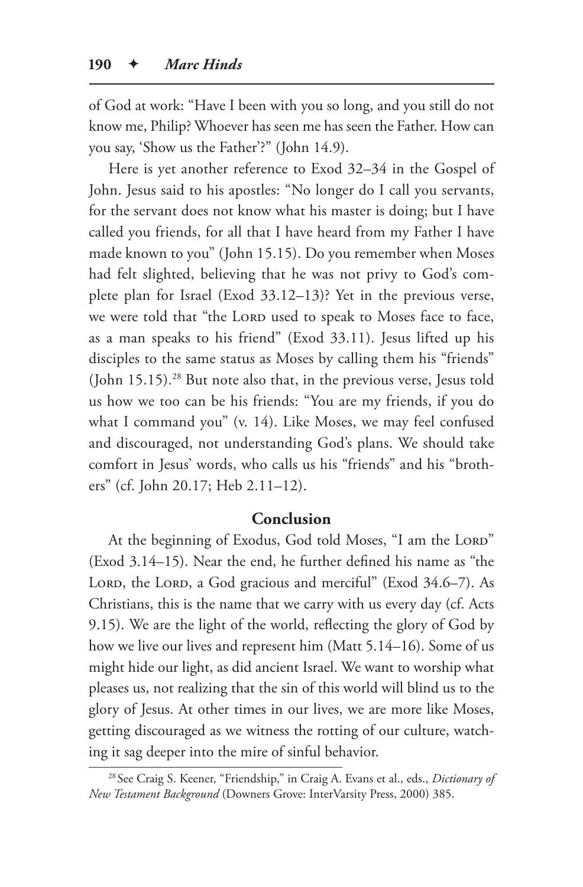of God at work: "Have I been with you so long, and you still do not know me, Philip? Whoever has seen me has seen the Father. How can you say, 'Show us the Father'?" (John 14.9).

Here is yet another reference to Exod 32–34 in the Gospel of John. Jesus said to his apostles: "No longer do I call you servants, for the servant does not know what his master is doing; but I have called you friends, for all that I have heard from my Father I have made known to you" (John 15.15). Do you remember when Moses had felt slighted, believing that he was not privy to God's complete plan for Israel (Exod 33.12–13)? Yet in the previous verse, we were told that "the LORD used to speak to Moses face to face, as a man speaks to his friend" (Exod 33.11). Jesus lifted up his disciples to the same status as Moses by calling them his "friends" (John 15.15).<sup>28</sup> But note also that, in the previous verse, Jesus told us how we too can be his friends: "You are my friends, if you do what I command you" (v. 14). Like Moses, we may feel confused and discouraged, not understanding God's plans. We should take comfort in Jesus' words, who calls us his "friends" and his "brothers" (cf. John 20.17; Heb 2.11–12).

### **Conclusion**

At the beginning of Exodus, God told Moses, "I am the LORD" (Exod 3.14–15). Near the end, he further defined his name as "the LORD, the LORD, a God gracious and merciful" (Exod 34.6–7). As Christians, this is the name that we carry with us every day (cf. Acts 9.15). We are the light of the world, reflecting the glory of God by how we live our lives and represent him (Matt 5.14–16). Some of us might hide our light, as did ancient Israel. We want to worship what pleases us, not realizing that the sin of this world will blind us to the glory of Jesus. At other times in our lives, we are more like Moses, getting discouraged as we witness the rotting of our culture, watching it sag deeper into the mire of sinful behavior.

<sup>28</sup> See Craig S. Keener, "Friendship," in Craig A. Evans et al., eds., *Dictionary of New Testament Background* (Downers Grove: InterVarsity Press, 2000) 385.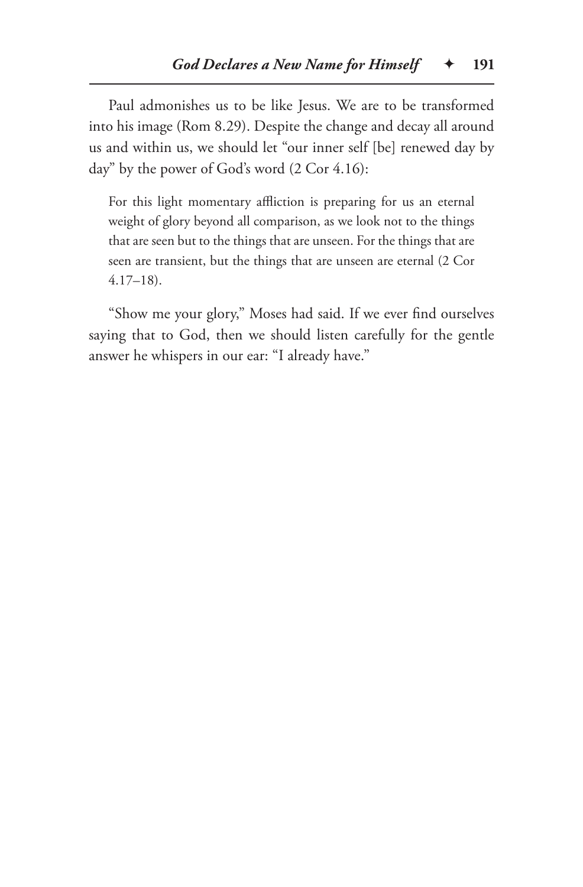Paul admonishes us to be like Jesus. We are to be transformed into his image (Rom 8.29). Despite the change and decay all around us and within us, we should let "our inner self [be] renewed day by day" by the power of God's word (2 Cor 4.16):

For this light momentary affliction is preparing for us an eternal weight of glory beyond all comparison, as we look not to the things that are seen but to the things that are unseen. For the things that are seen are transient, but the things that are unseen are eternal (2 Cor 4.17–18).

"Show me your glory," Moses had said. If we ever find ourselves saying that to God, then we should listen carefully for the gentle answer he whispers in our ear: "I already have."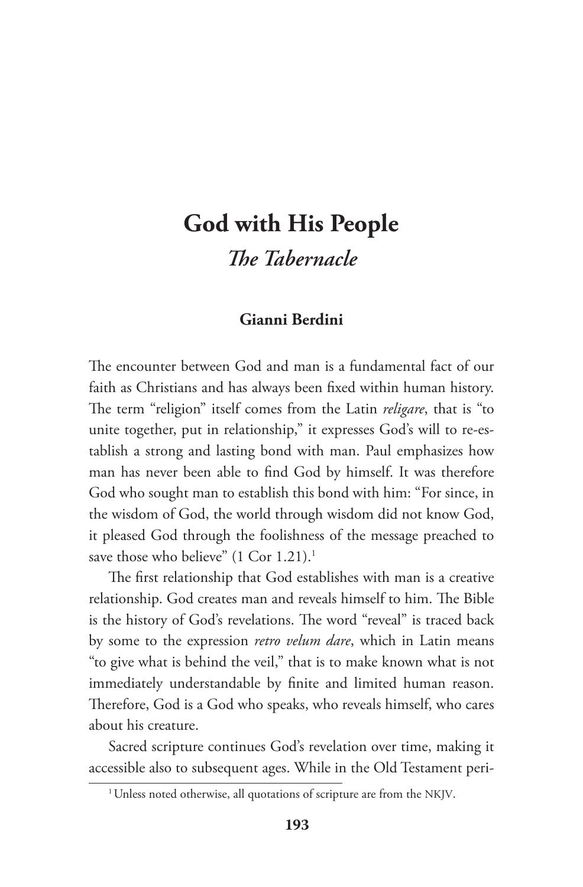# **God with His People** *The Tabernacle*

# **Gianni Berdini**

The encounter between God and man is a fundamental fact of our faith as Christians and has always been fixed within human history. The term "religion" itself comes from the Latin *religare*, that is "to unite together, put in relationship," it expresses God's will to re-establish a strong and lasting bond with man. Paul emphasizes how man has never been able to find God by himself. It was therefore God who sought man to establish this bond with him: "For since, in the wisdom of God, the world through wisdom did not know God, it pleased God through the foolishness of the message preached to save those who believe" (1 Cor 1.21).<sup>1</sup>

The first relationship that God establishes with man is a creative relationship. God creates man and reveals himself to him. The Bible is the history of God's revelations. The word "reveal" is traced back by some to the expression *retro velum dare*, which in Latin means "to give what is behind the veil," that is to make known what is not immediately understandable by finite and limited human reason. Therefore, God is a God who speaks, who reveals himself, who cares about his creature.

Sacred scripture continues God's revelation over time, making it accessible also to subsequent ages. While in the Old Testament peri-

<sup>&</sup>lt;sup>1</sup> Unless noted otherwise, all quotations of scripture are from the NKJV.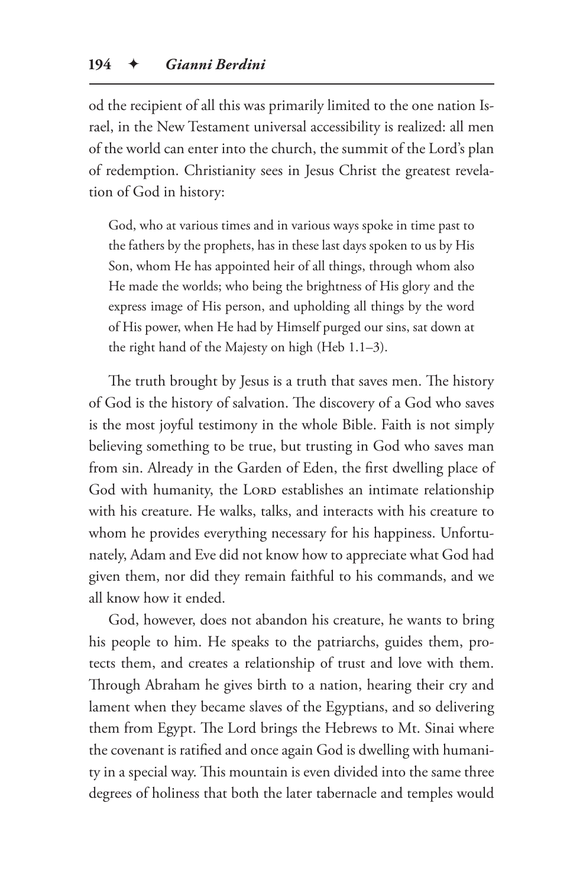od the recipient of all this was primarily limited to the one nation Israel, in the New Testament universal accessibility is realized: all men of the world can enter into the church, the summit of the Lord's plan of redemption. Christianity sees in Jesus Christ the greatest revelation of God in history:

God, who at various times and in various ways spoke in time past to the fathers by the prophets, has in these last days spoken to us by His Son, whom He has appointed heir of all things, through whom also He made the worlds; who being the brightness of His glory and the express image of His person, and upholding all things by the word of His power, when He had by Himself purged our sins, sat down at the right hand of the Majesty on high (Heb 1.1–3).

The truth brought by Jesus is a truth that saves men. The history of God is the history of salvation. The discovery of a God who saves is the most joyful testimony in the whole Bible. Faith is not simply believing something to be true, but trusting in God who saves man from sin. Already in the Garden of Eden, the first dwelling place of God with humanity, the LORD establishes an intimate relationship with his creature. He walks, talks, and interacts with his creature to whom he provides everything necessary for his happiness. Unfortunately, Adam and Eve did not know how to appreciate what God had given them, nor did they remain faithful to his commands, and we all know how it ended.

God, however, does not abandon his creature, he wants to bring his people to him. He speaks to the patriarchs, guides them, protects them, and creates a relationship of trust and love with them. Through Abraham he gives birth to a nation, hearing their cry and lament when they became slaves of the Egyptians, and so delivering them from Egypt. The Lord brings the Hebrews to Mt. Sinai where the covenant is ratified and once again God is dwelling with humanity in a special way. This mountain is even divided into the same three degrees of holiness that both the later tabernacle and temples would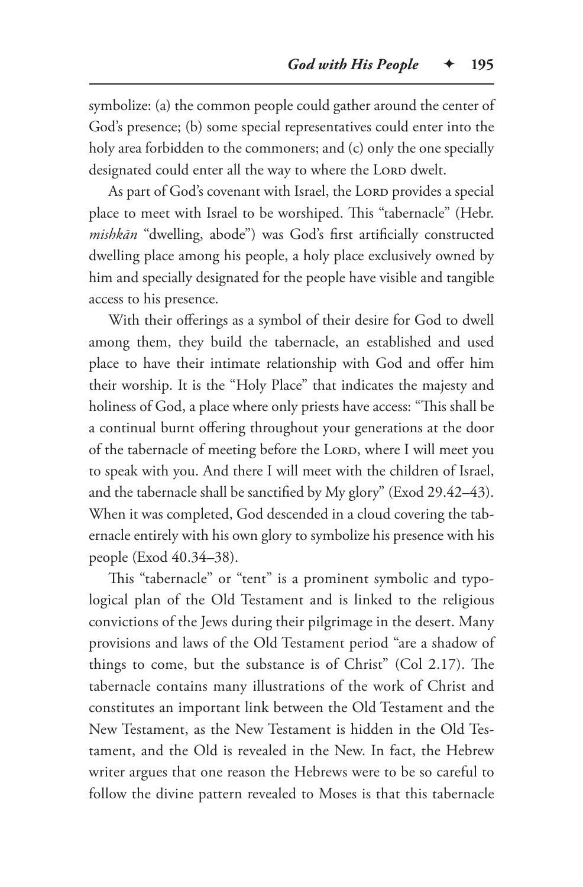symbolize: (a) the common people could gather around the center of God's presence; (b) some special representatives could enter into the holy area forbidden to the commoners; and (c) only the one specially designated could enter all the way to where the LORD dwelt.

As part of God's covenant with Israel, the LORD provides a special place to meet with Israel to be worshiped. This "tabernacle" (Hebr. *mishkān* "dwelling, abode") was God's first artificially constructed dwelling place among his people, a holy place exclusively owned by him and specially designated for the people have visible and tangible access to his presence.

With their offerings as a symbol of their desire for God to dwell among them, they build the tabernacle, an established and used place to have their intimate relationship with God and offer him their worship. It is the "Holy Place" that indicates the majesty and holiness of God, a place where only priests have access: "This shall be a continual burnt offering throughout your generations at the door of the tabernacle of meeting before the LORD, where I will meet you to speak with you. And there I will meet with the children of Israel, and the tabernacle shall be sanctified by My glory" (Exod 29.42–43). When it was completed, God descended in a cloud covering the tabernacle entirely with his own glory to symbolize his presence with his people (Exod 40.34–38).

This "tabernacle" or "tent" is a prominent symbolic and typological plan of the Old Testament and is linked to the religious convictions of the Jews during their pilgrimage in the desert. Many provisions and laws of the Old Testament period "are a shadow of things to come, but the substance is of Christ" (Col 2.17). The tabernacle contains many illustrations of the work of Christ and constitutes an important link between the Old Testament and the New Testament, as the New Testament is hidden in the Old Testament, and the Old is revealed in the New. In fact, the Hebrew writer argues that one reason the Hebrews were to be so careful to follow the divine pattern revealed to Moses is that this tabernacle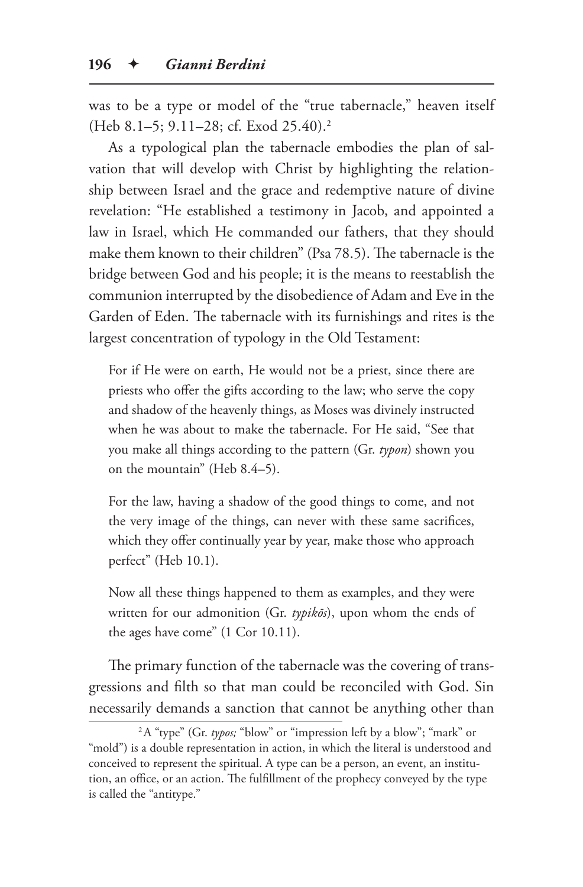was to be a type or model of the "true tabernacle," heaven itself (Heb 8.1–5; 9.11–28; cf. Exod 25.40).2

As a typological plan the tabernacle embodies the plan of salvation that will develop with Christ by highlighting the relationship between Israel and the grace and redemptive nature of divine revelation: "He established a testimony in Jacob, and appointed a law in Israel, which He commanded our fathers, that they should make them known to their children" (Psa 78.5). The tabernacle is the bridge between God and his people; it is the means to reestablish the communion interrupted by the disobedience of Adam and Eve in the Garden of Eden. The tabernacle with its furnishings and rites is the largest concentration of typology in the Old Testament:

For if He were on earth, He would not be a priest, since there are priests who offer the gifts according to the law; who serve the copy and shadow of the heavenly things, as Moses was divinely instructed when he was about to make the tabernacle. For He said, "See that you make all things according to the pattern (Gr. *typon*) shown you on the mountain" (Heb 8.4–5).

For the law, having a shadow of the good things to come, and not the very image of the things, can never with these same sacrifices, which they offer continually year by year, make those who approach perfect" (Heb 10.1).

Now all these things happened to them as examples, and they were written for our admonition (Gr. *typikōs*), upon whom the ends of the ages have come" (1 Cor 10.11).

The primary function of the tabernacle was the covering of transgressions and filth so that man could be reconciled with God. Sin necessarily demands a sanction that cannot be anything other than

<sup>&</sup>lt;sup>2</sup>A "type" (Gr. typos; "blow" or "impression left by a blow"; "mark" or "mold") is a double representation in action, in which the literal is understood and conceived to represent the spiritual. A type can be a person, an event, an institution, an office, or an action. The fulfillment of the prophecy conveyed by the type is called the "antitype."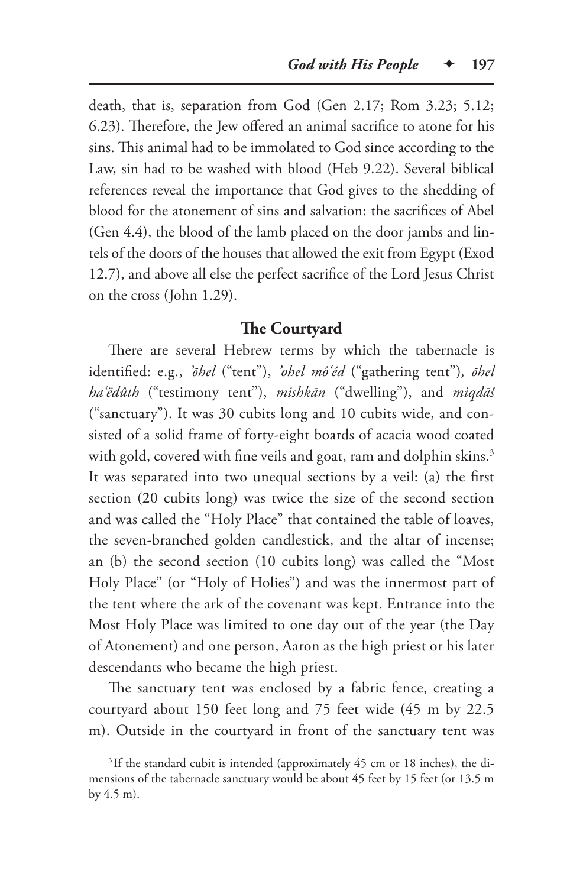death, that is, separation from God (Gen 2.17; Rom 3.23; 5.12; 6.23). Therefore, the Jew offered an animal sacrifice to atone for his sins. This animal had to be immolated to God since according to the Law, sin had to be washed with blood (Heb 9.22). Several biblical references reveal the importance that God gives to the shedding of blood for the atonement of sins and salvation: the sacrifices of Abel (Gen 4.4), the blood of the lamb placed on the door jambs and lintels of the doors of the houses that allowed the exit from Egypt (Exod 12.7), and above all else the perfect sacrifice of the Lord Jesus Christ on the cross (John 1.29).

#### **The Courtyard**

There are several Hebrew terms by which the tabernacle is identified: e.g., *'ōhel* ("tent"), *'ohel mô'éd* ("gathering tent")*, ōhel ha'ëdûth* ("testimony tent"), *mishkān* ("dwelling"), and *miqdāš* ("sanctuary"). It was 30 cubits long and 10 cubits wide, and consisted of a solid frame of forty-eight boards of acacia wood coated with gold, covered with fine veils and goat, ram and dolphin skins.<sup>3</sup> It was separated into two unequal sections by a veil: (a) the first section (20 cubits long) was twice the size of the second section and was called the "Holy Place" that contained the table of loaves, the seven-branched golden candlestick, and the altar of incense; an (b) the second section (10 cubits long) was called the "Most Holy Place" (or "Holy of Holies") and was the innermost part of the tent where the ark of the covenant was kept. Entrance into the Most Holy Place was limited to one day out of the year (the Day of Atonement) and one person, Aaron as the high priest or his later descendants who became the high priest.

The sanctuary tent was enclosed by a fabric fence, creating a courtyard about 150 feet long and 75 feet wide (45 m by 22.5 m). Outside in the courtyard in front of the sanctuary tent was

<sup>&</sup>lt;sup>3</sup> If the standard cubit is intended (approximately 45 cm or 18 inches), the dimensions of the tabernacle sanctuary would be about 45 feet by 15 feet (or 13.5 m by 4.5 m).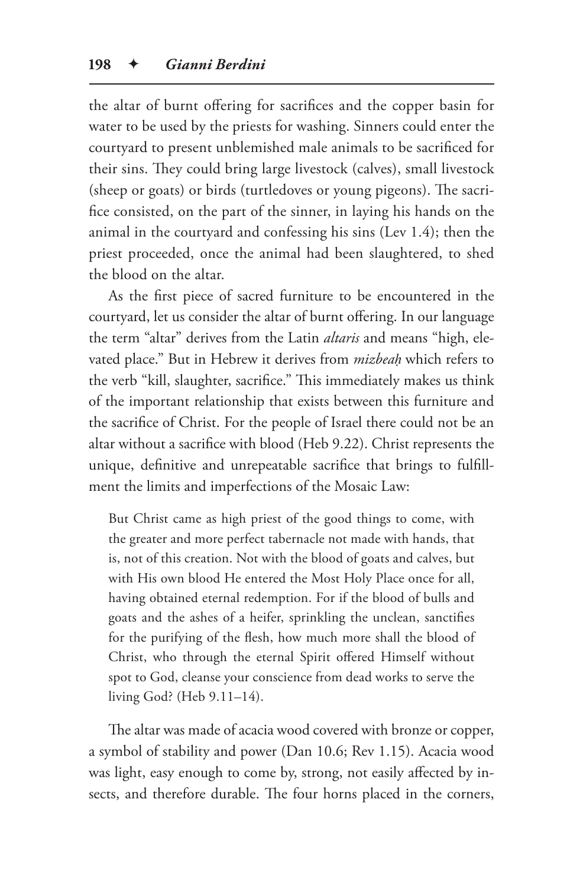the altar of burnt offering for sacrifices and the copper basin for water to be used by the priests for washing. Sinners could enter the courtyard to present unblemished male animals to be sacrificed for their sins. They could bring large livestock (calves), small livestock (sheep or goats) or birds (turtledoves or young pigeons). The sacrifice consisted, on the part of the sinner, in laying his hands on the animal in the courtyard and confessing his sins (Lev 1.4); then the priest proceeded, once the animal had been slaughtered, to shed the blood on the altar.

As the first piece of sacred furniture to be encountered in the courtyard, let us consider the altar of burnt offering. In our language the term "altar" derives from the Latin *altaris* and means "high, elevated place." But in Hebrew it derives from *mizbeaḥ* which refers to the verb "kill, slaughter, sacrifice." This immediately makes us think of the important relationship that exists between this furniture and the sacrifice of Christ. For the people of Israel there could not be an altar without a sacrifice with blood (Heb 9.22). Christ represents the unique, definitive and unrepeatable sacrifice that brings to fulfillment the limits and imperfections of the Mosaic Law:

But Christ came as high priest of the good things to come, with the greater and more perfect tabernacle not made with hands, that is, not of this creation. Not with the blood of goats and calves, but with His own blood He entered the Most Holy Place once for all, having obtained eternal redemption. For if the blood of bulls and goats and the ashes of a heifer, sprinkling the unclean, sanctifies for the purifying of the flesh, how much more shall the blood of Christ, who through the eternal Spirit offered Himself without spot to God, cleanse your conscience from dead works to serve the living God? (Heb 9.11–14).

The altar was made of acacia wood covered with bronze or copper, a symbol of stability and power (Dan 10.6; Rev 1.15). Acacia wood was light, easy enough to come by, strong, not easily affected by insects, and therefore durable. The four horns placed in the corners,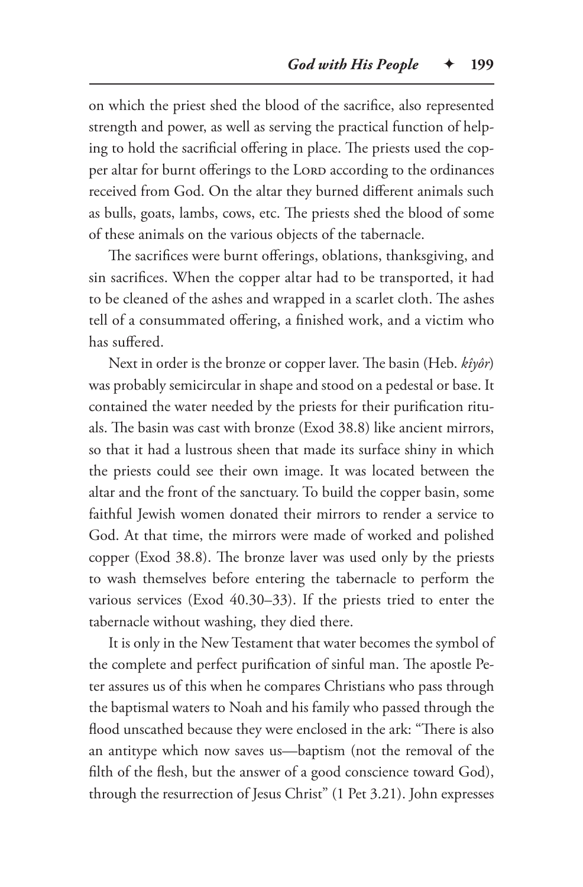on which the priest shed the blood of the sacrifice, also represented strength and power, as well as serving the practical function of helping to hold the sacrificial offering in place. The priests used the copper altar for burnt offerings to the LORD according to the ordinances received from God. On the altar they burned different animals such as bulls, goats, lambs, cows, etc. The priests shed the blood of some of these animals on the various objects of the tabernacle.

The sacrifices were burnt offerings, oblations, thanksgiving, and sin sacrifices. When the copper altar had to be transported, it had to be cleaned of the ashes and wrapped in a scarlet cloth. The ashes tell of a consummated offering, a finished work, and a victim who has suffered.

Next in order is the bronze or copper laver. The basin (Heb. *kîyôr*) was probably semicircular in shape and stood on a pedestal or base. It contained the water needed by the priests for their purification rituals. The basin was cast with bronze (Exod 38.8) like ancient mirrors, so that it had a lustrous sheen that made its surface shiny in which the priests could see their own image. It was located between the altar and the front of the sanctuary. To build the copper basin, some faithful Jewish women donated their mirrors to render a service to God. At that time, the mirrors were made of worked and polished copper (Exod 38.8). The bronze laver was used only by the priests to wash themselves before entering the tabernacle to perform the various services (Exod 40.30–33). If the priests tried to enter the tabernacle without washing, they died there.

It is only in the New Testament that water becomes the symbol of the complete and perfect purification of sinful man. The apostle Peter assures us of this when he compares Christians who pass through the baptismal waters to Noah and his family who passed through the flood unscathed because they were enclosed in the ark: "There is also an antitype which now saves us—baptism (not the removal of the filth of the flesh, but the answer of a good conscience toward God), through the resurrection of Jesus Christ" (1 Pet 3.21). John expresses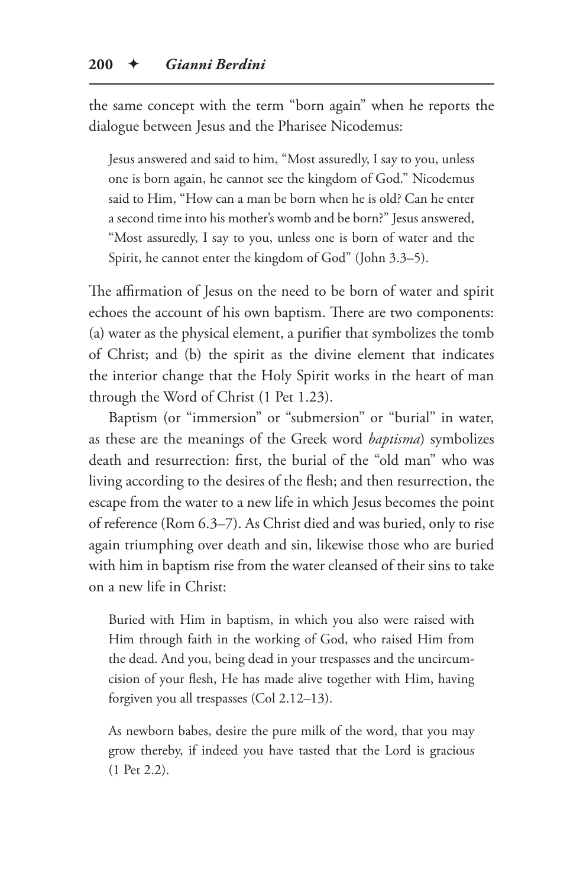the same concept with the term "born again" when he reports the dialogue between Jesus and the Pharisee Nicodemus:

Jesus answered and said to him, "Most assuredly, I say to you, unless one is born again, he cannot see the kingdom of God." Nicodemus said to Him, "How can a man be born when he is old? Can he enter a second time into his mother's womb and be born?" Jesus answered, "Most assuredly, I say to you, unless one is born of water and the Spirit, he cannot enter the kingdom of God" (John 3.3–5).

The affirmation of Jesus on the need to be born of water and spirit echoes the account of his own baptism. There are two components: (a) water as the physical element, a purifier that symbolizes the tomb of Christ; and (b) the spirit as the divine element that indicates the interior change that the Holy Spirit works in the heart of man through the Word of Christ (1 Pet 1.23).

Baptism (or "immersion" or "submersion" or "burial" in water, as these are the meanings of the Greek word *baptisma*) symbolizes death and resurrection: first, the burial of the "old man" who was living according to the desires of the flesh; and then resurrection, the escape from the water to a new life in which Jesus becomes the point of reference (Rom 6.3–7). As Christ died and was buried, only to rise again triumphing over death and sin, likewise those who are buried with him in baptism rise from the water cleansed of their sins to take on a new life in Christ:

Buried with Him in baptism, in which you also were raised with Him through faith in the working of God, who raised Him from the dead. And you, being dead in your trespasses and the uncircumcision of your flesh, He has made alive together with Him, having forgiven you all trespasses (Col 2.12–13).

As newborn babes, desire the pure milk of the word, that you may grow thereby, if indeed you have tasted that the Lord is gracious (1 Pet 2.2).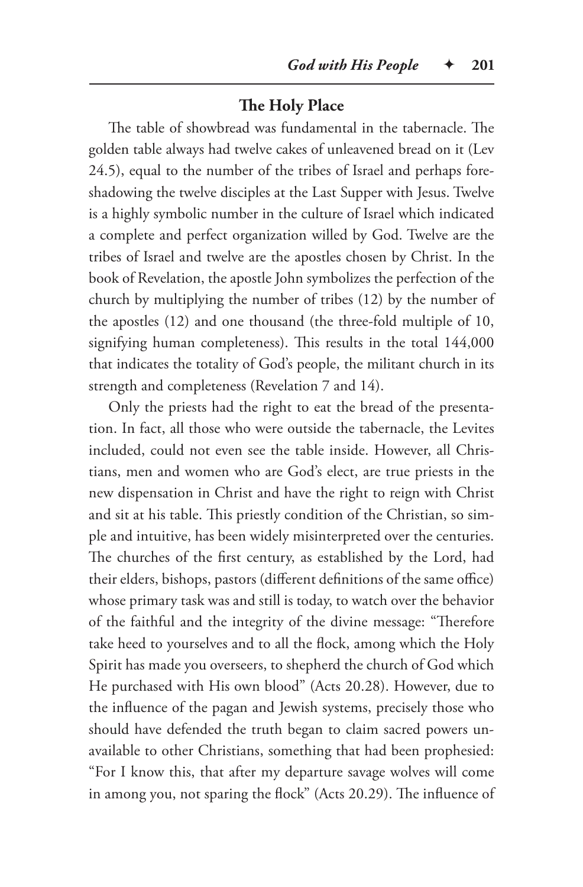# **The Holy Place**

The table of showbread was fundamental in the tabernacle. The golden table always had twelve cakes of unleavened bread on it (Lev 24.5), equal to the number of the tribes of Israel and perhaps foreshadowing the twelve disciples at the Last Supper with Jesus. Twelve is a highly symbolic number in the culture of Israel which indicated a complete and perfect organization willed by God. Twelve are the tribes of Israel and twelve are the apostles chosen by Christ. In the book of Revelation, the apostle John symbolizes the perfection of the church by multiplying the number of tribes (12) by the number of the apostles (12) and one thousand (the three-fold multiple of 10, signifying human completeness). This results in the total 144,000 that indicates the totality of God's people, the militant church in its strength and completeness (Revelation 7 and 14).

Only the priests had the right to eat the bread of the presentation. In fact, all those who were outside the tabernacle, the Levites included, could not even see the table inside. However, all Christians, men and women who are God's elect, are true priests in the new dispensation in Christ and have the right to reign with Christ and sit at his table. This priestly condition of the Christian, so simple and intuitive, has been widely misinterpreted over the centuries. The churches of the first century, as established by the Lord, had their elders, bishops, pastors (different definitions of the same office) whose primary task was and still is today, to watch over the behavior of the faithful and the integrity of the divine message: "Therefore take heed to yourselves and to all the flock, among which the Holy Spirit has made you overseers, to shepherd the church of God which He purchased with His own blood" (Acts 20.28). However, due to the influence of the pagan and Jewish systems, precisely those who should have defended the truth began to claim sacred powers unavailable to other Christians, something that had been prophesied: "For I know this, that after my departure savage wolves will come in among you, not sparing the flock" (Acts 20.29). The influence of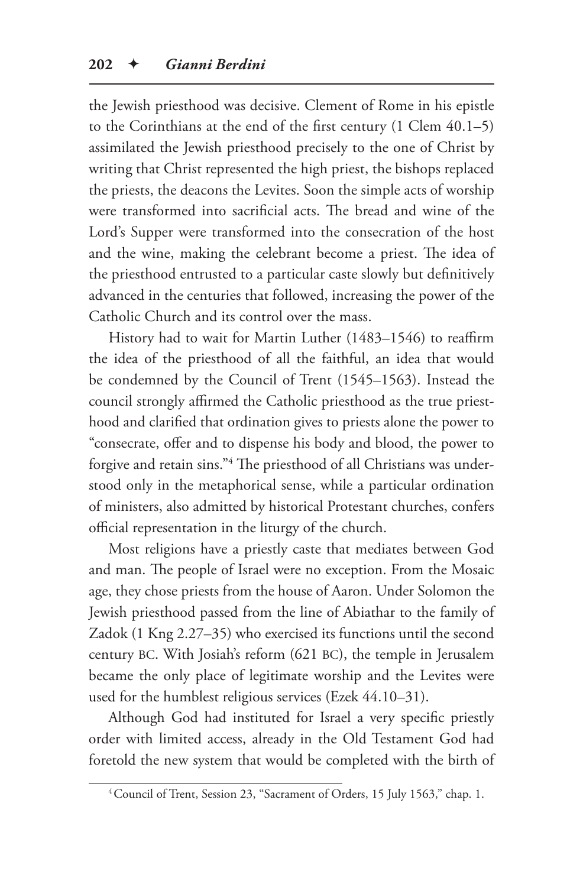the Jewish priesthood was decisive. Clement of Rome in his epistle to the Corinthians at the end of the first century (1 Clem 40.1–5) assimilated the Jewish priesthood precisely to the one of Christ by writing that Christ represented the high priest, the bishops replaced the priests, the deacons the Levites. Soon the simple acts of worship were transformed into sacrificial acts. The bread and wine of the Lord's Supper were transformed into the consecration of the host and the wine, making the celebrant become a priest. The idea of the priesthood entrusted to a particular caste slowly but definitively advanced in the centuries that followed, increasing the power of the Catholic Church and its control over the mass.

History had to wait for Martin Luther (1483–1546) to reaffirm the idea of the priesthood of all the faithful, an idea that would be condemned by the Council of Trent (1545–1563). Instead the council strongly affirmed the Catholic priesthood as the true priesthood and clarified that ordination gives to priests alone the power to "consecrate, offer and to dispense his body and blood, the power to forgive and retain sins."4 The priesthood of all Christians was understood only in the metaphorical sense, while a particular ordination of ministers, also admitted by historical Protestant churches, confers official representation in the liturgy of the church.

Most religions have a priestly caste that mediates between God and man. The people of Israel were no exception. From the Mosaic age, they chose priests from the house of Aaron. Under Solomon the Jewish priesthood passed from the line of Abiathar to the family of Zadok (1 Kng 2.27–35) who exercised its functions until the second century BC. With Josiah's reform (621 BC), the temple in Jerusalem became the only place of legitimate worship and the Levites were used for the humblest religious services (Ezek 44.10–31).

Although God had instituted for Israel a very specific priestly order with limited access, already in the Old Testament God had foretold the new system that would be completed with the birth of

<sup>4</sup>Council of Trent, Session 23, "Sacrament of Orders, 15 July 1563," chap. 1.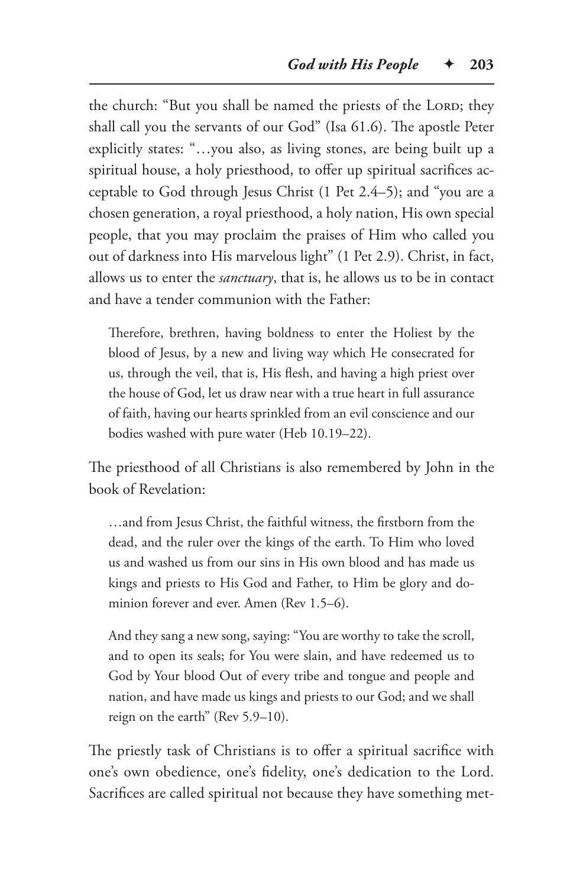the church: "But you shall be named the priests of the LORD; they shall call you the servants of our God" (Isa 61.6). The apostle Peter explicitly states: "…you also, as living stones, are being built up a spiritual house, a holy priesthood, to offer up spiritual sacrifices acceptable to God through Jesus Christ (1 Pet 2.4–5); and "you are a chosen generation, a royal priesthood, a holy nation, His own special people, that you may proclaim the praises of Him who called you out of darkness into His marvelous light" (1 Pet 2.9). Christ, in fact, allows us to enter the *sanctuary*, that is, he allows us to be in contact and have a tender communion with the Father:

Therefore, brethren, having boldness to enter the Holiest by the blood of Jesus, by a new and living way which He consecrated for us, through the veil, that is, His flesh, and having a high priest over the house of God, let us draw near with a true heart in full assurance of faith, having our hearts sprinkled from an evil conscience and our bodies washed with pure water (Heb 10.19–22).

The priesthood of all Christians is also remembered by John in the book of Revelation:

…and from Jesus Christ, the faithful witness, the firstborn from the dead, and the ruler over the kings of the earth. To Him who loved us and washed us from our sins in His own blood and has made us kings and priests to His God and Father, to Him be glory and dominion forever and ever. Amen (Rev 1.5–6).

And they sang a new song, saying: "You are worthy to take the scroll, and to open its seals; for You were slain, and have redeemed us to God by Your blood Out of every tribe and tongue and people and nation, and have made us kings and priests to our God; and we shall reign on the earth" (Rev 5.9–10).

The priestly task of Christians is to offer a spiritual sacrifice with one's own obedience, one's fidelity, one's dedication to the Lord. Sacrifices are called spiritual not because they have something met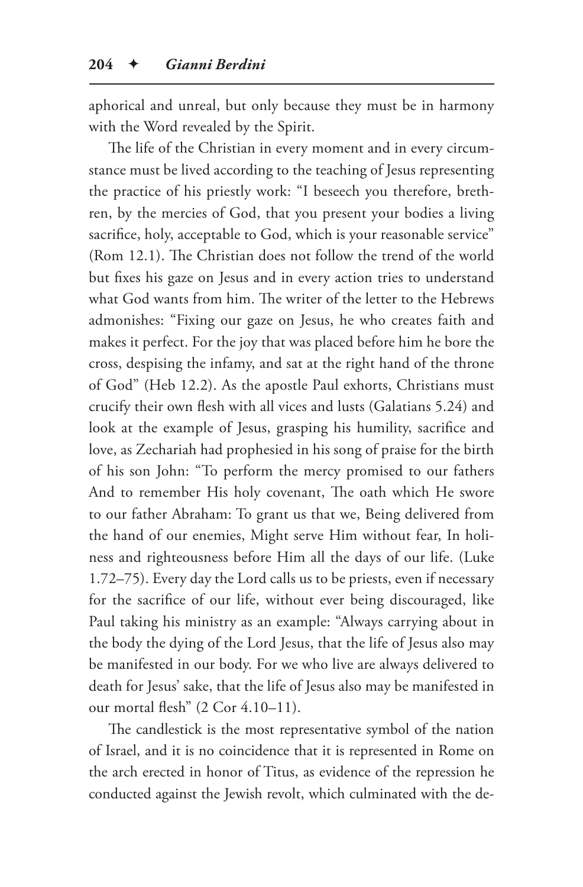aphorical and unreal, but only because they must be in harmony with the Word revealed by the Spirit.

The life of the Christian in every moment and in every circumstance must be lived according to the teaching of Jesus representing the practice of his priestly work: "I beseech you therefore, brethren, by the mercies of God, that you present your bodies a living sacrifice, holy, acceptable to God, which is your reasonable service" (Rom 12.1). The Christian does not follow the trend of the world but fixes his gaze on Jesus and in every action tries to understand what God wants from him. The writer of the letter to the Hebrews admonishes: "Fixing our gaze on Jesus, he who creates faith and makes it perfect. For the joy that was placed before him he bore the cross, despising the infamy, and sat at the right hand of the throne of God" (Heb 12.2). As the apostle Paul exhorts, Christians must crucify their own flesh with all vices and lusts (Galatians 5.24) and look at the example of Jesus, grasping his humility, sacrifice and love, as Zechariah had prophesied in his song of praise for the birth of his son John: "To perform the mercy promised to our fathers And to remember His holy covenant, The oath which He swore to our father Abraham: To grant us that we, Being delivered from the hand of our enemies, Might serve Him without fear, In holiness and righteousness before Him all the days of our life. (Luke 1.72–75). Every day the Lord calls us to be priests, even if necessary for the sacrifice of our life, without ever being discouraged, like Paul taking his ministry as an example: "Always carrying about in the body the dying of the Lord Jesus, that the life of Jesus also may be manifested in our body. For we who live are always delivered to death for Jesus' sake, that the life of Jesus also may be manifested in our mortal flesh" (2 Cor 4.10–11).

The candlestick is the most representative symbol of the nation of Israel, and it is no coincidence that it is represented in Rome on the arch erected in honor of Titus, as evidence of the repression he conducted against the Jewish revolt, which culminated with the de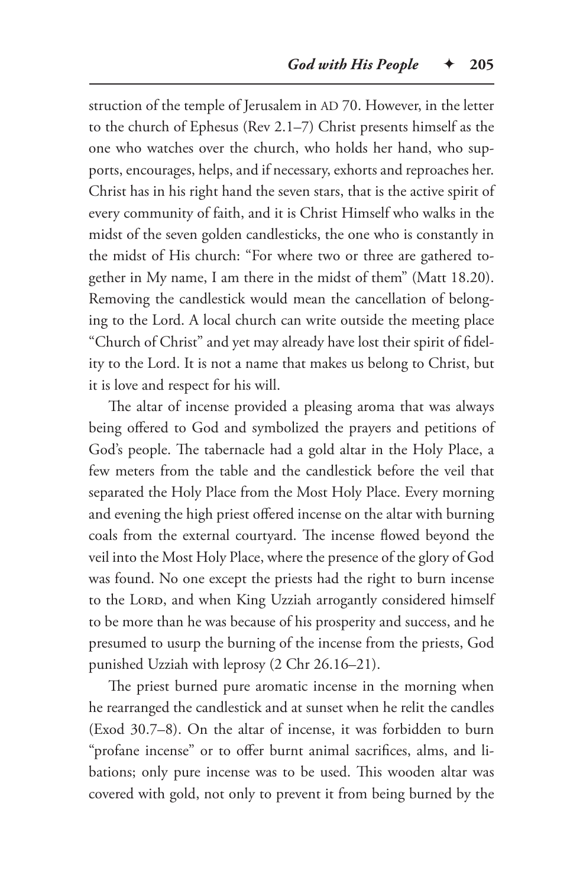struction of the temple of Jerusalem in AD 70. However, in the letter to the church of Ephesus (Rev 2.1–7) Christ presents himself as the one who watches over the church, who holds her hand, who supports, encourages, helps, and if necessary, exhorts and reproaches her. Christ has in his right hand the seven stars, that is the active spirit of every community of faith, and it is Christ Himself who walks in the midst of the seven golden candlesticks, the one who is constantly in the midst of His church: "For where two or three are gathered together in My name, I am there in the midst of them" (Matt 18.20). Removing the candlestick would mean the cancellation of belonging to the Lord. A local church can write outside the meeting place "Church of Christ" and yet may already have lost their spirit of fidelity to the Lord. It is not a name that makes us belong to Christ, but it is love and respect for his will.

The altar of incense provided a pleasing aroma that was always being offered to God and symbolized the prayers and petitions of God's people. The tabernacle had a gold altar in the Holy Place, a few meters from the table and the candlestick before the veil that separated the Holy Place from the Most Holy Place. Every morning and evening the high priest offered incense on the altar with burning coals from the external courtyard. The incense flowed beyond the veil into the Most Holy Place, where the presence of the glory of God was found. No one except the priests had the right to burn incense to the LORD, and when King Uzziah arrogantly considered himself to be more than he was because of his prosperity and success, and he presumed to usurp the burning of the incense from the priests, God punished Uzziah with leprosy (2 Chr 26.16–21).

The priest burned pure aromatic incense in the morning when he rearranged the candlestick and at sunset when he relit the candles (Exod 30.7–8). On the altar of incense, it was forbidden to burn "profane incense" or to offer burnt animal sacrifices, alms, and libations; only pure incense was to be used. This wooden altar was covered with gold, not only to prevent it from being burned by the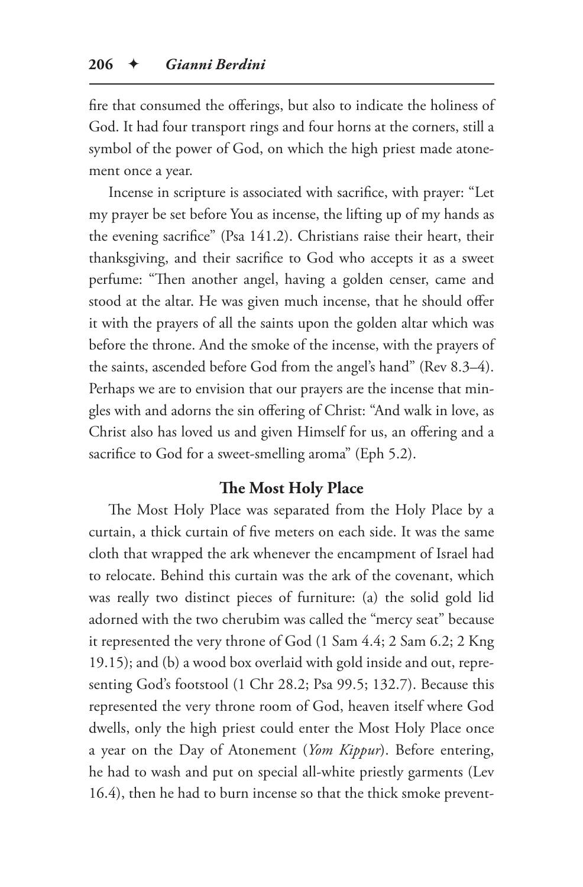fire that consumed the offerings, but also to indicate the holiness of God. It had four transport rings and four horns at the corners, still a symbol of the power of God, on which the high priest made atonement once a year.

Incense in scripture is associated with sacrifice, with prayer: "Let my prayer be set before You as incense, the lifting up of my hands as the evening sacrifice" (Psa 141.2). Christians raise their heart, their thanksgiving, and their sacrifice to God who accepts it as a sweet perfume: "Then another angel, having a golden censer, came and stood at the altar. He was given much incense, that he should offer it with the prayers of all the saints upon the golden altar which was before the throne. And the smoke of the incense, with the prayers of the saints, ascended before God from the angel's hand" (Rev 8.3–4). Perhaps we are to envision that our prayers are the incense that mingles with and adorns the sin offering of Christ: "And walk in love, as Christ also has loved us and given Himself for us, an offering and a sacrifice to God for a sweet-smelling aroma" (Eph 5.2).

#### **The Most Holy Place**

The Most Holy Place was separated from the Holy Place by a curtain, a thick curtain of five meters on each side. It was the same cloth that wrapped the ark whenever the encampment of Israel had to relocate. Behind this curtain was the ark of the covenant, which was really two distinct pieces of furniture: (a) the solid gold lid adorned with the two cherubim was called the "mercy seat" because it represented the very throne of God (1 Sam 4.4; 2 Sam 6.2; 2 Kng 19.15); and (b) a wood box overlaid with gold inside and out, representing God's footstool (1 Chr 28.2; Psa 99.5; 132.7). Because this represented the very throne room of God, heaven itself where God dwells, only the high priest could enter the Most Holy Place once a year on the Day of Atonement (*Yom Kippur*). Before entering, he had to wash and put on special all-white priestly garments (Lev 16.4), then he had to burn incense so that the thick smoke prevent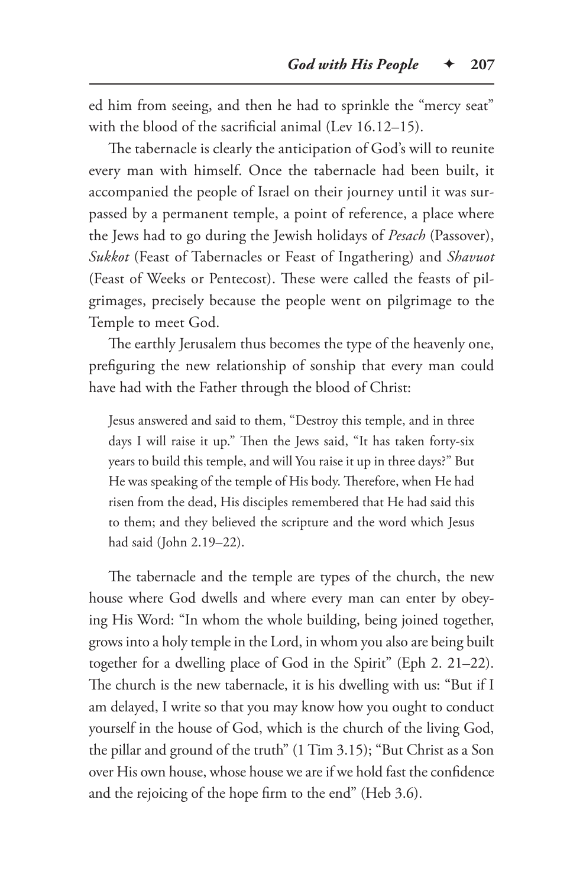ed him from seeing, and then he had to sprinkle the "mercy seat" with the blood of the sacrificial animal (Lev 16.12–15).

The tabernacle is clearly the anticipation of God's will to reunite every man with himself. Once the tabernacle had been built, it accompanied the people of Israel on their journey until it was surpassed by a permanent temple, a point of reference, a place where the Jews had to go during the Jewish holidays of *Pesach* (Passover), *Sukkot* (Feast of Tabernacles or Feast of Ingathering) and *Shavuot* (Feast of Weeks or Pentecost). These were called the feasts of pilgrimages, precisely because the people went on pilgrimage to the Temple to meet God.

The earthly Jerusalem thus becomes the type of the heavenly one, prefiguring the new relationship of sonship that every man could have had with the Father through the blood of Christ:

Jesus answered and said to them, "Destroy this temple, and in three days I will raise it up." Then the Jews said, "It has taken forty-six years to build this temple, and will You raise it up in three days?" But He was speaking of the temple of His body. Therefore, when He had risen from the dead, His disciples remembered that He had said this to them; and they believed the scripture and the word which Jesus had said (John 2.19–22).

The tabernacle and the temple are types of the church, the new house where God dwells and where every man can enter by obeying His Word: "In whom the whole building, being joined together, grows into a holy temple in the Lord, in whom you also are being built together for a dwelling place of God in the Spirit" (Eph 2. 21–22). The church is the new tabernacle, it is his dwelling with us: "But if I am delayed, I write so that you may know how you ought to conduct yourself in the house of God, which is the church of the living God, the pillar and ground of the truth" (1 Tim 3.15); "But Christ as a Son over His own house, whose house we are if we hold fast the confidence and the rejoicing of the hope firm to the end" (Heb 3.6).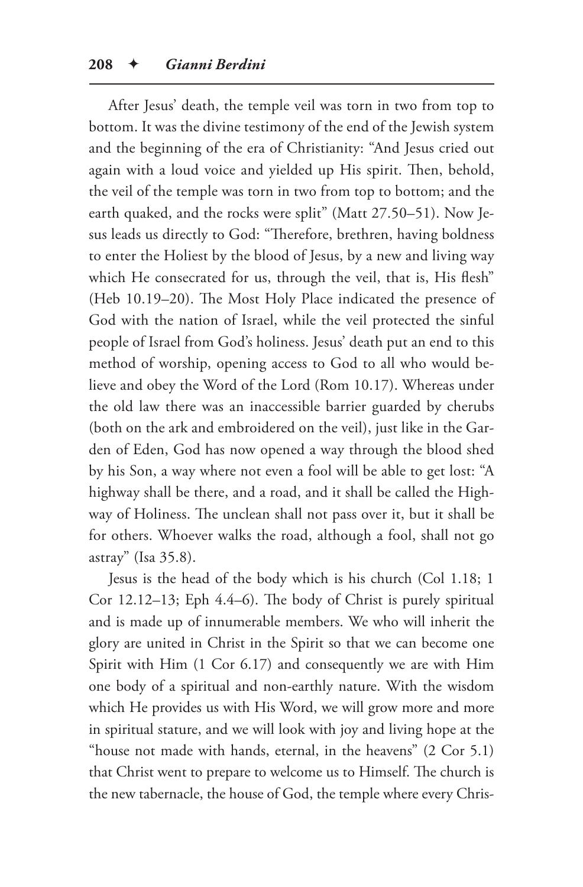After Jesus' death, the temple veil was torn in two from top to bottom. It was the divine testimony of the end of the Jewish system and the beginning of the era of Christianity: "And Jesus cried out again with a loud voice and yielded up His spirit. Then, behold, the veil of the temple was torn in two from top to bottom; and the earth quaked, and the rocks were split" (Matt 27.50–51). Now Jesus leads us directly to God: "Therefore, brethren, having boldness to enter the Holiest by the blood of Jesus, by a new and living way which He consecrated for us, through the veil, that is, His flesh" (Heb 10.19–20). The Most Holy Place indicated the presence of God with the nation of Israel, while the veil protected the sinful people of Israel from God's holiness. Jesus' death put an end to this method of worship, opening access to God to all who would believe and obey the Word of the Lord (Rom 10.17). Whereas under the old law there was an inaccessible barrier guarded by cherubs (both on the ark and embroidered on the veil), just like in the Garden of Eden, God has now opened a way through the blood shed by his Son, a way where not even a fool will be able to get lost: "A highway shall be there, and a road, and it shall be called the Highway of Holiness. The unclean shall not pass over it, but it shall be for others. Whoever walks the road, although a fool, shall not go astray" (Isa 35.8).

Jesus is the head of the body which is his church (Col 1.18; 1 Cor 12.12–13; Eph 4.4–6). The body of Christ is purely spiritual and is made up of innumerable members. We who will inherit the glory are united in Christ in the Spirit so that we can become one Spirit with Him (1 Cor 6.17) and consequently we are with Him one body of a spiritual and non-earthly nature. With the wisdom which He provides us with His Word, we will grow more and more in spiritual stature, and we will look with joy and living hope at the "house not made with hands, eternal, in the heavens" (2 Cor 5.1) that Christ went to prepare to welcome us to Himself. The church is the new tabernacle, the house of God, the temple where every Chris-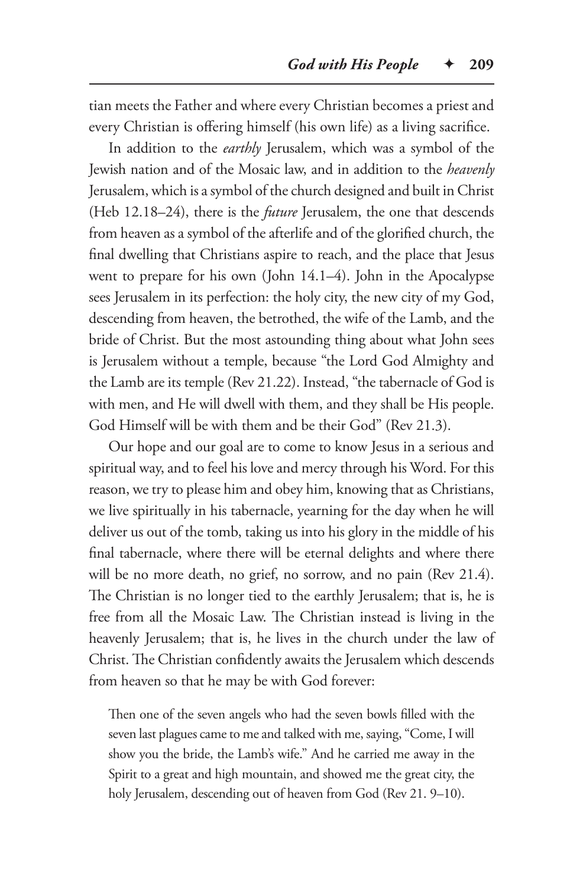tian meets the Father and where every Christian becomes a priest and every Christian is offering himself (his own life) as a living sacrifice.

In addition to the *earthly* Jerusalem, which was a symbol of the Jewish nation and of the Mosaic law, and in addition to the *heavenly* Jerusalem, which is a symbol of the church designed and built in Christ (Heb 12.18–24), there is the *future* Jerusalem, the one that descends from heaven as a symbol of the afterlife and of the glorified church, the final dwelling that Christians aspire to reach, and the place that Jesus went to prepare for his own (John 14.1–4). John in the Apocalypse sees Jerusalem in its perfection: the holy city, the new city of my God, descending from heaven, the betrothed, the wife of the Lamb, and the bride of Christ. But the most astounding thing about what John sees is Jerusalem without a temple, because "the Lord God Almighty and the Lamb are its temple (Rev 21.22). Instead, "the tabernacle of God is with men, and He will dwell with them, and they shall be His people. God Himself will be with them and be their God" (Rev 21.3).

Our hope and our goal are to come to know Jesus in a serious and spiritual way, and to feel his love and mercy through his Word. For this reason, we try to please him and obey him, knowing that as Christians, we live spiritually in his tabernacle, yearning for the day when he will deliver us out of the tomb, taking us into his glory in the middle of his final tabernacle, where there will be eternal delights and where there will be no more death, no grief, no sorrow, and no pain (Rev 21.4). The Christian is no longer tied to the earthly Jerusalem; that is, he is free from all the Mosaic Law. The Christian instead is living in the heavenly Jerusalem; that is, he lives in the church under the law of Christ. The Christian confidently awaits the Jerusalem which descends from heaven so that he may be with God forever:

Then one of the seven angels who had the seven bowls filled with the seven last plagues came to me and talked with me, saying, "Come, I will show you the bride, the Lamb's wife." And he carried me away in the Spirit to a great and high mountain, and showed me the great city, the holy Jerusalem, descending out of heaven from God (Rev 21. 9–10).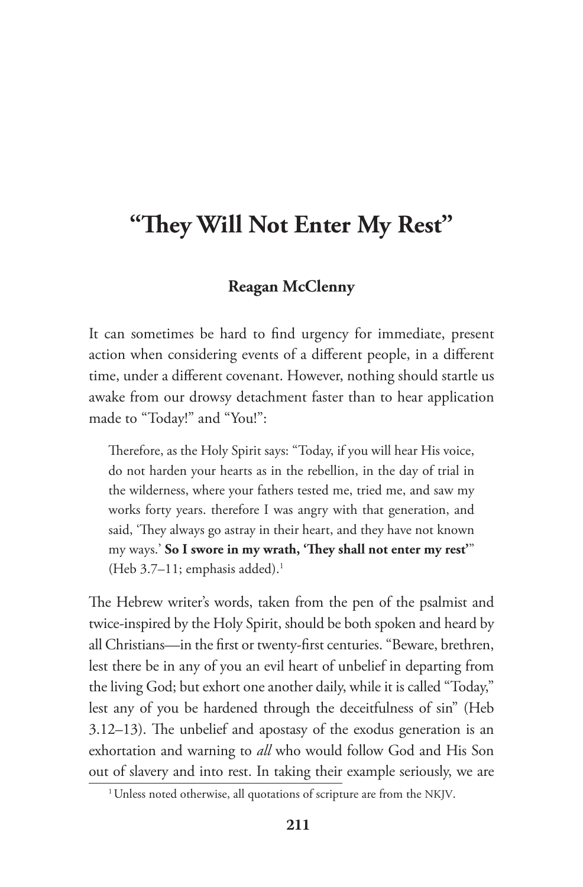# **"They Will Not Enter My Rest"**

### **Reagan McClenny**

It can sometimes be hard to find urgency for immediate, present action when considering events of a different people, in a different time, under a different covenant. However, nothing should startle us awake from our drowsy detachment faster than to hear application made to "Today!" and "You!":

Therefore, as the Holy Spirit says: "Today, if you will hear His voice, do not harden your hearts as in the rebellion, in the day of trial in the wilderness, where your fathers tested me, tried me, and saw my works forty years. therefore I was angry with that generation, and said, 'They always go astray in their heart, and they have not known my ways.' **So I swore in my wrath, 'They shall not enter my rest'**" (Heb  $3.7-11$ ; emphasis added).<sup>1</sup>

The Hebrew writer's words, taken from the pen of the psalmist and twice-inspired by the Holy Spirit, should be both spoken and heard by all Christians—in the first or twenty-first centuries. "Beware, brethren, lest there be in any of you an evil heart of unbelief in departing from the living God; but exhort one another daily, while it is called "Today," lest any of you be hardened through the deceitfulness of sin" (Heb 3.12–13). The unbelief and apostasy of the exodus generation is an exhortation and warning to *all* who would follow God and His Son out of slavery and into rest. In taking their example seriously, we are

<sup>&</sup>lt;sup>1</sup> Unless noted otherwise, all quotations of scripture are from the NKJV.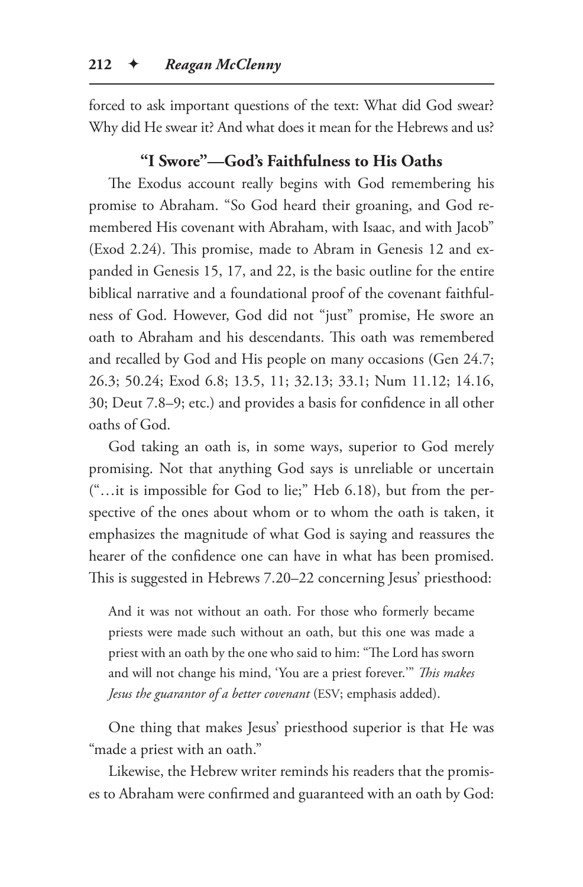forced to ask important questions of the text: What did God swear? Why did He swear it? And what does it mean for the Hebrews and us?

## **"I Swore"—God's Faithfulness to His Oaths**

The Exodus account really begins with God remembering his promise to Abraham. "So God heard their groaning, and God remembered His covenant with Abraham, with Isaac, and with Jacob" (Exod 2.24). This promise, made to Abram in Genesis 12 and expanded in Genesis 15, 17, and 22, is the basic outline for the entire biblical narrative and a foundational proof of the covenant faithfulness of God. However, God did not "just" promise, He swore an oath to Abraham and his descendants. This oath was remembered and recalled by God and His people on many occasions (Gen 24.7; 26.3; 50.24; Exod 6.8; 13.5, 11; 32.13; 33.1; Num 11.12; 14.16, 30; Deut 7.8–9; etc.) and provides a basis for confidence in all other oaths of God.

God taking an oath is, in some ways, superior to God merely promising. Not that anything God says is unreliable or uncertain ("…it is impossible for God to lie;" Heb 6.18), but from the perspective of the ones about whom or to whom the oath is taken, it emphasizes the magnitude of what God is saying and reassures the hearer of the confidence one can have in what has been promised. This is suggested in Hebrews 7.20–22 concerning Jesus' priesthood:

And it was not without an oath. For those who formerly became priests were made such without an oath, but this one was made a priest with an oath by the one who said to him: "The Lord has sworn and will not change his mind, 'You are a priest forever.'" *This makes Jesus the guarantor of a better covenant* (ESV; emphasis added).

One thing that makes Jesus' priesthood superior is that He was "made a priest with an oath."

Likewise, the Hebrew writer reminds his readers that the promises to Abraham were confirmed and guaranteed with an oath by God: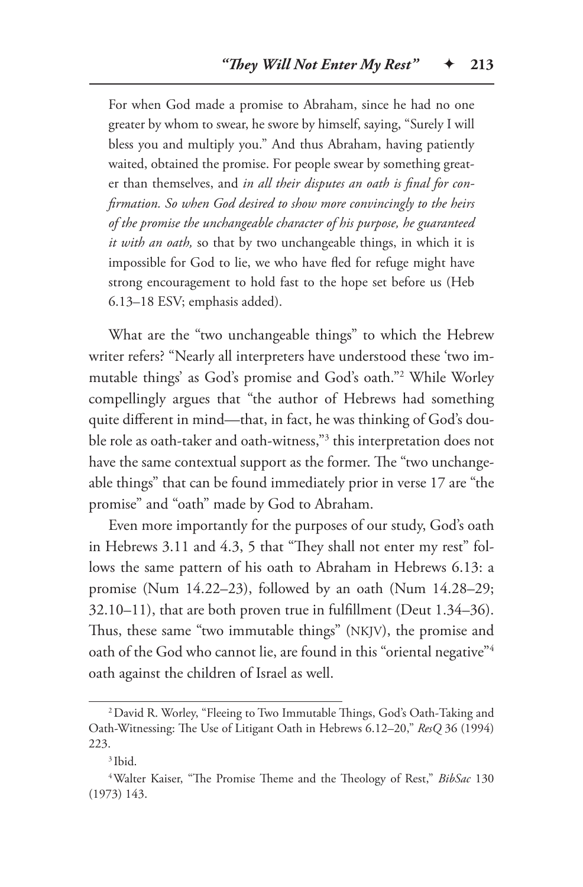For when God made a promise to Abraham, since he had no one greater by whom to swear, he swore by himself, saying, "Surely I will bless you and multiply you." And thus Abraham, having patiently waited, obtained the promise. For people swear by something greater than themselves, and *in all their disputes an oath is final for confirmation. So when God desired to show more convincingly to the heirs of the promise the unchangeable character of his purpose, he guaranteed it with an oath,* so that by two unchangeable things, in which it is impossible for God to lie, we who have fled for refuge might have strong encouragement to hold fast to the hope set before us (Heb 6.13–18 ESV; emphasis added).

What are the "two unchangeable things" to which the Hebrew writer refers? "Nearly all interpreters have understood these 'two immutable things' as God's promise and God's oath."2 While Worley compellingly argues that "the author of Hebrews had something quite different in mind—that, in fact, he was thinking of God's double role as oath-taker and oath-witness,"3 this interpretation does not have the same contextual support as the former. The "two unchangeable things" that can be found immediately prior in verse 17 are "the promise" and "oath" made by God to Abraham.

Even more importantly for the purposes of our study, God's oath in Hebrews 3.11 and 4.3, 5 that "They shall not enter my rest" follows the same pattern of his oath to Abraham in Hebrews 6.13: a promise (Num 14.22–23), followed by an oath (Num 14.28–29; 32.10–11), that are both proven true in fulfillment (Deut 1.34–36). Thus, these same "two immutable things" (NKJV), the promise and oath of the God who cannot lie, are found in this "oriental negative"<sup>4</sup> oath against the children of Israel as well.

<sup>2</sup>David R. Worley, "Fleeing to Two Immutable Things, God's Oath-Taking and Oath-Witnessing: The Use of Litigant Oath in Hebrews 6.12–20," *ResQ* 36 (1994) 223.

<sup>3</sup> Ibid.

<sup>4</sup>Walter Kaiser, "The Promise Theme and the Theology of Rest," *BibSac* 130 (1973) 143.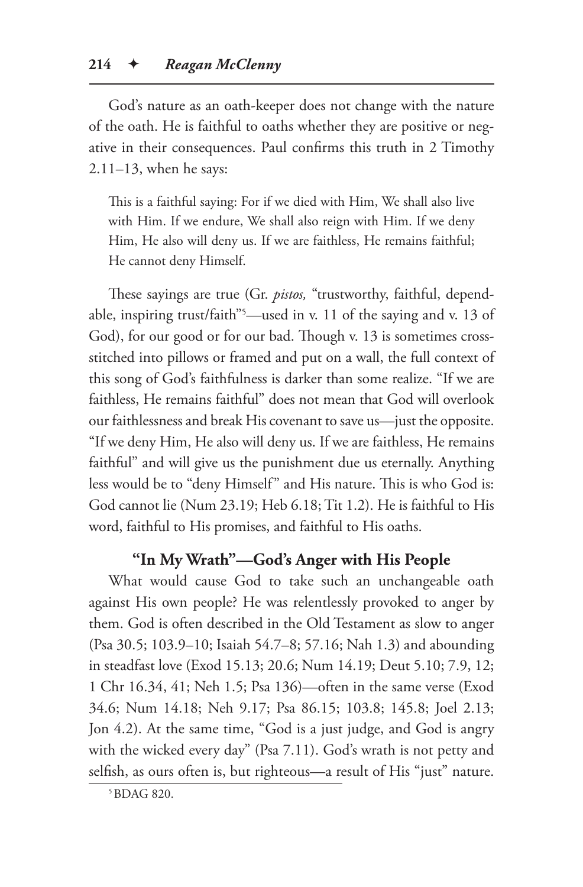God's nature as an oath-keeper does not change with the nature of the oath. He is faithful to oaths whether they are positive or negative in their consequences. Paul confirms this truth in 2 Timothy 2.11–13, when he says:

This is a faithful saying: For if we died with Him, We shall also live with Him. If we endure, We shall also reign with Him. If we deny Him, He also will deny us. If we are faithless, He remains faithful; He cannot deny Himself.

These sayings are true (Gr. *pistos,* "trustworthy, faithful, dependable, inspiring trust/faith"5 —used in v. 11 of the saying and v. 13 of God), for our good or for our bad. Though v. 13 is sometimes crossstitched into pillows or framed and put on a wall, the full context of this song of God's faithfulness is darker than some realize. "If we are faithless, He remains faithful" does not mean that God will overlook our faithlessness and break His covenant to save us—just the opposite. "If we deny Him, He also will deny us. If we are faithless, He remains faithful" and will give us the punishment due us eternally. Anything less would be to "deny Himself" and His nature. This is who God is: God cannot lie (Num 23.19; Heb 6.18; Tit 1.2). He is faithful to His word, faithful to His promises, and faithful to His oaths.

# **"In My Wrath"—God's Anger with His People**

What would cause God to take such an unchangeable oath against His own people? He was relentlessly provoked to anger by them. God is often described in the Old Testament as slow to anger (Psa 30.5; 103.9–10; Isaiah 54.7–8; 57.16; Nah 1.3) and abounding in steadfast love (Exod 15.13; 20.6; Num 14.19; Deut 5.10; 7.9, 12; 1 Chr 16.34, 41; Neh 1.5; Psa 136)—often in the same verse (Exod 34.6; Num 14.18; Neh 9.17; Psa 86.15; 103.8; 145.8; Joel 2.13; Jon 4.2). At the same time, "God is a just judge, and God is angry with the wicked every day" (Psa 7.11). God's wrath is not petty and selfish, as ours often is, but righteous—a result of His "just" nature.

<sup>5</sup>BDAG 820.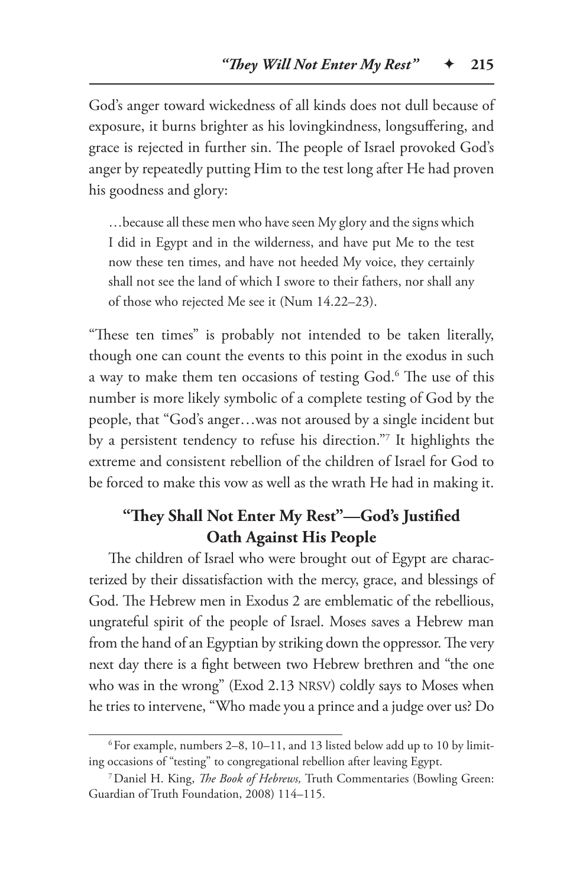God's anger toward wickedness of all kinds does not dull because of exposure, it burns brighter as his lovingkindness, longsuffering, and grace is rejected in further sin. The people of Israel provoked God's anger by repeatedly putting Him to the test long after He had proven his goodness and glory:

…because all these men who have seen My glory and the signs which I did in Egypt and in the wilderness, and have put Me to the test now these ten times, and have not heeded My voice, they certainly shall not see the land of which I swore to their fathers, nor shall any of those who rejected Me see it (Num 14.22–23).

"These ten times" is probably not intended to be taken literally, though one can count the events to this point in the exodus in such a way to make them ten occasions of testing God.6 The use of this number is more likely symbolic of a complete testing of God by the people, that "God's anger…was not aroused by a single incident but by a persistent tendency to refuse his direction."7 It highlights the extreme and consistent rebellion of the children of Israel for God to be forced to make this vow as well as the wrath He had in making it.

# **"They Shall Not Enter My Rest"—God's Justified Oath Against His People**

The children of Israel who were brought out of Egypt are characterized by their dissatisfaction with the mercy, grace, and blessings of God. The Hebrew men in Exodus 2 are emblematic of the rebellious, ungrateful spirit of the people of Israel. Moses saves a Hebrew man from the hand of an Egyptian by striking down the oppressor. The very next day there is a fight between two Hebrew brethren and "the one who was in the wrong" (Exod 2.13 NRSV) coldly says to Moses when he tries to intervene, "Who made you a prince and a judge over us? Do

 $6$  For example, numbers 2–8, 10–11, and 13 listed below add up to 10 by limiting occasions of "testing" to congregational rebellion after leaving Egypt.

<sup>7</sup>Daniel H. King, *The Book of Hebrews,* Truth Commentaries (Bowling Green: Guardian of Truth Foundation, 2008) 114–115.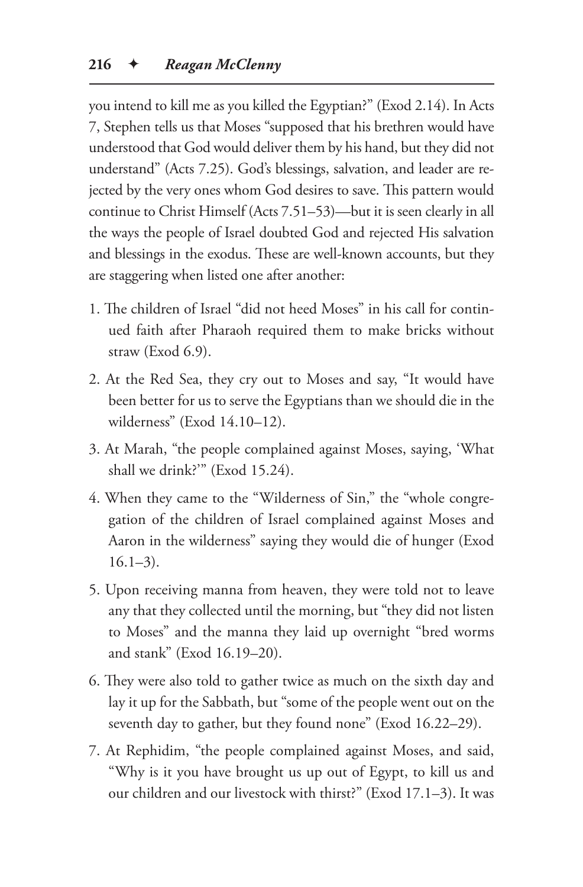you intend to kill me as you killed the Egyptian?" (Exod 2.14). In Acts 7, Stephen tells us that Moses "supposed that his brethren would have understood that God would deliver them by his hand, but they did not understand" (Acts 7.25). God's blessings, salvation, and leader are rejected by the very ones whom God desires to save. This pattern would continue to Christ Himself (Acts 7.51–53)—but it is seen clearly in all the ways the people of Israel doubted God and rejected His salvation and blessings in the exodus. These are well-known accounts, but they are staggering when listed one after another:

- 1. The children of Israel "did not heed Moses" in his call for continued faith after Pharaoh required them to make bricks without straw (Exod 6.9).
- 2. At the Red Sea, they cry out to Moses and say, "It would have been better for us to serve the Egyptians than we should die in the wilderness" (Exod 14.10–12).
- 3. At Marah, "the people complained against Moses, saying, 'What shall we drink?'" (Exod 15.24).
- 4. When they came to the "Wilderness of Sin," the "whole congregation of the children of Israel complained against Moses and Aaron in the wilderness" saying they would die of hunger (Exod  $16.1 - 3$ .
- 5. Upon receiving manna from heaven, they were told not to leave any that they collected until the morning, but "they did not listen to Moses" and the manna they laid up overnight "bred worms and stank" (Exod 16.19–20).
- 6. They were also told to gather twice as much on the sixth day and lay it up for the Sabbath, but "some of the people went out on the seventh day to gather, but they found none" (Exod 16.22–29).
- 7. At Rephidim, "the people complained against Moses, and said, "Why is it you have brought us up out of Egypt, to kill us and our children and our livestock with thirst?" (Exod 17.1–3). It was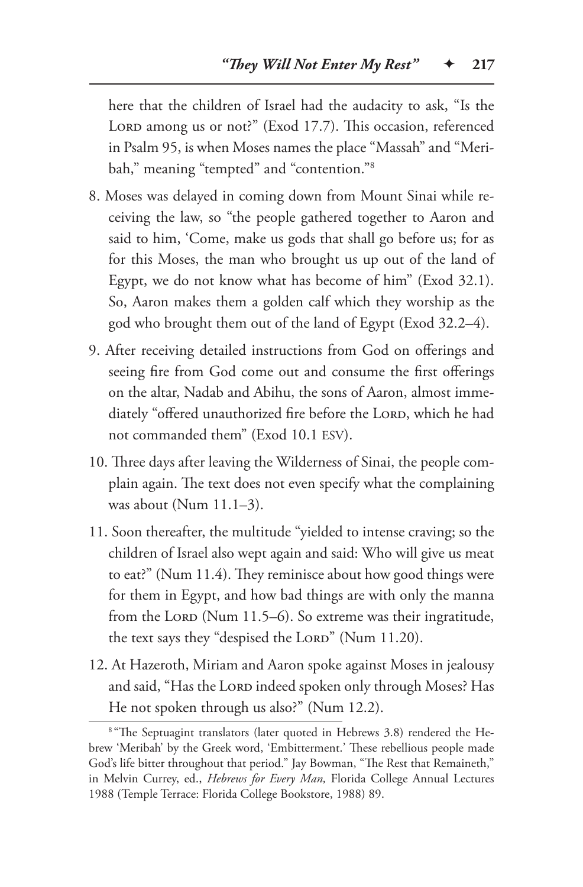here that the children of Israel had the audacity to ask, "Is the LORD among us or not?" (Exod 17.7). This occasion, referenced in Psalm 95, is when Moses names the place "Massah" and "Meribah," meaning "tempted" and "contention."<sup>8</sup>

- 8. Moses was delayed in coming down from Mount Sinai while receiving the law, so "the people gathered together to Aaron and said to him, 'Come, make us gods that shall go before us; for as for this Moses, the man who brought us up out of the land of Egypt, we do not know what has become of him" (Exod 32.1). So, Aaron makes them a golden calf which they worship as the god who brought them out of the land of Egypt (Exod 32.2–4).
- 9. After receiving detailed instructions from God on offerings and seeing fire from God come out and consume the first offerings on the altar, Nadab and Abihu, the sons of Aaron, almost immediately "offered unauthorized fire before the LORD, which he had not commanded them" (Exod 10.1 ESV).
- 10. Three days after leaving the Wilderness of Sinai, the people complain again. The text does not even specify what the complaining was about (Num 11.1–3).
- 11. Soon thereafter, the multitude "yielded to intense craving; so the children of Israel also wept again and said: Who will give us meat to eat?" (Num 11.4). They reminisce about how good things were for them in Egypt, and how bad things are with only the manna from the Loro (Num 11.5–6). So extreme was their ingratitude, the text says they "despised the LORD" (Num 11.20).
- 12. At Hazeroth, Miriam and Aaron spoke against Moses in jealousy and said, "Has the LORD indeed spoken only through Moses? Has He not spoken through us also?" (Num 12.2).

<sup>&</sup>lt;sup>8 "</sup>The Septuagint translators (later quoted in Hebrews 3.8) rendered the Hebrew 'Meribah' by the Greek word, 'Embitterment.' These rebellious people made God's life bitter throughout that period." Jay Bowman, "The Rest that Remaineth," in Melvin Currey, ed., *Hebrews for Every Man,* Florida College Annual Lectures 1988 (Temple Terrace: Florida College Bookstore, 1988) 89.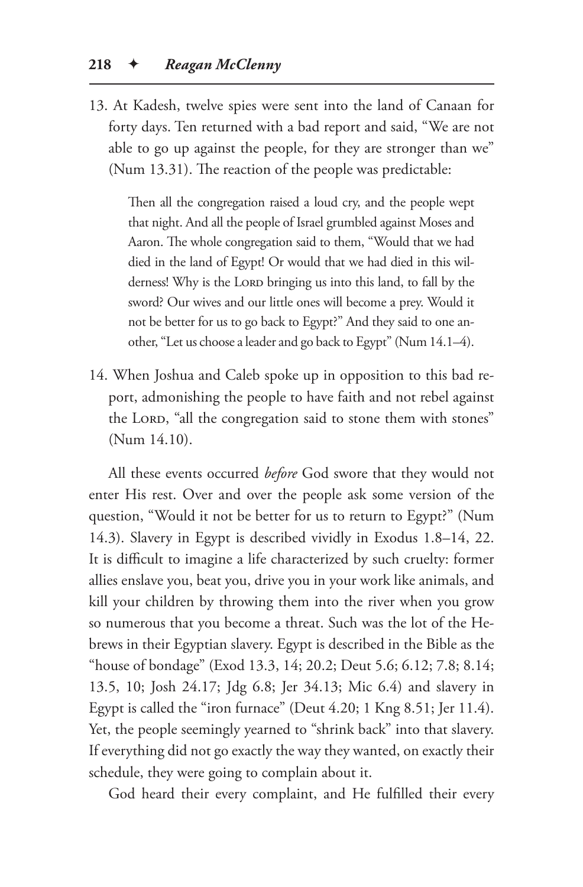13. At Kadesh, twelve spies were sent into the land of Canaan for forty days. Ten returned with a bad report and said, "We are not able to go up against the people, for they are stronger than we" (Num 13.31). The reaction of the people was predictable:

Then all the congregation raised a loud cry, and the people wept that night. And all the people of Israel grumbled against Moses and Aaron. The whole congregation said to them, "Would that we had died in the land of Egypt! Or would that we had died in this wilderness! Why is the LORD bringing us into this land, to fall by the sword? Our wives and our little ones will become a prey. Would it not be better for us to go back to Egypt?" And they said to one another, "Let us choose a leader and go back to Egypt" (Num 14.1–4).

14. When Joshua and Caleb spoke up in opposition to this bad report, admonishing the people to have faith and not rebel against the LORD, "all the congregation said to stone them with stones" (Num 14.10).

All these events occurred *before* God swore that they would not enter His rest. Over and over the people ask some version of the question, "Would it not be better for us to return to Egypt?" (Num 14.3). Slavery in Egypt is described vividly in Exodus 1.8–14, 22. It is difficult to imagine a life characterized by such cruelty: former allies enslave you, beat you, drive you in your work like animals, and kill your children by throwing them into the river when you grow so numerous that you become a threat. Such was the lot of the Hebrews in their Egyptian slavery. Egypt is described in the Bible as the "house of bondage" (Exod 13.3, 14; 20.2; Deut 5.6; 6.12; 7.8; 8.14; 13.5, 10; Josh 24.17; Jdg 6.8; Jer 34.13; Mic 6.4) and slavery in Egypt is called the "iron furnace" (Deut 4.20; 1 Kng 8.51; Jer 11.4). Yet, the people seemingly yearned to "shrink back" into that slavery. If everything did not go exactly the way they wanted, on exactly their schedule, they were going to complain about it.

God heard their every complaint, and He fulfilled their every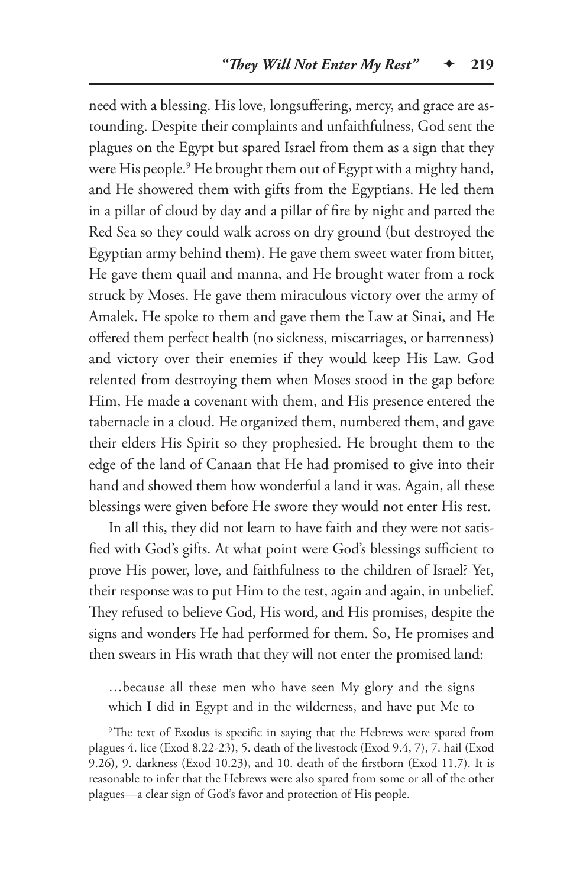need with a blessing. His love, longsuffering, mercy, and grace are astounding. Despite their complaints and unfaithfulness, God sent the plagues on the Egypt but spared Israel from them as a sign that they were His people.9 He brought them out of Egypt with a mighty hand, and He showered them with gifts from the Egyptians. He led them in a pillar of cloud by day and a pillar of fire by night and parted the Red Sea so they could walk across on dry ground (but destroyed the Egyptian army behind them). He gave them sweet water from bitter, He gave them quail and manna, and He brought water from a rock struck by Moses. He gave them miraculous victory over the army of Amalek. He spoke to them and gave them the Law at Sinai, and He offered them perfect health (no sickness, miscarriages, or barrenness) and victory over their enemies if they would keep His Law. God relented from destroying them when Moses stood in the gap before Him, He made a covenant with them, and His presence entered the tabernacle in a cloud. He organized them, numbered them, and gave their elders His Spirit so they prophesied. He brought them to the edge of the land of Canaan that He had promised to give into their hand and showed them how wonderful a land it was. Again, all these blessings were given before He swore they would not enter His rest.

In all this, they did not learn to have faith and they were not satisfied with God's gifts. At what point were God's blessings sufficient to prove His power, love, and faithfulness to the children of Israel? Yet, their response was to put Him to the test, again and again, in unbelief. They refused to believe God, His word, and His promises, despite the signs and wonders He had performed for them. So, He promises and then swears in His wrath that they will not enter the promised land:

…because all these men who have seen My glory and the signs which I did in Egypt and in the wilderness, and have put Me to

<sup>&</sup>lt;sup>9</sup>The text of Exodus is specific in saying that the Hebrews were spared from plagues 4. lice (Exod 8.22-23), 5. death of the livestock (Exod 9.4, 7), 7. hail (Exod 9.26), 9. darkness (Exod 10.23), and 10. death of the firstborn (Exod 11.7). It is reasonable to infer that the Hebrews were also spared from some or all of the other plagues—a clear sign of God's favor and protection of His people.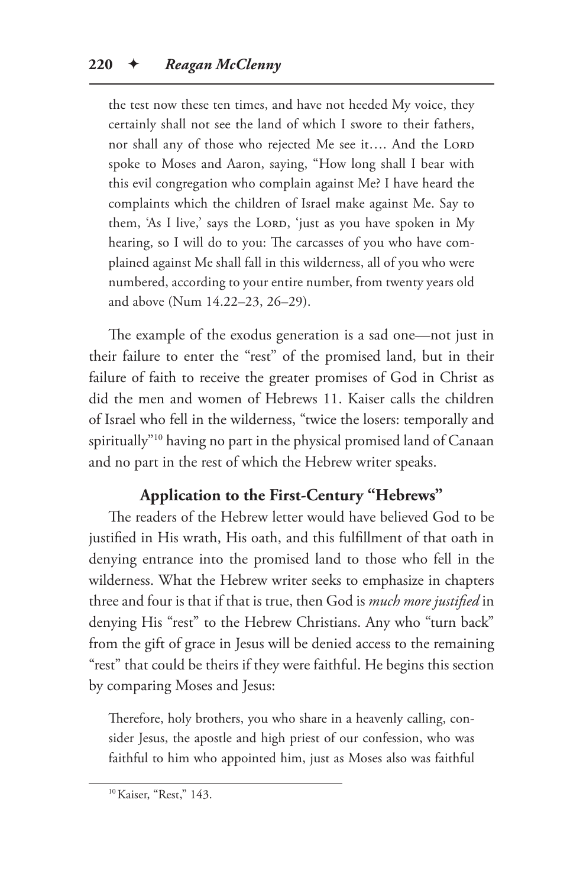the test now these ten times, and have not heeded My voice, they certainly shall not see the land of which I swore to their fathers, nor shall any of those who rejected Me see it.... And the LORD spoke to Moses and Aaron, saying, "How long shall I bear with this evil congregation who complain against Me? I have heard the complaints which the children of Israel make against Me. Say to them, 'As I live,' says the LORD, 'just as you have spoken in My hearing, so I will do to you: The carcasses of you who have complained against Me shall fall in this wilderness, all of you who were numbered, according to your entire number, from twenty years old and above (Num 14.22–23, 26–29).

The example of the exodus generation is a sad one—not just in their failure to enter the "rest" of the promised land, but in their failure of faith to receive the greater promises of God in Christ as did the men and women of Hebrews 11. Kaiser calls the children of Israel who fell in the wilderness, "twice the losers: temporally and spiritually"10 having no part in the physical promised land of Canaan and no part in the rest of which the Hebrew writer speaks.

# **Application to the First-Century "Hebrews"**

The readers of the Hebrew letter would have believed God to be justified in His wrath, His oath, and this fulfillment of that oath in denying entrance into the promised land to those who fell in the wilderness. What the Hebrew writer seeks to emphasize in chapters three and four is that if that is true, then God is *much more justified* in denying His "rest" to the Hebrew Christians. Any who "turn back" from the gift of grace in Jesus will be denied access to the remaining "rest" that could be theirs if they were faithful. He begins this section by comparing Moses and Jesus:

Therefore, holy brothers, you who share in a heavenly calling, consider Jesus, the apostle and high priest of our confession, who was faithful to him who appointed him, just as Moses also was faithful

<sup>&</sup>lt;sup>10</sup> Kaiser, "Rest," 143.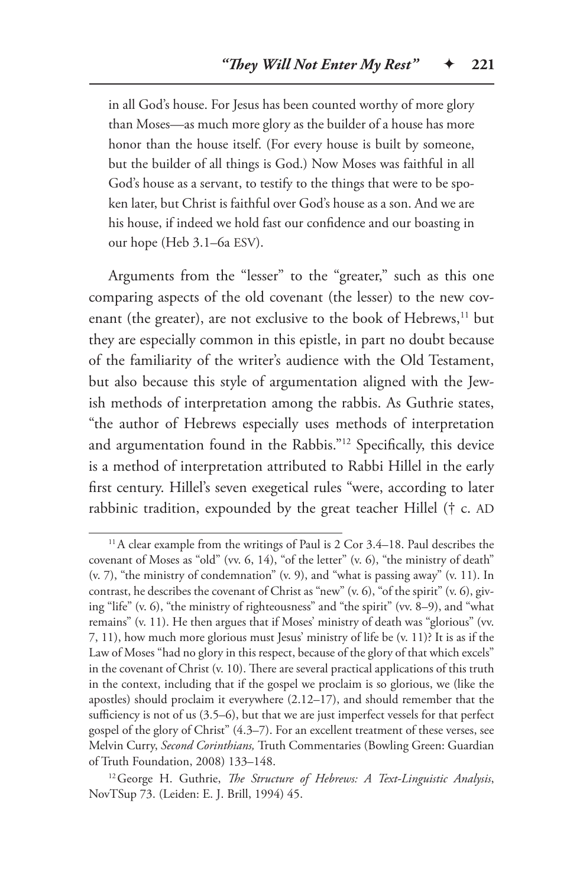in all God's house. For Jesus has been counted worthy of more glory than Moses—as much more glory as the builder of a house has more honor than the house itself. (For every house is built by someone, but the builder of all things is God.) Now Moses was faithful in all God's house as a servant, to testify to the things that were to be spoken later, but Christ is faithful over God's house as a son. And we are his house, if indeed we hold fast our confidence and our boasting in our hope (Heb 3.1–6a ESV).

Arguments from the "lesser" to the "greater," such as this one comparing aspects of the old covenant (the lesser) to the new covenant (the greater), are not exclusive to the book of Hebrews,<sup>11</sup> but they are especially common in this epistle, in part no doubt because of the familiarity of the writer's audience with the Old Testament, but also because this style of argumentation aligned with the Jewish methods of interpretation among the rabbis. As Guthrie states, "the author of Hebrews especially uses methods of interpretation and argumentation found in the Rabbis."12 Specifically, this device is a method of interpretation attributed to Rabbi Hillel in the early first century. Hillel's seven exegetical rules "were, according to later rabbinic tradition, expounded by the great teacher Hillel († c. AD

 $11$ A clear example from the writings of Paul is 2 Cor 3.4–18. Paul describes the covenant of Moses as "old" (vv. 6, 14), "of the letter" (v. 6), "the ministry of death" (v. 7), "the ministry of condemnation" (v. 9), and "what is passing away" (v. 11). In contrast, he describes the covenant of Christ as "new" (v. 6), "of the spirit" (v. 6), giving "life" (v. 6), "the ministry of righteousness" and "the spirit" (vv. 8–9), and "what remains" (v. 11). He then argues that if Moses' ministry of death was "glorious" (vv. 7, 11), how much more glorious must Jesus' ministry of life be (v. 11)? It is as if the Law of Moses "had no glory in this respect, because of the glory of that which excels" in the covenant of Christ (v. 10). There are several practical applications of this truth in the context, including that if the gospel we proclaim is so glorious, we (like the apostles) should proclaim it everywhere (2.12–17), and should remember that the sufficiency is not of us (3.5–6), but that we are just imperfect vessels for that perfect gospel of the glory of Christ" (4.3–7). For an excellent treatment of these verses, see Melvin Curry, *Second Corinthians,* Truth Commentaries (Bowling Green: Guardian of Truth Foundation, 2008) 133–148.

<sup>12</sup>George H. Guthrie, *The Structure of Hebrews: A Text-Linguistic Analysis*, NovTSup 73. (Leiden: E. J. Brill, 1994) 45.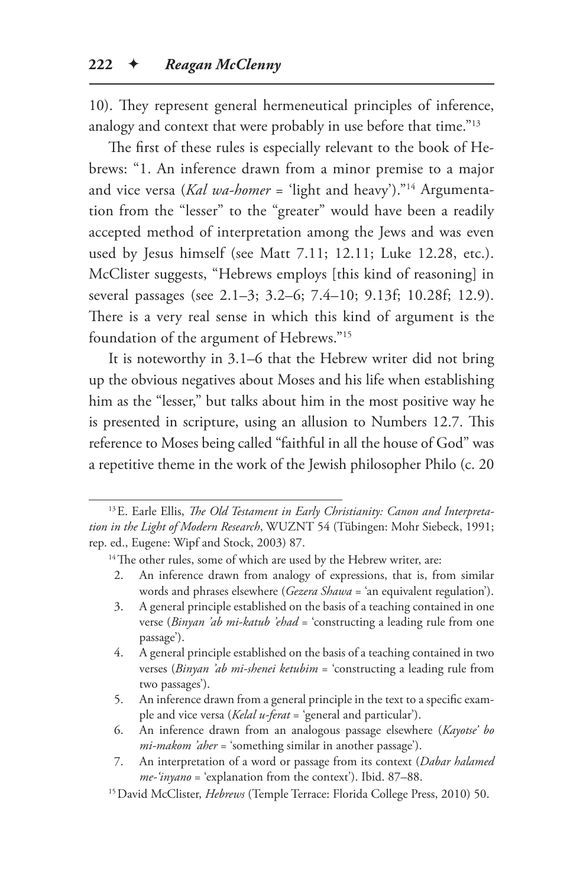10). They represent general hermeneutical principles of inference, analogy and context that were probably in use before that time."13

The first of these rules is especially relevant to the book of Hebrews: "1. An inference drawn from a minor premise to a major and vice versa (*Kal wa-homer* = 'light and heavy')."14 Argumentation from the "lesser" to the "greater" would have been a readily accepted method of interpretation among the Jews and was even used by Jesus himself (see Matt 7.11; 12.11; Luke 12.28, etc.). McClister suggests, "Hebrews employs [this kind of reasoning] in several passages (see 2.1–3; 3.2–6; 7.4–10; 9.13f; 10.28f; 12.9). There is a very real sense in which this kind of argument is the foundation of the argument of Hebrews."15

It is noteworthy in 3.1–6 that the Hebrew writer did not bring up the obvious negatives about Moses and his life when establishing him as the "lesser," but talks about him in the most positive way he is presented in scripture, using an allusion to Numbers 12.7. This reference to Moses being called "faithful in all the house of God" was a repetitive theme in the work of the Jewish philosopher Philo (c. 20

- 2. An inference drawn from analogy of expressions, that is, from similar words and phrases elsewhere (*Gezera Shawa* = 'an equivalent regulation').
- 3. A general principle established on the basis of a teaching contained in one verse (*Binyan 'ab mi-katub 'ehad* = 'constructing a leading rule from one passage').
- 4. A general principle established on the basis of a teaching contained in two verses (*Binyan 'ab mi-shenei ketubim* = 'constructing a leading rule from two passages').
- 5. An inference drawn from a general principle in the text to a specific example and vice versa (*Kelal u-ferat* = 'general and particular').
- 6. An inference drawn from an analogous passage elsewhere (*Kayotse' bo mi-makom 'aher* = 'something similar in another passage').
- 7. An interpretation of a word or passage from its context (*Dabar halamed me-'inyano* = 'explanation from the context'). Ibid. 87–88.

<sup>13</sup>E. Earle Ellis, *The Old Testament in Early Christianity: Canon and Interpretation in the Light of Modern Research*, WUZNT 54 (Tübingen: Mohr Siebeck, 1991; rep. ed., Eugene: Wipf and Stock, 2003) 87.

<sup>&</sup>lt;sup>14</sup>The other rules, some of which are used by the Hebrew writer, are:

<sup>15</sup>David McClister, *Hebrews* (Temple Terrace: Florida College Press, 2010) 50.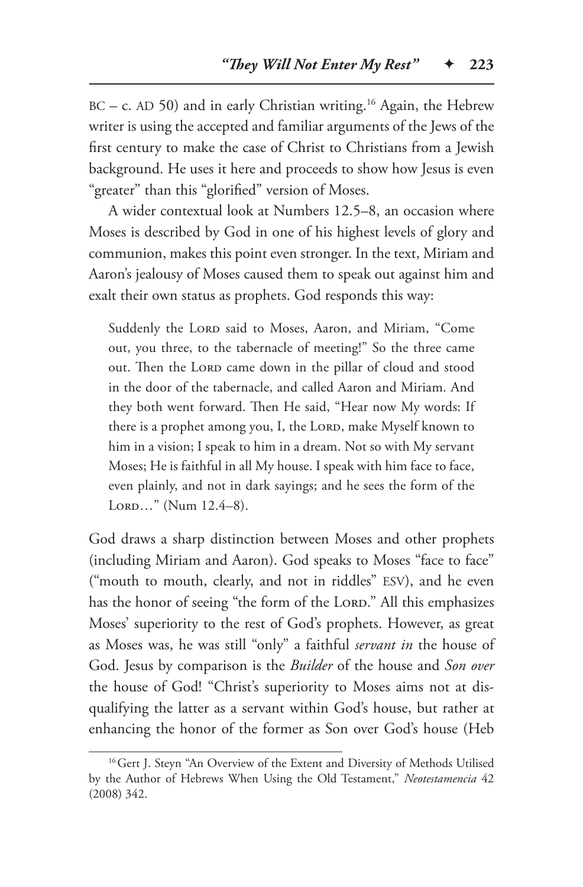$BC - c$ . AD 50) and in early Christian writing.<sup>16</sup> Again, the Hebrew writer is using the accepted and familiar arguments of the Jews of the first century to make the case of Christ to Christians from a Jewish background. He uses it here and proceeds to show how Jesus is even "greater" than this "glorified" version of Moses.

A wider contextual look at Numbers 12.5–8, an occasion where Moses is described by God in one of his highest levels of glory and communion, makes this point even stronger. In the text, Miriam and Aaron's jealousy of Moses caused them to speak out against him and exalt their own status as prophets. God responds this way:

Suddenly the LORD said to Moses, Aaron, and Miriam, "Come out, you three, to the tabernacle of meeting!" So the three came out. Then the LORD came down in the pillar of cloud and stood in the door of the tabernacle, and called Aaron and Miriam. And they both went forward. Then He said, "Hear now My words: If there is a prophet among you, I, the Lord, make Myself known to him in a vision; I speak to him in a dream. Not so with My servant Moses; He is faithful in all My house. I speak with him face to face, even plainly, and not in dark sayings; and he sees the form of the  $LORD...$ " (Num  $12.4-8$ ).

God draws a sharp distinction between Moses and other prophets (including Miriam and Aaron). God speaks to Moses "face to face" ("mouth to mouth, clearly, and not in riddles" ESV), and he even has the honor of seeing "the form of the Lord." All this emphasizes Moses' superiority to the rest of God's prophets. However, as great as Moses was, he was still "only" a faithful *servant in* the house of God. Jesus by comparison is the *Builder* of the house and *Son over*  the house of God! "Christ's superiority to Moses aims not at disqualifying the latter as a servant within God's house, but rather at enhancing the honor of the former as Son over God's house (Heb

<sup>&</sup>lt;sup>16</sup> Gert J. Steyn "An Overview of the Extent and Diversity of Methods Utilised by the Author of Hebrews When Using the Old Testament," *Neotestamencia* 42 (2008) 342.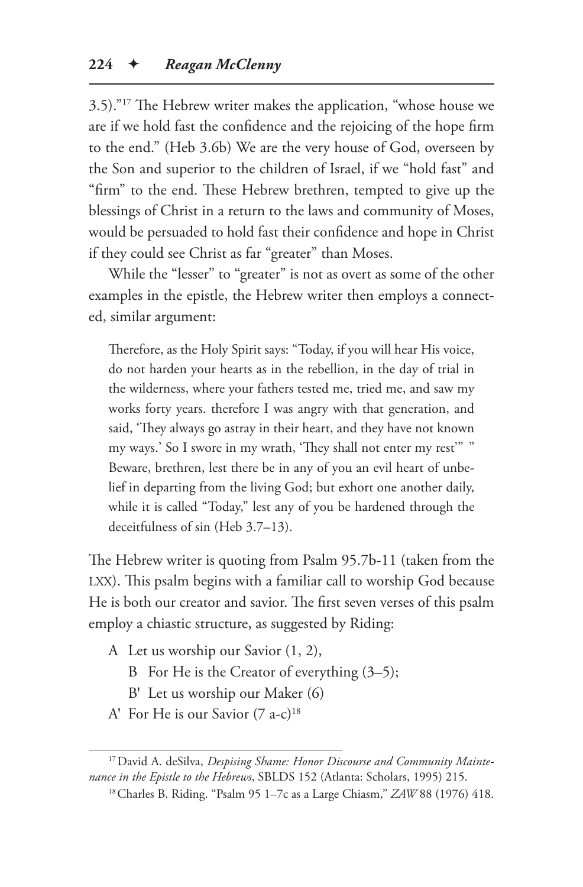3.5)."17 The Hebrew writer makes the application, "whose house we are if we hold fast the confidence and the rejoicing of the hope firm to the end." (Heb 3.6b) We are the very house of God, overseen by the Son and superior to the children of Israel, if we "hold fast" and "firm" to the end. These Hebrew brethren, tempted to give up the blessings of Christ in a return to the laws and community of Moses, would be persuaded to hold fast their confidence and hope in Christ if they could see Christ as far "greater" than Moses.

While the "lesser" to "greater" is not as overt as some of the other examples in the epistle, the Hebrew writer then employs a connected, similar argument:

Therefore, as the Holy Spirit says: "Today, if you will hear His voice, do not harden your hearts as in the rebellion, in the day of trial in the wilderness, where your fathers tested me, tried me, and saw my works forty years. therefore I was angry with that generation, and said, 'They always go astray in their heart, and they have not known my ways.' So I swore in my wrath, 'They shall not enter my rest'" " Beware, brethren, lest there be in any of you an evil heart of unbelief in departing from the living God; but exhort one another daily, while it is called "Today," lest any of you be hardened through the deceitfulness of sin (Heb 3.7–13).

The Hebrew writer is quoting from Psalm 95.7b-11 (taken from the LXX). This psalm begins with a familiar call to worship God because He is both our creator and savior. The first seven verses of this psalm employ a chiastic structure, as suggested by Riding:

- A Let us worship our Savior (1, 2),
	- B For He is the Creator of everything (3–5);
	- B′ Let us worship our Maker (6)
- A' For He is our Savior  $(7 a-c)^{18}$

<sup>17</sup>David A. deSilva, *Despising Shame: Honor Discourse and Community Maintenance in the Epistle to the Hebrews*, SBLDS 152 (Atlanta: Scholars, 1995) 215.

<sup>18</sup>Charles B. Riding. "Psalm 95 1–7c as a Large Chiasm," *ZAW* 88 (1976) 418.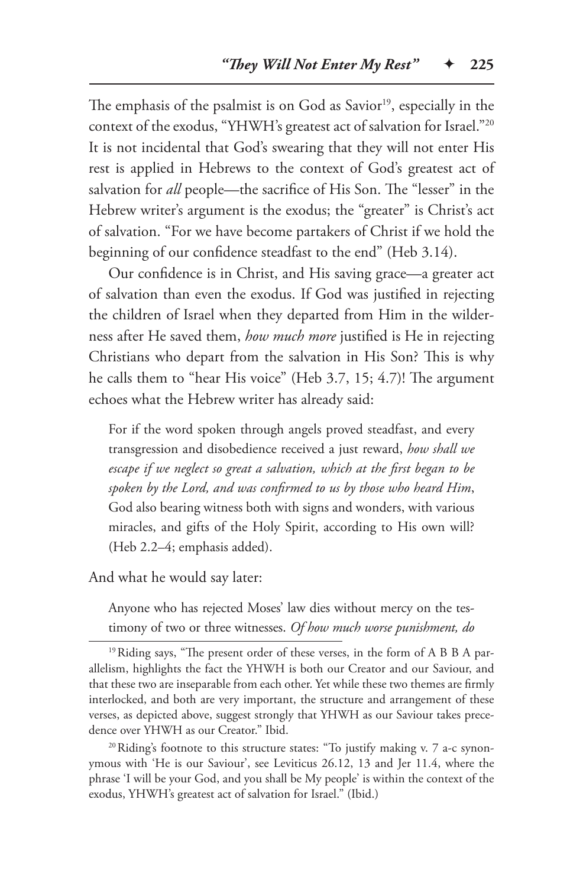The emphasis of the psalmist is on God as Savior<sup>19</sup>, especially in the context of the exodus, "YHWH's greatest act of salvation for Israel."20 It is not incidental that God's swearing that they will not enter His rest is applied in Hebrews to the context of God's greatest act of salvation for *all* people—the sacrifice of His Son. The "lesser" in the Hebrew writer's argument is the exodus; the "greater" is Christ's act of salvation. "For we have become partakers of Christ if we hold the beginning of our confidence steadfast to the end" (Heb 3.14).

Our confidence is in Christ, and His saving grace—a greater act of salvation than even the exodus. If God was justified in rejecting the children of Israel when they departed from Him in the wilderness after He saved them, *how much more* justified is He in rejecting Christians who depart from the salvation in His Son? This is why he calls them to "hear His voice" (Heb 3.7, 15; 4.7)! The argument echoes what the Hebrew writer has already said:

For if the word spoken through angels proved steadfast, and every transgression and disobedience received a just reward, *how shall we escape if we neglect so great a salvation, which at the first began to be spoken by the Lord, and was confirmed to us by those who heard Him*, God also bearing witness both with signs and wonders, with various miracles, and gifts of the Holy Spirit, according to His own will? (Heb 2.2–4; emphasis added).

And what he would say later:

Anyone who has rejected Moses' law dies without mercy on the testimony of two or three witnesses. *Of how much worse punishment, do* 

<sup>20</sup>Riding's footnote to this structure states: "To justify making v. 7 a-c synonymous with 'He is our Saviour', see Leviticus 26.12, 13 and Jer 11.4, where the phrase 'I will be your God, and you shall be My people' is within the context of the exodus, YHWH's greatest act of salvation for Israel." (Ibid.)

<sup>&</sup>lt;sup>19</sup>Riding says, "The present order of these verses, in the form of A B B A parallelism, highlights the fact the YHWH is both our Creator and our Saviour, and that these two are inseparable from each other. Yet while these two themes are firmly interlocked, and both are very important, the structure and arrangement of these verses, as depicted above, suggest strongly that YHWH as our Saviour takes precedence over YHWH as our Creator." Ibid.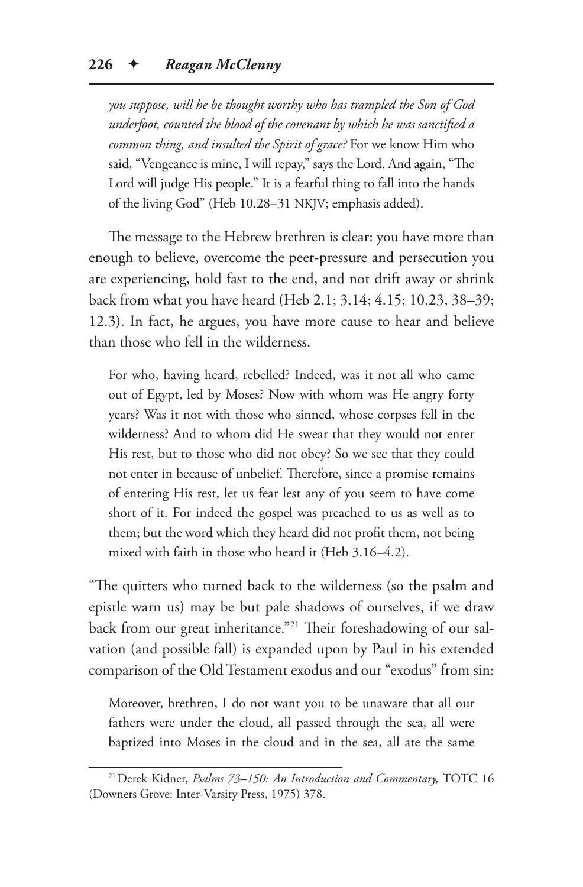*you suppose, will he be thought worthy who has trampled the Son of God underfoot, counted the blood of the covenant by which he was sanctified a common thing, and insulted the Spirit of grace?* For we know Him who said, "Vengeance is mine, I will repay," says the Lord. And again, "The Lord will judge His people." It is a fearful thing to fall into the hands of the living God" (Heb 10.28–31 NKJV; emphasis added).

The message to the Hebrew brethren is clear: you have more than enough to believe, overcome the peer-pressure and persecution you are experiencing, hold fast to the end, and not drift away or shrink back from what you have heard (Heb 2.1; 3.14; 4.15; 10.23, 38–39; 12.3). In fact, he argues, you have more cause to hear and believe than those who fell in the wilderness.

For who, having heard, rebelled? Indeed, was it not all who came out of Egypt, led by Moses? Now with whom was He angry forty years? Was it not with those who sinned, whose corpses fell in the wilderness? And to whom did He swear that they would not enter His rest, but to those who did not obey? So we see that they could not enter in because of unbelief. Therefore, since a promise remains of entering His rest, let us fear lest any of you seem to have come short of it. For indeed the gospel was preached to us as well as to them; but the word which they heard did not profit them, not being mixed with faith in those who heard it (Heb 3.16–4.2).

"The quitters who turned back to the wilderness (so the psalm and epistle warn us) may be but pale shadows of ourselves, if we draw back from our great inheritance."<sup>21</sup> Their foreshadowing of our salvation (and possible fall) is expanded upon by Paul in his extended comparison of the Old Testament exodus and our "exodus" from sin:

Moreover, brethren, I do not want you to be unaware that all our fathers were under the cloud, all passed through the sea, all were baptized into Moses in the cloud and in the sea, all ate the same

<sup>21</sup>Derek Kidner, *Psalms 73–150: An Introduction and Commentary,* TOTC 16 (Downers Grove: Inter-Varsity Press, 1975) 378.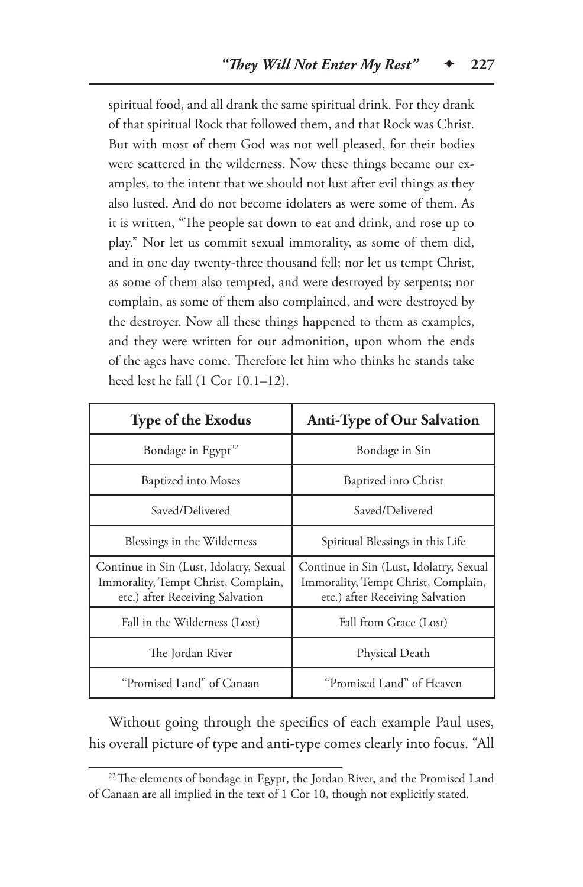spiritual food, and all drank the same spiritual drink. For they drank of that spiritual Rock that followed them, and that Rock was Christ. But with most of them God was not well pleased, for their bodies were scattered in the wilderness. Now these things became our examples, to the intent that we should not lust after evil things as they also lusted. And do not become idolaters as were some of them. As it is written, "The people sat down to eat and drink, and rose up to play." Nor let us commit sexual immorality, as some of them did, and in one day twenty-three thousand fell; nor let us tempt Christ, as some of them also tempted, and were destroyed by serpents; nor complain, as some of them also complained, and were destroyed by the destroyer. Now all these things happened to them as examples, and they were written for our admonition, upon whom the ends of the ages have come. Therefore let him who thinks he stands take heed lest he fall (1 Cor 10.1–12).

| <b>Type of the Exodus</b>                                                                                         | Anti-Type of Our Salvation                                                                                        |
|-------------------------------------------------------------------------------------------------------------------|-------------------------------------------------------------------------------------------------------------------|
| Bondage in Egypt <sup>22</sup>                                                                                    | Bondage in Sin                                                                                                    |
| <b>Baptized into Moses</b>                                                                                        | Baptized into Christ                                                                                              |
| Saved/Delivered                                                                                                   | Saved/Delivered                                                                                                   |
| Blessings in the Wilderness                                                                                       | Spiritual Blessings in this Life                                                                                  |
| Continue in Sin (Lust, Idolatry, Sexual<br>Immorality, Tempt Christ, Complain,<br>etc.) after Receiving Salvation | Continue in Sin (Lust, Idolatry, Sexual<br>Immorality, Tempt Christ, Complain,<br>etc.) after Receiving Salvation |
| Fall in the Wilderness (Lost)                                                                                     | Fall from Grace (Lost)                                                                                            |
| The Jordan River                                                                                                  | Physical Death                                                                                                    |
| "Promised Land" of Canaan                                                                                         | "Promised Land" of Heaven                                                                                         |

Without going through the specifics of each example Paul uses, his overall picture of type and anti-type comes clearly into focus. "All

<sup>&</sup>lt;sup>22</sup>The elements of bondage in Egypt, the Jordan River, and the Promised Land of Canaan are all implied in the text of 1 Cor 10, though not explicitly stated.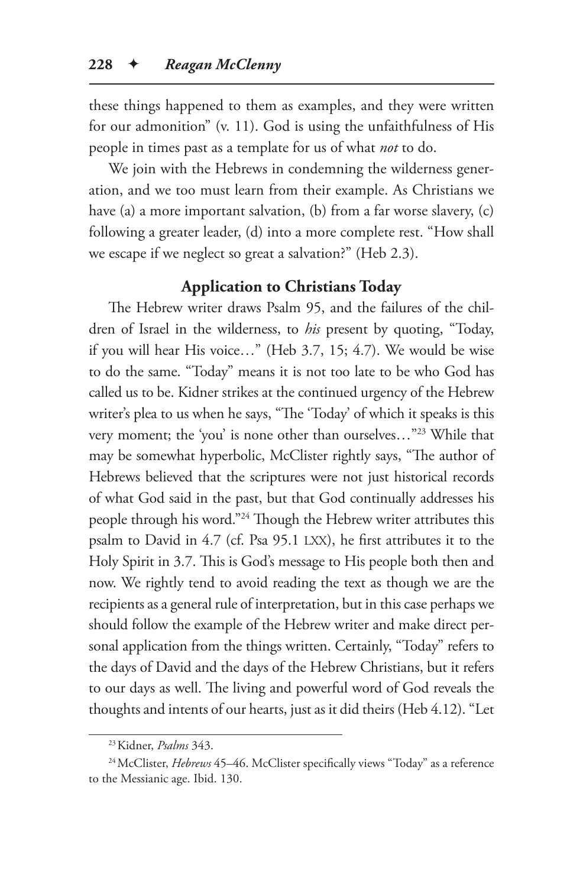these things happened to them as examples, and they were written for our admonition" (v. 11). God is using the unfaithfulness of His people in times past as a template for us of what *not* to do.

We join with the Hebrews in condemning the wilderness generation, and we too must learn from their example. As Christians we have (a) a more important salvation, (b) from a far worse slavery, (c) following a greater leader, (d) into a more complete rest. "How shall we escape if we neglect so great a salvation?" (Heb 2.3).

## **Application to Christians Today**

The Hebrew writer draws Psalm 95, and the failures of the children of Israel in the wilderness, to *his* present by quoting, "Today, if you will hear His voice…" (Heb 3.7, 15; 4.7). We would be wise to do the same. "Today" means it is not too late to be who God has called us to be. Kidner strikes at the continued urgency of the Hebrew writer's plea to us when he says, "The 'Today' of which it speaks is this very moment; the 'you' is none other than ourselves…"23 While that may be somewhat hyperbolic, McClister rightly says, "The author of Hebrews believed that the scriptures were not just historical records of what God said in the past, but that God continually addresses his people through his word."24 Though the Hebrew writer attributes this psalm to David in 4.7 (cf. Psa 95.1 LXX), he first attributes it to the Holy Spirit in 3.7. This is God's message to His people both then and now. We rightly tend to avoid reading the text as though we are the recipients as a general rule of interpretation, but in this case perhaps we should follow the example of the Hebrew writer and make direct personal application from the things written. Certainly, "Today" refers to the days of David and the days of the Hebrew Christians, but it refers to our days as well. The living and powerful word of God reveals the thoughts and intents of our hearts, just as it did theirs (Heb 4.12). "Let

<sup>23</sup>Kidner, *Psalms* 343.

<sup>&</sup>lt;sup>24</sup> McClister, *Hebrews* 45–46. McClister specifically views "Today" as a reference to the Messianic age. Ibid. 130.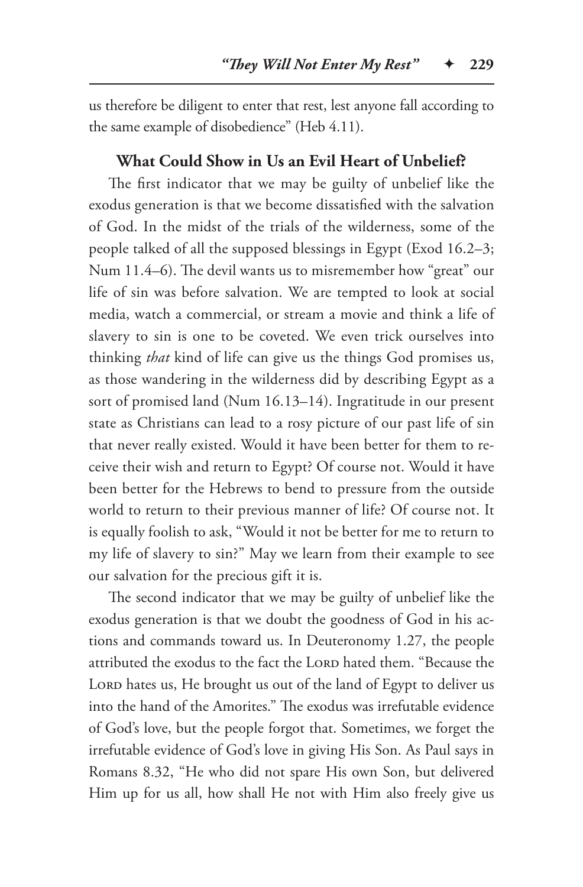us therefore be diligent to enter that rest, lest anyone fall according to the same example of disobedience" (Heb 4.11).

#### **What Could Show in Us an Evil Heart of Unbelief?**

The first indicator that we may be guilty of unbelief like the exodus generation is that we become dissatisfied with the salvation of God. In the midst of the trials of the wilderness, some of the people talked of all the supposed blessings in Egypt (Exod 16.2–3; Num 11.4–6). The devil wants us to misremember how "great" our life of sin was before salvation. We are tempted to look at social media, watch a commercial, or stream a movie and think a life of slavery to sin is one to be coveted. We even trick ourselves into thinking *that* kind of life can give us the things God promises us, as those wandering in the wilderness did by describing Egypt as a sort of promised land (Num 16.13–14). Ingratitude in our present state as Christians can lead to a rosy picture of our past life of sin that never really existed. Would it have been better for them to receive their wish and return to Egypt? Of course not. Would it have been better for the Hebrews to bend to pressure from the outside world to return to their previous manner of life? Of course not. It is equally foolish to ask, "Would it not be better for me to return to my life of slavery to sin?" May we learn from their example to see our salvation for the precious gift it is.

The second indicator that we may be guilty of unbelief like the exodus generation is that we doubt the goodness of God in his actions and commands toward us. In Deuteronomy 1.27, the people attributed the exodus to the fact the LORD hated them. "Because the LORD hates us, He brought us out of the land of Egypt to deliver us into the hand of the Amorites." The exodus was irrefutable evidence of God's love, but the people forgot that. Sometimes, we forget the irrefutable evidence of God's love in giving His Son. As Paul says in Romans 8.32, "He who did not spare His own Son, but delivered Him up for us all, how shall He not with Him also freely give us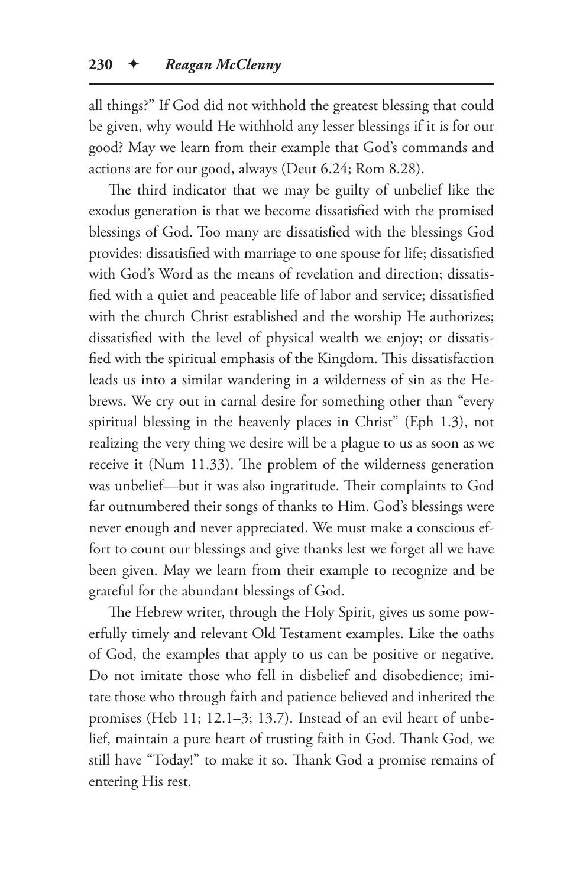all things?" If God did not withhold the greatest blessing that could be given, why would He withhold any lesser blessings if it is for our good? May we learn from their example that God's commands and actions are for our good, always (Deut 6.24; Rom 8.28).

The third indicator that we may be guilty of unbelief like the exodus generation is that we become dissatisfied with the promised blessings of God. Too many are dissatisfied with the blessings God provides: dissatisfied with marriage to one spouse for life; dissatisfied with God's Word as the means of revelation and direction; dissatisfied with a quiet and peaceable life of labor and service; dissatisfied with the church Christ established and the worship He authorizes; dissatisfied with the level of physical wealth we enjoy; or dissatisfied with the spiritual emphasis of the Kingdom. This dissatisfaction leads us into a similar wandering in a wilderness of sin as the Hebrews. We cry out in carnal desire for something other than "every spiritual blessing in the heavenly places in Christ" (Eph 1.3), not realizing the very thing we desire will be a plague to us as soon as we receive it (Num 11.33). The problem of the wilderness generation was unbelief—but it was also ingratitude. Their complaints to God far outnumbered their songs of thanks to Him. God's blessings were never enough and never appreciated. We must make a conscious effort to count our blessings and give thanks lest we forget all we have been given. May we learn from their example to recognize and be grateful for the abundant blessings of God.

The Hebrew writer, through the Holy Spirit, gives us some powerfully timely and relevant Old Testament examples. Like the oaths of God, the examples that apply to us can be positive or negative. Do not imitate those who fell in disbelief and disobedience; imitate those who through faith and patience believed and inherited the promises (Heb 11; 12.1–3; 13.7). Instead of an evil heart of unbelief, maintain a pure heart of trusting faith in God. Thank God, we still have "Today!" to make it so. Thank God a promise remains of entering His rest.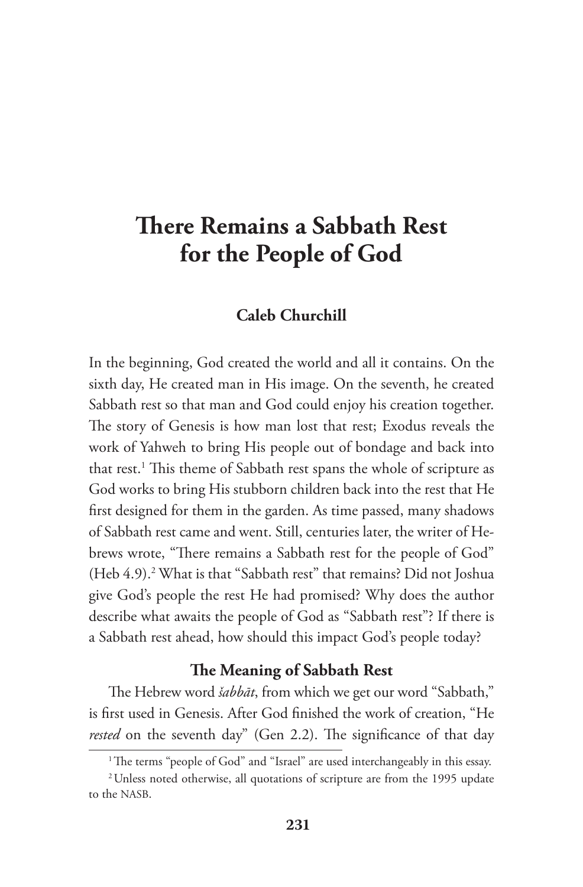# **There Remains a Sabbath Rest for the People of God**

## **Caleb Churchill**

In the beginning, God created the world and all it contains. On the sixth day, He created man in His image. On the seventh, he created Sabbath rest so that man and God could enjoy his creation together. The story of Genesis is how man lost that rest; Exodus reveals the work of Yahweh to bring His people out of bondage and back into that rest.1 This theme of Sabbath rest spans the whole of scripture as God works to bring His stubborn children back into the rest that He first designed for them in the garden. As time passed, many shadows of Sabbath rest came and went. Still, centuries later, the writer of Hebrews wrote, "There remains a Sabbath rest for the people of God" (Heb 4.9).<sup>2</sup> What is that "Sabbath rest" that remains? Did not Joshua give God's people the rest He had promised? Why does the author describe what awaits the people of God as "Sabbath rest"? If there is a Sabbath rest ahead, how should this impact God's people today?

#### **The Meaning of Sabbath Rest**

The Hebrew word *šabbāt*, from which we get our word "Sabbath," is first used in Genesis. After God finished the work of creation, "He rested on the seventh day" (Gen 2.2). The significance of that day

<sup>&</sup>lt;sup>1</sup>The terms "people of God" and "Israel" are used interchangeably in this essay.

<sup>2</sup>Unless noted otherwise, all quotations of scripture are from the 1995 update to the NASB.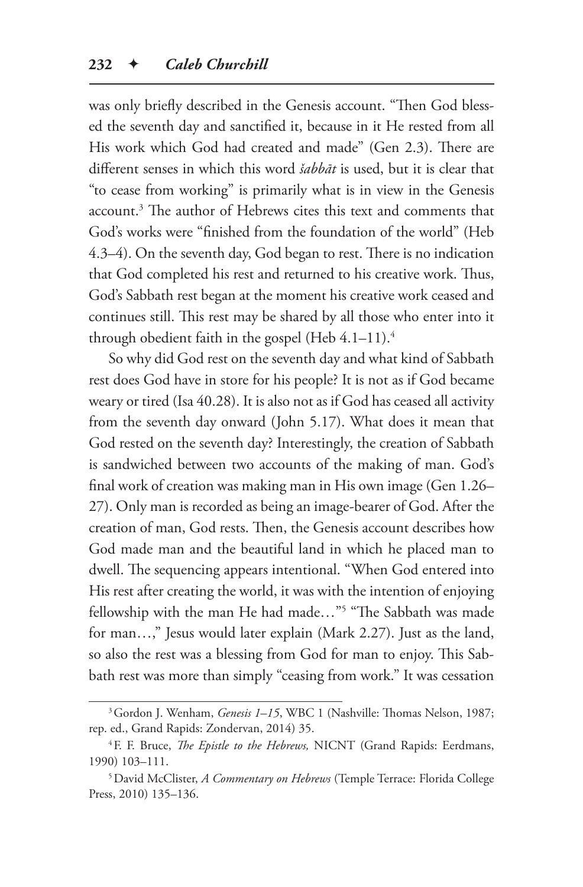was only briefly described in the Genesis account. "Then God blessed the seventh day and sanctified it, because in it He rested from all His work which God had created and made" (Gen 2.3). There are different senses in which this word *šabbāt* is used, but it is clear that "to cease from working" is primarily what is in view in the Genesis account.3 The author of Hebrews cites this text and comments that God's works were "finished from the foundation of the world" (Heb 4.3–4). On the seventh day, God began to rest. There is no indication that God completed his rest and returned to his creative work. Thus, God's Sabbath rest began at the moment his creative work ceased and continues still. This rest may be shared by all those who enter into it through obedient faith in the gospel (Heb  $4.1-11$ ).<sup>4</sup>

So why did God rest on the seventh day and what kind of Sabbath rest does God have in store for his people? It is not as if God became weary or tired (Isa 40.28). It is also not as if God has ceased all activity from the seventh day onward (John 5.17). What does it mean that God rested on the seventh day? Interestingly, the creation of Sabbath is sandwiched between two accounts of the making of man. God's final work of creation was making man in His own image (Gen 1.26– 27). Only man is recorded as being an image-bearer of God. After the creation of man, God rests. Then, the Genesis account describes how God made man and the beautiful land in which he placed man to dwell. The sequencing appears intentional. "When God entered into His rest after creating the world, it was with the intention of enjoying fellowship with the man He had made…"5 "The Sabbath was made for man…," Jesus would later explain (Mark 2.27). Just as the land, so also the rest was a blessing from God for man to enjoy. This Sabbath rest was more than simply "ceasing from work." It was cessation

<sup>&</sup>lt;sup>3</sup> Gordon J. Wenham, *Genesis 1–15*, WBC 1 (Nashville: Thomas Nelson, 1987; rep. ed., Grand Rapids: Zondervan, 2014) 35.

<sup>4</sup>F. F. Bruce, *The Epistle to the Hebrews,* NICNT (Grand Rapids: Eerdmans, 1990) 103–111.

<sup>5</sup>David McClister, *A Commentary on Hebrews* (Temple Terrace: Florida College Press, 2010) 135–136.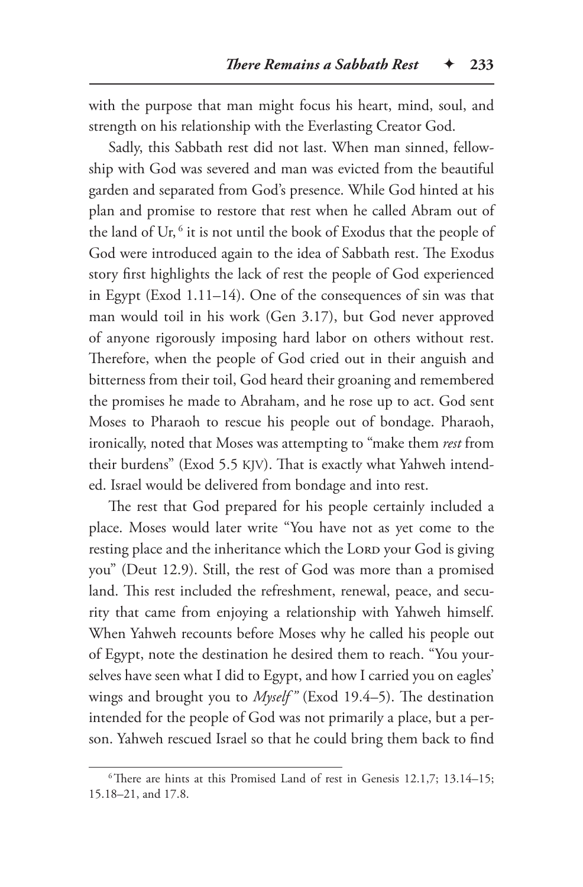with the purpose that man might focus his heart, mind, soul, and strength on his relationship with the Everlasting Creator God.

Sadly, this Sabbath rest did not last. When man sinned, fellowship with God was severed and man was evicted from the beautiful garden and separated from God's presence. While God hinted at his plan and promise to restore that rest when he called Abram out of the land of Ur, <sup>6</sup> it is not until the book of Exodus that the people of God were introduced again to the idea of Sabbath rest. The Exodus story first highlights the lack of rest the people of God experienced in Egypt (Exod 1.11–14). One of the consequences of sin was that man would toil in his work (Gen 3.17), but God never approved of anyone rigorously imposing hard labor on others without rest. Therefore, when the people of God cried out in their anguish and bitterness from their toil, God heard their groaning and remembered the promises he made to Abraham, and he rose up to act. God sent Moses to Pharaoh to rescue his people out of bondage. Pharaoh, ironically, noted that Moses was attempting to "make them *rest* from their burdens" (Exod 5.5 KJV). That is exactly what Yahweh intended. Israel would be delivered from bondage and into rest.

The rest that God prepared for his people certainly included a place. Moses would later write "You have not as yet come to the resting place and the inheritance which the LORD your God is giving you" (Deut 12.9). Still, the rest of God was more than a promised land. This rest included the refreshment, renewal, peace, and security that came from enjoying a relationship with Yahweh himself. When Yahweh recounts before Moses why he called his people out of Egypt, note the destination he desired them to reach. "You yourselves have seen what I did to Egypt, and how I carried you on eagles' wings and brought you to *Myself "* (Exod 19.4–5). The destination intended for the people of God was not primarily a place, but a person. Yahweh rescued Israel so that he could bring them back to find

<sup>&</sup>lt;sup>6</sup>There are hints at this Promised Land of rest in Genesis 12.1,7; 13.14-15; 15.18–21, and 17.8.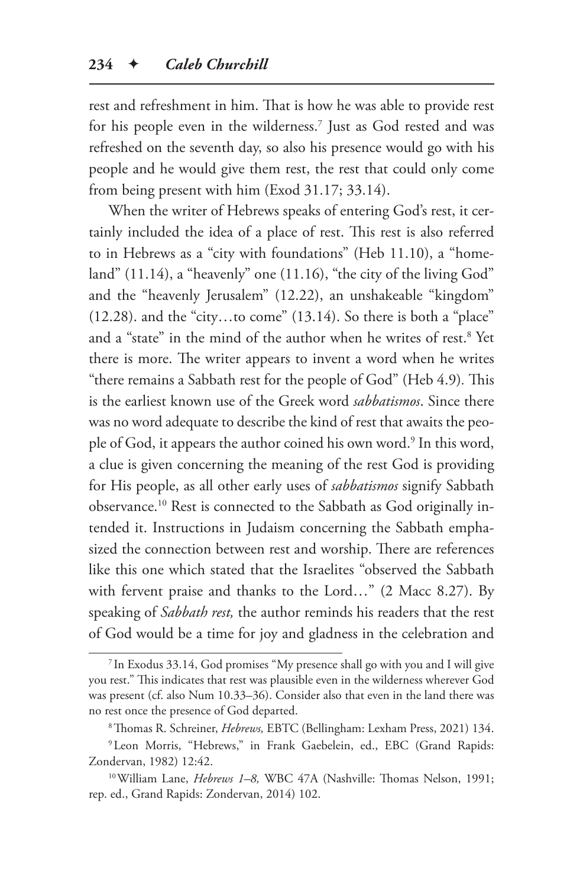rest and refreshment in him. That is how he was able to provide rest for his people even in the wilderness.7 Just as God rested and was refreshed on the seventh day, so also his presence would go with his people and he would give them rest, the rest that could only come from being present with him (Exod 31.17; 33.14).

When the writer of Hebrews speaks of entering God's rest, it certainly included the idea of a place of rest. This rest is also referred to in Hebrews as a "city with foundations" (Heb 11.10), a "homeland"  $(11.14)$ , a "heavenly" one  $(11.16)$ , "the city of the living God" and the "heavenly Jerusalem" (12.22), an unshakeable "kingdom"  $(12.28)$ . and the "city...to come"  $(13.14)$ . So there is both a "place" and a "state" in the mind of the author when he writes of rest.8 Yet there is more. The writer appears to invent a word when he writes "there remains a Sabbath rest for the people of God" (Heb 4.9)*.* This is the earliest known use of the Greek word *sabbatismos*. Since there was no word adequate to describe the kind of rest that awaits the people of God, it appears the author coined his own word.<sup>9</sup> In this word, a clue is given concerning the meaning of the rest God is providing for His people, as all other early uses of *sabbatismos* signify Sabbath observance.10 Rest is connected to the Sabbath as God originally intended it. Instructions in Judaism concerning the Sabbath emphasized the connection between rest and worship. There are references like this one which stated that the Israelites "observed the Sabbath with fervent praise and thanks to the Lord…" (2 Macc 8.27). By speaking of *Sabbath rest,* the author reminds his readers that the rest of God would be a time for joy and gladness in the celebration and

<sup>7</sup> In Exodus 33.14, God promises "My presence shall go with you and I will give you rest." This indicates that rest was plausible even in the wilderness wherever God was present (cf. also Num 10.33–36). Consider also that even in the land there was no rest once the presence of God departed.

<sup>8</sup>Thomas R. Schreiner, *Hebrews,* EBTC (Bellingham: Lexham Press, 2021) 134.

<sup>9</sup>Leon Morris, "Hebrews," in Frank Gaebelein, ed., EBC (Grand Rapids: Zondervan, 1982) 12:42.

<sup>10</sup>William Lane, *Hebrews 1–8,* WBC 47A (Nashville: Thomas Nelson, 1991; rep. ed., Grand Rapids: Zondervan, 2014) 102.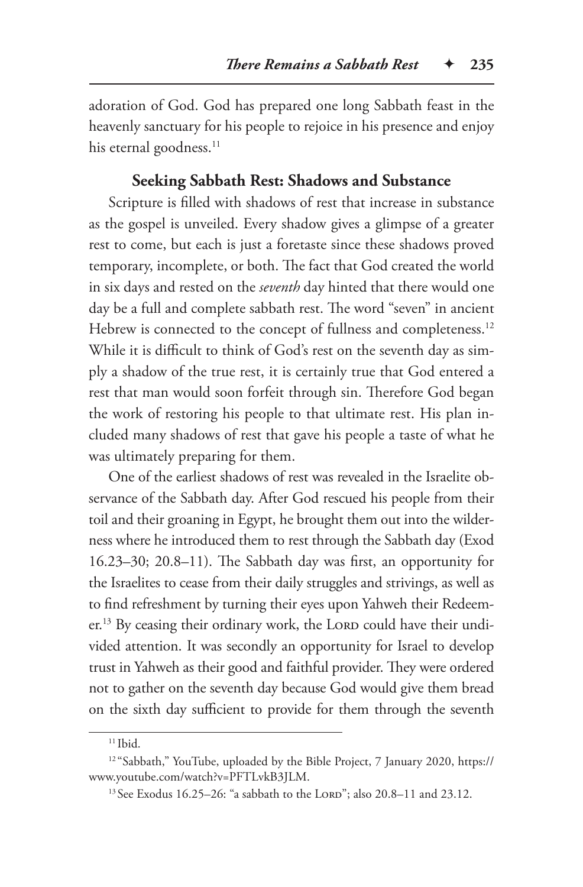adoration of God. God has prepared one long Sabbath feast in the heavenly sanctuary for his people to rejoice in his presence and enjoy his eternal goodness.<sup>11</sup>

#### **Seeking Sabbath Rest: Shadows and Substance**

Scripture is filled with shadows of rest that increase in substance as the gospel is unveiled. Every shadow gives a glimpse of a greater rest to come, but each is just a foretaste since these shadows proved temporary, incomplete, or both. The fact that God created the world in six days and rested on the *seventh* day hinted that there would one day be a full and complete sabbath rest. The word "seven" in ancient Hebrew is connected to the concept of fullness and completeness.<sup>12</sup> While it is difficult to think of God's rest on the seventh day as simply a shadow of the true rest, it is certainly true that God entered a rest that man would soon forfeit through sin. Therefore God began the work of restoring his people to that ultimate rest. His plan included many shadows of rest that gave his people a taste of what he was ultimately preparing for them.

One of the earliest shadows of rest was revealed in the Israelite observance of the Sabbath day. After God rescued his people from their toil and their groaning in Egypt, he brought them out into the wilderness where he introduced them to rest through the Sabbath day (Exod 16.23–30; 20.8–11). The Sabbath day was first, an opportunity for the Israelites to cease from their daily struggles and strivings, as well as to find refreshment by turning their eyes upon Yahweh their Redeemer.<sup>13</sup> By ceasing their ordinary work, the LORD could have their undivided attention. It was secondly an opportunity for Israel to develop trust in Yahweh as their good and faithful provider. They were ordered not to gather on the seventh day because God would give them bread on the sixth day sufficient to provide for them through the seventh

 $11$  Ibid.

<sup>12</sup> "Sabbath," YouTube, uploaded by the Bible Project, 7 January 2020, https:// www.youtube.com/watch?v=PFTLvkB3JLM.

<sup>&</sup>lt;sup>13</sup> See Exodus 16.25–26: "a sabbath to the LORD"; also 20.8–11 and 23.12.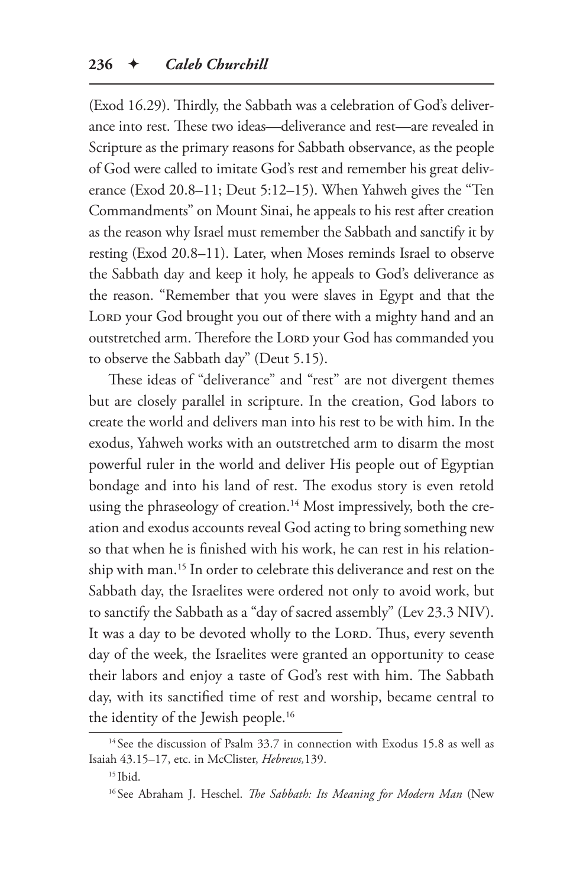(Exod 16.29). Thirdly, the Sabbath was a celebration of God's deliverance into rest. These two ideas—deliverance and rest—are revealed in Scripture as the primary reasons for Sabbath observance, as the people of God were called to imitate God's rest and remember his great deliverance (Exod 20.8–11; Deut 5:12–15). When Yahweh gives the "Ten Commandments" on Mount Sinai, he appeals to his rest after creation as the reason why Israel must remember the Sabbath and sanctify it by resting (Exod 20.8–11). Later, when Moses reminds Israel to observe the Sabbath day and keep it holy, he appeals to God's deliverance as the reason. "Remember that you were slaves in Egypt and that the LORD your God brought you out of there with a mighty hand and an outstretched arm. Therefore the LORD your God has commanded you to observe the Sabbath day" (Deut 5.15).

These ideas of "deliverance" and "rest" are not divergent themes but are closely parallel in scripture. In the creation, God labors to create the world and delivers man into his rest to be with him. In the exodus, Yahweh works with an outstretched arm to disarm the most powerful ruler in the world and deliver His people out of Egyptian bondage and into his land of rest. The exodus story is even retold using the phraseology of creation.<sup>14</sup> Most impressively, both the creation and exodus accounts reveal God acting to bring something new so that when he is finished with his work, he can rest in his relationship with man.15 In order to celebrate this deliverance and rest on the Sabbath day, the Israelites were ordered not only to avoid work, but to sanctify the Sabbath as a "day of sacred assembly" (Lev 23.3 NIV). It was a day to be devoted wholly to the LORD. Thus, every seventh day of the week, the Israelites were granted an opportunity to cease their labors and enjoy a taste of God's rest with him. The Sabbath day, with its sanctified time of rest and worship, became central to the identity of the Jewish people.<sup>16</sup>

<sup>&</sup>lt;sup>14</sup> See the discussion of Psalm 33.7 in connection with Exodus 15.8 as well as Isaiah 43.15–17, etc. in McClister, *Hebrews,*139.

 $15$  Ibid.

<sup>16</sup> See Abraham J. Heschel. *The Sabbath: Its Meaning for Modern Man* (New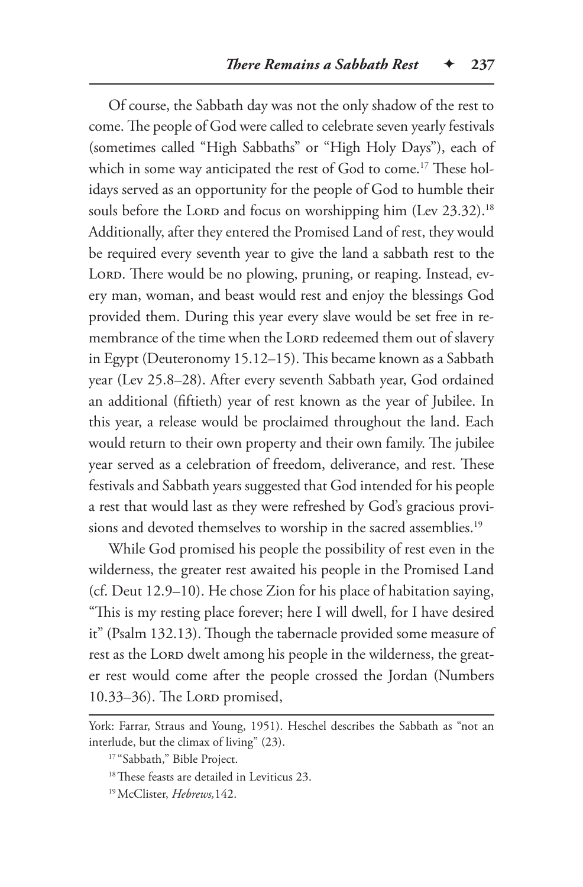Of course, the Sabbath day was not the only shadow of the rest to come. The people of God were called to celebrate seven yearly festivals (sometimes called "High Sabbaths" or "High Holy Days"), each of which in some way anticipated the rest of God to come.<sup>17</sup> These holidays served as an opportunity for the people of God to humble their souls before the LORD and focus on worshipping him (Lev 23.32).<sup>18</sup> Additionally, after they entered the Promised Land of rest, they would be required every seventh year to give the land a sabbath rest to the LORD. There would be no plowing, pruning, or reaping. Instead, every man, woman, and beast would rest and enjoy the blessings God provided them. During this year every slave would be set free in remembrance of the time when the LORD redeemed them out of slavery in Egypt (Deuteronomy 15.12–15). This became known as a Sabbath year (Lev 25.8–28). After every seventh Sabbath year, God ordained an additional (fiftieth) year of rest known as the year of Jubilee. In this year, a release would be proclaimed throughout the land. Each would return to their own property and their own family. The jubilee year served as a celebration of freedom, deliverance, and rest. These festivals and Sabbath years suggested that God intended for his people a rest that would last as they were refreshed by God's gracious provisions and devoted themselves to worship in the sacred assemblies.<sup>19</sup>

While God promised his people the possibility of rest even in the wilderness, the greater rest awaited his people in the Promised Land (cf. Deut 12.9–10). He chose Zion for his place of habitation saying, "This is my resting place forever; here I will dwell, for I have desired it" (Psalm 132.13). Though the tabernacle provided some measure of rest as the LORD dwelt among his people in the wilderness, the greater rest would come after the people crossed the Jordan (Numbers 10.33-36). The LORD promised,

<sup>18</sup>These feasts are detailed in Leviticus 23.

York: Farrar, Straus and Young, 1951). Heschel describes the Sabbath as "not an interlude, but the climax of living" (23).

<sup>17</sup> "Sabbath," Bible Project.

<sup>19</sup>McClister, *Hebrews,*142.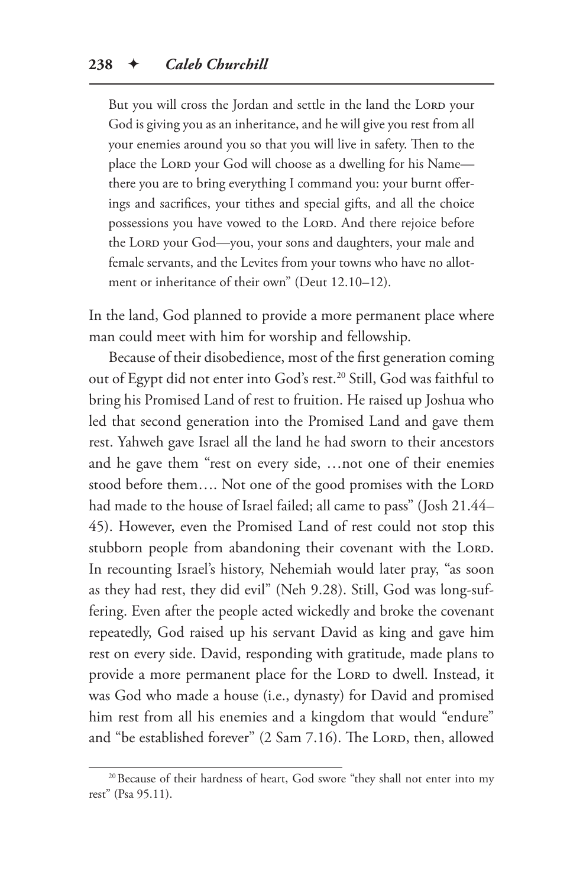But you will cross the Jordan and settle in the land the LORD your God is giving you as an inheritance, and he will give you rest from all your enemies around you so that you will live in safety. Then to the place the Lord your God will choose as a dwelling for his Namethere you are to bring everything I command you: your burnt offerings and sacrifices, your tithes and special gifts, and all the choice possessions you have vowed to the LORD. And there rejoice before the LORD your God-you, your sons and daughters, your male and female servants, and the Levites from your towns who have no allotment or inheritance of their own" (Deut 12.10–12).

In the land, God planned to provide a more permanent place where man could meet with him for worship and fellowship.

Because of their disobedience, most of the first generation coming out of Egypt did not enter into God's rest.<sup>20</sup> Still, God was faithful to bring his Promised Land of rest to fruition. He raised up Joshua who led that second generation into the Promised Land and gave them rest. Yahweh gave Israel all the land he had sworn to their ancestors and he gave them "rest on every side, …not one of their enemies stood before them.... Not one of the good promises with the LORD had made to the house of Israel failed; all came to pass" (Josh 21.44– 45). However, even the Promised Land of rest could not stop this stubborn people from abandoning their covenant with the LORD. In recounting Israel's history, Nehemiah would later pray, "as soon as they had rest, they did evil" (Neh 9.28). Still, God was long-suffering. Even after the people acted wickedly and broke the covenant repeatedly, God raised up his servant David as king and gave him rest on every side. David, responding with gratitude, made plans to provide a more permanent place for the LORD to dwell. Instead, it was God who made a house (i.e., dynasty) for David and promised him rest from all his enemies and a kingdom that would "endure" and "be established forever"  $(2 \text{ Sam } 7.16)$ . The LORD, then, allowed

<sup>&</sup>lt;sup>20</sup> Because of their hardness of heart, God swore "they shall not enter into my rest" (Psa 95.11).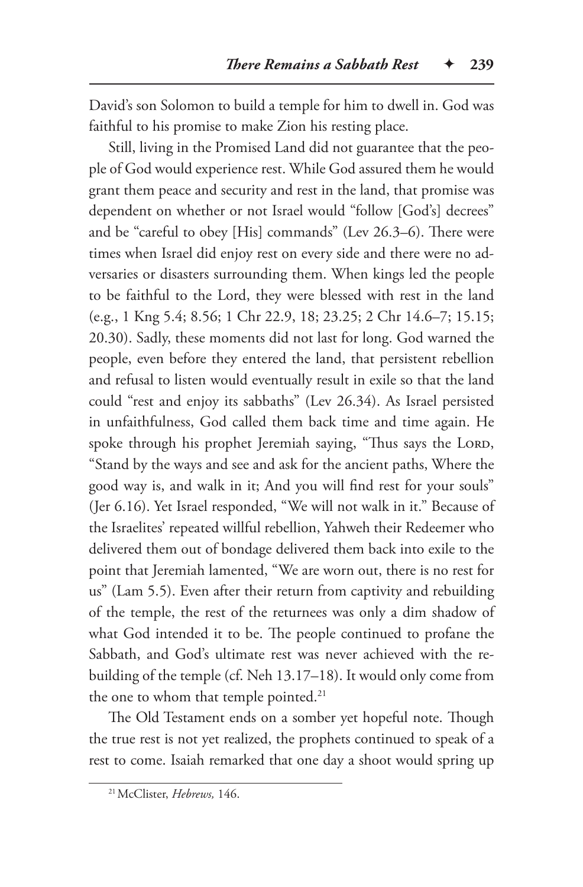David's son Solomon to build a temple for him to dwell in. God was faithful to his promise to make Zion his resting place.

Still, living in the Promised Land did not guarantee that the people of God would experience rest. While God assured them he would grant them peace and security and rest in the land, that promise was dependent on whether or not Israel would "follow [God's] decrees" and be "careful to obey [His] commands" (Lev 26.3–6). There were times when Israel did enjoy rest on every side and there were no adversaries or disasters surrounding them. When kings led the people to be faithful to the Lord, they were blessed with rest in the land (e.g., 1 Kng 5.4; 8.56; 1 Chr 22.9, 18; 23.25; 2 Chr 14.6–7; 15.15; 20.30). Sadly, these moments did not last for long. God warned the people, even before they entered the land, that persistent rebellion and refusal to listen would eventually result in exile so that the land could "rest and enjoy its sabbaths" (Lev 26.34). As Israel persisted in unfaithfulness, God called them back time and time again. He spoke through his prophet Jeremiah saying, "Thus says the LORD, "Stand by the ways and see and ask for the ancient paths, Where the good way is, and walk in it; And you will find rest for your souls" (Jer 6.16). Yet Israel responded, "We will not walk in it." Because of the Israelites' repeated willful rebellion, Yahweh their Redeemer who delivered them out of bondage delivered them back into exile to the point that Jeremiah lamented, "We are worn out, there is no rest for us" (Lam 5.5). Even after their return from captivity and rebuilding of the temple, the rest of the returnees was only a dim shadow of what God intended it to be. The people continued to profane the Sabbath, and God's ultimate rest was never achieved with the rebuilding of the temple (cf. Neh 13.17–18). It would only come from the one to whom that temple pointed.<sup>21</sup>

The Old Testament ends on a somber yet hopeful note. Though the true rest is not yet realized, the prophets continued to speak of a rest to come. Isaiah remarked that one day a shoot would spring up

<sup>21</sup>McClister, *Hebrews,* 146.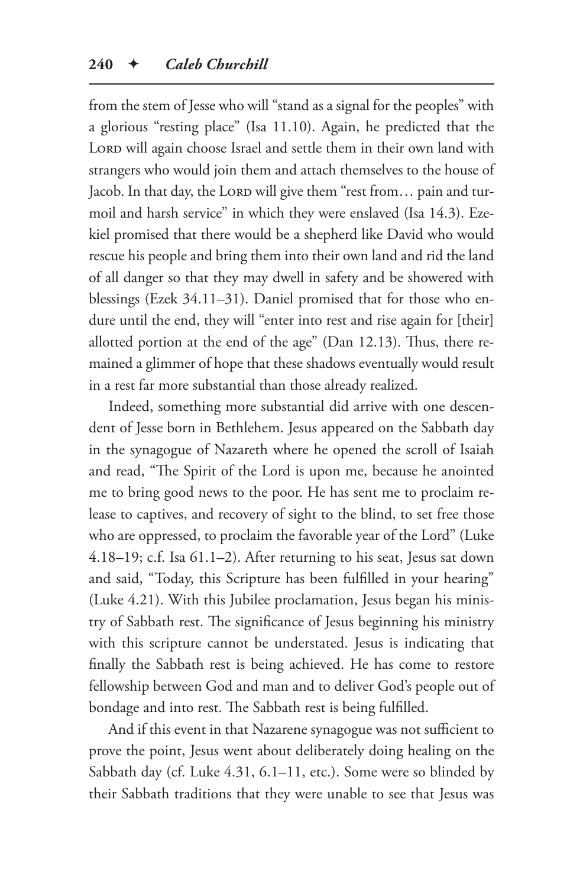from the stem of Jesse who will "stand as a signal for the peoples" with a glorious "resting place" (Isa 11.10). Again, he predicted that the LORD will again choose Israel and settle them in their own land with strangers who would join them and attach themselves to the house of Jacob. In that day, the LORD will give them "rest from... pain and turmoil and harsh service" in which they were enslaved (Isa 14.3). Ezekiel promised that there would be a shepherd like David who would rescue his people and bring them into their own land and rid the land of all danger so that they may dwell in safety and be showered with blessings (Ezek 34.11–31). Daniel promised that for those who endure until the end, they will "enter into rest and rise again for [their] allotted portion at the end of the age" (Dan 12.13). Thus, there remained a glimmer of hope that these shadows eventually would result in a rest far more substantial than those already realized.

Indeed, something more substantial did arrive with one descendent of Jesse born in Bethlehem. Jesus appeared on the Sabbath day in the synagogue of Nazareth where he opened the scroll of Isaiah and read, "The Spirit of the Lord is upon me, because he anointed me to bring good news to the poor. He has sent me to proclaim release to captives, and recovery of sight to the blind, to set free those who are oppressed, to proclaim the favorable year of the Lord" (Luke 4.18–19; c.f. Isa 61.1–2). After returning to his seat, Jesus sat down and said, "Today, this Scripture has been fulfilled in your hearing" (Luke 4.21). With this Jubilee proclamation, Jesus began his ministry of Sabbath rest. The significance of Jesus beginning his ministry with this scripture cannot be understated. Jesus is indicating that finally the Sabbath rest is being achieved. He has come to restore fellowship between God and man and to deliver God's people out of bondage and into rest. The Sabbath rest is being fulfilled.

And if this event in that Nazarene synagogue was not sufficient to prove the point, Jesus went about deliberately doing healing on the Sabbath day (cf. Luke 4.31, 6.1–11, etc.). Some were so blinded by their Sabbath traditions that they were unable to see that Jesus was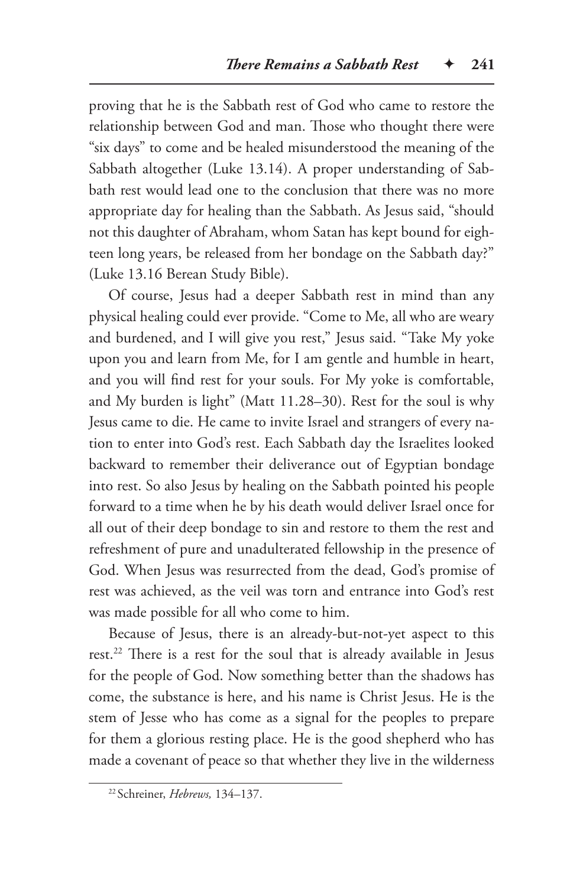proving that he is the Sabbath rest of God who came to restore the relationship between God and man. Those who thought there were "six days" to come and be healed misunderstood the meaning of the Sabbath altogether (Luke 13.14). A proper understanding of Sabbath rest would lead one to the conclusion that there was no more appropriate day for healing than the Sabbath. As Jesus said, "should not this daughter of Abraham, whom Satan has kept bound for eighteen long years, be released from her bondage on the Sabbath day?" (Luke 13.16 Berean Study Bible).

Of course, Jesus had a deeper Sabbath rest in mind than any physical healing could ever provide. "Come to Me, all who are weary and burdened, and I will give you rest," Jesus said. "Take My yoke upon you and learn from Me, for I am gentle and humble in heart, and you will find rest for your souls. For My yoke is comfortable, and My burden is light" (Matt 11.28–30). Rest for the soul is why Jesus came to die. He came to invite Israel and strangers of every nation to enter into God's rest. Each Sabbath day the Israelites looked backward to remember their deliverance out of Egyptian bondage into rest. So also Jesus by healing on the Sabbath pointed his people forward to a time when he by his death would deliver Israel once for all out of their deep bondage to sin and restore to them the rest and refreshment of pure and unadulterated fellowship in the presence of God. When Jesus was resurrected from the dead, God's promise of rest was achieved, as the veil was torn and entrance into God's rest was made possible for all who come to him.

Because of Jesus, there is an already-but-not-yet aspect to this rest.<sup>22</sup> There is a rest for the soul that is already available in Jesus for the people of God. Now something better than the shadows has come, the substance is here, and his name is Christ Jesus. He is the stem of Jesse who has come as a signal for the peoples to prepare for them a glorious resting place. He is the good shepherd who has made a covenant of peace so that whether they live in the wilderness

<sup>22</sup> Schreiner, *Hebrews,* 134–137.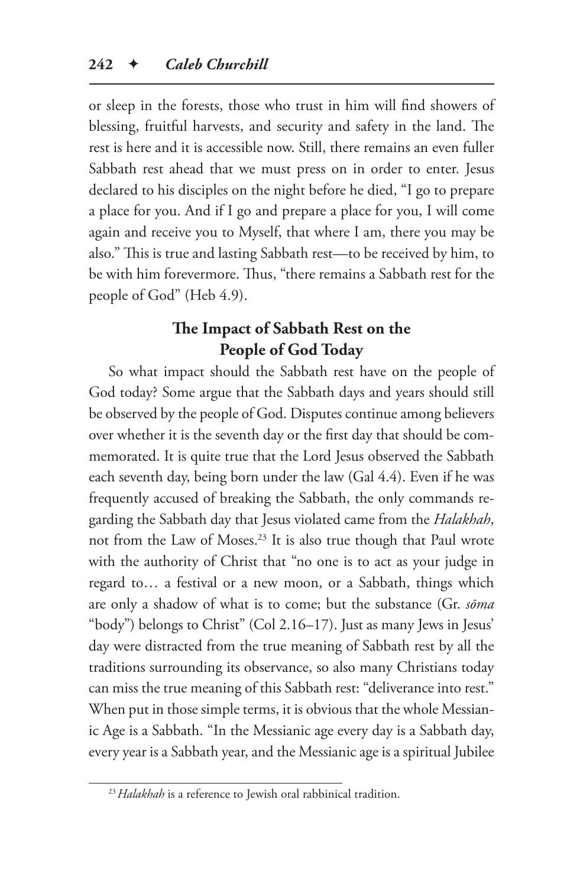or sleep in the forests, those who trust in him will find showers of blessing, fruitful harvests, and security and safety in the land. The rest is here and it is accessible now. Still, there remains an even fuller Sabbath rest ahead that we must press on in order to enter. Jesus declared to his disciples on the night before he died, "I go to prepare a place for you. And if I go and prepare a place for you, I will come again and receive you to Myself, that where I am, there you may be also." This is true and lasting Sabbath rest—to be received by him, to be with him forevermore. Thus, "there remains a Sabbath rest for the people of God" (Heb 4.9).

## **The Impact of Sabbath Rest on the People of God Today**

So what impact should the Sabbath rest have on the people of God today? Some argue that the Sabbath days and years should still be observed by the people of God. Disputes continue among believers over whether it is the seventh day or the first day that should be commemorated. It is quite true that the Lord Jesus observed the Sabbath each seventh day, being born under the law (Gal 4.4). Even if he was frequently accused of breaking the Sabbath, the only commands regarding the Sabbath day that Jesus violated came from the *Halakhah*, not from the Law of Moses.23 It is also true though that Paul wrote with the authority of Christ that "no one is to act as your judge in regard to… a festival or a new moon, or a Sabbath, things which are only a shadow of what is to come; but the substance (Gr. *sōma* "body") belongs to Christ" (Col 2.16–17). Just as many Jews in Jesus' day were distracted from the true meaning of Sabbath rest by all the traditions surrounding its observance, so also many Christians today can miss the true meaning of this Sabbath rest: "deliverance into rest." When put in those simple terms, it is obvious that the whole Messianic Age is a Sabbath. "In the Messianic age every day is a Sabbath day, every year is a Sabbath year, and the Messianic age is a spiritual Jubilee

<sup>&</sup>lt;sup>23</sup> Halakhah is a reference to Jewish oral rabbinical tradition.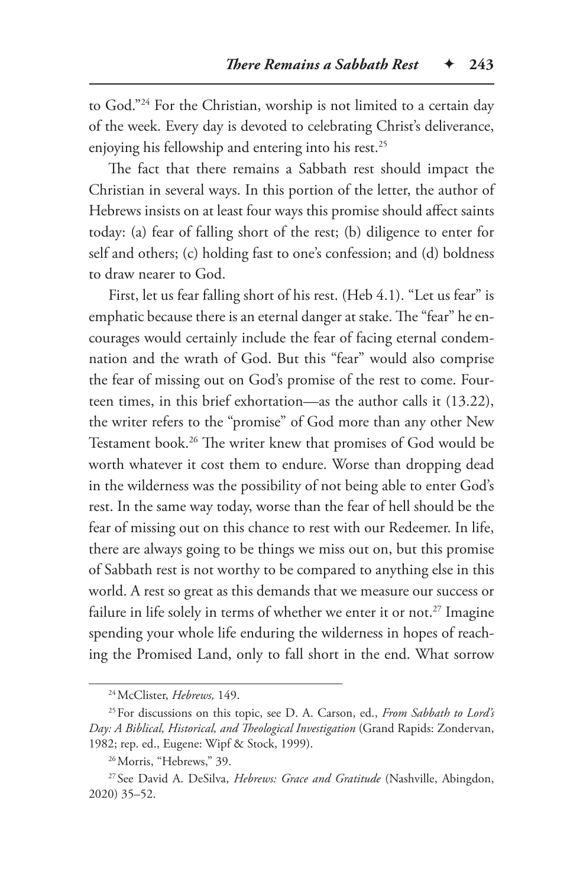to God."24 For the Christian, worship is not limited to a certain day of the week. Every day is devoted to celebrating Christ's deliverance, enjoying his fellowship and entering into his rest.<sup>25</sup>

The fact that there remains a Sabbath rest should impact the Christian in several ways. In this portion of the letter, the author of Hebrews insists on at least four ways this promise should affect saints today: (a) fear of falling short of the rest; (b) diligence to enter for self and others; (c) holding fast to one's confession; and (d) boldness to draw nearer to God.

First, let us fear falling short of his rest. (Heb 4.1). "Let us fear" is emphatic because there is an eternal danger at stake. The "fear" he encourages would certainly include the fear of facing eternal condemnation and the wrath of God. But this "fear" would also comprise the fear of missing out on God's promise of the rest to come. Fourteen times, in this brief exhortation—as the author calls it (13.22), the writer refers to the "promise" of God more than any other New Testament book.26 The writer knew that promises of God would be worth whatever it cost them to endure. Worse than dropping dead in the wilderness was the possibility of not being able to enter God's rest. In the same way today, worse than the fear of hell should be the fear of missing out on this chance to rest with our Redeemer. In life, there are always going to be things we miss out on, but this promise of Sabbath rest is not worthy to be compared to anything else in this world. A rest so great as this demands that we measure our success or failure in life solely in terms of whether we enter it or not.<sup>27</sup> Imagine spending your whole life enduring the wilderness in hopes of reaching the Promised Land, only to fall short in the end. What sorrow

<sup>24</sup>McClister, *Hebrews,* 149.

<sup>25</sup>For discussions on this topic, see D. A. Carson, ed., *From Sabbath to Lord's Day: A Biblical, Historical, and Theological Investigation* (Grand Rapids: Zondervan, 1982; rep. ed., Eugene: Wipf & Stock, 1999).

<sup>26</sup>Morris, "Hebrews," 39.

<sup>27</sup> See David A. DeSilva, *Hebrews: Grace and Gratitude* (Nashville, Abingdon, 2020) 35–52.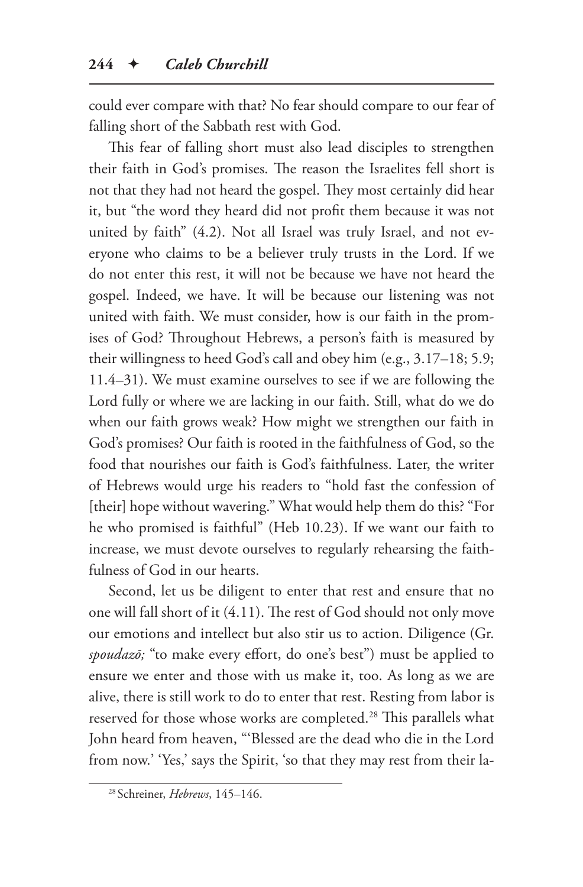could ever compare with that? No fear should compare to our fear of falling short of the Sabbath rest with God.

This fear of falling short must also lead disciples to strengthen their faith in God's promises. The reason the Israelites fell short is not that they had not heard the gospel. They most certainly did hear it, but "the word they heard did not profit them because it was not united by faith" (4.2). Not all Israel was truly Israel, and not everyone who claims to be a believer truly trusts in the Lord. If we do not enter this rest, it will not be because we have not heard the gospel. Indeed, we have. It will be because our listening was not united with faith. We must consider, how is our faith in the promises of God? Throughout Hebrews, a person's faith is measured by their willingness to heed God's call and obey him (e.g., 3.17–18; 5.9; 11.4–31). We must examine ourselves to see if we are following the Lord fully or where we are lacking in our faith. Still, what do we do when our faith grows weak? How might we strengthen our faith in God's promises? Our faith is rooted in the faithfulness of God, so the food that nourishes our faith is God's faithfulness. Later, the writer of Hebrews would urge his readers to "hold fast the confession of [their] hope without wavering." What would help them do this? "For he who promised is faithful" (Heb 10.23). If we want our faith to increase, we must devote ourselves to regularly rehearsing the faithfulness of God in our hearts.

Second, let us be diligent to enter that rest and ensure that no one will fall short of it (4.11). The rest of God should not only move our emotions and intellect but also stir us to action. Diligence (Gr. *spoudazō;* "to make every effort, do one's best") must be applied to ensure we enter and those with us make it, too. As long as we are alive, there is still work to do to enter that rest. Resting from labor is reserved for those whose works are completed.<sup>28</sup> This parallels what John heard from heaven, "'Blessed are the dead who die in the Lord from now.' 'Yes,' says the Spirit, 'so that they may rest from their la-

<sup>28</sup> Schreiner, *Hebrews*, 145–146.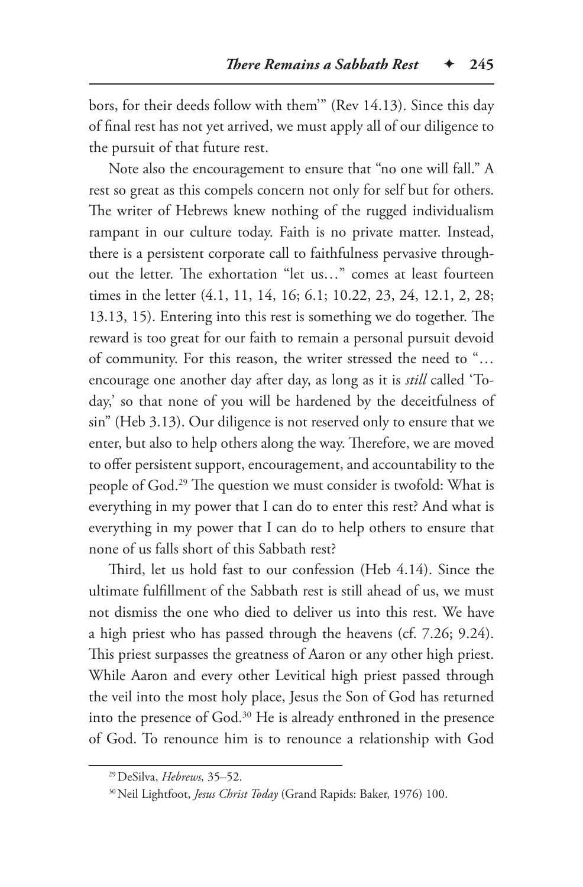bors, for their deeds follow with them'" (Rev 14.13). Since this day of final rest has not yet arrived, we must apply all of our diligence to the pursuit of that future rest.

Note also the encouragement to ensure that "no one will fall." A rest so great as this compels concern not only for self but for others. The writer of Hebrews knew nothing of the rugged individualism rampant in our culture today. Faith is no private matter. Instead, there is a persistent corporate call to faithfulness pervasive throughout the letter. The exhortation "let us…" comes at least fourteen times in the letter (4.1, 11, 14, 16; 6.1; 10.22, 23, 24, 12.1, 2, 28; 13.13, 15). Entering into this rest is something we do together. The reward is too great for our faith to remain a personal pursuit devoid of community. For this reason, the writer stressed the need to "… encourage one another day after day, as long as it is *still* called 'Today,' so that none of you will be hardened by the deceitfulness of sin" (Heb 3.13). Our diligence is not reserved only to ensure that we enter, but also to help others along the way. Therefore, we are moved to offer persistent support, encouragement, and accountability to the people of God.29 The question we must consider is twofold: What is everything in my power that I can do to enter this rest? And what is everything in my power that I can do to help others to ensure that none of us falls short of this Sabbath rest?

Third, let us hold fast to our confession (Heb 4.14). Since the ultimate fulfillment of the Sabbath rest is still ahead of us, we must not dismiss the one who died to deliver us into this rest. We have a high priest who has passed through the heavens (cf. 7.26; 9.24). This priest surpasses the greatness of Aaron or any other high priest. While Aaron and every other Levitical high priest passed through the veil into the most holy place, Jesus the Son of God has returned into the presence of God.30 He is already enthroned in the presence of God. To renounce him is to renounce a relationship with God

<sup>29</sup>DeSilva, *Hebrews,* 35–52.

<sup>30</sup>Neil Lightfoot, *Jesus Christ Today* (Grand Rapids: Baker, 1976) 100.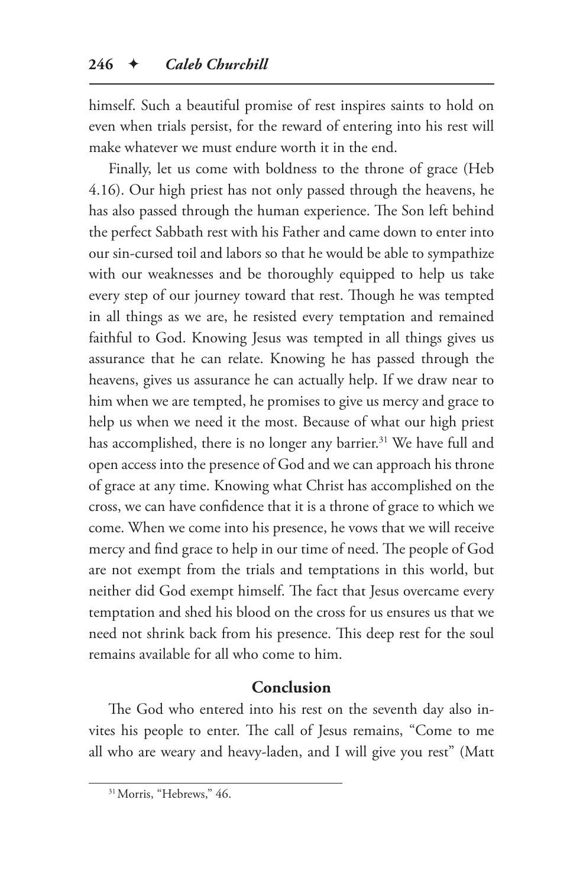himself. Such a beautiful promise of rest inspires saints to hold on even when trials persist, for the reward of entering into his rest will make whatever we must endure worth it in the end.

Finally, let us come with boldness to the throne of grace (Heb 4.16). Our high priest has not only passed through the heavens, he has also passed through the human experience. The Son left behind the perfect Sabbath rest with his Father and came down to enter into our sin-cursed toil and labors so that he would be able to sympathize with our weaknesses and be thoroughly equipped to help us take every step of our journey toward that rest. Though he was tempted in all things as we are, he resisted every temptation and remained faithful to God. Knowing Jesus was tempted in all things gives us assurance that he can relate. Knowing he has passed through the heavens, gives us assurance he can actually help. If we draw near to him when we are tempted, he promises to give us mercy and grace to help us when we need it the most. Because of what our high priest has accomplished, there is no longer any barrier.<sup>31</sup> We have full and open access into the presence of God and we can approach his throne of grace at any time. Knowing what Christ has accomplished on the cross, we can have confidence that it is a throne of grace to which we come. When we come into his presence, he vows that we will receive mercy and find grace to help in our time of need. The people of God are not exempt from the trials and temptations in this world, but neither did God exempt himself. The fact that Jesus overcame every temptation and shed his blood on the cross for us ensures us that we need not shrink back from his presence. This deep rest for the soul remains available for all who come to him.

## **Conclusion**

The God who entered into his rest on the seventh day also invites his people to enter. The call of Jesus remains, "Come to me all who are weary and heavy-laden, and I will give you rest" (Matt

<sup>&</sup>lt;sup>31</sup> Morris, "Hebrews," 46.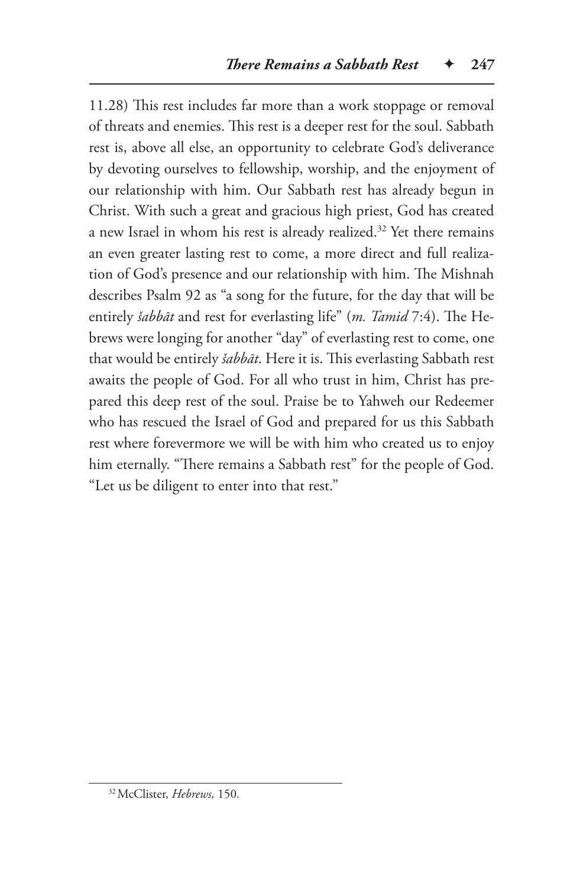11.28) This rest includes far more than a work stoppage or removal of threats and enemies. This rest is a deeper rest for the soul. Sabbath rest is, above all else, an opportunity to celebrate God's deliverance by devoting ourselves to fellowship, worship, and the enjoyment of our relationship with him. Our Sabbath rest has already begun in Christ. With such a great and gracious high priest, God has created a new Israel in whom his rest is already realized.<sup>32</sup> Yet there remains an even greater lasting rest to come, a more direct and full realization of God's presence and our relationship with him. The Mishnah describes Psalm 92 as "a song for the future, for the day that will be entirely *šabbāt* and rest for everlasting life" (*m. Tamid* 7:4). The Hebrews were longing for another "day" of everlasting rest to come, one that would be entirely *šabbāt*. Here it is. This everlasting Sabbath rest awaits the people of God. For all who trust in him, Christ has prepared this deep rest of the soul. Praise be to Yahweh our Redeemer who has rescued the Israel of God and prepared for us this Sabbath rest where forevermore we will be with him who created us to enjoy him eternally. "There remains a Sabbath rest" for the people of God. "Let us be diligent to enter into that rest."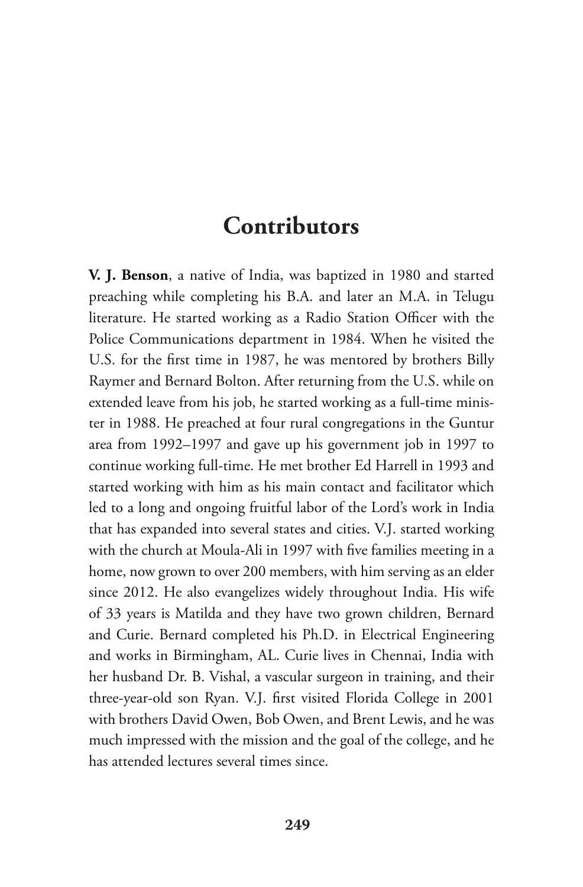## **Contributors**

**V. J. Benson**, a native of India, was baptized in 1980 and started preaching while completing his B.A. and later an M.A. in Telugu literature. He started working as a Radio Station Officer with the Police Communications department in 1984. When he visited the U.S. for the first time in 1987, he was mentored by brothers Billy Raymer and Bernard Bolton. After returning from the U.S. while on extended leave from his job, he started working as a full-time minister in 1988. He preached at four rural congregations in the Guntur area from 1992–1997 and gave up his government job in 1997 to continue working full-time. He met brother Ed Harrell in 1993 and started working with him as his main contact and facilitator which led to a long and ongoing fruitful labor of the Lord's work in India that has expanded into several states and cities. V.J. started working with the church at Moula-Ali in 1997 with five families meeting in a home, now grown to over 200 members, with him serving as an elder since 2012. He also evangelizes widely throughout India. His wife of 33 years is Matilda and they have two grown children, Bernard and Curie. Bernard completed his Ph.D. in Electrical Engineering and works in Birmingham, AL. Curie lives in Chennai, India with her husband Dr. B. Vishal, a vascular surgeon in training, and their three-year-old son Ryan. V.J. first visited Florida College in 2001 with brothers David Owen, Bob Owen, and Brent Lewis, and he was much impressed with the mission and the goal of the college, and he has attended lectures several times since.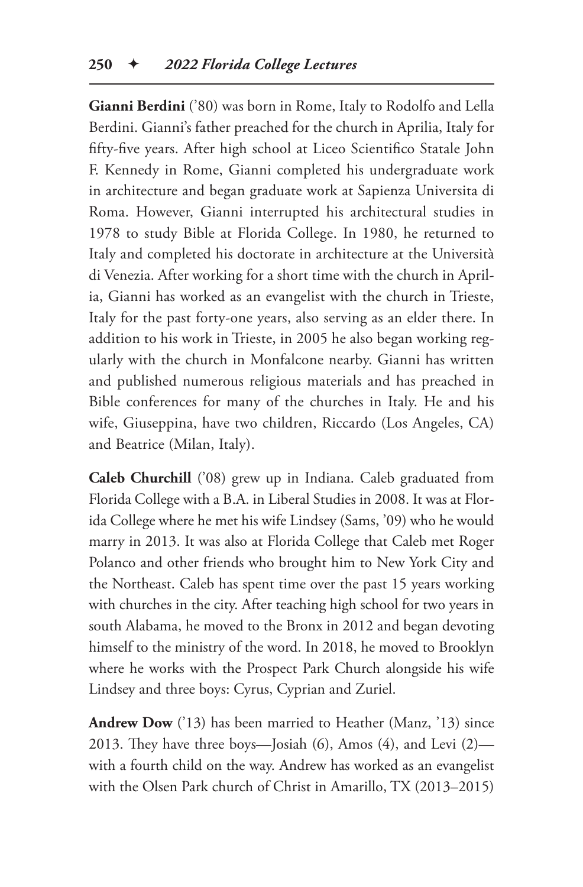**Gianni Berdini** ('80) was born in Rome, Italy to Rodolfo and Lella Berdini. Gianni's father preached for the church in Aprilia, Italy for fifty-five years. After high school at Liceo Scientifico Statale John F. Kennedy in Rome, Gianni completed his undergraduate work in architecture and began graduate work at Sapienza Universita di Roma. However, Gianni interrupted his architectural studies in 1978 to study Bible at Florida College. In 1980, he returned to Italy and completed his doctorate in architecture at the Università di Venezia. After working for a short time with the church in Aprilia, Gianni has worked as an evangelist with the church in Trieste, Italy for the past forty-one years, also serving as an elder there. In addition to his work in Trieste, in 2005 he also began working regularly with the church in Monfalcone nearby. Gianni has written and published numerous religious materials and has preached in Bible conferences for many of the churches in Italy. He and his wife, Giuseppina, have two children, Riccardo (Los Angeles, CA) and Beatrice (Milan, Italy).

**Caleb Churchill** ('08) grew up in Indiana. Caleb graduated from Florida College with a B.A. in Liberal Studies in 2008. It was at Florida College where he met his wife Lindsey (Sams, '09) who he would marry in 2013. It was also at Florida College that Caleb met Roger Polanco and other friends who brought him to New York City and the Northeast. Caleb has spent time over the past 15 years working with churches in the city. After teaching high school for two years in south Alabama, he moved to the Bronx in 2012 and began devoting himself to the ministry of the word. In 2018, he moved to Brooklyn where he works with the Prospect Park Church alongside his wife Lindsey and three boys: Cyrus, Cyprian and Zuriel.

**Andrew Dow** ('13) has been married to Heather (Manz, '13) since 2013. They have three boys—Josiah (6), Amos (4), and Levi (2) with a fourth child on the way. Andrew has worked as an evangelist with the Olsen Park church of Christ in Amarillo, TX (2013–2015)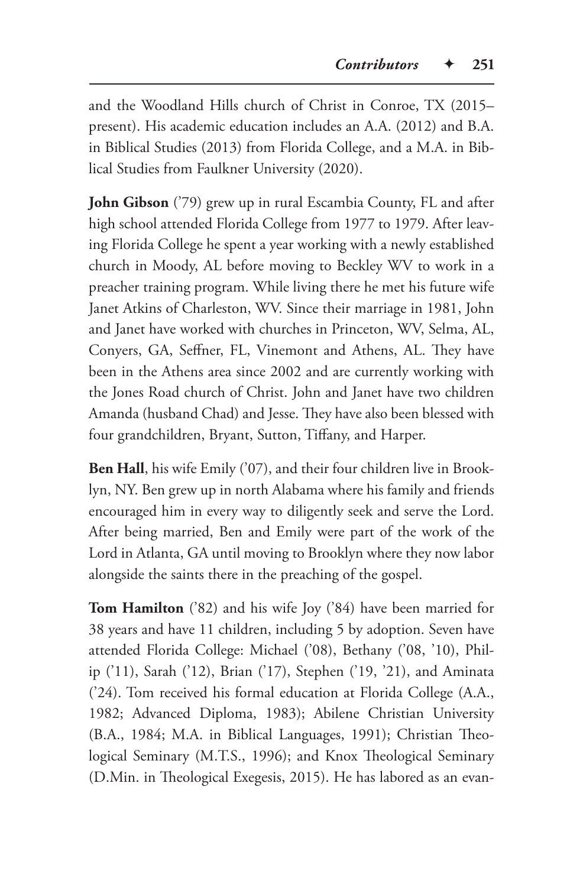and the Woodland Hills church of Christ in Conroe, TX (2015– present). His academic education includes an A.A. (2012) and B.A. in Biblical Studies (2013) from Florida College, and a M.A. in Biblical Studies from Faulkner University (2020).

**John Gibson** ('79) grew up in rural Escambia County, FL and after high school attended Florida College from 1977 to 1979. After leaving Florida College he spent a year working with a newly established church in Moody, AL before moving to Beckley WV to work in a preacher training program. While living there he met his future wife Janet Atkins of Charleston, WV. Since their marriage in 1981, John and Janet have worked with churches in Princeton, WV, Selma, AL, Conyers, GA, Seffner, FL, Vinemont and Athens, AL. They have been in the Athens area since 2002 and are currently working with the Jones Road church of Christ. John and Janet have two children Amanda (husband Chad) and Jesse. They have also been blessed with four grandchildren, Bryant, Sutton, Tiffany, and Harper.

**Ben Hall**, his wife Emily ('07), and their four children live in Brooklyn, NY. Ben grew up in north Alabama where his family and friends encouraged him in every way to diligently seek and serve the Lord. After being married, Ben and Emily were part of the work of the Lord in Atlanta, GA until moving to Brooklyn where they now labor alongside the saints there in the preaching of the gospel.

**Tom Hamilton** ('82) and his wife Joy ('84) have been married for 38 years and have 11 children, including 5 by adoption. Seven have attended Florida College: Michael ('08), Bethany ('08, '10), Philip ('11), Sarah ('12), Brian ('17), Stephen ('19, '21), and Aminata ('24). Tom received his formal education at Florida College (A.A., 1982; Advanced Diploma, 1983); Abilene Christian University (B.A., 1984; M.A. in Biblical Languages, 1991); Christian Theological Seminary (M.T.S., 1996); and Knox Theological Seminary (D.Min. in Theological Exegesis, 2015). He has labored as an evan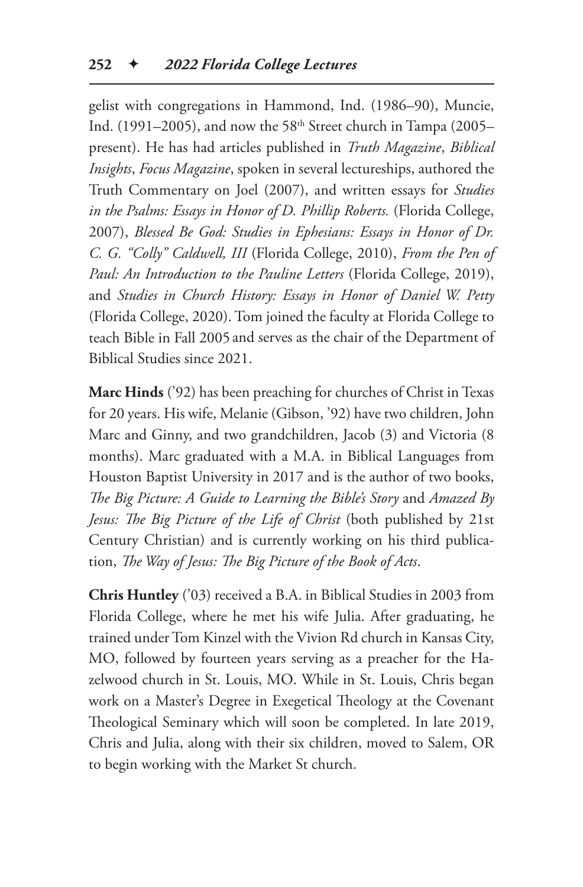gelist with congregations in Hammond, Ind. (1986–90), Muncie, Ind. (1991–2005), and now the 58<sup>th</sup> Street church in Tampa (2005– present). He has had articles published in *Truth Magazine*, *Biblical Insights*, *Focus Magazine*, spoken in several lectureships, authored the Truth Commentary on Joel (2007), and written essays for *Studies in the Psalms: Essays in Honor of D. Phillip Roberts.* (Florida College, 2007), *Blessed Be God: Studies in Ephesians: Essays in Honor of Dr. C. G. "Colly" Caldwell, III* (Florida College, 2010), *From the Pen of Paul: An Introduction to the Pauline Letters* (Florida College, 2019), and *Studies in Church History: Essays in Honor of Daniel W. Petty* (Florida College, 2020). Tom joined the faculty at Florida College to teach Bible in Fall 2005 and serves as the chair of the Department of Biblical Studies since 2021.

**Marc Hinds** ('92) has been preaching for churches of Christ in Texas for 20 years. His wife, Melanie (Gibson, '92) have two children, John Marc and Ginny, and two grandchildren, Jacob (3) and Victoria (8 months). Marc graduated with a M.A. in Biblical Languages from Houston Baptist University in 2017 and is the author of two books, *The Big Picture: A Guide to Learning the Bible's Story* and *Amazed By Jesus: The Big Picture of the Life of Christ* (both published by 21st Century Christian) and is currently working on his third publication, *The Way of Jesus: The Big Picture of the Book of Acts*.

**Chris Huntley** ('03) received a B.A. in Biblical Studies in 2003 from Florida College, where he met his wife Julia. After graduating, he trained under Tom Kinzel with the Vivion Rd church in Kansas City, MO, followed by fourteen years serving as a preacher for the Hazelwood church in St. Louis, MO. While in St. Louis, Chris began work on a Master's Degree in Exegetical Theology at the Covenant Theological Seminary which will soon be completed. In late 2019, Chris and Julia, along with their six children, moved to Salem, OR to begin working with the Market St church.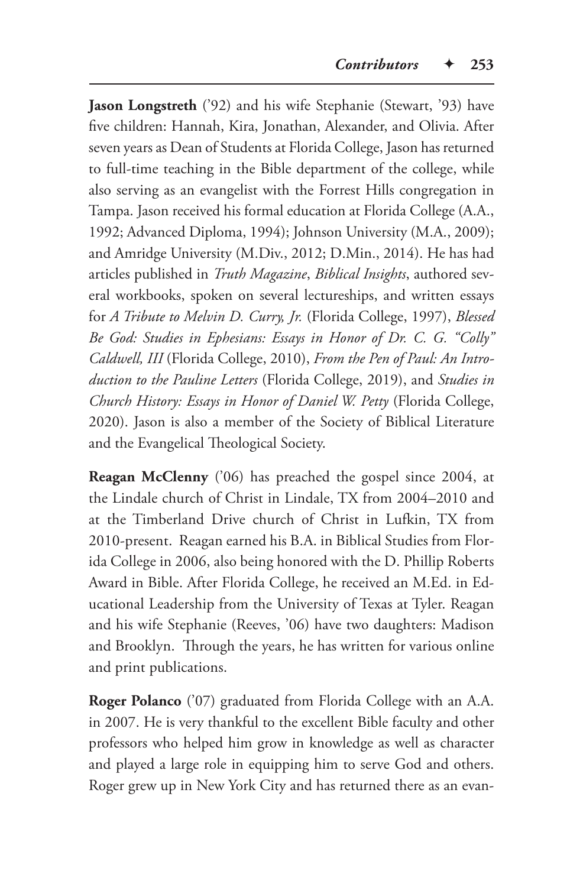Jason Longstreth ('92) and his wife Stephanie (Stewart, '93) have five children: Hannah, Kira, Jonathan, Alexander, and Olivia. After seven years as Dean of Students at Florida College, Jason has returned to full-time teaching in the Bible department of the college, while also serving as an evangelist with the Forrest Hills congregation in Tampa. Jason received his formal education at Florida College (A.A., 1992; Advanced Diploma, 1994); Johnson University (M.A., 2009); and Amridge University (M.Div., 2012; D.Min., 2014). He has had articles published in *Truth Magazine*, *Biblical Insights*, authored several workbooks, spoken on several lectureships, and written essays for *A Tribute to Melvin D. Curry, Jr.* (Florida College, 1997), *Blessed Be God: Studies in Ephesians: Essays in Honor of Dr. C. G. "Colly" Caldwell, III* (Florida College, 2010), *From the Pen of Paul: An Introduction to the Pauline Letters* (Florida College, 2019), and *Studies in Church History: Essays in Honor of Daniel W. Petty* (Florida College, 2020). Jason is also a member of the Society of Biblical Literature and the Evangelical Theological Society.

**Reagan McClenny** ('06) has preached the gospel since 2004, at the Lindale church of Christ in Lindale, TX from 2004–2010 and at the Timberland Drive church of Christ in Lufkin, TX from 2010-present. Reagan earned his B.A. in Biblical Studies from Florida College in 2006, also being honored with the D. Phillip Roberts Award in Bible. After Florida College, he received an M.Ed. in Educational Leadership from the University of Texas at Tyler. Reagan and his wife Stephanie (Reeves, '06) have two daughters: Madison and Brooklyn. Through the years, he has written for various online and print publications.

**Roger Polanco** ('07) graduated from Florida College with an A.A. in 2007. He is very thankful to the excellent Bible faculty and other professors who helped him grow in knowledge as well as character and played a large role in equipping him to serve God and others. Roger grew up in New York City and has returned there as an evan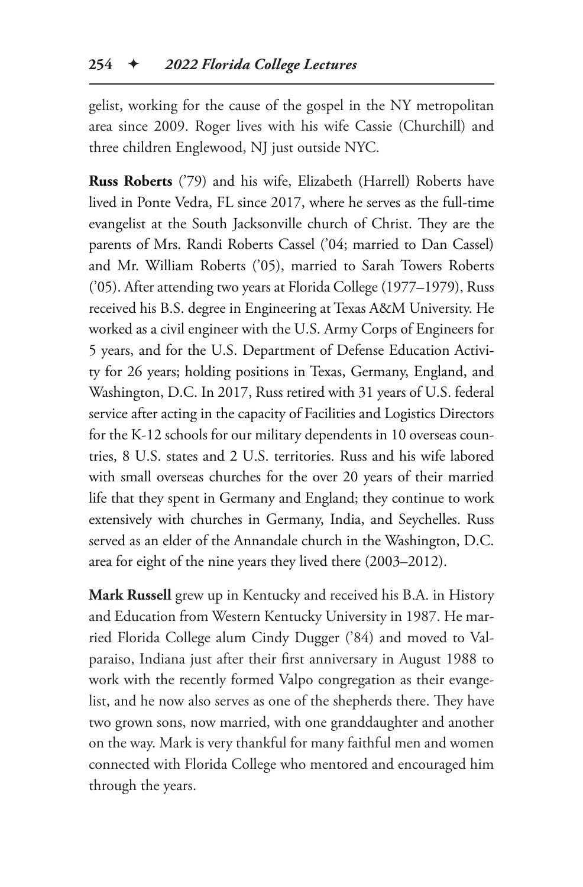gelist, working for the cause of the gospel in the NY metropolitan area since 2009. Roger lives with his wife Cassie (Churchill) and three children Englewood, NJ just outside NYC.

**Russ Roberts** ('79) and his wife, Elizabeth (Harrell) Roberts have lived in Ponte Vedra, FL since 2017, where he serves as the full-time evangelist at the South Jacksonville church of Christ. They are the parents of Mrs. Randi Roberts Cassel ('04; married to Dan Cassel) and Mr. William Roberts ('05), married to Sarah Towers Roberts ('05). After attending two years at Florida College (1977–1979), Russ received his B.S. degree in Engineering at Texas A&M University. He worked as a civil engineer with the U.S. Army Corps of Engineers for 5 years, and for the U.S. Department of Defense Education Activity for 26 years; holding positions in Texas, Germany, England, and Washington, D.C. In 2017, Russ retired with 31 years of U.S. federal service after acting in the capacity of Facilities and Logistics Directors for the K-12 schools for our military dependents in 10 overseas countries, 8 U.S. states and 2 U.S. territories. Russ and his wife labored with small overseas churches for the over 20 years of their married life that they spent in Germany and England; they continue to work extensively with churches in Germany, India, and Seychelles. Russ served as an elder of the Annandale church in the Washington, D.C. area for eight of the nine years they lived there (2003–2012).

**Mark Russell** grew up in Kentucky and received his B.A. in History and Education from Western Kentucky University in 1987. He married Florida College alum Cindy Dugger ('84) and moved to Valparaiso, Indiana just after their first anniversary in August 1988 to work with the recently formed Valpo congregation as their evangelist, and he now also serves as one of the shepherds there. They have two grown sons, now married, with one granddaughter and another on the way. Mark is very thankful for many faithful men and women connected with Florida College who mentored and encouraged him through the years.